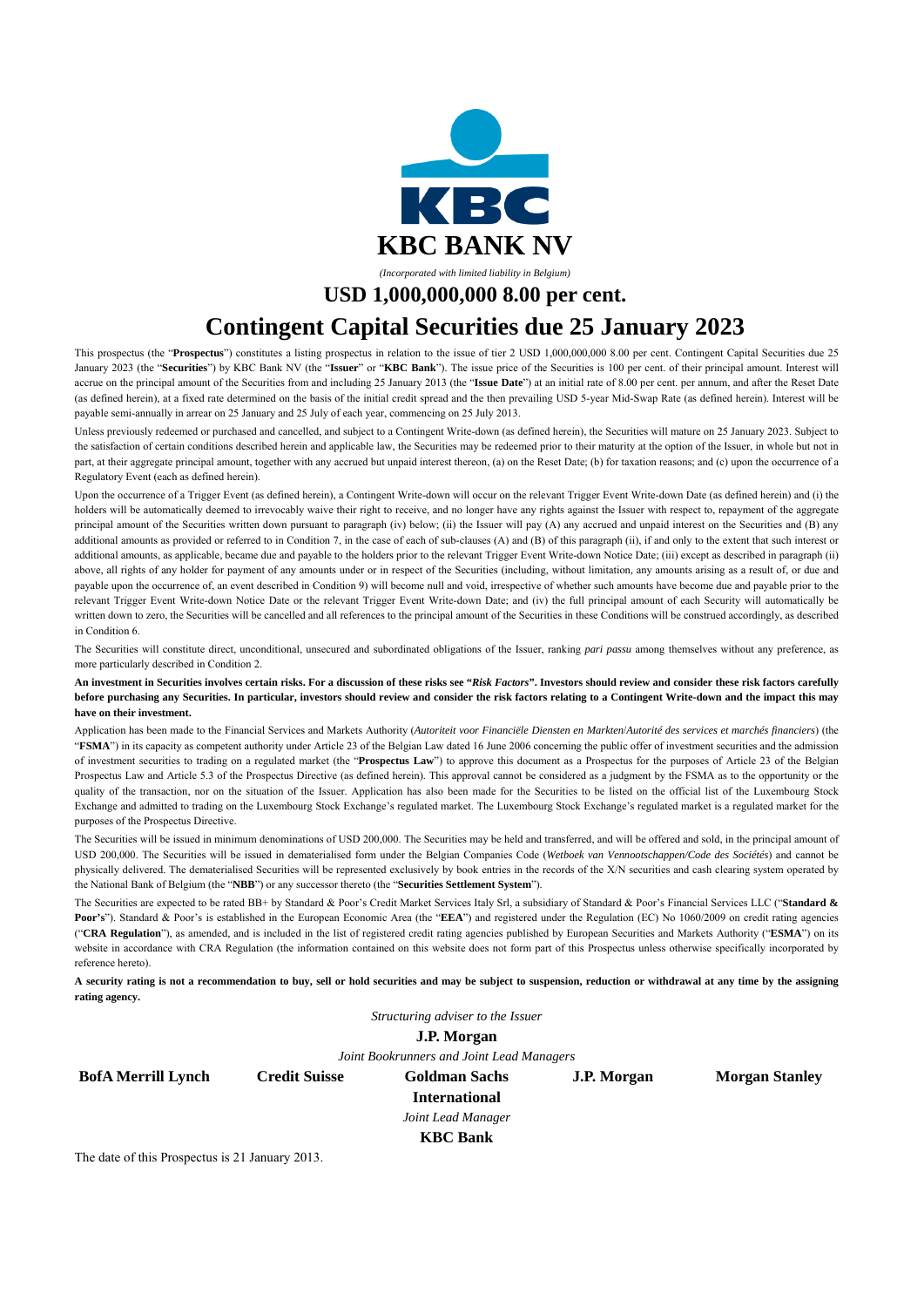

**USD 1,000,000,000 8.00 per cent.** 

# **Contingent Capital Securities due 25 January 2023**

This prospectus (the "**Prospectus**") constitutes a listing prospectus in relation to the issue of tier 2 USD 1,000,000,000 8.00 per cent. Contingent Capital Securities due 25 January 2023 (the "**Securities**") by KBC Bank NV (the "**Issuer**" or "**KBC Bank**"). The issue price of the Securities is 100 per cent. of their principal amount. Interest will accrue on the principal amount of the Securities from and including 25 January 2013 (the "**Issue Date**") at an initial rate of 8.00 per cent. per annum, and after the Reset Date (as defined herein), at a fixed rate determined on the basis of the initial credit spread and the then prevailing USD 5-year Mid-Swap Rate (as defined herein). Interest will be payable semi-annually in arrear on 25 January and 25 July of each year, commencing on 25 July 2013.

Unless previously redeemed or purchased and cancelled, and subject to a Contingent Write-down (as defined herein), the Securities will mature on 25 January 2023. Subject to the satisfaction of certain conditions described herein and applicable law, the Securities may be redeemed prior to their maturity at the option of the Issuer, in whole but not in part, at their aggregate principal amount, together with any accrued but unpaid interest thereon, (a) on the Reset Date; (b) for taxation reasons; and (c) upon the occurrence of a Regulatory Event (each as defined herein).

Upon the occurrence of a Trigger Event (as defined herein), a Contingent Write-down will occur on the relevant Trigger Event Write-down Date (as defined herein) and (i) the holders will be automatically deemed to irrevocably waive their right to receive, and no longer have any rights against the Issuer with respect to, repayment of the aggregate principal amount of the Securities written down pursuant to paragraph (iv) below; (ii) the Issuer will pay (A) any accrued and unpaid interest on the Securities and (B) any additional amounts as provided or referred to in Condition 7, in the case of each of sub-clauses (A) and (B) of this paragraph (ii), if and only to the extent that such interest or additional amounts, as applicable, became due and payable to the holders prior to the relevant Trigger Event Write-down Notice Date; (iii) except as described in paragraph (ii) above, all rights of any holder for payment of any amounts under or in respect of the Securities (including, without limitation, any amounts arising as a result of, or due and payable upon the occurrence of, an event described in Condition 9) will become null and void, irrespective of whether such amounts have become due and payable prior to the relevant Trigger Event Write-down Notice Date or the relevant Trigger Event Write-down Date; and (iv) the full principal amount of each Security will automatically be written down to zero, the Securities will be cancelled and all references to the principal amount of the Securities in these Conditions will be construed accordingly, as described in Condition 6.

The Securities will constitute direct, unconditional, unsecured and subordinated obligations of the Issuer, ranking *pari passu* among themselves without any preference, as more particularly described in Condition 2.

**An investment in Securities involves certain risks. For a discussion of these risks see "***Risk Factors***". Investors should review and consider these risk factors carefully before purchasing any Securities. In particular, investors should review and consider the risk factors relating to a Contingent Write-down and the impact this may have on their investment.** 

Application has been made to the Financial Services and Markets Authority (*Autoriteit voor Financiële Diensten en Markten*/*Autorité des services et marchés financiers*) (the "**FSMA**") in its capacity as competent authority under Article 23 of the Belgian Law dated 16 June 2006 concerning the public offer of investment securities and the admission of investment securities to trading on a regulated market (the "**Prospectus Law**") to approve this document as a Prospectus for the purposes of Article 23 of the Belgian Prospectus Law and Article 5.3 of the Prospectus Directive (as defined herein). This approval cannot be considered as a judgment by the FSMA as to the opportunity or the quality of the transaction, nor on the situation of the Issuer. Application has also been made for the Securities to be listed on the official list of the Luxembourg Stock Exchange and admitted to trading on the Luxembourg Stock Exchange's regulated market. The Luxembourg Stock Exchange's regulated market is a regulated market for the purposes of the Prospectus Directive.

The Securities will be issued in minimum denominations of USD 200,000. The Securities may be held and transferred, and will be offered and sold, in the principal amount of USD 200,000. The Securities will be issued in dematerialised form under the Belgian Companies Code (*Wetboek van Vennootschappen/Code des Sociétés*) and cannot be physically delivered. The dematerialised Securities will be represented exclusively by book entries in the records of the X/N securities and cash clearing system operated by the National Bank of Belgium (the "**NBB**") or any successor thereto (the "**Securities Settlement System**").

The Securities are expected to be rated BB+ by Standard & Poor's Credit Market Services Italy Srl, a subsidiary of Standard & Poor's Financial Services LLC ("**Standard & Poor's**"). Standard & Poor's is established in the European Economic Area (the "**EEA**") and registered under the Regulation (EC) No 1060/2009 on credit rating agencies ("**CRA Regulation**"), as amended, and is included in the list of registered credit rating agencies published by European Securities and Markets Authority ("**ESMA**") on its website in accordance with CRA Regulation (the information contained on this website does not form part of this Prospectus unless otherwise specifically incorporated by reference hereto).

**A security rating is not a recommendation to buy, sell or hold securities and may be subject to suspension, reduction or withdrawal at any time by the assigning rating agency.**

*Structuring adviser to the Issuer* 

**J.P. Morgan** 

*Joint Bookrunners and Joint Lead Managers* 

**BofA Merrill Lynch Credit Suisse Goldman Sachs** 

**International** 

**J.P. Morgan Morgan Stanley** 

*Joint Lead Manager* 

**KBC Bank** 

The date of this Prospectus is 21 January 2013.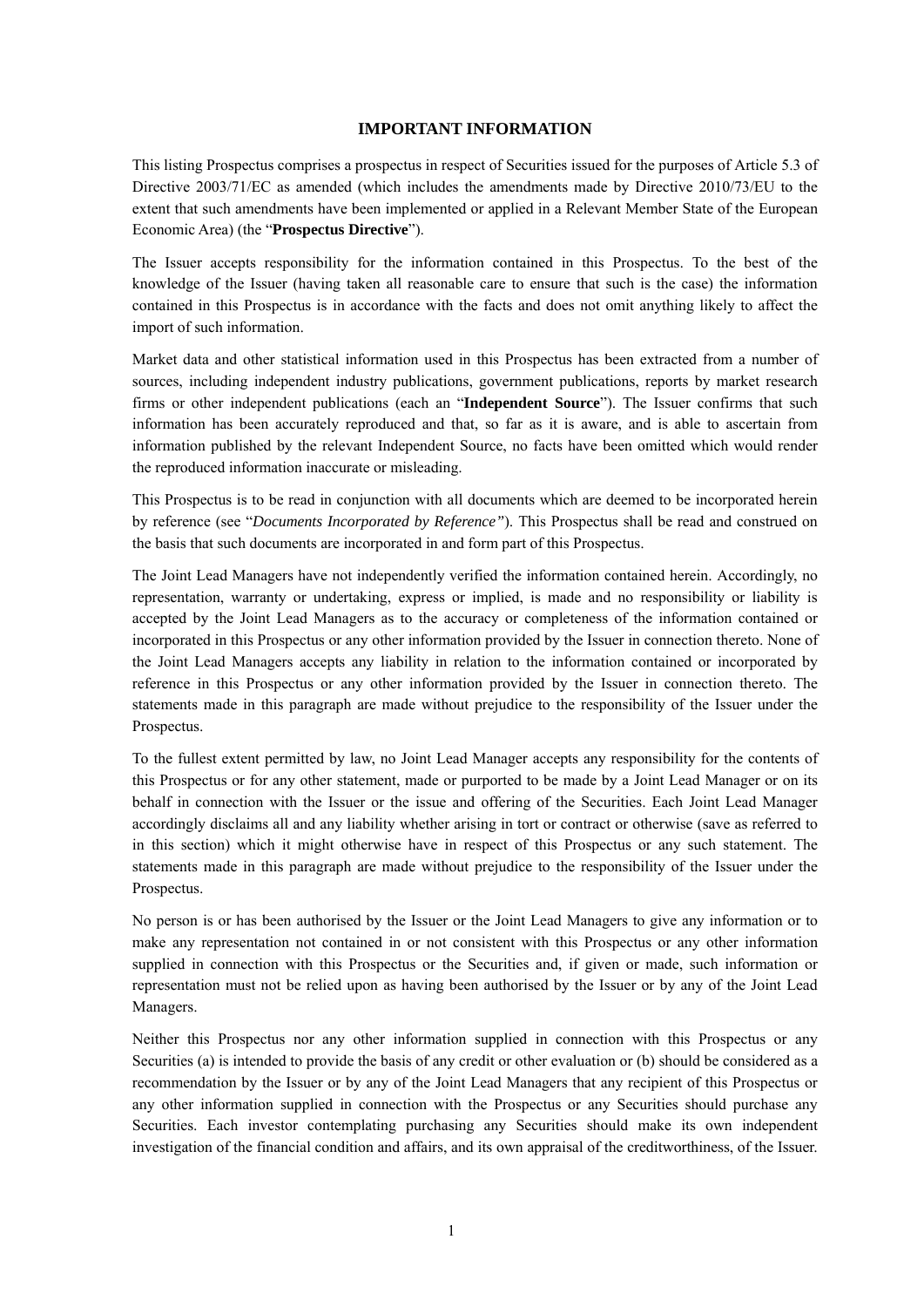#### **IMPORTANT INFORMATION**

This listing Prospectus comprises a prospectus in respect of Securities issued for the purposes of Article 5.3 of Directive 2003/71/EC as amended (which includes the amendments made by Directive 2010/73/EU to the extent that such amendments have been implemented or applied in a Relevant Member State of the European Economic Area) (the "**Prospectus Directive**").

The Issuer accepts responsibility for the information contained in this Prospectus. To the best of the knowledge of the Issuer (having taken all reasonable care to ensure that such is the case) the information contained in this Prospectus is in accordance with the facts and does not omit anything likely to affect the import of such information.

Market data and other statistical information used in this Prospectus has been extracted from a number of sources, including independent industry publications, government publications, reports by market research firms or other independent publications (each an "**Independent Source**"). The Issuer confirms that such information has been accurately reproduced and that, so far as it is aware, and is able to ascertain from information published by the relevant Independent Source, no facts have been omitted which would render the reproduced information inaccurate or misleading.

This Prospectus is to be read in conjunction with all documents which are deemed to be incorporated herein by reference (see "*Documents Incorporated by Reference"*). This Prospectus shall be read and construed on the basis that such documents are incorporated in and form part of this Prospectus.

The Joint Lead Managers have not independently verified the information contained herein. Accordingly, no representation, warranty or undertaking, express or implied, is made and no responsibility or liability is accepted by the Joint Lead Managers as to the accuracy or completeness of the information contained or incorporated in this Prospectus or any other information provided by the Issuer in connection thereto. None of the Joint Lead Managers accepts any liability in relation to the information contained or incorporated by reference in this Prospectus or any other information provided by the Issuer in connection thereto. The statements made in this paragraph are made without prejudice to the responsibility of the Issuer under the Prospectus.

To the fullest extent permitted by law, no Joint Lead Manager accepts any responsibility for the contents of this Prospectus or for any other statement, made or purported to be made by a Joint Lead Manager or on its behalf in connection with the Issuer or the issue and offering of the Securities. Each Joint Lead Manager accordingly disclaims all and any liability whether arising in tort or contract or otherwise (save as referred to in this section) which it might otherwise have in respect of this Prospectus or any such statement. The statements made in this paragraph are made without prejudice to the responsibility of the Issuer under the Prospectus.

No person is or has been authorised by the Issuer or the Joint Lead Managers to give any information or to make any representation not contained in or not consistent with this Prospectus or any other information supplied in connection with this Prospectus or the Securities and, if given or made, such information or representation must not be relied upon as having been authorised by the Issuer or by any of the Joint Lead Managers.

Neither this Prospectus nor any other information supplied in connection with this Prospectus or any Securities (a) is intended to provide the basis of any credit or other evaluation or (b) should be considered as a recommendation by the Issuer or by any of the Joint Lead Managers that any recipient of this Prospectus or any other information supplied in connection with the Prospectus or any Securities should purchase any Securities. Each investor contemplating purchasing any Securities should make its own independent investigation of the financial condition and affairs, and its own appraisal of the creditworthiness, of the Issuer.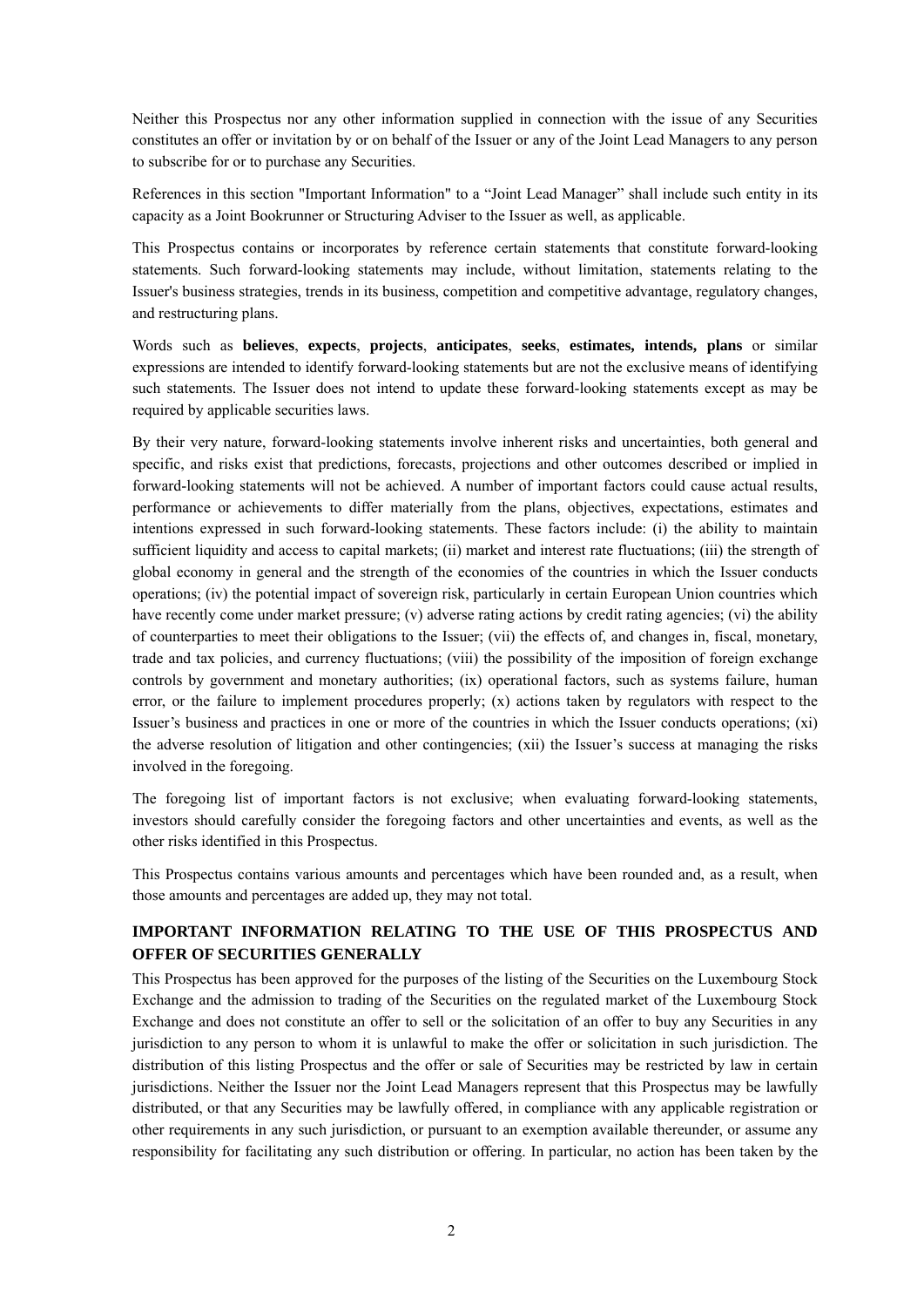Neither this Prospectus nor any other information supplied in connection with the issue of any Securities constitutes an offer or invitation by or on behalf of the Issuer or any of the Joint Lead Managers to any person to subscribe for or to purchase any Securities.

References in this section "Important Information" to a "Joint Lead Manager" shall include such entity in its capacity as a Joint Bookrunner or Structuring Adviser to the Issuer as well, as applicable.

This Prospectus contains or incorporates by reference certain statements that constitute forward-looking statements. Such forward-looking statements may include, without limitation, statements relating to the Issuer's business strategies, trends in its business, competition and competitive advantage, regulatory changes, and restructuring plans.

Words such as **believes**, **expects**, **projects**, **anticipates**, **seeks**, **estimates, intends, plans** or similar expressions are intended to identify forward-looking statements but are not the exclusive means of identifying such statements. The Issuer does not intend to update these forward-looking statements except as may be required by applicable securities laws.

By their very nature, forward-looking statements involve inherent risks and uncertainties, both general and specific, and risks exist that predictions, forecasts, projections and other outcomes described or implied in forward-looking statements will not be achieved. A number of important factors could cause actual results, performance or achievements to differ materially from the plans, objectives, expectations, estimates and intentions expressed in such forward-looking statements. These factors include: (i) the ability to maintain sufficient liquidity and access to capital markets; (ii) market and interest rate fluctuations; (iii) the strength of global economy in general and the strength of the economies of the countries in which the Issuer conducts operations; (iv) the potential impact of sovereign risk, particularly in certain European Union countries which have recently come under market pressure; (v) adverse rating actions by credit rating agencies; (vi) the ability of counterparties to meet their obligations to the Issuer; (vii) the effects of, and changes in, fiscal, monetary, trade and tax policies, and currency fluctuations; (viii) the possibility of the imposition of foreign exchange controls by government and monetary authorities; (ix) operational factors, such as systems failure, human error, or the failure to implement procedures properly;  $(x)$  actions taken by regulators with respect to the Issuer's business and practices in one or more of the countries in which the Issuer conducts operations; (xi) the adverse resolution of litigation and other contingencies; (xii) the Issuer's success at managing the risks involved in the foregoing.

The foregoing list of important factors is not exclusive; when evaluating forward-looking statements, investors should carefully consider the foregoing factors and other uncertainties and events, as well as the other risks identified in this Prospectus.

This Prospectus contains various amounts and percentages which have been rounded and, as a result, when those amounts and percentages are added up, they may not total.

## **IMPORTANT INFORMATION RELATING TO THE USE OF THIS PROSPECTUS AND OFFER OF SECURITIES GENERALLY**

This Prospectus has been approved for the purposes of the listing of the Securities on the Luxembourg Stock Exchange and the admission to trading of the Securities on the regulated market of the Luxembourg Stock Exchange and does not constitute an offer to sell or the solicitation of an offer to buy any Securities in any jurisdiction to any person to whom it is unlawful to make the offer or solicitation in such jurisdiction. The distribution of this listing Prospectus and the offer or sale of Securities may be restricted by law in certain jurisdictions. Neither the Issuer nor the Joint Lead Managers represent that this Prospectus may be lawfully distributed, or that any Securities may be lawfully offered, in compliance with any applicable registration or other requirements in any such jurisdiction, or pursuant to an exemption available thereunder, or assume any responsibility for facilitating any such distribution or offering. In particular, no action has been taken by the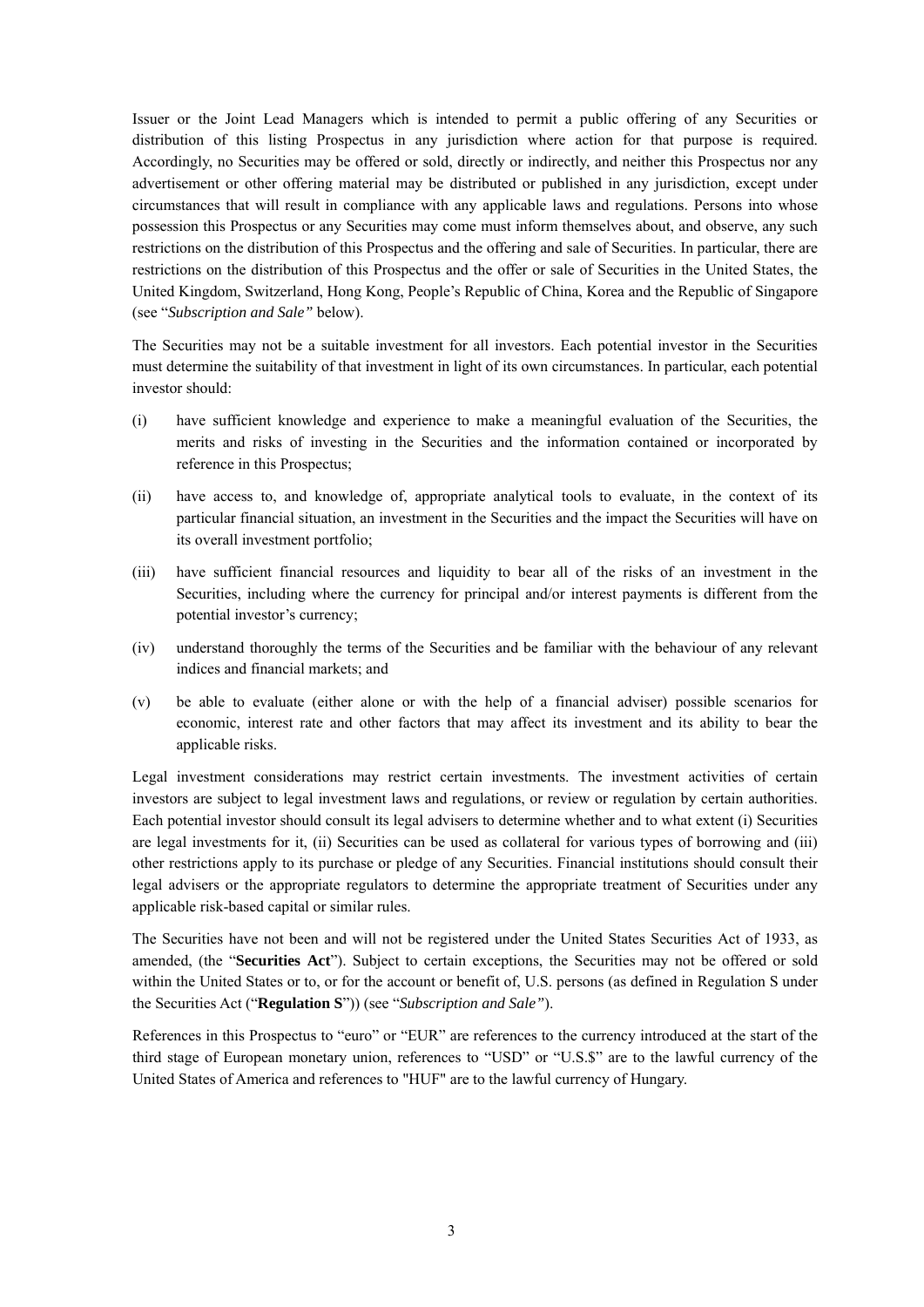Issuer or the Joint Lead Managers which is intended to permit a public offering of any Securities or distribution of this listing Prospectus in any jurisdiction where action for that purpose is required. Accordingly, no Securities may be offered or sold, directly or indirectly, and neither this Prospectus nor any advertisement or other offering material may be distributed or published in any jurisdiction, except under circumstances that will result in compliance with any applicable laws and regulations. Persons into whose possession this Prospectus or any Securities may come must inform themselves about, and observe, any such restrictions on the distribution of this Prospectus and the offering and sale of Securities. In particular, there are restrictions on the distribution of this Prospectus and the offer or sale of Securities in the United States, the United Kingdom, Switzerland, Hong Kong, People's Republic of China, Korea and the Republic of Singapore (see "*Subscription and Sale"* below).

The Securities may not be a suitable investment for all investors. Each potential investor in the Securities must determine the suitability of that investment in light of its own circumstances. In particular, each potential investor should:

- (i) have sufficient knowledge and experience to make a meaningful evaluation of the Securities, the merits and risks of investing in the Securities and the information contained or incorporated by reference in this Prospectus;
- (ii) have access to, and knowledge of, appropriate analytical tools to evaluate, in the context of its particular financial situation, an investment in the Securities and the impact the Securities will have on its overall investment portfolio;
- (iii) have sufficient financial resources and liquidity to bear all of the risks of an investment in the Securities, including where the currency for principal and/or interest payments is different from the potential investor's currency;
- (iv) understand thoroughly the terms of the Securities and be familiar with the behaviour of any relevant indices and financial markets; and
- (v) be able to evaluate (either alone or with the help of a financial adviser) possible scenarios for economic, interest rate and other factors that may affect its investment and its ability to bear the applicable risks.

Legal investment considerations may restrict certain investments. The investment activities of certain investors are subject to legal investment laws and regulations, or review or regulation by certain authorities. Each potential investor should consult its legal advisers to determine whether and to what extent (i) Securities are legal investments for it, (ii) Securities can be used as collateral for various types of borrowing and (iii) other restrictions apply to its purchase or pledge of any Securities. Financial institutions should consult their legal advisers or the appropriate regulators to determine the appropriate treatment of Securities under any applicable risk-based capital or similar rules.

The Securities have not been and will not be registered under the United States Securities Act of 1933, as amended, (the "**Securities Act**"). Subject to certain exceptions, the Securities may not be offered or sold within the United States or to, or for the account or benefit of, U.S. persons (as defined in Regulation S under the Securities Act ("**Regulation S**")) (see "*Subscription and Sale"*).

References in this Prospectus to "euro" or "EUR" are references to the currency introduced at the start of the third stage of European monetary union, references to "USD" or "U.S.\$" are to the lawful currency of the United States of America and references to "HUF" are to the lawful currency of Hungary.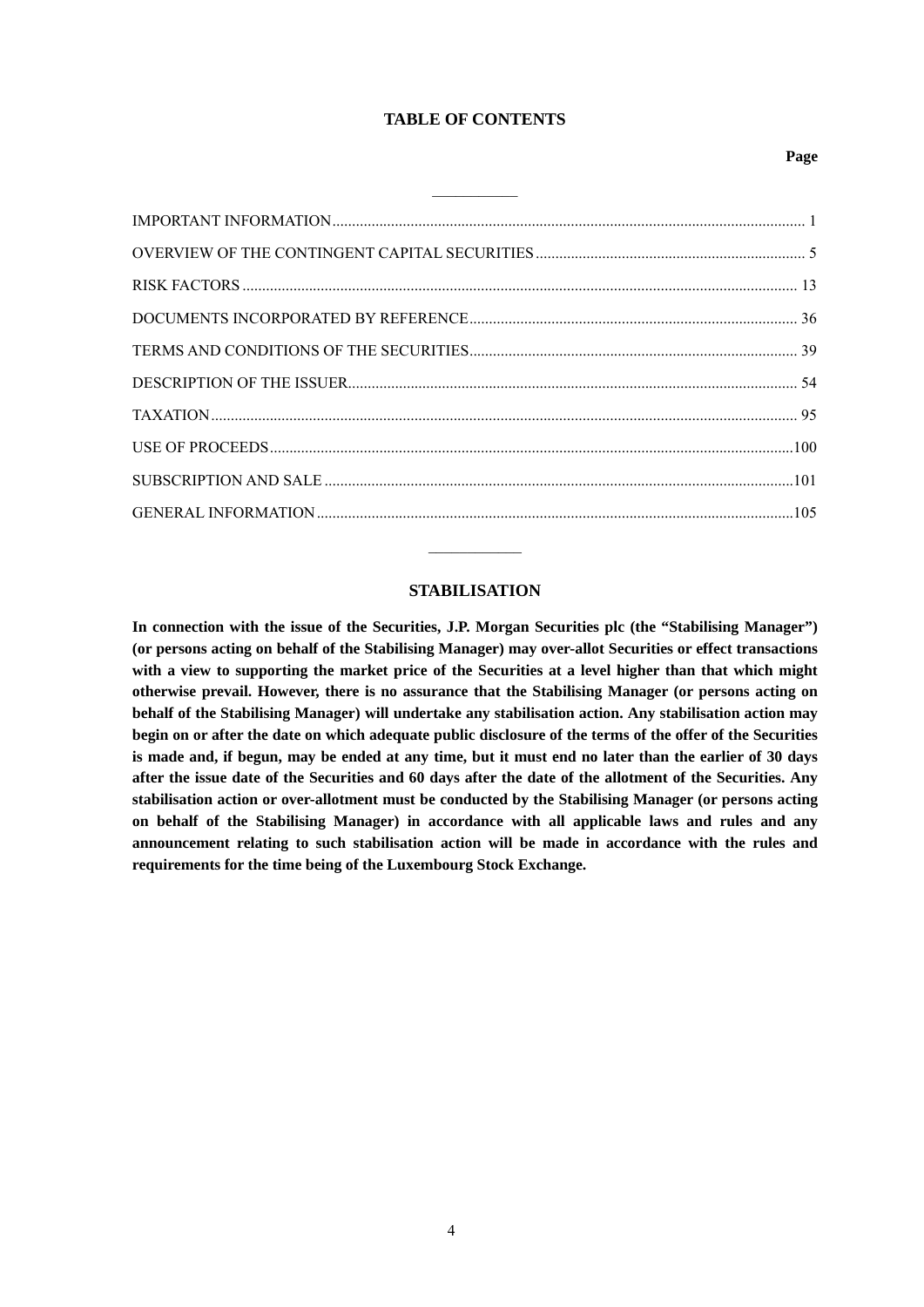#### **TABLE OF CONTENTS**

 $\mathcal{L}_\text{max}$ 

#### **Page**

#### **STABILISATION**

**In connection with the issue of the Securities, J.P. Morgan Securities plc (the "Stabilising Manager") (or persons acting on behalf of the Stabilising Manager) may over-allot Securities or effect transactions with a view to supporting the market price of the Securities at a level higher than that which might otherwise prevail. However, there is no assurance that the Stabilising Manager (or persons acting on behalf of the Stabilising Manager) will undertake any stabilisation action. Any stabilisation action may begin on or after the date on which adequate public disclosure of the terms of the offer of the Securities is made and, if begun, may be ended at any time, but it must end no later than the earlier of 30 days after the issue date of the Securities and 60 days after the date of the allotment of the Securities. Any stabilisation action or over-allotment must be conducted by the Stabilising Manager (or persons acting on behalf of the Stabilising Manager) in accordance with all applicable laws and rules and any announcement relating to such stabilisation action will be made in accordance with the rules and requirements for the time being of the Luxembourg Stock Exchange.**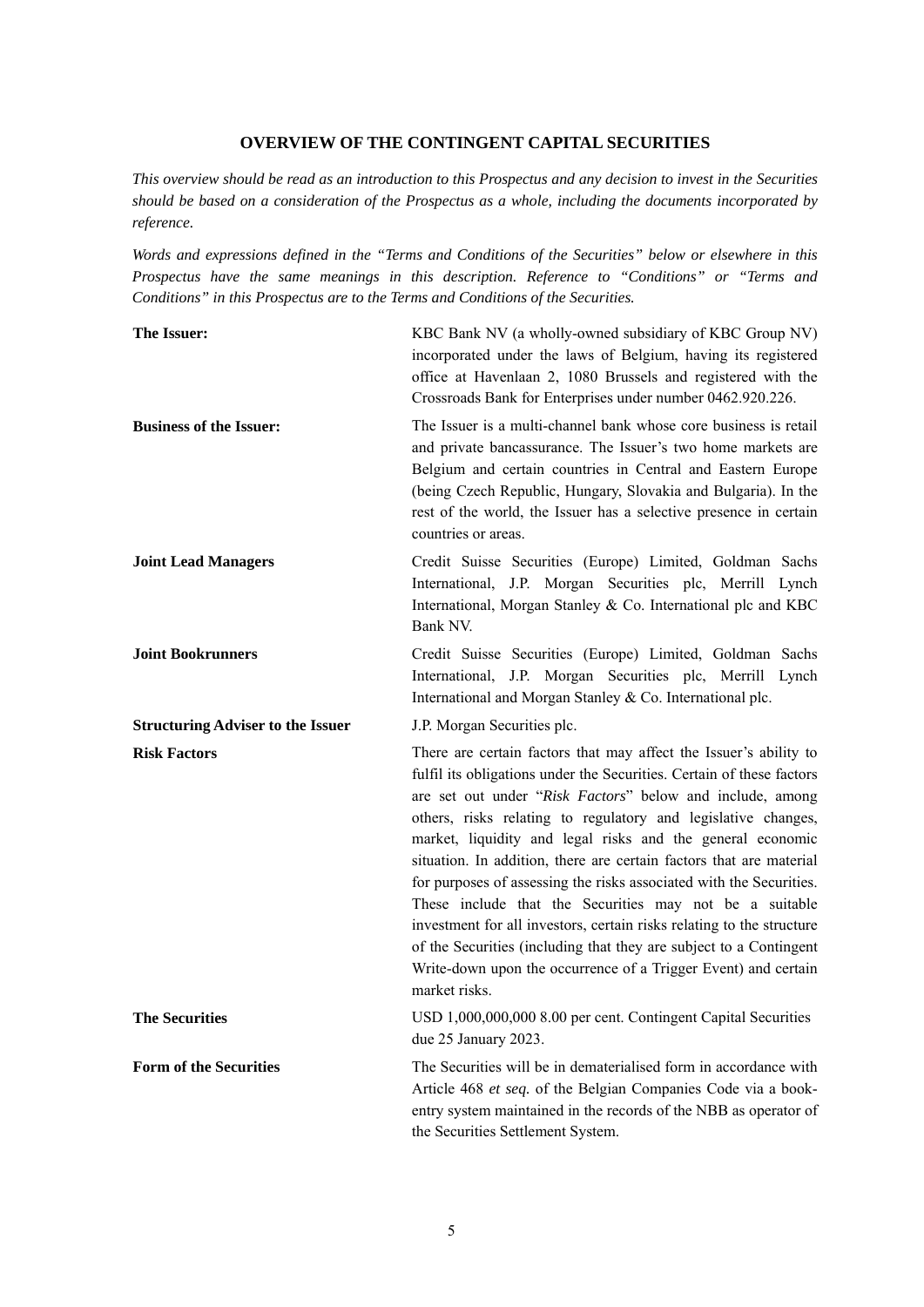#### **OVERVIEW OF THE CONTINGENT CAPITAL SECURITIES**

*This overview should be read as an introduction to this Prospectus and any decision to invest in the Securities should be based on a consideration of the Prospectus as a whole, including the documents incorporated by reference.* 

*Words and expressions defined in the "Terms and Conditions of the Securities" below or elsewhere in this Prospectus have the same meanings in this description. Reference to "Conditions" or "Terms and Conditions" in this Prospectus are to the Terms and Conditions of the Securities.*

| The Issuer:                              | KBC Bank NV (a wholly-owned subsidiary of KBC Group NV)<br>incorporated under the laws of Belgium, having its registered<br>office at Havenlaan 2, 1080 Brussels and registered with the<br>Crossroads Bank for Enterprises under number 0462.920.226.                                                                                                                                                                                                                                                                                                                                                                                                                                                                                                                            |
|------------------------------------------|-----------------------------------------------------------------------------------------------------------------------------------------------------------------------------------------------------------------------------------------------------------------------------------------------------------------------------------------------------------------------------------------------------------------------------------------------------------------------------------------------------------------------------------------------------------------------------------------------------------------------------------------------------------------------------------------------------------------------------------------------------------------------------------|
| <b>Business of the Issuer:</b>           | The Issuer is a multi-channel bank whose core business is retail<br>and private bancassurance. The Issuer's two home markets are<br>Belgium and certain countries in Central and Eastern Europe<br>(being Czech Republic, Hungary, Slovakia and Bulgaria). In the<br>rest of the world, the Issuer has a selective presence in certain<br>countries or areas.                                                                                                                                                                                                                                                                                                                                                                                                                     |
| <b>Joint Lead Managers</b>               | Credit Suisse Securities (Europe) Limited, Goldman Sachs<br>International, J.P. Morgan Securities plc, Merrill Lynch<br>International, Morgan Stanley & Co. International plc and KBC<br>Bank NV.                                                                                                                                                                                                                                                                                                                                                                                                                                                                                                                                                                                 |
| <b>Joint Bookrunners</b>                 | Credit Suisse Securities (Europe) Limited, Goldman Sachs<br>International, J.P. Morgan Securities plc, Merrill Lynch<br>International and Morgan Stanley & Co. International plc.                                                                                                                                                                                                                                                                                                                                                                                                                                                                                                                                                                                                 |
| <b>Structuring Adviser to the Issuer</b> | J.P. Morgan Securities plc.                                                                                                                                                                                                                                                                                                                                                                                                                                                                                                                                                                                                                                                                                                                                                       |
| <b>Risk Factors</b>                      | There are certain factors that may affect the Issuer's ability to<br>fulfil its obligations under the Securities. Certain of these factors<br>are set out under "Risk Factors" below and include, among<br>others, risks relating to regulatory and legislative changes,<br>market, liquidity and legal risks and the general economic<br>situation. In addition, there are certain factors that are material<br>for purposes of assessing the risks associated with the Securities.<br>These include that the Securities may not be a suitable<br>investment for all investors, certain risks relating to the structure<br>of the Securities (including that they are subject to a Contingent<br>Write-down upon the occurrence of a Trigger Event) and certain<br>market risks. |
| <b>The Securities</b>                    | USD 1,000,000,000 8.00 per cent. Contingent Capital Securities<br>due 25 January 2023.                                                                                                                                                                                                                                                                                                                                                                                                                                                                                                                                                                                                                                                                                            |
| <b>Form of the Securities</b>            | The Securities will be in dematerialised form in accordance with<br>Article 468 et seq. of the Belgian Companies Code via a book-<br>entry system maintained in the records of the NBB as operator of<br>the Securities Settlement System.                                                                                                                                                                                                                                                                                                                                                                                                                                                                                                                                        |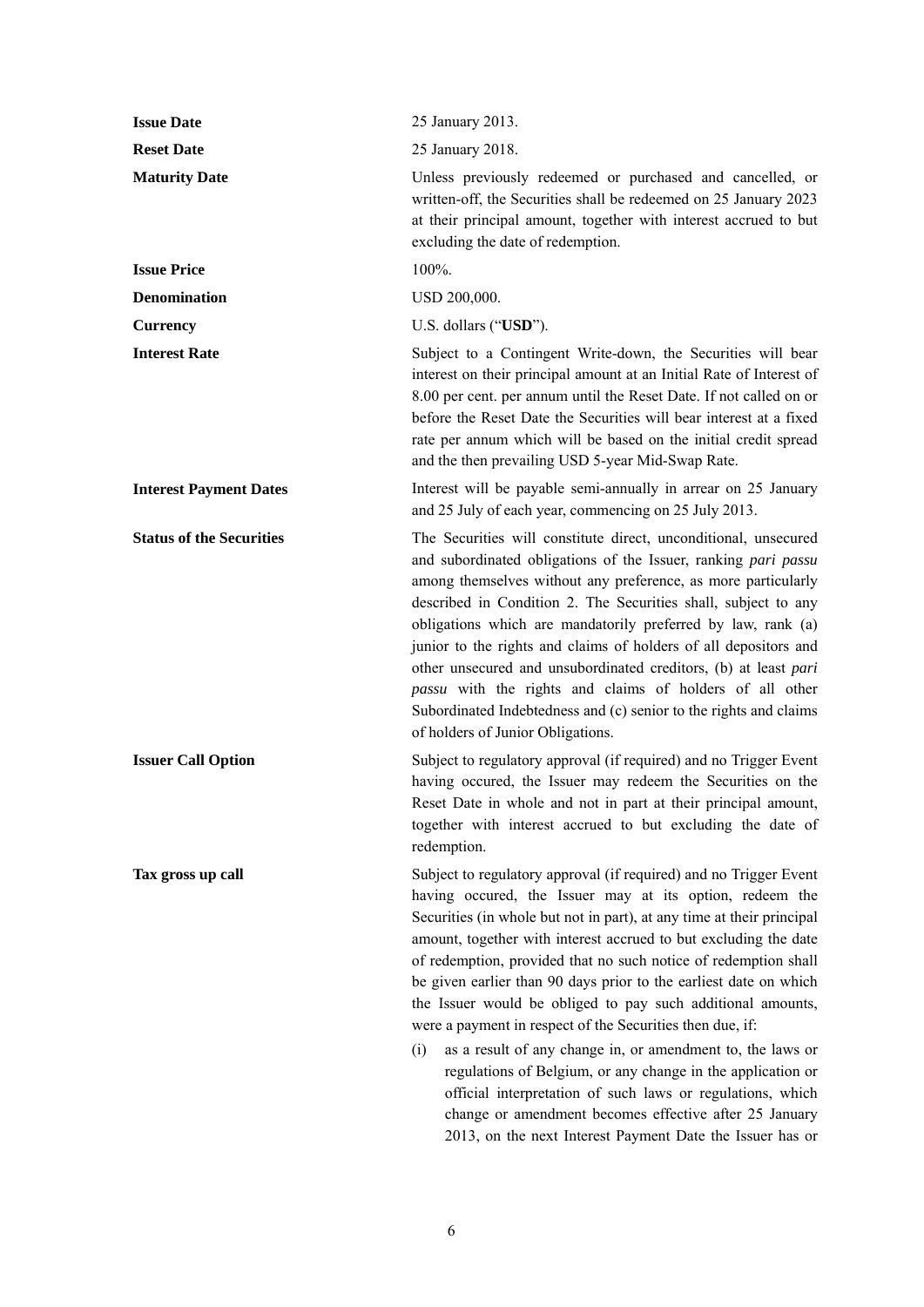| <b>Issue Date</b>               | 25 January 2013.                                                                                                                                                                                                                                                                                                                                                                                                                                                                                                                                                                                                                                                                                                                                                                                                                                                        |
|---------------------------------|-------------------------------------------------------------------------------------------------------------------------------------------------------------------------------------------------------------------------------------------------------------------------------------------------------------------------------------------------------------------------------------------------------------------------------------------------------------------------------------------------------------------------------------------------------------------------------------------------------------------------------------------------------------------------------------------------------------------------------------------------------------------------------------------------------------------------------------------------------------------------|
| <b>Reset Date</b>               | 25 January 2018.                                                                                                                                                                                                                                                                                                                                                                                                                                                                                                                                                                                                                                                                                                                                                                                                                                                        |
| <b>Maturity Date</b>            | Unless previously redeemed or purchased and cancelled, or<br>written-off, the Securities shall be redeemed on 25 January 2023<br>at their principal amount, together with interest accrued to but<br>excluding the date of redemption.                                                                                                                                                                                                                                                                                                                                                                                                                                                                                                                                                                                                                                  |
| <b>Issue Price</b>              | 100%.                                                                                                                                                                                                                                                                                                                                                                                                                                                                                                                                                                                                                                                                                                                                                                                                                                                                   |
| <b>Denomination</b>             | USD 200,000.                                                                                                                                                                                                                                                                                                                                                                                                                                                                                                                                                                                                                                                                                                                                                                                                                                                            |
| <b>Currency</b>                 | U.S. dollars ("USD").                                                                                                                                                                                                                                                                                                                                                                                                                                                                                                                                                                                                                                                                                                                                                                                                                                                   |
| <b>Interest Rate</b>            | Subject to a Contingent Write-down, the Securities will bear<br>interest on their principal amount at an Initial Rate of Interest of<br>8.00 per cent. per annum until the Reset Date. If not called on or<br>before the Reset Date the Securities will bear interest at a fixed<br>rate per annum which will be based on the initial credit spread<br>and the then prevailing USD 5-year Mid-Swap Rate.                                                                                                                                                                                                                                                                                                                                                                                                                                                                |
| <b>Interest Payment Dates</b>   | Interest will be payable semi-annually in arrear on 25 January<br>and 25 July of each year, commencing on 25 July 2013.                                                                                                                                                                                                                                                                                                                                                                                                                                                                                                                                                                                                                                                                                                                                                 |
| <b>Status of the Securities</b> | The Securities will constitute direct, unconditional, unsecured<br>and subordinated obligations of the Issuer, ranking pari passu<br>among themselves without any preference, as more particularly<br>described in Condition 2. The Securities shall, subject to any<br>obligations which are mandatorily preferred by law, rank (a)<br>junior to the rights and claims of holders of all depositors and<br>other unsecured and unsubordinated creditors, (b) at least pari<br>passu with the rights and claims of holders of all other<br>Subordinated Indebtedness and (c) senior to the rights and claims<br>of holders of Junior Obligations.                                                                                                                                                                                                                       |
| <b>Issuer Call Option</b>       | Subject to regulatory approval (if required) and no Trigger Event<br>having occured, the Issuer may redeem the Securities on the<br>Reset Date in whole and not in part at their principal amount,<br>together with interest accrued to but excluding the date of<br>redemption.                                                                                                                                                                                                                                                                                                                                                                                                                                                                                                                                                                                        |
| Tax gross up call               | Subject to regulatory approval (if required) and no Trigger Event<br>having occured, the Issuer may at its option, redeem the<br>Securities (in whole but not in part), at any time at their principal<br>amount, together with interest accrued to but excluding the date<br>of redemption, provided that no such notice of redemption shall<br>be given earlier than 90 days prior to the earliest date on which<br>the Issuer would be obliged to pay such additional amounts,<br>were a payment in respect of the Securities then due, if:<br>(i)<br>as a result of any change in, or amendment to, the laws or<br>regulations of Belgium, or any change in the application or<br>official interpretation of such laws or regulations, which<br>change or amendment becomes effective after 25 January<br>2013, on the next Interest Payment Date the Issuer has or |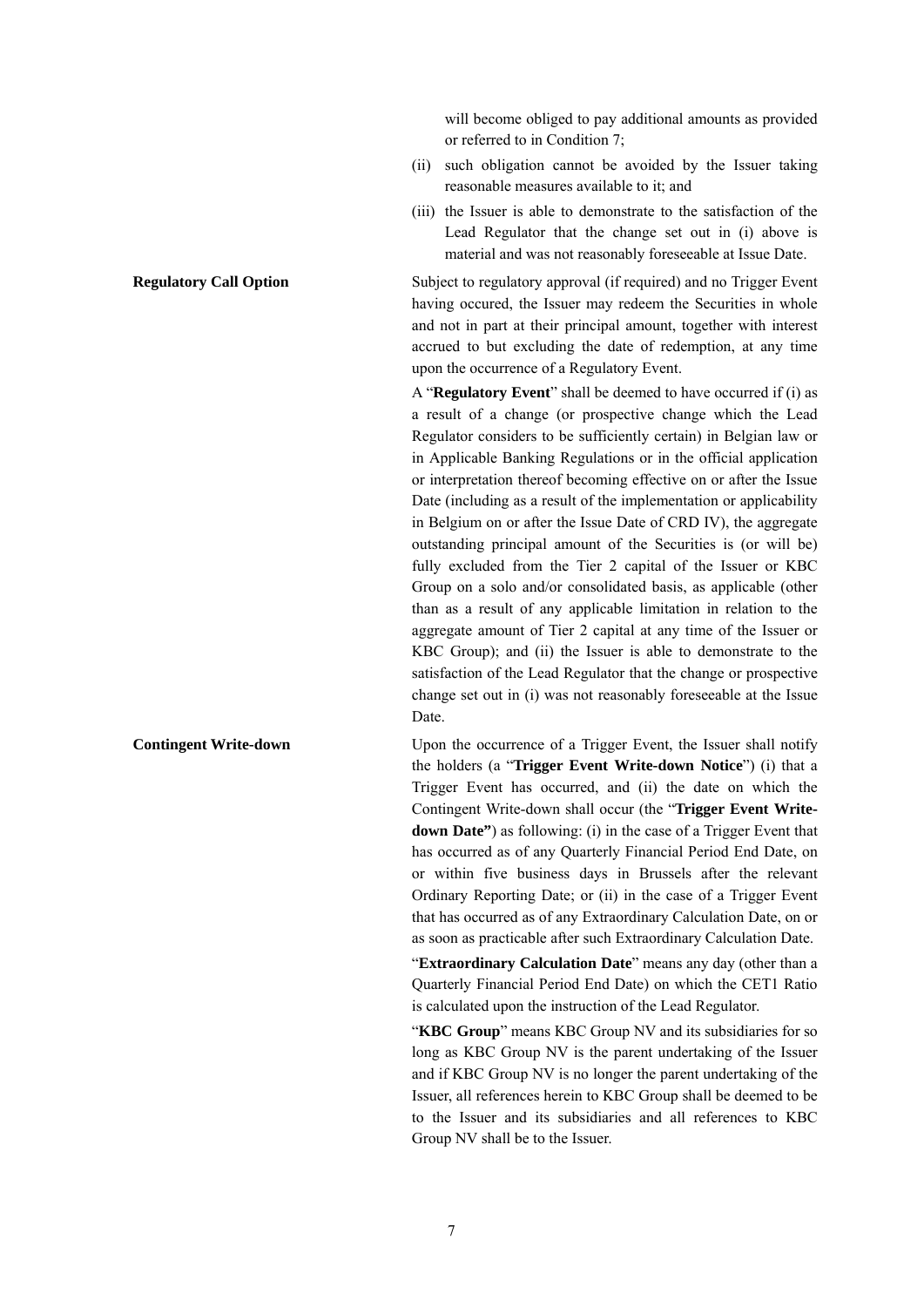will become obliged to pay additional amounts as provided or referred to in Condition 7;

- (ii) such obligation cannot be avoided by the Issuer taking reasonable measures available to it; and
- (iii) the Issuer is able to demonstrate to the satisfaction of the Lead Regulator that the change set out in (i) above is material and was not reasonably foreseeable at Issue Date.

**Regulatory Call Option** Subject to regulatory approval (if required) and no Trigger Event having occured, the Issuer may redeem the Securities in whole and not in part at their principal amount, together with interest accrued to but excluding the date of redemption, at any time upon the occurrence of a Regulatory Event.

> A "**Regulatory Event**" shall be deemed to have occurred if (i) as a result of a change (or prospective change which the Lead Regulator considers to be sufficiently certain) in Belgian law or in Applicable Banking Regulations or in the official application or interpretation thereof becoming effective on or after the Issue Date (including as a result of the implementation or applicability in Belgium on or after the Issue Date of CRD IV), the aggregate outstanding principal amount of the Securities is (or will be) fully excluded from the Tier 2 capital of the Issuer or KBC Group on a solo and/or consolidated basis, as applicable (other than as a result of any applicable limitation in relation to the aggregate amount of Tier 2 capital at any time of the Issuer or KBC Group); and (ii) the Issuer is able to demonstrate to the satisfaction of the Lead Regulator that the change or prospective change set out in (i) was not reasonably foreseeable at the Issue Date.

**Contingent Write-down** Upon the occurrence of a Trigger Event, the Issuer shall notify the holders (a "**Trigger Event Write-down Notice**") (i) that a Trigger Event has occurred, and (ii) the date on which the Contingent Write-down shall occur (the "**Trigger Event Writedown Date"**) as following: (i) in the case of a Trigger Event that has occurred as of any Quarterly Financial Period End Date, on or within five business days in Brussels after the relevant Ordinary Reporting Date; or (ii) in the case of a Trigger Event that has occurred as of any Extraordinary Calculation Date, on or as soon as practicable after such Extraordinary Calculation Date.

> "**Extraordinary Calculation Date**" means any day (other than a Quarterly Financial Period End Date) on which the CET1 Ratio is calculated upon the instruction of the Lead Regulator.

> "**KBC Group**" means KBC Group NV and its subsidiaries for so long as KBC Group NV is the parent undertaking of the Issuer and if KBC Group NV is no longer the parent undertaking of the Issuer, all references herein to KBC Group shall be deemed to be to the Issuer and its subsidiaries and all references to KBC Group NV shall be to the Issuer.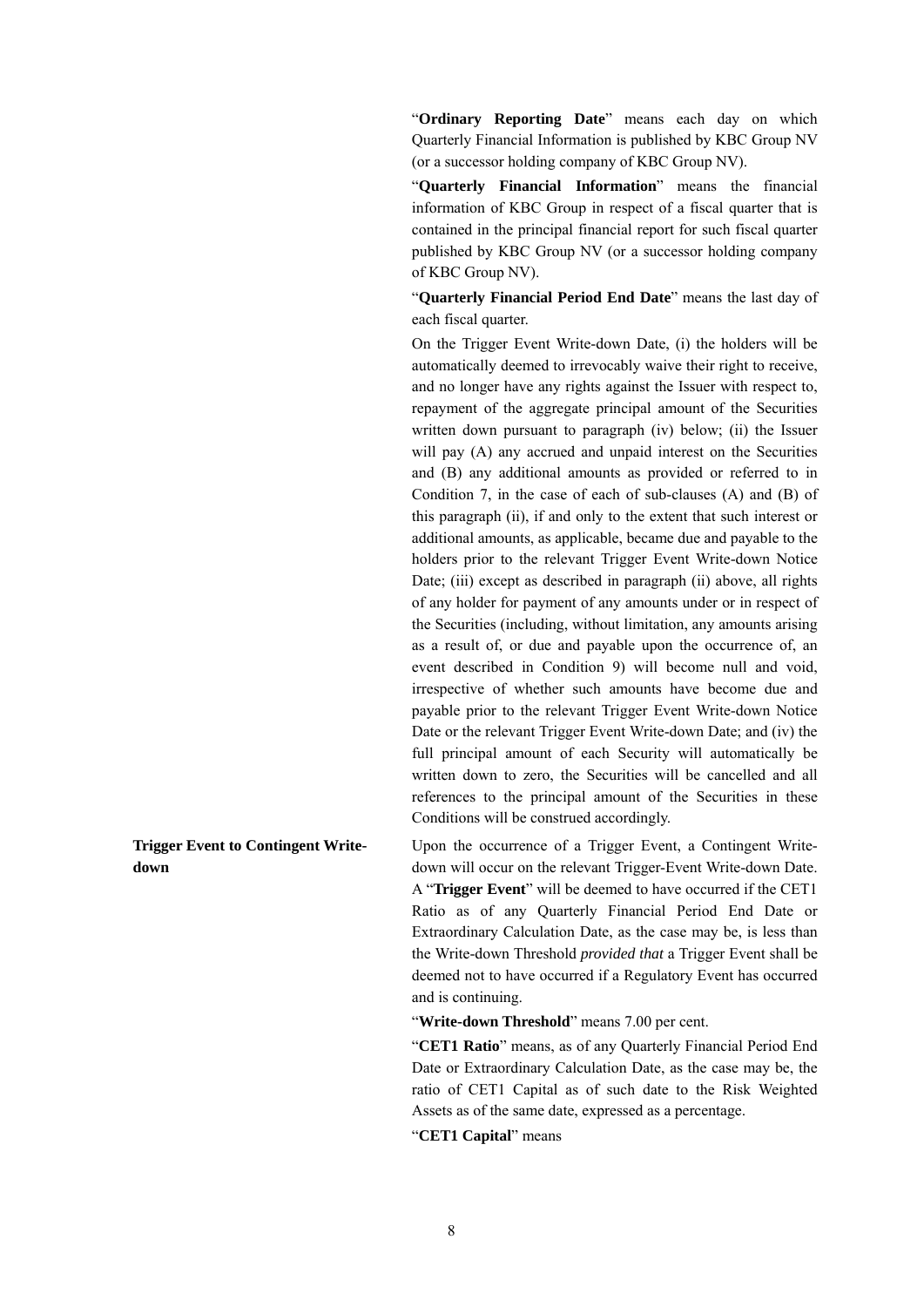"**Ordinary Reporting Date**" means each day on which Quarterly Financial Information is published by KBC Group NV (or a successor holding company of KBC Group NV).

"**Quarterly Financial Information**" means the financial information of KBC Group in respect of a fiscal quarter that is contained in the principal financial report for such fiscal quarter published by KBC Group NV (or a successor holding company of KBC Group NV).

"**Quarterly Financial Period End Date**" means the last day of each fiscal quarter.

On the Trigger Event Write-down Date, (i) the holders will be automatically deemed to irrevocably waive their right to receive, and no longer have any rights against the Issuer with respect to, repayment of the aggregate principal amount of the Securities written down pursuant to paragraph (iv) below; (ii) the Issuer will pay (A) any accrued and unpaid interest on the Securities and (B) any additional amounts as provided or referred to in Condition 7, in the case of each of sub-clauses (A) and (B) of this paragraph (ii), if and only to the extent that such interest or additional amounts, as applicable, became due and payable to the holders prior to the relevant Trigger Event Write-down Notice Date; (iii) except as described in paragraph (ii) above, all rights of any holder for payment of any amounts under or in respect of the Securities (including, without limitation, any amounts arising as a result of, or due and payable upon the occurrence of, an event described in Condition 9) will become null and void, irrespective of whether such amounts have become due and payable prior to the relevant Trigger Event Write-down Notice Date or the relevant Trigger Event Write-down Date; and (iv) the full principal amount of each Security will automatically be written down to zero, the Securities will be cancelled and all references to the principal amount of the Securities in these Conditions will be construed accordingly.

Upon the occurrence of a Trigger Event, a Contingent Writedown will occur on the relevant Trigger-Event Write-down Date. A "**Trigger Event**" will be deemed to have occurred if the CET1 Ratio as of any Quarterly Financial Period End Date or Extraordinary Calculation Date, as the case may be, is less than the Write-down Threshold *provided that* a Trigger Event shall be deemed not to have occurred if a Regulatory Event has occurred and is continuing.

"**Write-down Threshold**" means 7.00 per cent.

"**CET1 Ratio**" means, as of any Quarterly Financial Period End Date or Extraordinary Calculation Date, as the case may be, the ratio of CET1 Capital as of such date to the Risk Weighted Assets as of the same date, expressed as a percentage.

"**CET1 Capital**" means

**Trigger Event to Contingent Writedown**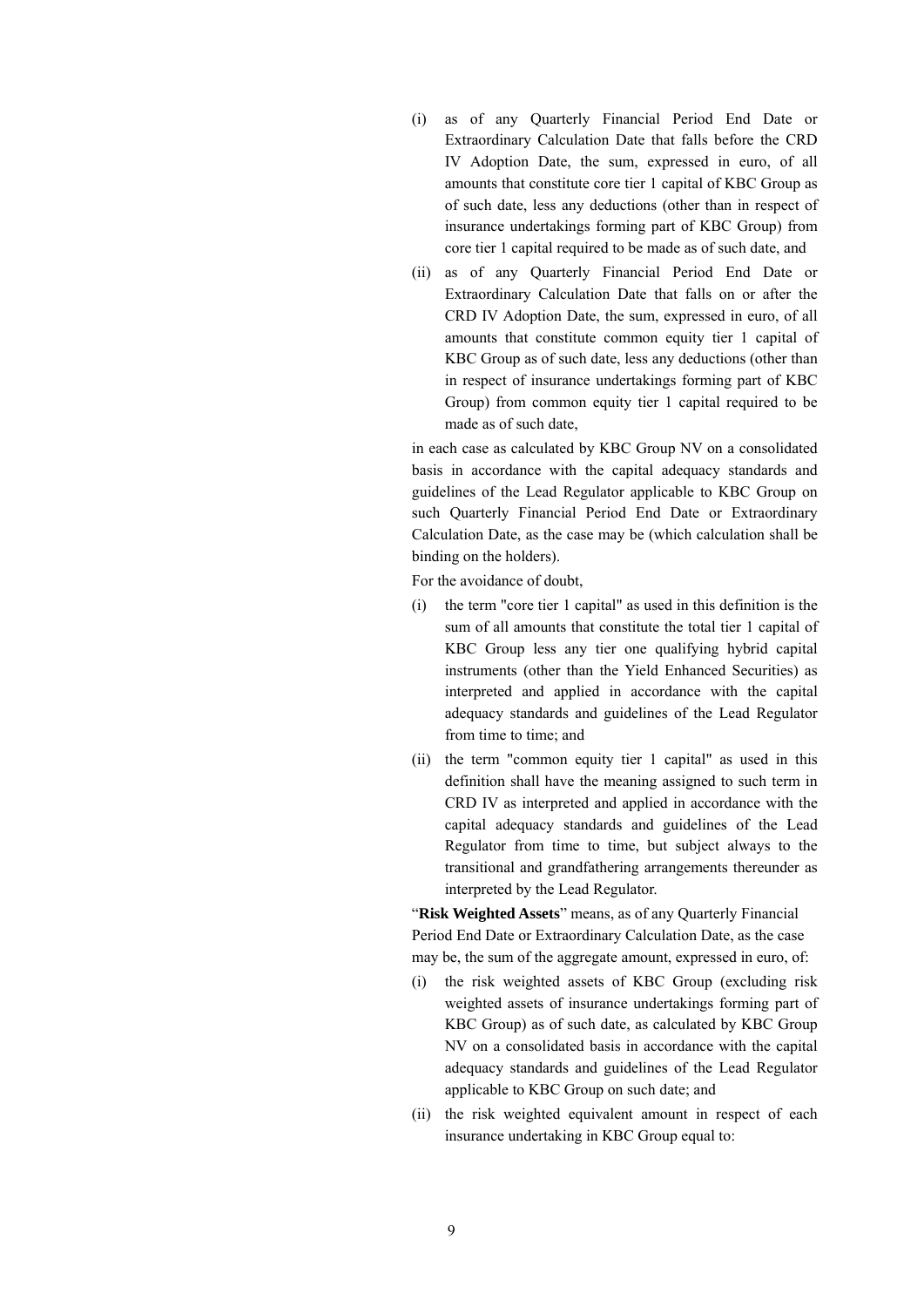- (i) as of any Quarterly Financial Period End Date or Extraordinary Calculation Date that falls before the CRD IV Adoption Date, the sum, expressed in euro, of all amounts that constitute core tier 1 capital of KBC Group as of such date, less any deductions (other than in respect of insurance undertakings forming part of KBC Group) from core tier 1 capital required to be made as of such date, and
- (ii) as of any Quarterly Financial Period End Date or Extraordinary Calculation Date that falls on or after the CRD IV Adoption Date, the sum, expressed in euro, of all amounts that constitute common equity tier 1 capital of KBC Group as of such date, less any deductions (other than in respect of insurance undertakings forming part of KBC Group) from common equity tier 1 capital required to be made as of such date,

in each case as calculated by KBC Group NV on a consolidated basis in accordance with the capital adequacy standards and guidelines of the Lead Regulator applicable to KBC Group on such Quarterly Financial Period End Date or Extraordinary Calculation Date, as the case may be (which calculation shall be binding on the holders).

For the avoidance of doubt,

- (i) the term "core tier 1 capital" as used in this definition is the sum of all amounts that constitute the total tier 1 capital of KBC Group less any tier one qualifying hybrid capital instruments (other than the Yield Enhanced Securities) as interpreted and applied in accordance with the capital adequacy standards and guidelines of the Lead Regulator from time to time; and
- (ii) the term "common equity tier 1 capital" as used in this definition shall have the meaning assigned to such term in CRD IV as interpreted and applied in accordance with the capital adequacy standards and guidelines of the Lead Regulator from time to time, but subject always to the transitional and grandfathering arrangements thereunder as interpreted by the Lead Regulator.

"**Risk Weighted Assets**" means, as of any Quarterly Financial Period End Date or Extraordinary Calculation Date, as the case may be, the sum of the aggregate amount, expressed in euro, of:

- (i) the risk weighted assets of KBC Group (excluding risk weighted assets of insurance undertakings forming part of KBC Group) as of such date, as calculated by KBC Group NV on a consolidated basis in accordance with the capital adequacy standards and guidelines of the Lead Regulator applicable to KBC Group on such date; and
- (ii) the risk weighted equivalent amount in respect of each insurance undertaking in KBC Group equal to: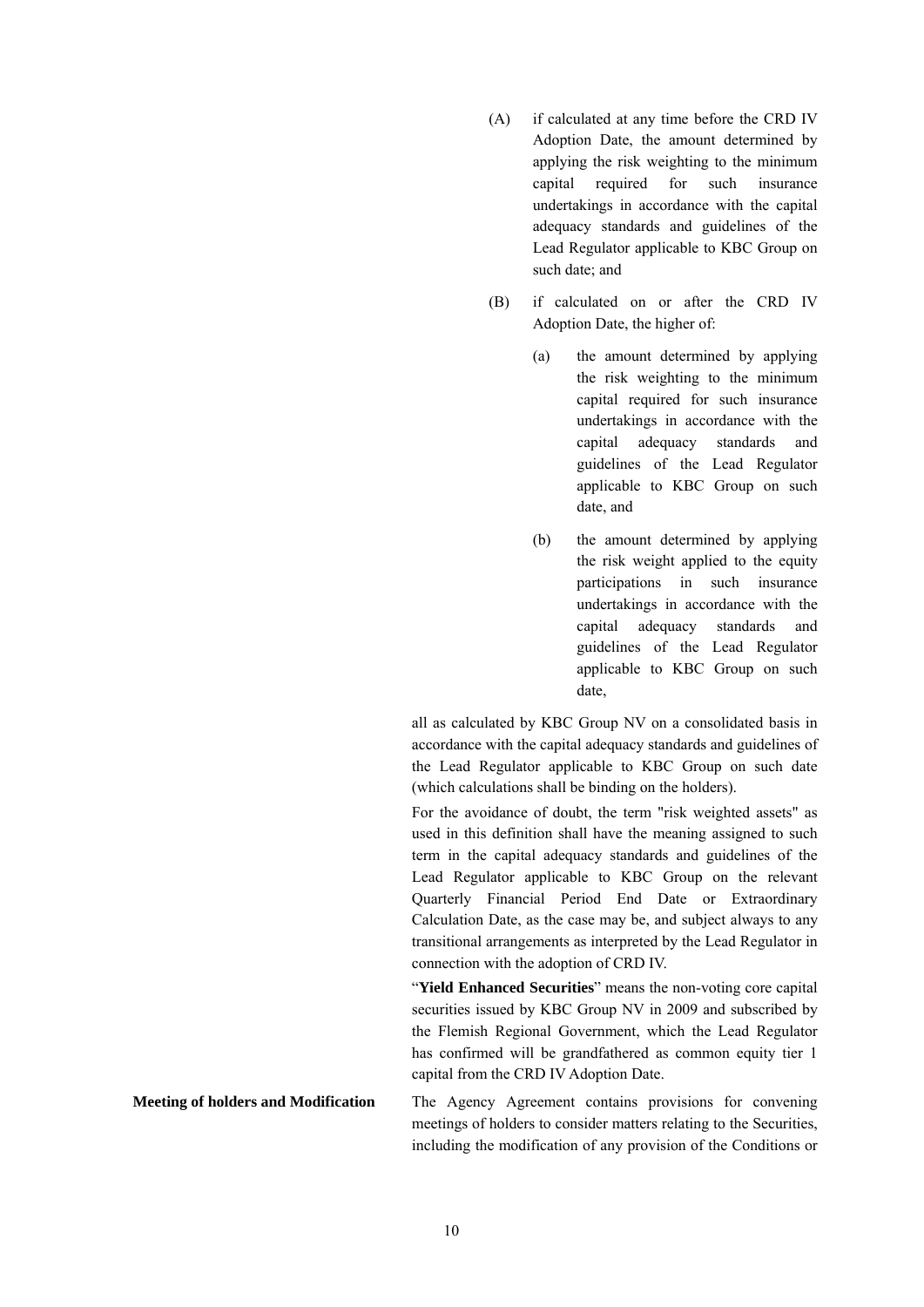- (A) if calculated at any time before the CRD IV Adoption Date, the amount determined by applying the risk weighting to the minimum capital required for such insurance undertakings in accordance with the capital adequacy standards and guidelines of the Lead Regulator applicable to KBC Group on such date; and
- (B) if calculated on or after the CRD IV Adoption Date, the higher of:
	- (a) the amount determined by applying the risk weighting to the minimum capital required for such insurance undertakings in accordance with the capital adequacy standards and guidelines of the Lead Regulator applicable to KBC Group on such date, and
	- (b) the amount determined by applying the risk weight applied to the equity participations in such insurance undertakings in accordance with the capital adequacy standards and guidelines of the Lead Regulator applicable to KBC Group on such date,

all as calculated by KBC Group NV on a consolidated basis in accordance with the capital adequacy standards and guidelines of the Lead Regulator applicable to KBC Group on such date (which calculations shall be binding on the holders).

For the avoidance of doubt, the term "risk weighted assets" as used in this definition shall have the meaning assigned to such term in the capital adequacy standards and guidelines of the Lead Regulator applicable to KBC Group on the relevant Quarterly Financial Period End Date or Extraordinary Calculation Date, as the case may be, and subject always to any transitional arrangements as interpreted by the Lead Regulator in connection with the adoption of CRD IV.

"**Yield Enhanced Securities**" means the non-voting core capital securities issued by KBC Group NV in 2009 and subscribed by the Flemish Regional Government, which the Lead Regulator has confirmed will be grandfathered as common equity tier 1 capital from the CRD IV Adoption Date.

**Meeting of holders and Modification** The Agency Agreement contains provisions for convening meetings of holders to consider matters relating to the Securities, including the modification of any provision of the Conditions or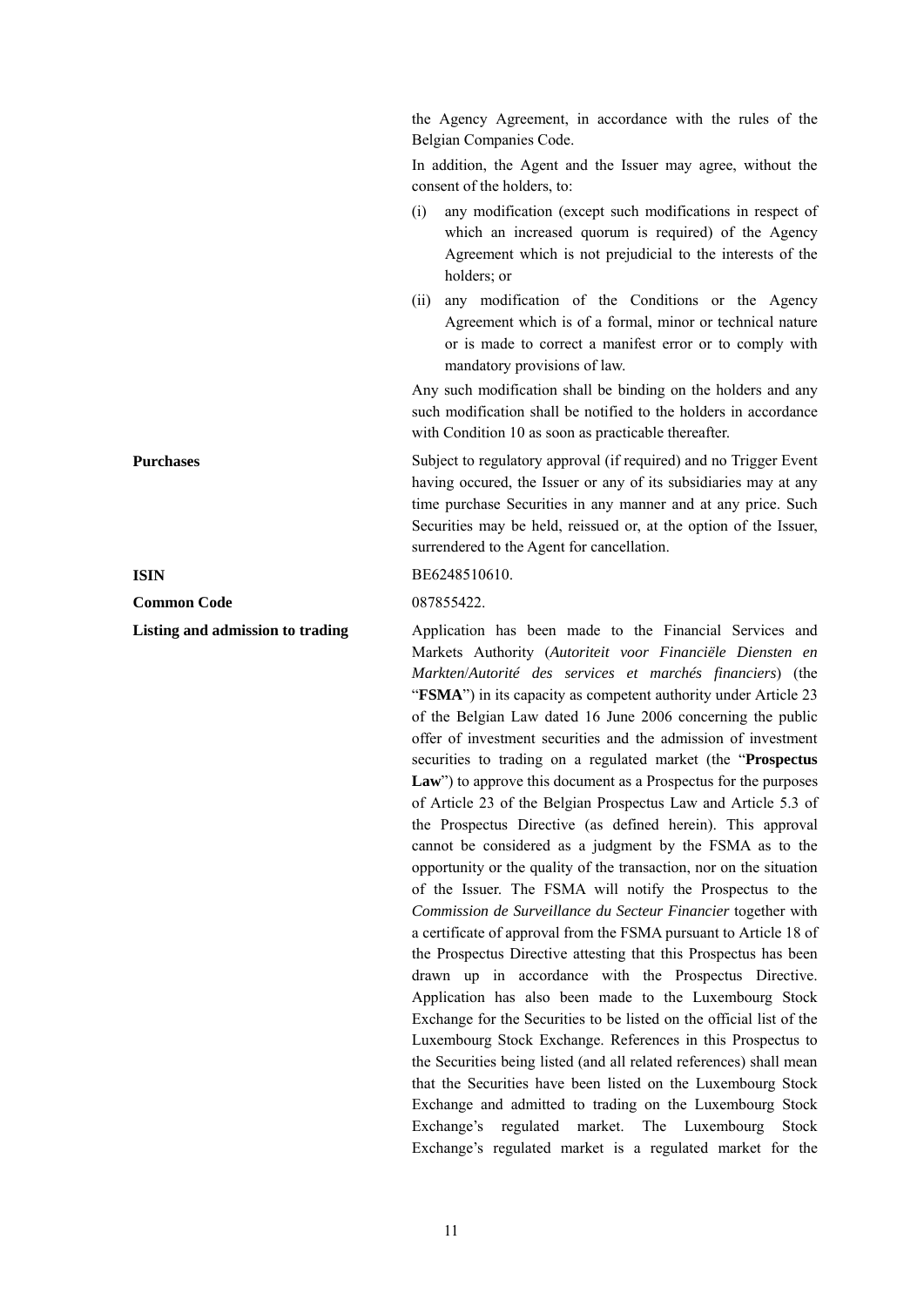the Agency Agreement, in accordance with the rules of the Belgian Companies Code.

In addition, the Agent and the Issuer may agree, without the consent of the holders, to:

- (i) any modification (except such modifications in respect of which an increased quorum is required) of the Agency Agreement which is not prejudicial to the interests of the holders; or
- (ii) any modification of the Conditions or the Agency Agreement which is of a formal, minor or technical nature or is made to correct a manifest error or to comply with mandatory provisions of law.

Any such modification shall be binding on the holders and any such modification shall be notified to the holders in accordance with Condition 10 as soon as practicable thereafter.

**Purchases** Subject to regulatory approval (if required) and no Trigger Event having occured, the Issuer or any of its subsidiaries may at any time purchase Securities in any manner and at any price. Such Securities may be held, reissued or, at the option of the Issuer, surrendered to the Agent for cancellation.

#### **ISIN BE6248510610**.

**Listing and admission to trading**  $\qquad$  Application has been made to the Financial Services and Markets Authority (*Autoriteit voor Financiële Diensten en Markten*/*Autorité des services et marchés financiers*) (the "**FSMA**") in its capacity as competent authority under Article 23 of the Belgian Law dated 16 June 2006 concerning the public offer of investment securities and the admission of investment securities to trading on a regulated market (the "**Prospectus**  Law") to approve this document as a Prospectus for the purposes of Article 23 of the Belgian Prospectus Law and Article 5.3 of the Prospectus Directive (as defined herein). This approval cannot be considered as a judgment by the FSMA as to the opportunity or the quality of the transaction, nor on the situation of the Issuer. The FSMA will notify the Prospectus to the *Commission de Surveillance du Secteur Financier* together with a certificate of approval from the FSMA pursuant to Article 18 of the Prospectus Directive attesting that this Prospectus has been drawn up in accordance with the Prospectus Directive. Application has also been made to the Luxembourg Stock Exchange for the Securities to be listed on the official list of the Luxembourg Stock Exchange. References in this Prospectus to the Securities being listed (and all related references) shall mean that the Securities have been listed on the Luxembourg Stock Exchange and admitted to trading on the Luxembourg Stock Exchange's regulated market. The Luxembourg Stock Exchange's regulated market is a regulated market for the

**Common Code** 087855422.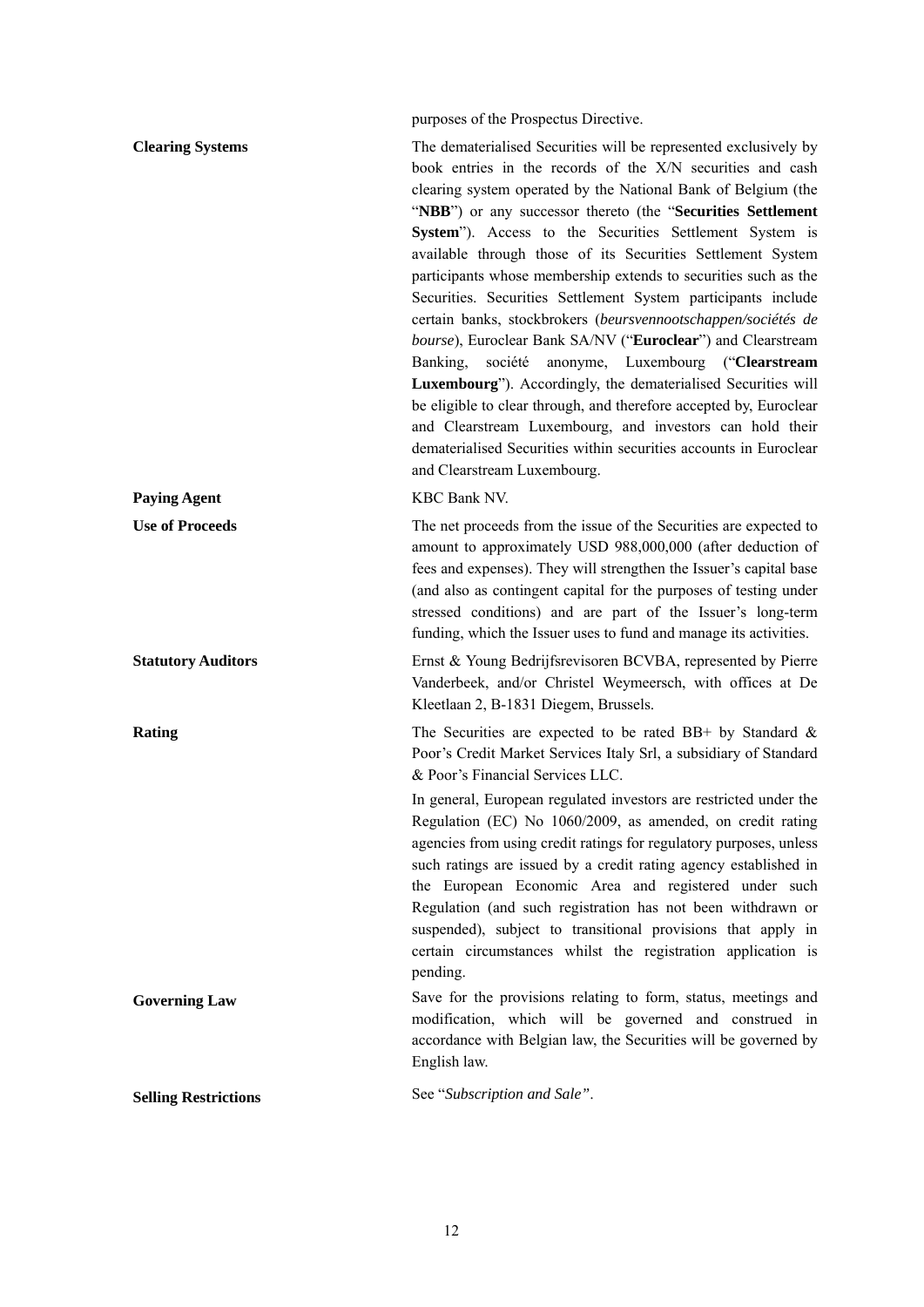purposes of the Prospectus Directive.

| <b>Clearing Systems</b>     | The dematerialised Securities will be represented exclusively by<br>book entries in the records of the X/N securities and cash<br>clearing system operated by the National Bank of Belgium (the<br>"NBB") or any successor thereto (the "Securities Settlement<br>System"). Access to the Securities Settlement System is<br>available through those of its Securities Settlement System<br>participants whose membership extends to securities such as the<br>Securities. Securities Settlement System participants include<br>certain banks, stockbrokers (beursvennootschappen/sociétés de<br>bourse), Euroclear Bank SA/NV ("Euroclear") and Clearstream<br>anonyme, Luxembourg ("Clearstream<br>société<br>Banking,<br>Luxembourg"). Accordingly, the dematerialised Securities will<br>be eligible to clear through, and therefore accepted by, Euroclear<br>and Clearstream Luxembourg, and investors can hold their<br>dematerialised Securities within securities accounts in Euroclear<br>and Clearstream Luxembourg. |
|-----------------------------|---------------------------------------------------------------------------------------------------------------------------------------------------------------------------------------------------------------------------------------------------------------------------------------------------------------------------------------------------------------------------------------------------------------------------------------------------------------------------------------------------------------------------------------------------------------------------------------------------------------------------------------------------------------------------------------------------------------------------------------------------------------------------------------------------------------------------------------------------------------------------------------------------------------------------------------------------------------------------------------------------------------------------------|
| <b>Paying Agent</b>         | KBC Bank NV.                                                                                                                                                                                                                                                                                                                                                                                                                                                                                                                                                                                                                                                                                                                                                                                                                                                                                                                                                                                                                    |
| <b>Use of Proceeds</b>      | The net proceeds from the issue of the Securities are expected to<br>amount to approximately USD 988,000,000 (after deduction of<br>fees and expenses). They will strengthen the Issuer's capital base<br>(and also as contingent capital for the purposes of testing under<br>stressed conditions) and are part of the Issuer's long-term<br>funding, which the Issuer uses to fund and manage its activities.                                                                                                                                                                                                                                                                                                                                                                                                                                                                                                                                                                                                                 |
| <b>Statutory Auditors</b>   | Ernst & Young Bedrijfsrevisoren BCVBA, represented by Pierre<br>Vanderbeek, and/or Christel Weymeersch, with offices at De<br>Kleetlaan 2, B-1831 Diegem, Brussels.                                                                                                                                                                                                                                                                                                                                                                                                                                                                                                                                                                                                                                                                                                                                                                                                                                                             |
| <b>Rating</b>               | The Securities are expected to be rated BB+ by Standard $\&$<br>Poor's Credit Market Services Italy Srl, a subsidiary of Standard<br>& Poor's Financial Services LLC.<br>In general, European regulated investors are restricted under the<br>Regulation (EC) No 1060/2009, as amended, on credit rating<br>agencies from using credit ratings for regulatory purposes, unless<br>such ratings are issued by a credit rating agency established in<br>the European Economic Area and registered under such<br>Regulation (and such registration has not been withdrawn or<br>suspended), subject to transitional provisions that apply in<br>certain circumstances whilst the registration application is<br>pending.                                                                                                                                                                                                                                                                                                           |
| <b>Governing Law</b>        | Save for the provisions relating to form, status, meetings and<br>modification, which will be governed and construed in<br>accordance with Belgian law, the Securities will be governed by<br>English law.                                                                                                                                                                                                                                                                                                                                                                                                                                                                                                                                                                                                                                                                                                                                                                                                                      |
| <b>Selling Restrictions</b> | See "Subscription and Sale".                                                                                                                                                                                                                                                                                                                                                                                                                                                                                                                                                                                                                                                                                                                                                                                                                                                                                                                                                                                                    |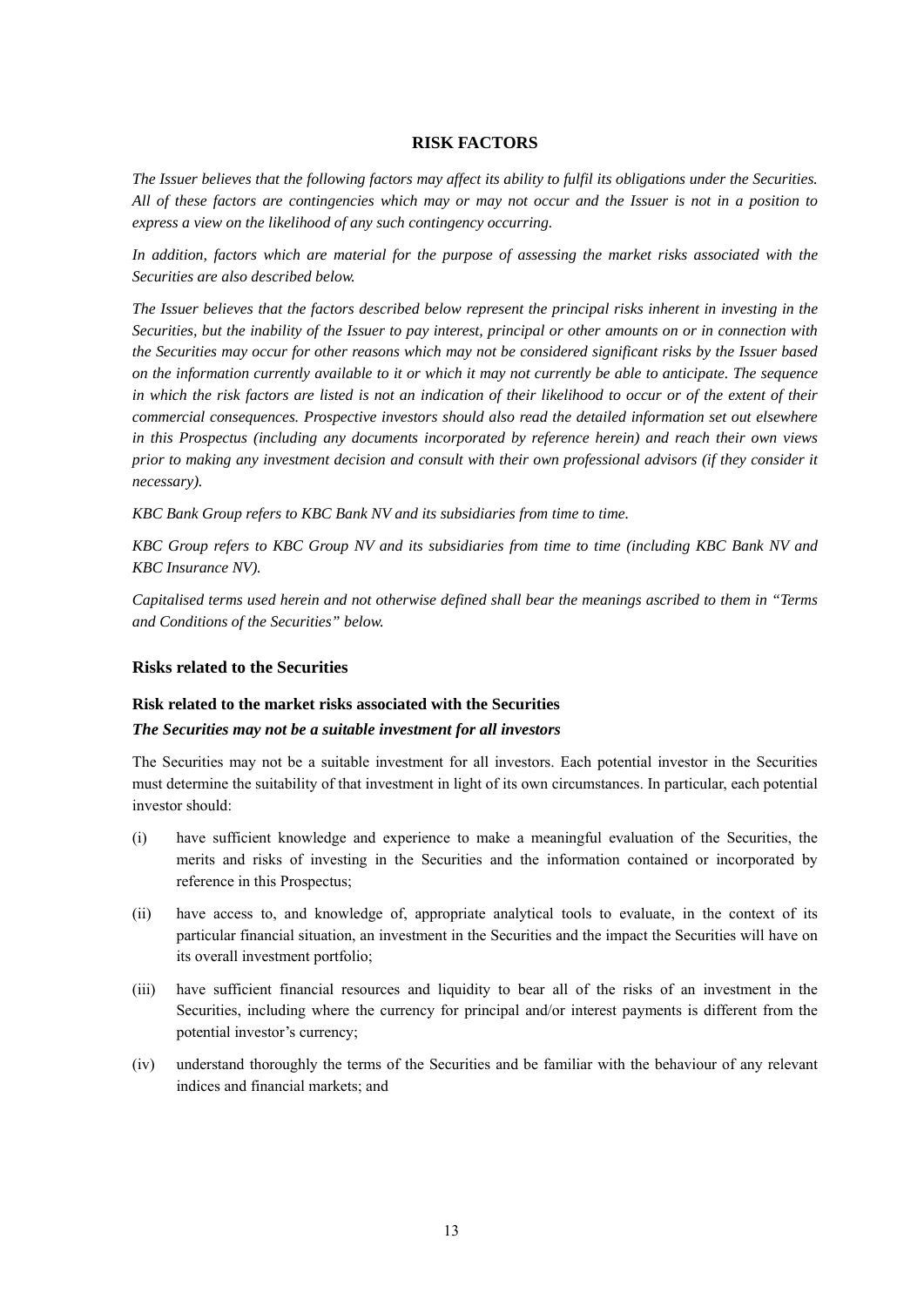#### **RISK FACTORS**

*The Issuer believes that the following factors may affect its ability to fulfil its obligations under the Securities. All of these factors are contingencies which may or may not occur and the Issuer is not in a position to express a view on the likelihood of any such contingency occurring.* 

In addition, factors which are material for the purpose of assessing the market risks associated with the *Securities are also described below.* 

*The Issuer believes that the factors described below represent the principal risks inherent in investing in the Securities, but the inability of the Issuer to pay interest, principal or other amounts on or in connection with the Securities may occur for other reasons which may not be considered significant risks by the Issuer based on the information currently available to it or which it may not currently be able to anticipate. The sequence in which the risk factors are listed is not an indication of their likelihood to occur or of the extent of their commercial consequences. Prospective investors should also read the detailed information set out elsewhere in this Prospectus (including any documents incorporated by reference herein) and reach their own views prior to making any investment decision and consult with their own professional advisors (if they consider it necessary).* 

*KBC Bank Group refers to KBC Bank NV and its subsidiaries from time to time.* 

*KBC Group refers to KBC Group NV and its subsidiaries from time to time (including KBC Bank NV and KBC Insurance NV).* 

*Capitalised terms used herein and not otherwise defined shall bear the meanings ascribed to them in "Terms and Conditions of the Securities" below.* 

#### **Risks related to the Securities**

#### **Risk related to the market risks associated with the Securities**

#### *The Securities may not be a suitable investment for all investors*

The Securities may not be a suitable investment for all investors. Each potential investor in the Securities must determine the suitability of that investment in light of its own circumstances. In particular, each potential investor should:

- (i) have sufficient knowledge and experience to make a meaningful evaluation of the Securities, the merits and risks of investing in the Securities and the information contained or incorporated by reference in this Prospectus;
- (ii) have access to, and knowledge of, appropriate analytical tools to evaluate, in the context of its particular financial situation, an investment in the Securities and the impact the Securities will have on its overall investment portfolio;
- (iii) have sufficient financial resources and liquidity to bear all of the risks of an investment in the Securities, including where the currency for principal and/or interest payments is different from the potential investor's currency;
- (iv) understand thoroughly the terms of the Securities and be familiar with the behaviour of any relevant indices and financial markets; and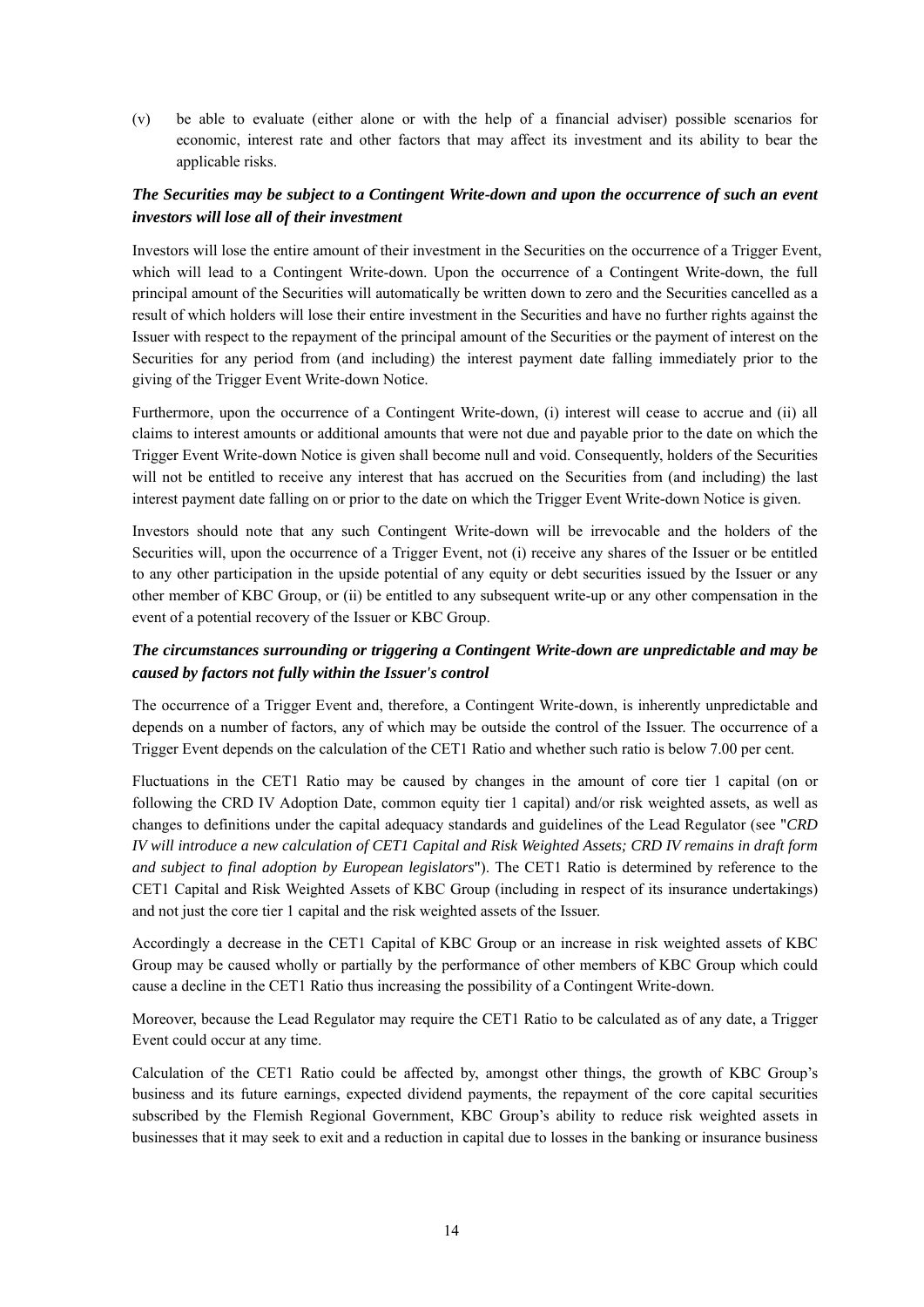(v) be able to evaluate (either alone or with the help of a financial adviser) possible scenarios for economic, interest rate and other factors that may affect its investment and its ability to bear the applicable risks.

## *The Securities may be subject to a Contingent Write-down and upon the occurrence of such an event investors will lose all of their investment*

Investors will lose the entire amount of their investment in the Securities on the occurrence of a Trigger Event, which will lead to a Contingent Write-down. Upon the occurrence of a Contingent Write-down, the full principal amount of the Securities will automatically be written down to zero and the Securities cancelled as a result of which holders will lose their entire investment in the Securities and have no further rights against the Issuer with respect to the repayment of the principal amount of the Securities or the payment of interest on the Securities for any period from (and including) the interest payment date falling immediately prior to the giving of the Trigger Event Write-down Notice.

Furthermore, upon the occurrence of a Contingent Write-down, (i) interest will cease to accrue and (ii) all claims to interest amounts or additional amounts that were not due and payable prior to the date on which the Trigger Event Write-down Notice is given shall become null and void. Consequently, holders of the Securities will not be entitled to receive any interest that has accrued on the Securities from (and including) the last interest payment date falling on or prior to the date on which the Trigger Event Write-down Notice is given.

Investors should note that any such Contingent Write-down will be irrevocable and the holders of the Securities will, upon the occurrence of a Trigger Event, not (i) receive any shares of the Issuer or be entitled to any other participation in the upside potential of any equity or debt securities issued by the Issuer or any other member of KBC Group, or (ii) be entitled to any subsequent write-up or any other compensation in the event of a potential recovery of the Issuer or KBC Group.

## *The circumstances surrounding or triggering a Contingent Write-down are unpredictable and may be caused by factors not fully within the Issuer's control*

The occurrence of a Trigger Event and, therefore, a Contingent Write-down, is inherently unpredictable and depends on a number of factors, any of which may be outside the control of the Issuer. The occurrence of a Trigger Event depends on the calculation of the CET1 Ratio and whether such ratio is below 7.00 per cent.

Fluctuations in the CET1 Ratio may be caused by changes in the amount of core tier 1 capital (on or following the CRD IV Adoption Date, common equity tier 1 capital) and/or risk weighted assets, as well as changes to definitions under the capital adequacy standards and guidelines of the Lead Regulator (see "*CRD IV will introduce a new calculation of CET1 Capital and Risk Weighted Assets; CRD IV remains in draft form and subject to final adoption by European legislators*"). The CET1 Ratio is determined by reference to the CET1 Capital and Risk Weighted Assets of KBC Group (including in respect of its insurance undertakings) and not just the core tier 1 capital and the risk weighted assets of the Issuer.

Accordingly a decrease in the CET1 Capital of KBC Group or an increase in risk weighted assets of KBC Group may be caused wholly or partially by the performance of other members of KBC Group which could cause a decline in the CET1 Ratio thus increasing the possibility of a Contingent Write-down.

Moreover, because the Lead Regulator may require the CET1 Ratio to be calculated as of any date, a Trigger Event could occur at any time.

Calculation of the CET1 Ratio could be affected by, amongst other things, the growth of KBC Group's business and its future earnings, expected dividend payments, the repayment of the core capital securities subscribed by the Flemish Regional Government, KBC Group's ability to reduce risk weighted assets in businesses that it may seek to exit and a reduction in capital due to losses in the banking or insurance business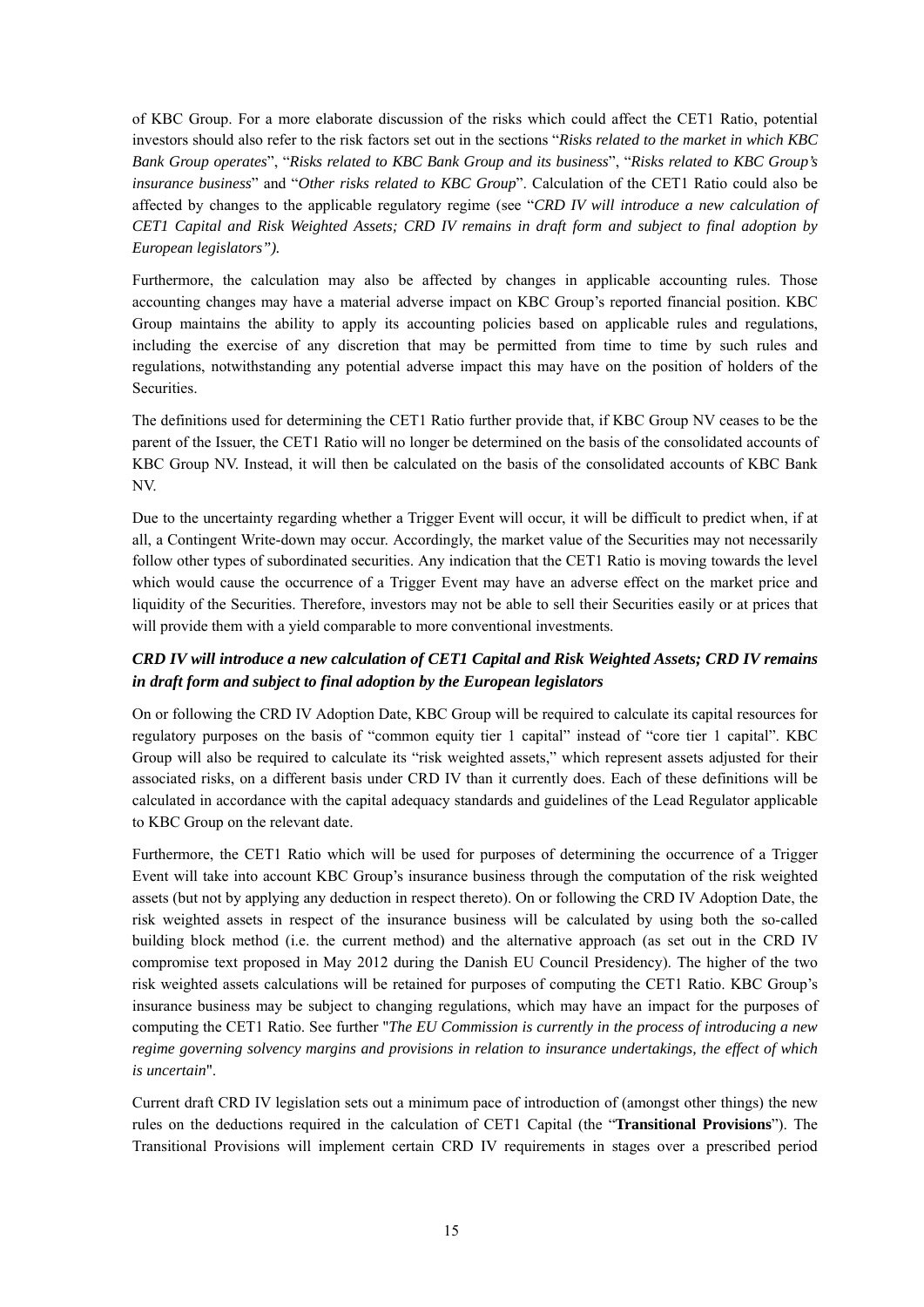of KBC Group. For a more elaborate discussion of the risks which could affect the CET1 Ratio, potential investors should also refer to the risk factors set out in the sections "*Risks related to the market in which KBC Bank Group operates*", "*Risks related to KBC Bank Group and its business*", "*Risks related to KBC Group's insurance business*" and "*Other risks related to KBC Group*". Calculation of the CET1 Ratio could also be affected by changes to the applicable regulatory regime (see "*CRD IV will introduce a new calculation of CET1 Capital and Risk Weighted Assets; CRD IV remains in draft form and subject to final adoption by European legislators").* 

Furthermore, the calculation may also be affected by changes in applicable accounting rules. Those accounting changes may have a material adverse impact on KBC Group's reported financial position. KBC Group maintains the ability to apply its accounting policies based on applicable rules and regulations, including the exercise of any discretion that may be permitted from time to time by such rules and regulations, notwithstanding any potential adverse impact this may have on the position of holders of the Securities.

The definitions used for determining the CET1 Ratio further provide that, if KBC Group NV ceases to be the parent of the Issuer, the CET1 Ratio will no longer be determined on the basis of the consolidated accounts of KBC Group NV. Instead, it will then be calculated on the basis of the consolidated accounts of KBC Bank NV.

Due to the uncertainty regarding whether a Trigger Event will occur, it will be difficult to predict when, if at all, a Contingent Write-down may occur. Accordingly, the market value of the Securities may not necessarily follow other types of subordinated securities. Any indication that the CET1 Ratio is moving towards the level which would cause the occurrence of a Trigger Event may have an adverse effect on the market price and liquidity of the Securities. Therefore, investors may not be able to sell their Securities easily or at prices that will provide them with a yield comparable to more conventional investments.

## *CRD IV will introduce a new calculation of CET1 Capital and Risk Weighted Assets; CRD IV remains in draft form and subject to final adoption by the European legislators*

On or following the CRD IV Adoption Date, KBC Group will be required to calculate its capital resources for regulatory purposes on the basis of "common equity tier 1 capital" instead of "core tier 1 capital". KBC Group will also be required to calculate its "risk weighted assets," which represent assets adjusted for their associated risks, on a different basis under CRD IV than it currently does. Each of these definitions will be calculated in accordance with the capital adequacy standards and guidelines of the Lead Regulator applicable to KBC Group on the relevant date.

Furthermore, the CET1 Ratio which will be used for purposes of determining the occurrence of a Trigger Event will take into account KBC Group's insurance business through the computation of the risk weighted assets (but not by applying any deduction in respect thereto). On or following the CRD IV Adoption Date, the risk weighted assets in respect of the insurance business will be calculated by using both the so-called building block method (i.e. the current method) and the alternative approach (as set out in the CRD IV compromise text proposed in May 2012 during the Danish EU Council Presidency). The higher of the two risk weighted assets calculations will be retained for purposes of computing the CET1 Ratio. KBC Group's insurance business may be subject to changing regulations, which may have an impact for the purposes of computing the CET1 Ratio. See further "*The EU Commission is currently in the process of introducing a new regime governing solvency margins and provisions in relation to insurance undertakings, the effect of which is uncertain*".

Current draft CRD IV legislation sets out a minimum pace of introduction of (amongst other things) the new rules on the deductions required in the calculation of CET1 Capital (the "**Transitional Provisions**"). The Transitional Provisions will implement certain CRD IV requirements in stages over a prescribed period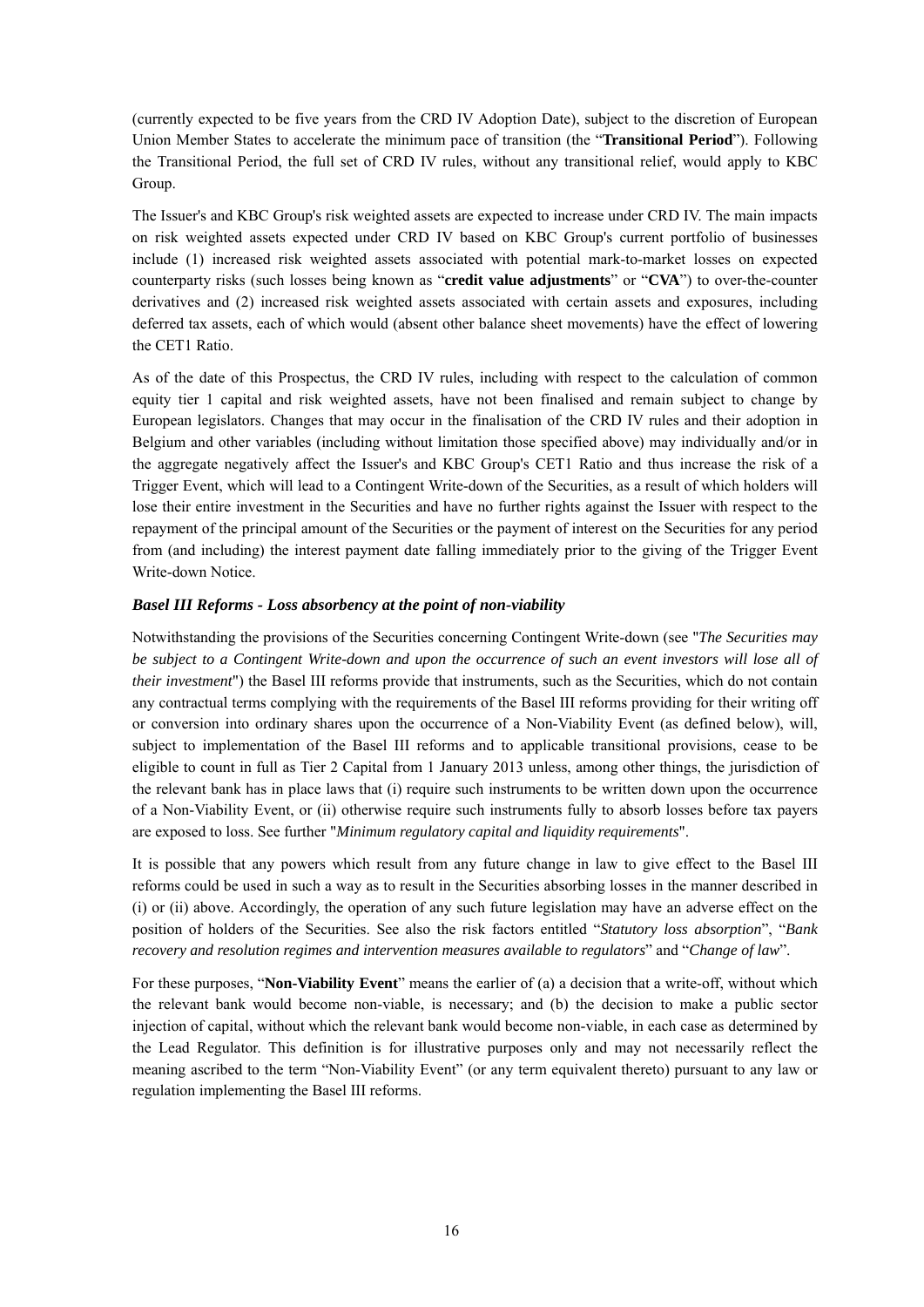(currently expected to be five years from the CRD IV Adoption Date), subject to the discretion of European Union Member States to accelerate the minimum pace of transition (the "**Transitional Period**"). Following the Transitional Period, the full set of CRD IV rules, without any transitional relief, would apply to KBC Group.

The Issuer's and KBC Group's risk weighted assets are expected to increase under CRD IV. The main impacts on risk weighted assets expected under CRD IV based on KBC Group's current portfolio of businesses include (1) increased risk weighted assets associated with potential mark-to-market losses on expected counterparty risks (such losses being known as "**credit value adjustments**" or "**CVA**") to over-the-counter derivatives and (2) increased risk weighted assets associated with certain assets and exposures, including deferred tax assets, each of which would (absent other balance sheet movements) have the effect of lowering the CET1 Ratio.

As of the date of this Prospectus, the CRD IV rules, including with respect to the calculation of common equity tier 1 capital and risk weighted assets, have not been finalised and remain subject to change by European legislators. Changes that may occur in the finalisation of the CRD IV rules and their adoption in Belgium and other variables (including without limitation those specified above) may individually and/or in the aggregate negatively affect the Issuer's and KBC Group's CET1 Ratio and thus increase the risk of a Trigger Event, which will lead to a Contingent Write-down of the Securities, as a result of which holders will lose their entire investment in the Securities and have no further rights against the Issuer with respect to the repayment of the principal amount of the Securities or the payment of interest on the Securities for any period from (and including) the interest payment date falling immediately prior to the giving of the Trigger Event Write-down Notice.

### *Basel III Reforms - Loss absorbency at the point of non-viability*

Notwithstanding the provisions of the Securities concerning Contingent Write-down (see "*The Securities may be subject to a Contingent Write-down and upon the occurrence of such an event investors will lose all of their investment*") the Basel III reforms provide that instruments, such as the Securities, which do not contain any contractual terms complying with the requirements of the Basel III reforms providing for their writing off or conversion into ordinary shares upon the occurrence of a Non-Viability Event (as defined below), will, subject to implementation of the Basel III reforms and to applicable transitional provisions, cease to be eligible to count in full as Tier 2 Capital from 1 January 2013 unless, among other things, the jurisdiction of the relevant bank has in place laws that (i) require such instruments to be written down upon the occurrence of a Non-Viability Event, or (ii) otherwise require such instruments fully to absorb losses before tax payers are exposed to loss. See further "*Minimum regulatory capital and liquidity requirements*".

It is possible that any powers which result from any future change in law to give effect to the Basel III reforms could be used in such a way as to result in the Securities absorbing losses in the manner described in (i) or (ii) above. Accordingly, the operation of any such future legislation may have an adverse effect on the position of holders of the Securities. See also the risk factors entitled "*Statutory loss absorption*", "*Bank recovery and resolution regimes and intervention measures available to regulators*" and "*Change of law*".

For these purposes, "**Non-Viability Event**" means the earlier of (a) a decision that a write-off, without which the relevant bank would become non-viable, is necessary; and (b) the decision to make a public sector injection of capital, without which the relevant bank would become non-viable, in each case as determined by the Lead Regulator. This definition is for illustrative purposes only and may not necessarily reflect the meaning ascribed to the term "Non-Viability Event" (or any term equivalent thereto) pursuant to any law or regulation implementing the Basel III reforms.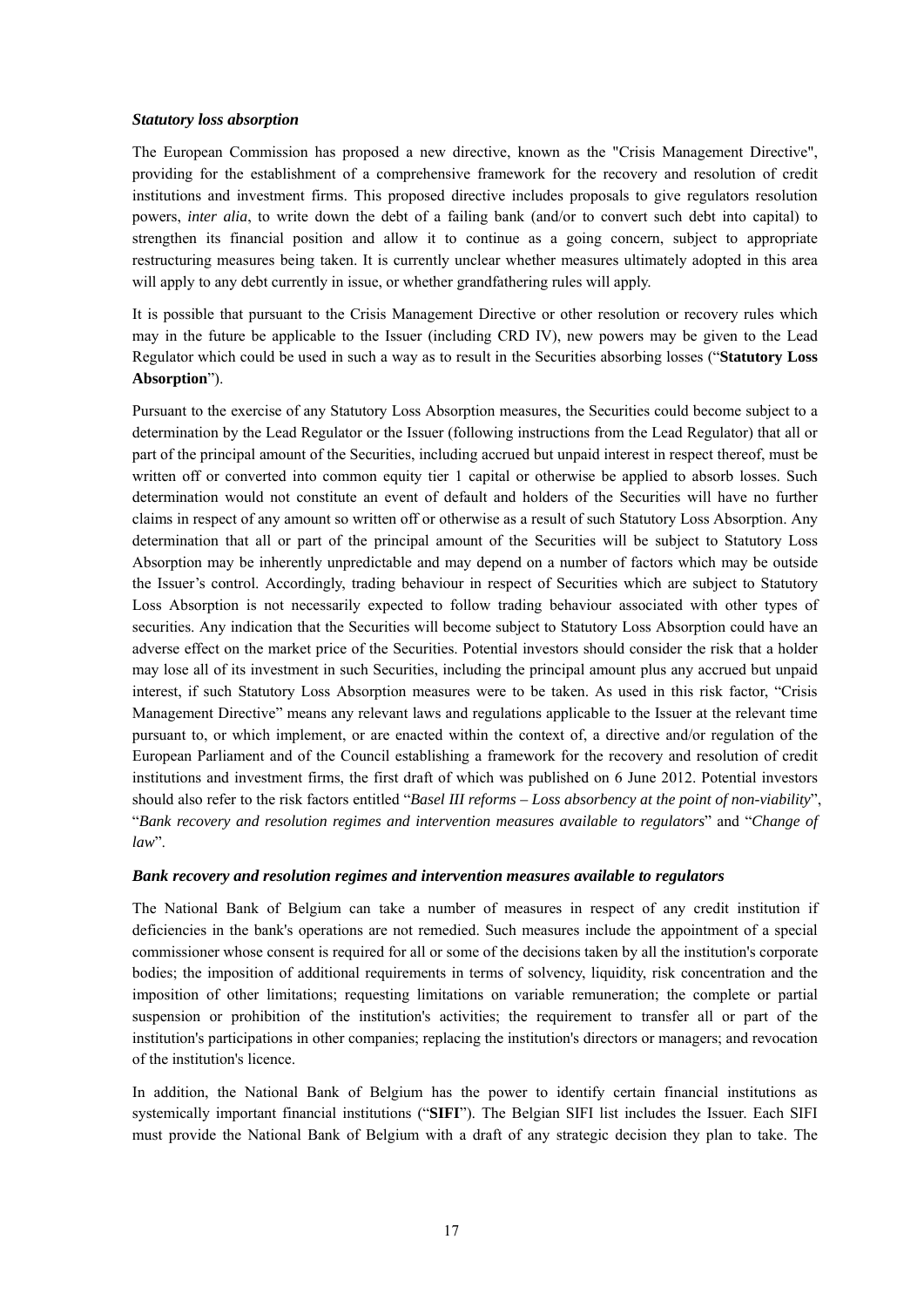#### *Statutory loss absorption*

The European Commission has proposed a new directive, known as the "Crisis Management Directive", providing for the establishment of a comprehensive framework for the recovery and resolution of credit institutions and investment firms. This proposed directive includes proposals to give regulators resolution powers, *inter alia*, to write down the debt of a failing bank (and/or to convert such debt into capital) to strengthen its financial position and allow it to continue as a going concern, subject to appropriate restructuring measures being taken. It is currently unclear whether measures ultimately adopted in this area will apply to any debt currently in issue, or whether grandfathering rules will apply.

It is possible that pursuant to the Crisis Management Directive or other resolution or recovery rules which may in the future be applicable to the Issuer (including CRD IV), new powers may be given to the Lead Regulator which could be used in such a way as to result in the Securities absorbing losses ("**Statutory Loss Absorption**").

Pursuant to the exercise of any Statutory Loss Absorption measures, the Securities could become subject to a determination by the Lead Regulator or the Issuer (following instructions from the Lead Regulator) that all or part of the principal amount of the Securities, including accrued but unpaid interest in respect thereof, must be written off or converted into common equity tier 1 capital or otherwise be applied to absorb losses. Such determination would not constitute an event of default and holders of the Securities will have no further claims in respect of any amount so written off or otherwise as a result of such Statutory Loss Absorption. Any determination that all or part of the principal amount of the Securities will be subject to Statutory Loss Absorption may be inherently unpredictable and may depend on a number of factors which may be outside the Issuer's control. Accordingly, trading behaviour in respect of Securities which are subject to Statutory Loss Absorption is not necessarily expected to follow trading behaviour associated with other types of securities. Any indication that the Securities will become subject to Statutory Loss Absorption could have an adverse effect on the market price of the Securities. Potential investors should consider the risk that a holder may lose all of its investment in such Securities, including the principal amount plus any accrued but unpaid interest, if such Statutory Loss Absorption measures were to be taken. As used in this risk factor, "Crisis Management Directive" means any relevant laws and regulations applicable to the Issuer at the relevant time pursuant to, or which implement, or are enacted within the context of, a directive and/or regulation of the European Parliament and of the Council establishing a framework for the recovery and resolution of credit institutions and investment firms, the first draft of which was published on 6 June 2012. Potential investors should also refer to the risk factors entitled "*Basel III reforms – Loss absorbency at the point of non-viability*", "*Bank recovery and resolution regimes and intervention measures available to regulators*" and "*Change of law*".

#### *Bank recovery and resolution regimes and intervention measures available to regulators*

The National Bank of Belgium can take a number of measures in respect of any credit institution if deficiencies in the bank's operations are not remedied. Such measures include the appointment of a special commissioner whose consent is required for all or some of the decisions taken by all the institution's corporate bodies; the imposition of additional requirements in terms of solvency, liquidity, risk concentration and the imposition of other limitations; requesting limitations on variable remuneration; the complete or partial suspension or prohibition of the institution's activities; the requirement to transfer all or part of the institution's participations in other companies; replacing the institution's directors or managers; and revocation of the institution's licence.

In addition, the National Bank of Belgium has the power to identify certain financial institutions as systemically important financial institutions ("**SIFI**"). The Belgian SIFI list includes the Issuer. Each SIFI must provide the National Bank of Belgium with a draft of any strategic decision they plan to take. The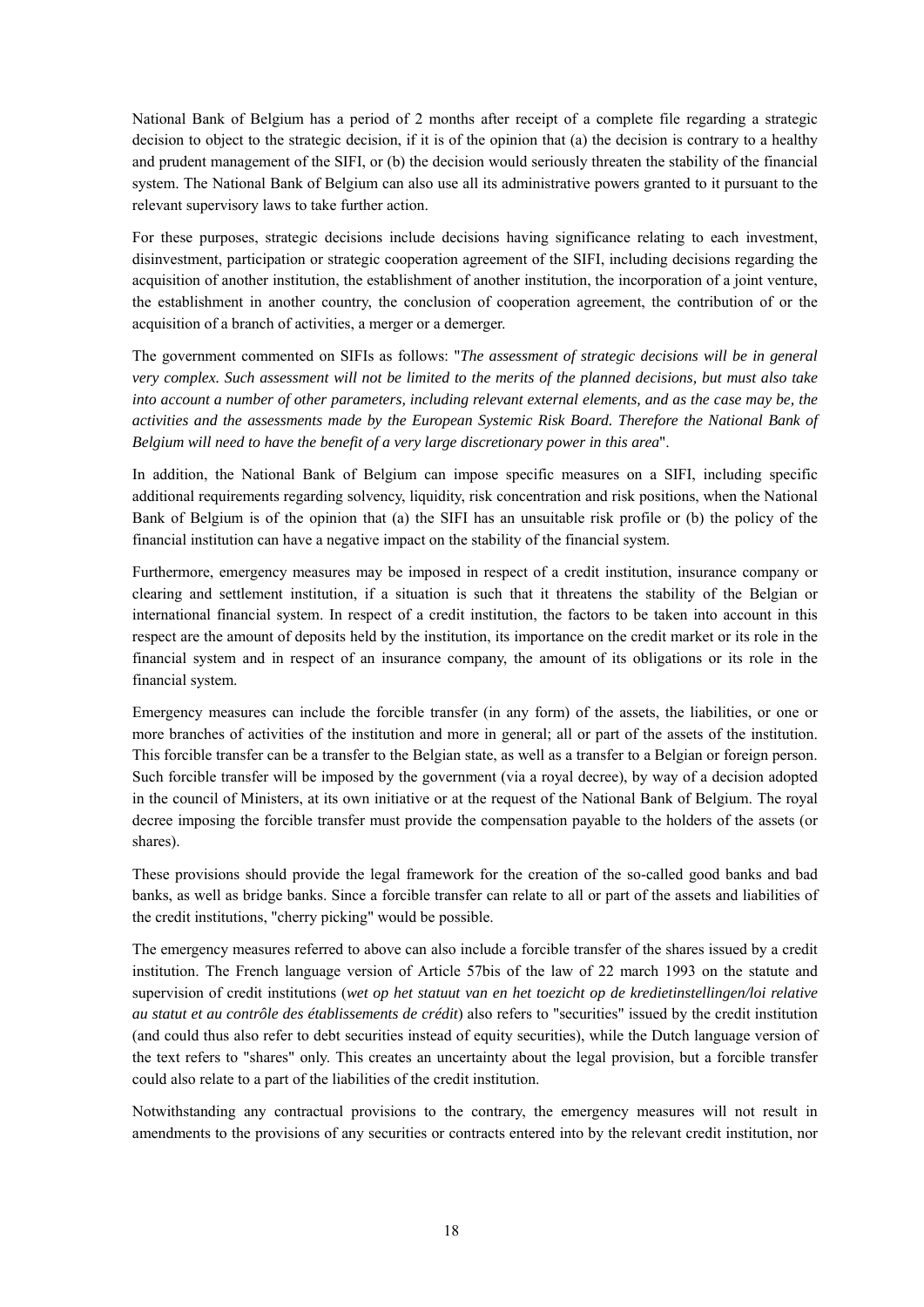National Bank of Belgium has a period of 2 months after receipt of a complete file regarding a strategic decision to object to the strategic decision, if it is of the opinion that (a) the decision is contrary to a healthy and prudent management of the SIFI, or (b) the decision would seriously threaten the stability of the financial system. The National Bank of Belgium can also use all its administrative powers granted to it pursuant to the relevant supervisory laws to take further action.

For these purposes, strategic decisions include decisions having significance relating to each investment, disinvestment, participation or strategic cooperation agreement of the SIFI, including decisions regarding the acquisition of another institution, the establishment of another institution, the incorporation of a joint venture, the establishment in another country, the conclusion of cooperation agreement, the contribution of or the acquisition of a branch of activities, a merger or a demerger.

The government commented on SIFIs as follows: "*The assessment of strategic decisions will be in general very complex. Such assessment will not be limited to the merits of the planned decisions, but must also take into account a number of other parameters, including relevant external elements, and as the case may be, the activities and the assessments made by the European Systemic Risk Board. Therefore the National Bank of Belgium will need to have the benefit of a very large discretionary power in this area*".

In addition, the National Bank of Belgium can impose specific measures on a SIFI, including specific additional requirements regarding solvency, liquidity, risk concentration and risk positions, when the National Bank of Belgium is of the opinion that (a) the SIFI has an unsuitable risk profile or (b) the policy of the financial institution can have a negative impact on the stability of the financial system.

Furthermore, emergency measures may be imposed in respect of a credit institution, insurance company or clearing and settlement institution, if a situation is such that it threatens the stability of the Belgian or international financial system. In respect of a credit institution, the factors to be taken into account in this respect are the amount of deposits held by the institution, its importance on the credit market or its role in the financial system and in respect of an insurance company, the amount of its obligations or its role in the financial system.

Emergency measures can include the forcible transfer (in any form) of the assets, the liabilities, or one or more branches of activities of the institution and more in general; all or part of the assets of the institution. This forcible transfer can be a transfer to the Belgian state, as well as a transfer to a Belgian or foreign person. Such forcible transfer will be imposed by the government (via a royal decree), by way of a decision adopted in the council of Ministers, at its own initiative or at the request of the National Bank of Belgium. The royal decree imposing the forcible transfer must provide the compensation payable to the holders of the assets (or shares).

These provisions should provide the legal framework for the creation of the so-called good banks and bad banks, as well as bridge banks. Since a forcible transfer can relate to all or part of the assets and liabilities of the credit institutions, "cherry picking" would be possible.

The emergency measures referred to above can also include a forcible transfer of the shares issued by a credit institution. The French language version of Article 57bis of the law of 22 march 1993 on the statute and supervision of credit institutions (*wet op het statuut van en het toezicht op de kredietinstellingen/loi relative au statut et au contrôle des établissements de crédit*) also refers to "securities" issued by the credit institution (and could thus also refer to debt securities instead of equity securities), while the Dutch language version of the text refers to "shares" only. This creates an uncertainty about the legal provision, but a forcible transfer could also relate to a part of the liabilities of the credit institution.

Notwithstanding any contractual provisions to the contrary, the emergency measures will not result in amendments to the provisions of any securities or contracts entered into by the relevant credit institution, nor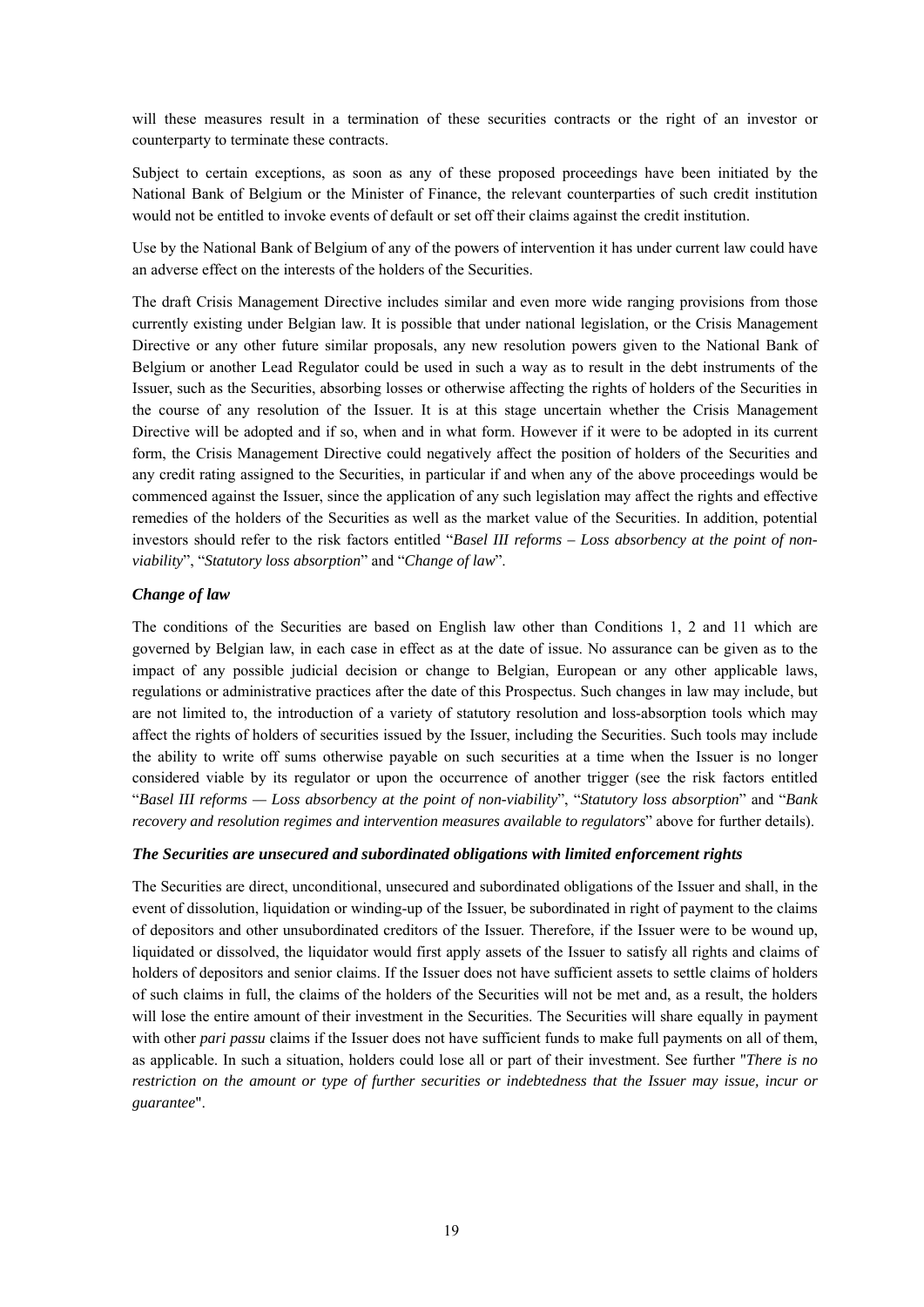will these measures result in a termination of these securities contracts or the right of an investor or counterparty to terminate these contracts.

Subject to certain exceptions, as soon as any of these proposed proceedings have been initiated by the National Bank of Belgium or the Minister of Finance, the relevant counterparties of such credit institution would not be entitled to invoke events of default or set off their claims against the credit institution.

Use by the National Bank of Belgium of any of the powers of intervention it has under current law could have an adverse effect on the interests of the holders of the Securities.

The draft Crisis Management Directive includes similar and even more wide ranging provisions from those currently existing under Belgian law. It is possible that under national legislation, or the Crisis Management Directive or any other future similar proposals, any new resolution powers given to the National Bank of Belgium or another Lead Regulator could be used in such a way as to result in the debt instruments of the Issuer, such as the Securities, absorbing losses or otherwise affecting the rights of holders of the Securities in the course of any resolution of the Issuer. It is at this stage uncertain whether the Crisis Management Directive will be adopted and if so, when and in what form. However if it were to be adopted in its current form, the Crisis Management Directive could negatively affect the position of holders of the Securities and any credit rating assigned to the Securities, in particular if and when any of the above proceedings would be commenced against the Issuer, since the application of any such legislation may affect the rights and effective remedies of the holders of the Securities as well as the market value of the Securities. In addition, potential investors should refer to the risk factors entitled "*Basel III reforms – Loss absorbency at the point of nonviability*", "*Statutory loss absorption*" and "*Change of law*".

#### *Change of law*

The conditions of the Securities are based on English law other than Conditions 1, 2 and 11 which are governed by Belgian law, in each case in effect as at the date of issue. No assurance can be given as to the impact of any possible judicial decision or change to Belgian, European or any other applicable laws, regulations or administrative practices after the date of this Prospectus. Such changes in law may include, but are not limited to, the introduction of a variety of statutory resolution and loss-absorption tools which may affect the rights of holders of securities issued by the Issuer, including the Securities. Such tools may include the ability to write off sums otherwise payable on such securities at a time when the Issuer is no longer considered viable by its regulator or upon the occurrence of another trigger (see the risk factors entitled "*Basel III reforms — Loss absorbency at the point of non-viability*", "*Statutory loss absorption*" and "*Bank recovery and resolution regimes and intervention measures available to regulators*" above for further details).

#### *The Securities are unsecured and subordinated obligations with limited enforcement rights*

The Securities are direct, unconditional, unsecured and subordinated obligations of the Issuer and shall, in the event of dissolution, liquidation or winding-up of the Issuer, be subordinated in right of payment to the claims of depositors and other unsubordinated creditors of the Issuer. Therefore, if the Issuer were to be wound up, liquidated or dissolved, the liquidator would first apply assets of the Issuer to satisfy all rights and claims of holders of depositors and senior claims. If the Issuer does not have sufficient assets to settle claims of holders of such claims in full, the claims of the holders of the Securities will not be met and, as a result, the holders will lose the entire amount of their investment in the Securities. The Securities will share equally in payment with other *pari passu* claims if the Issuer does not have sufficient funds to make full payments on all of them, as applicable. In such a situation, holders could lose all or part of their investment. See further "*There is no restriction on the amount or type of further securities or indebtedness that the Issuer may issue, incur or guarantee*".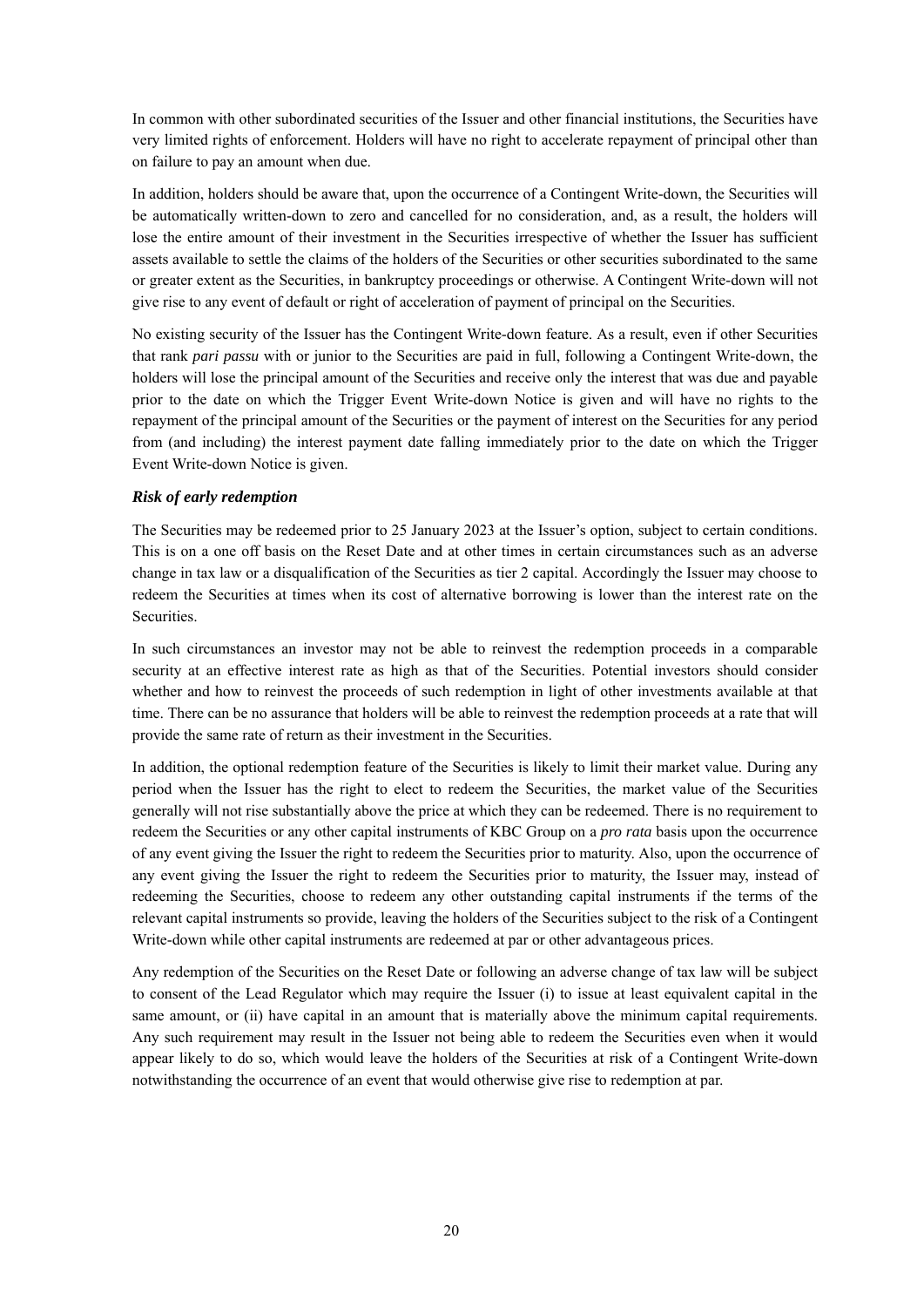In common with other subordinated securities of the Issuer and other financial institutions, the Securities have very limited rights of enforcement. Holders will have no right to accelerate repayment of principal other than on failure to pay an amount when due.

In addition, holders should be aware that, upon the occurrence of a Contingent Write-down, the Securities will be automatically written-down to zero and cancelled for no consideration, and, as a result, the holders will lose the entire amount of their investment in the Securities irrespective of whether the Issuer has sufficient assets available to settle the claims of the holders of the Securities or other securities subordinated to the same or greater extent as the Securities, in bankruptcy proceedings or otherwise. A Contingent Write-down will not give rise to any event of default or right of acceleration of payment of principal on the Securities.

No existing security of the Issuer has the Contingent Write-down feature. As a result, even if other Securities that rank *pari passu* with or junior to the Securities are paid in full, following a Contingent Write-down, the holders will lose the principal amount of the Securities and receive only the interest that was due and payable prior to the date on which the Trigger Event Write-down Notice is given and will have no rights to the repayment of the principal amount of the Securities or the payment of interest on the Securities for any period from (and including) the interest payment date falling immediately prior to the date on which the Trigger Event Write-down Notice is given.

### *Risk of early redemption*

The Securities may be redeemed prior to 25 January 2023 at the Issuer's option, subject to certain conditions. This is on a one off basis on the Reset Date and at other times in certain circumstances such as an adverse change in tax law or a disqualification of the Securities as tier 2 capital. Accordingly the Issuer may choose to redeem the Securities at times when its cost of alternative borrowing is lower than the interest rate on the Securities.

In such circumstances an investor may not be able to reinvest the redemption proceeds in a comparable security at an effective interest rate as high as that of the Securities. Potential investors should consider whether and how to reinvest the proceeds of such redemption in light of other investments available at that time. There can be no assurance that holders will be able to reinvest the redemption proceeds at a rate that will provide the same rate of return as their investment in the Securities.

In addition, the optional redemption feature of the Securities is likely to limit their market value. During any period when the Issuer has the right to elect to redeem the Securities, the market value of the Securities generally will not rise substantially above the price at which they can be redeemed. There is no requirement to redeem the Securities or any other capital instruments of KBC Group on a *pro rata* basis upon the occurrence of any event giving the Issuer the right to redeem the Securities prior to maturity. Also, upon the occurrence of any event giving the Issuer the right to redeem the Securities prior to maturity, the Issuer may, instead of redeeming the Securities, choose to redeem any other outstanding capital instruments if the terms of the relevant capital instruments so provide, leaving the holders of the Securities subject to the risk of a Contingent Write-down while other capital instruments are redeemed at par or other advantageous prices.

Any redemption of the Securities on the Reset Date or following an adverse change of tax law will be subject to consent of the Lead Regulator which may require the Issuer (i) to issue at least equivalent capital in the same amount, or (ii) have capital in an amount that is materially above the minimum capital requirements. Any such requirement may result in the Issuer not being able to redeem the Securities even when it would appear likely to do so, which would leave the holders of the Securities at risk of a Contingent Write-down notwithstanding the occurrence of an event that would otherwise give rise to redemption at par.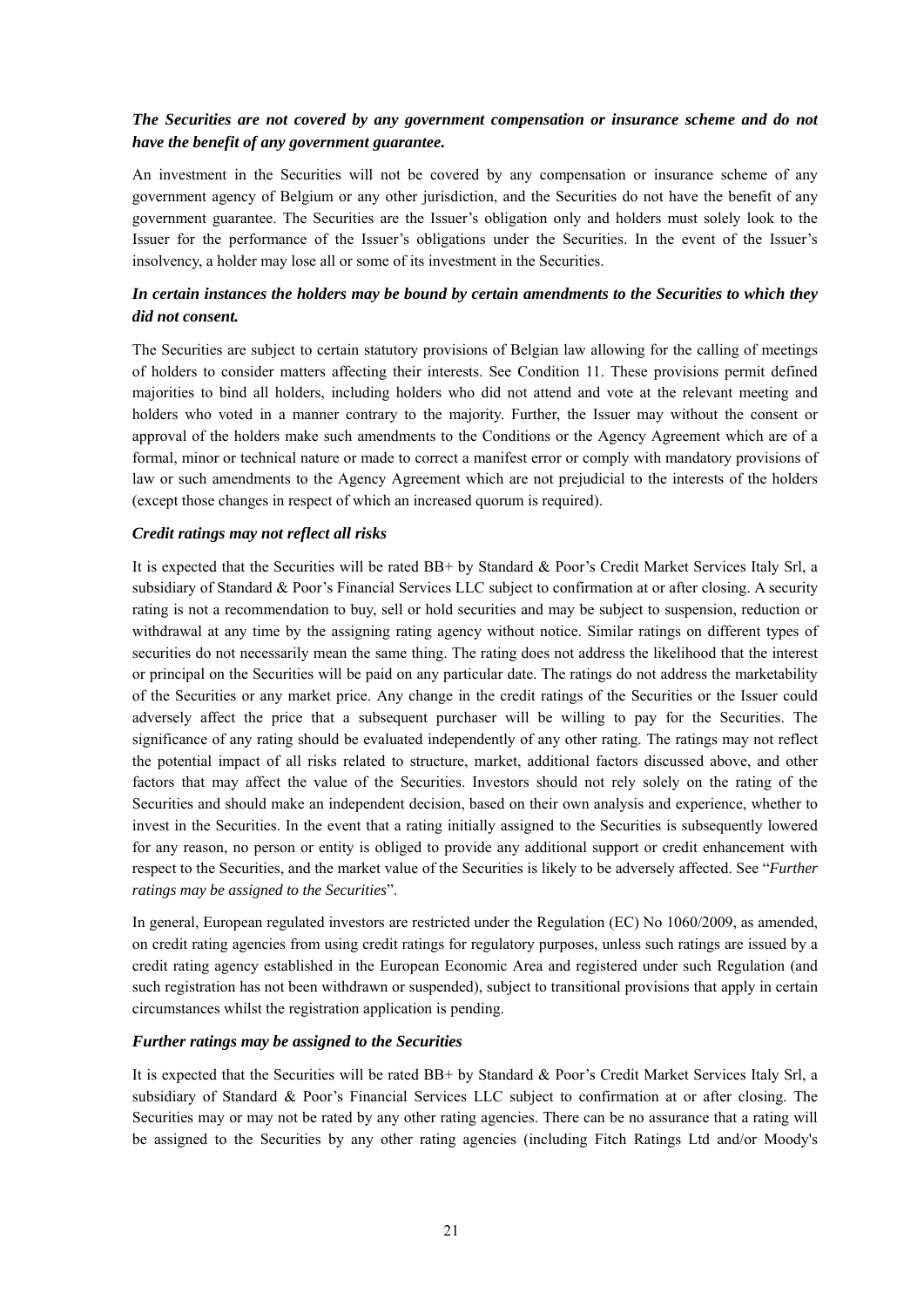## *The Securities are not covered by any government compensation or insurance scheme and do not have the benefit of any government guarantee.*

An investment in the Securities will not be covered by any compensation or insurance scheme of any government agency of Belgium or any other jurisdiction, and the Securities do not have the benefit of any government guarantee. The Securities are the Issuer's obligation only and holders must solely look to the Issuer for the performance of the Issuer's obligations under the Securities. In the event of the Issuer's insolvency, a holder may lose all or some of its investment in the Securities.

## *In certain instances the holders may be bound by certain amendments to the Securities to which they did not consent.*

The Securities are subject to certain statutory provisions of Belgian law allowing for the calling of meetings of holders to consider matters affecting their interests. See Condition 11. These provisions permit defined majorities to bind all holders, including holders who did not attend and vote at the relevant meeting and holders who voted in a manner contrary to the majority. Further, the Issuer may without the consent or approval of the holders make such amendments to the Conditions or the Agency Agreement which are of a formal, minor or technical nature or made to correct a manifest error or comply with mandatory provisions of law or such amendments to the Agency Agreement which are not prejudicial to the interests of the holders (except those changes in respect of which an increased quorum is required).

#### *Credit ratings may not reflect all risks*

It is expected that the Securities will be rated BB+ by Standard & Poor's Credit Market Services Italy Srl, a subsidiary of Standard & Poor's Financial Services LLC subject to confirmation at or after closing. A security rating is not a recommendation to buy, sell or hold securities and may be subject to suspension, reduction or withdrawal at any time by the assigning rating agency without notice. Similar ratings on different types of securities do not necessarily mean the same thing. The rating does not address the likelihood that the interest or principal on the Securities will be paid on any particular date. The ratings do not address the marketability of the Securities or any market price. Any change in the credit ratings of the Securities or the Issuer could adversely affect the price that a subsequent purchaser will be willing to pay for the Securities. The significance of any rating should be evaluated independently of any other rating. The ratings may not reflect the potential impact of all risks related to structure, market, additional factors discussed above, and other factors that may affect the value of the Securities. Investors should not rely solely on the rating of the Securities and should make an independent decision, based on their own analysis and experience, whether to invest in the Securities. In the event that a rating initially assigned to the Securities is subsequently lowered for any reason, no person or entity is obliged to provide any additional support or credit enhancement with respect to the Securities, and the market value of the Securities is likely to be adversely affected. See "*Further ratings may be assigned to the Securities*".

In general, European regulated investors are restricted under the Regulation (EC) No 1060/2009, as amended, on credit rating agencies from using credit ratings for regulatory purposes, unless such ratings are issued by a credit rating agency established in the European Economic Area and registered under such Regulation (and such registration has not been withdrawn or suspended), subject to transitional provisions that apply in certain circumstances whilst the registration application is pending.

#### *Further ratings may be assigned to the Securities*

It is expected that the Securities will be rated BB+ by Standard & Poor's Credit Market Services Italy Srl, a subsidiary of Standard & Poor's Financial Services LLC subject to confirmation at or after closing. The Securities may or may not be rated by any other rating agencies. There can be no assurance that a rating will be assigned to the Securities by any other rating agencies (including Fitch Ratings Ltd and/or Moody's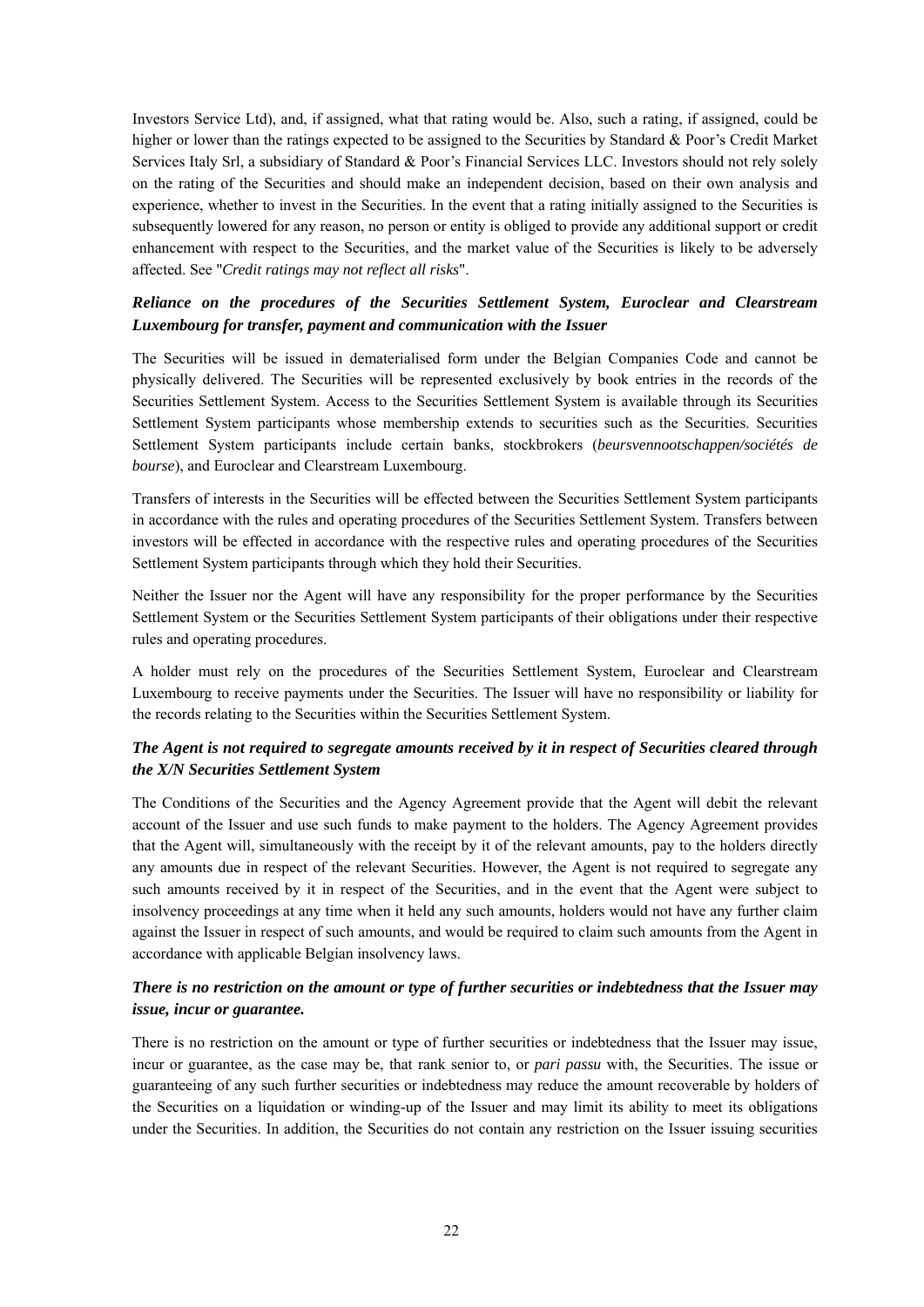Investors Service Ltd), and, if assigned, what that rating would be. Also, such a rating, if assigned, could be higher or lower than the ratings expected to be assigned to the Securities by Standard & Poor's Credit Market Services Italy Srl, a subsidiary of Standard & Poor's Financial Services LLC. Investors should not rely solely on the rating of the Securities and should make an independent decision, based on their own analysis and experience, whether to invest in the Securities. In the event that a rating initially assigned to the Securities is subsequently lowered for any reason, no person or entity is obliged to provide any additional support or credit enhancement with respect to the Securities, and the market value of the Securities is likely to be adversely affected. See "*Credit ratings may not reflect all risks*".

## *Reliance on the procedures of the Securities Settlement System, Euroclear and Clearstream Luxembourg for transfer, payment and communication with the Issuer*

The Securities will be issued in dematerialised form under the Belgian Companies Code and cannot be physically delivered. The Securities will be represented exclusively by book entries in the records of the Securities Settlement System. Access to the Securities Settlement System is available through its Securities Settlement System participants whose membership extends to securities such as the Securities. Securities Settlement System participants include certain banks, stockbrokers (*beursvennootschappen/sociétés de bourse*), and Euroclear and Clearstream Luxembourg.

Transfers of interests in the Securities will be effected between the Securities Settlement System participants in accordance with the rules and operating procedures of the Securities Settlement System. Transfers between investors will be effected in accordance with the respective rules and operating procedures of the Securities Settlement System participants through which they hold their Securities.

Neither the Issuer nor the Agent will have any responsibility for the proper performance by the Securities Settlement System or the Securities Settlement System participants of their obligations under their respective rules and operating procedures.

A holder must rely on the procedures of the Securities Settlement System, Euroclear and Clearstream Luxembourg to receive payments under the Securities. The Issuer will have no responsibility or liability for the records relating to the Securities within the Securities Settlement System.

## *The Agent is not required to segregate amounts received by it in respect of Securities cleared through the X/N Securities Settlement System*

The Conditions of the Securities and the Agency Agreement provide that the Agent will debit the relevant account of the Issuer and use such funds to make payment to the holders. The Agency Agreement provides that the Agent will, simultaneously with the receipt by it of the relevant amounts, pay to the holders directly any amounts due in respect of the relevant Securities. However, the Agent is not required to segregate any such amounts received by it in respect of the Securities, and in the event that the Agent were subject to insolvency proceedings at any time when it held any such amounts, holders would not have any further claim against the Issuer in respect of such amounts, and would be required to claim such amounts from the Agent in accordance with applicable Belgian insolvency laws.

## *There is no restriction on the amount or type of further securities or indebtedness that the Issuer may issue, incur or guarantee.*

There is no restriction on the amount or type of further securities or indebtedness that the Issuer may issue, incur or guarantee, as the case may be, that rank senior to, or *pari passu* with, the Securities. The issue or guaranteeing of any such further securities or indebtedness may reduce the amount recoverable by holders of the Securities on a liquidation or winding-up of the Issuer and may limit its ability to meet its obligations under the Securities. In addition, the Securities do not contain any restriction on the Issuer issuing securities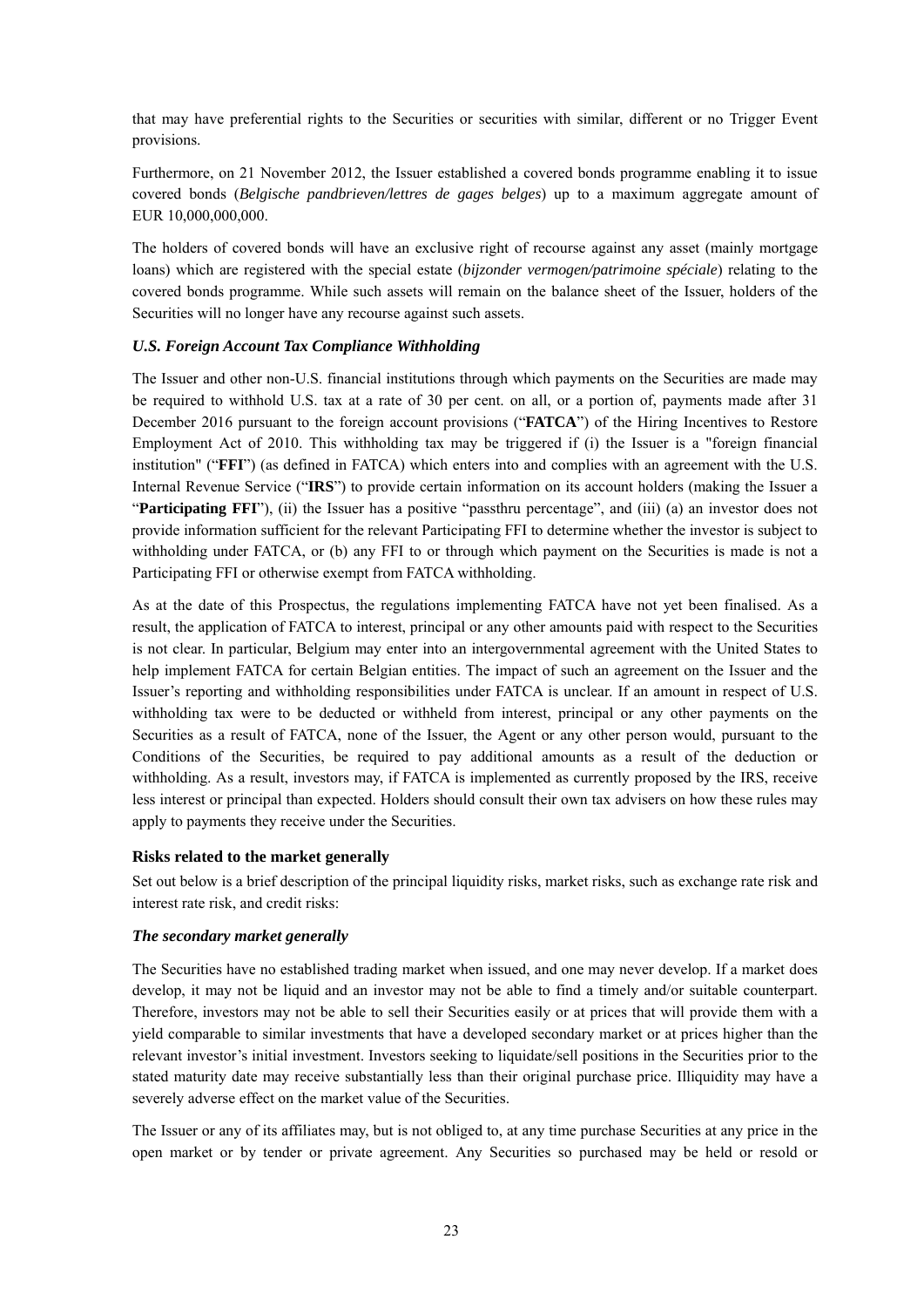that may have preferential rights to the Securities or securities with similar, different or no Trigger Event provisions.

Furthermore, on 21 November 2012, the Issuer established a covered bonds programme enabling it to issue covered bonds (*Belgische pandbrieven/lettres de gages belges*) up to a maximum aggregate amount of EUR 10,000,000,000.

The holders of covered bonds will have an exclusive right of recourse against any asset (mainly mortgage loans) which are registered with the special estate (*bijzonder vermogen/patrimoine spéciale*) relating to the covered bonds programme. While such assets will remain on the balance sheet of the Issuer, holders of the Securities will no longer have any recourse against such assets.

### *U.S. Foreign Account Tax Compliance Withholding*

The Issuer and other non-U.S. financial institutions through which payments on the Securities are made may be required to withhold U.S. tax at a rate of 30 per cent. on all, or a portion of, payments made after 31 December 2016 pursuant to the foreign account provisions ("**FATCA**") of the Hiring Incentives to Restore Employment Act of 2010. This withholding tax may be triggered if (i) the Issuer is a "foreign financial institution" ("**FFI**") (as defined in FATCA) which enters into and complies with an agreement with the U.S. Internal Revenue Service ("**IRS**") to provide certain information on its account holders (making the Issuer a "Participating FFI"), (ii) the Issuer has a positive "passthru percentage", and (iii) (a) an investor does not provide information sufficient for the relevant Participating FFI to determine whether the investor is subject to withholding under FATCA, or (b) any FFI to or through which payment on the Securities is made is not a Participating FFI or otherwise exempt from FATCA withholding.

As at the date of this Prospectus, the regulations implementing FATCA have not yet been finalised. As a result, the application of FATCA to interest, principal or any other amounts paid with respect to the Securities is not clear. In particular, Belgium may enter into an intergovernmental agreement with the United States to help implement FATCA for certain Belgian entities. The impact of such an agreement on the Issuer and the Issuer's reporting and withholding responsibilities under FATCA is unclear. If an amount in respect of U.S. withholding tax were to be deducted or withheld from interest, principal or any other payments on the Securities as a result of FATCA, none of the Issuer, the Agent or any other person would, pursuant to the Conditions of the Securities, be required to pay additional amounts as a result of the deduction or withholding. As a result, investors may, if FATCA is implemented as currently proposed by the IRS, receive less interest or principal than expected. Holders should consult their own tax advisers on how these rules may apply to payments they receive under the Securities.

#### **Risks related to the market generally**

Set out below is a brief description of the principal liquidity risks, market risks, such as exchange rate risk and interest rate risk, and credit risks:

#### *The secondary market generally*

The Securities have no established trading market when issued, and one may never develop. If a market does develop, it may not be liquid and an investor may not be able to find a timely and/or suitable counterpart. Therefore, investors may not be able to sell their Securities easily or at prices that will provide them with a yield comparable to similar investments that have a developed secondary market or at prices higher than the relevant investor's initial investment. Investors seeking to liquidate/sell positions in the Securities prior to the stated maturity date may receive substantially less than their original purchase price. Illiquidity may have a severely adverse effect on the market value of the Securities.

The Issuer or any of its affiliates may, but is not obliged to, at any time purchase Securities at any price in the open market or by tender or private agreement. Any Securities so purchased may be held or resold or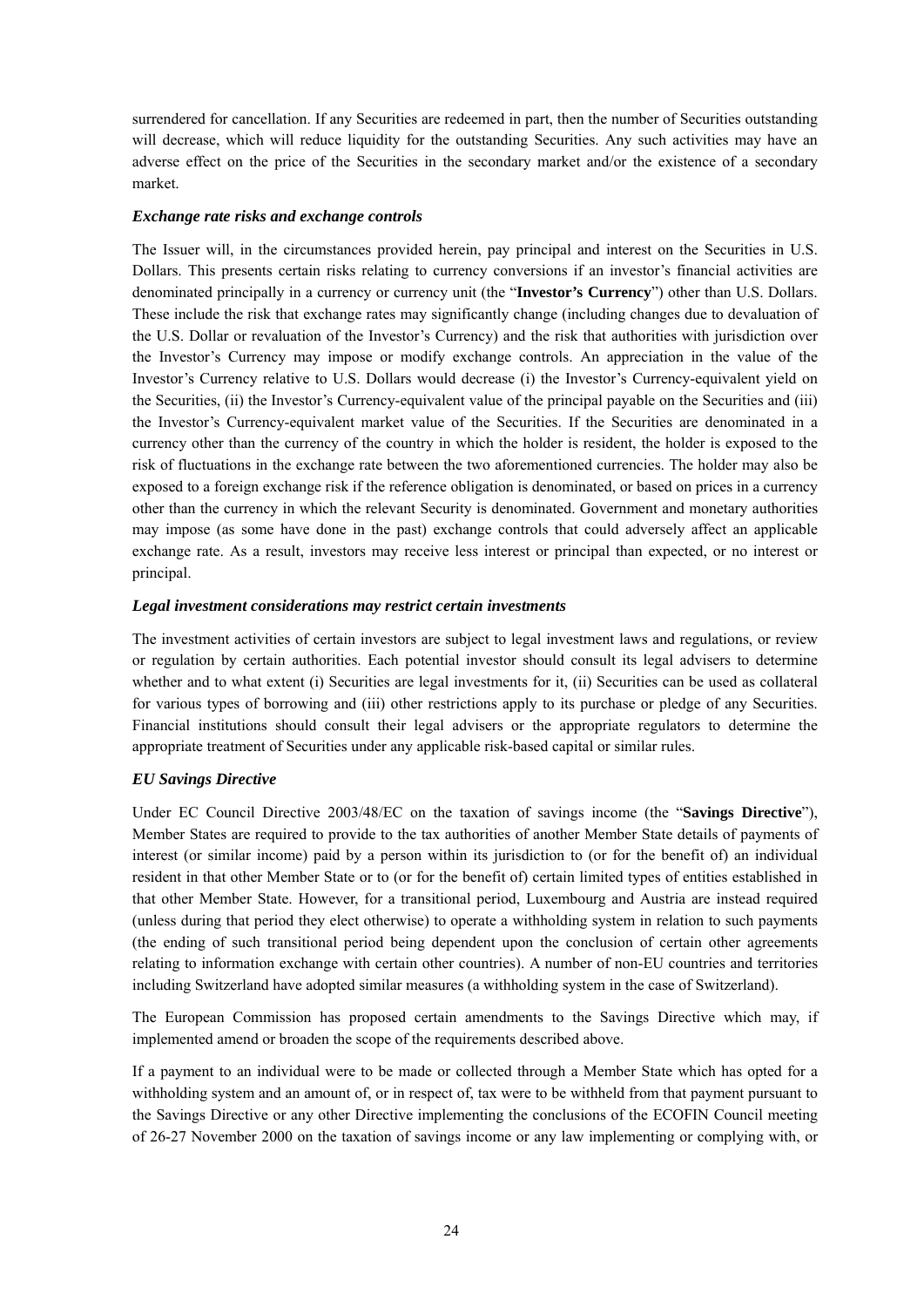surrendered for cancellation. If any Securities are redeemed in part, then the number of Securities outstanding will decrease, which will reduce liquidity for the outstanding Securities. Any such activities may have an adverse effect on the price of the Securities in the secondary market and/or the existence of a secondary market.

#### *Exchange rate risks and exchange controls*

The Issuer will, in the circumstances provided herein, pay principal and interest on the Securities in U.S. Dollars. This presents certain risks relating to currency conversions if an investor's financial activities are denominated principally in a currency or currency unit (the "**Investor's Currency**") other than U.S. Dollars. These include the risk that exchange rates may significantly change (including changes due to devaluation of the U.S. Dollar or revaluation of the Investor's Currency) and the risk that authorities with jurisdiction over the Investor's Currency may impose or modify exchange controls. An appreciation in the value of the Investor's Currency relative to U.S. Dollars would decrease (i) the Investor's Currency-equivalent yield on the Securities, (ii) the Investor's Currency-equivalent value of the principal payable on the Securities and (iii) the Investor's Currency-equivalent market value of the Securities. If the Securities are denominated in a currency other than the currency of the country in which the holder is resident, the holder is exposed to the risk of fluctuations in the exchange rate between the two aforementioned currencies. The holder may also be exposed to a foreign exchange risk if the reference obligation is denominated, or based on prices in a currency other than the currency in which the relevant Security is denominated. Government and monetary authorities may impose (as some have done in the past) exchange controls that could adversely affect an applicable exchange rate. As a result, investors may receive less interest or principal than expected, or no interest or principal.

#### *Legal investment considerations may restrict certain investments*

The investment activities of certain investors are subject to legal investment laws and regulations, or review or regulation by certain authorities. Each potential investor should consult its legal advisers to determine whether and to what extent (i) Securities are legal investments for it, (ii) Securities can be used as collateral for various types of borrowing and (iii) other restrictions apply to its purchase or pledge of any Securities. Financial institutions should consult their legal advisers or the appropriate regulators to determine the appropriate treatment of Securities under any applicable risk-based capital or similar rules.

### *EU Savings Directive*

Under EC Council Directive 2003/48/EC on the taxation of savings income (the "**Savings Directive**"), Member States are required to provide to the tax authorities of another Member State details of payments of interest (or similar income) paid by a person within its jurisdiction to (or for the benefit of) an individual resident in that other Member State or to (or for the benefit of) certain limited types of entities established in that other Member State. However, for a transitional period, Luxembourg and Austria are instead required (unless during that period they elect otherwise) to operate a withholding system in relation to such payments (the ending of such transitional period being dependent upon the conclusion of certain other agreements relating to information exchange with certain other countries). A number of non-EU countries and territories including Switzerland have adopted similar measures (a withholding system in the case of Switzerland).

The European Commission has proposed certain amendments to the Savings Directive which may, if implemented amend or broaden the scope of the requirements described above.

If a payment to an individual were to be made or collected through a Member State which has opted for a withholding system and an amount of, or in respect of, tax were to be withheld from that payment pursuant to the Savings Directive or any other Directive implementing the conclusions of the ECOFIN Council meeting of 26-27 November 2000 on the taxation of savings income or any law implementing or complying with, or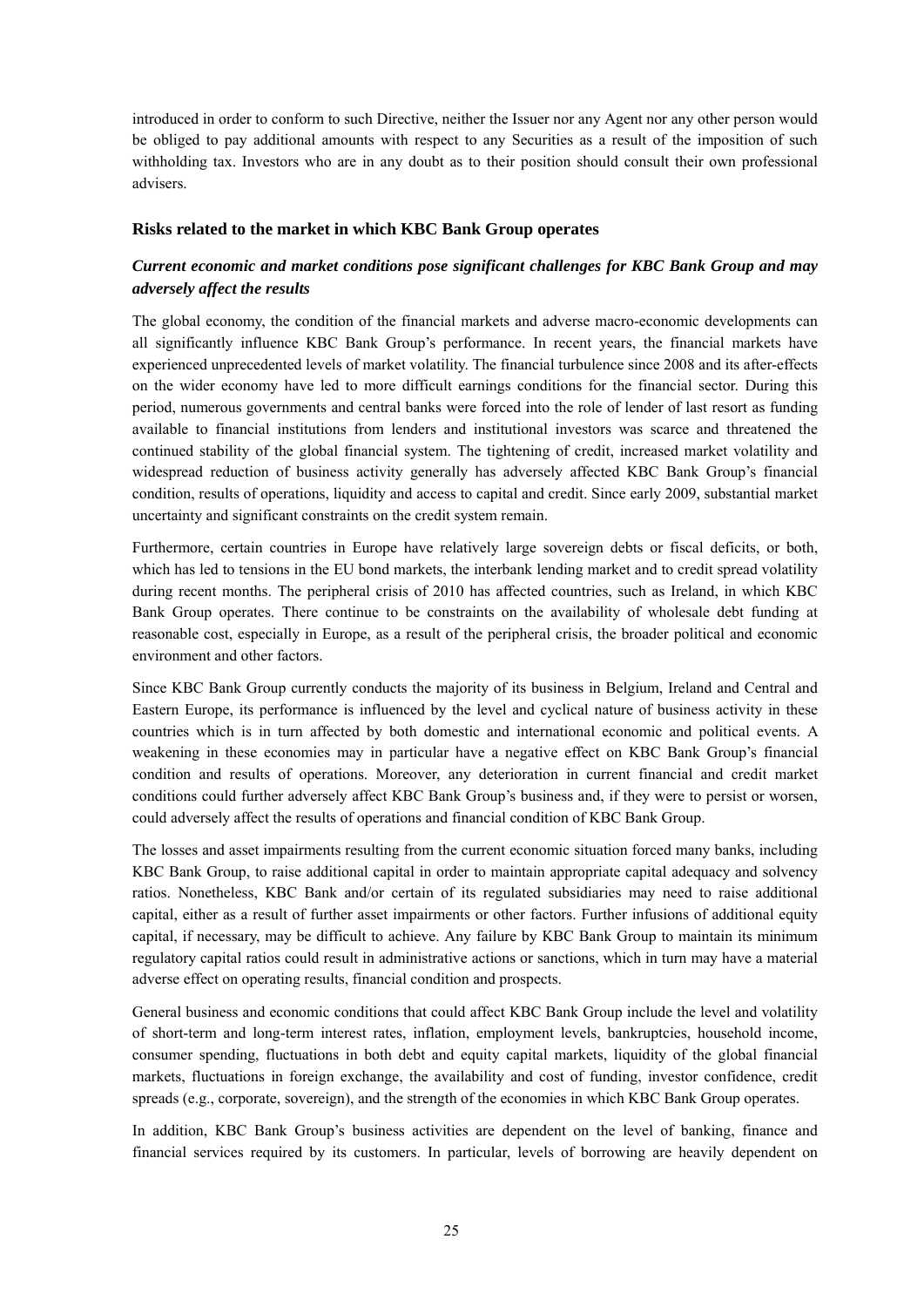introduced in order to conform to such Directive, neither the Issuer nor any Agent nor any other person would be obliged to pay additional amounts with respect to any Securities as a result of the imposition of such withholding tax. Investors who are in any doubt as to their position should consult their own professional advisers.

#### **Risks related to the market in which KBC Bank Group operates**

## *Current economic and market conditions pose significant challenges for KBC Bank Group and may adversely affect the results*

The global economy, the condition of the financial markets and adverse macro-economic developments can all significantly influence KBC Bank Group's performance. In recent years, the financial markets have experienced unprecedented levels of market volatility. The financial turbulence since 2008 and its after-effects on the wider economy have led to more difficult earnings conditions for the financial sector. During this period, numerous governments and central banks were forced into the role of lender of last resort as funding available to financial institutions from lenders and institutional investors was scarce and threatened the continued stability of the global financial system. The tightening of credit, increased market volatility and widespread reduction of business activity generally has adversely affected KBC Bank Group's financial condition, results of operations, liquidity and access to capital and credit. Since early 2009, substantial market uncertainty and significant constraints on the credit system remain.

Furthermore, certain countries in Europe have relatively large sovereign debts or fiscal deficits, or both, which has led to tensions in the EU bond markets, the interbank lending market and to credit spread volatility during recent months. The peripheral crisis of 2010 has affected countries, such as Ireland, in which KBC Bank Group operates. There continue to be constraints on the availability of wholesale debt funding at reasonable cost, especially in Europe, as a result of the peripheral crisis, the broader political and economic environment and other factors.

Since KBC Bank Group currently conducts the majority of its business in Belgium, Ireland and Central and Eastern Europe, its performance is influenced by the level and cyclical nature of business activity in these countries which is in turn affected by both domestic and international economic and political events. A weakening in these economies may in particular have a negative effect on KBC Bank Group's financial condition and results of operations. Moreover, any deterioration in current financial and credit market conditions could further adversely affect KBC Bank Group's business and, if they were to persist or worsen, could adversely affect the results of operations and financial condition of KBC Bank Group.

The losses and asset impairments resulting from the current economic situation forced many banks, including KBC Bank Group, to raise additional capital in order to maintain appropriate capital adequacy and solvency ratios. Nonetheless, KBC Bank and/or certain of its regulated subsidiaries may need to raise additional capital, either as a result of further asset impairments or other factors. Further infusions of additional equity capital, if necessary, may be difficult to achieve. Any failure by KBC Bank Group to maintain its minimum regulatory capital ratios could result in administrative actions or sanctions, which in turn may have a material adverse effect on operating results, financial condition and prospects.

General business and economic conditions that could affect KBC Bank Group include the level and volatility of short-term and long-term interest rates, inflation, employment levels, bankruptcies, household income, consumer spending, fluctuations in both debt and equity capital markets, liquidity of the global financial markets, fluctuations in foreign exchange, the availability and cost of funding, investor confidence, credit spreads (e.g., corporate, sovereign), and the strength of the economies in which KBC Bank Group operates.

In addition, KBC Bank Group's business activities are dependent on the level of banking, finance and financial services required by its customers. In particular, levels of borrowing are heavily dependent on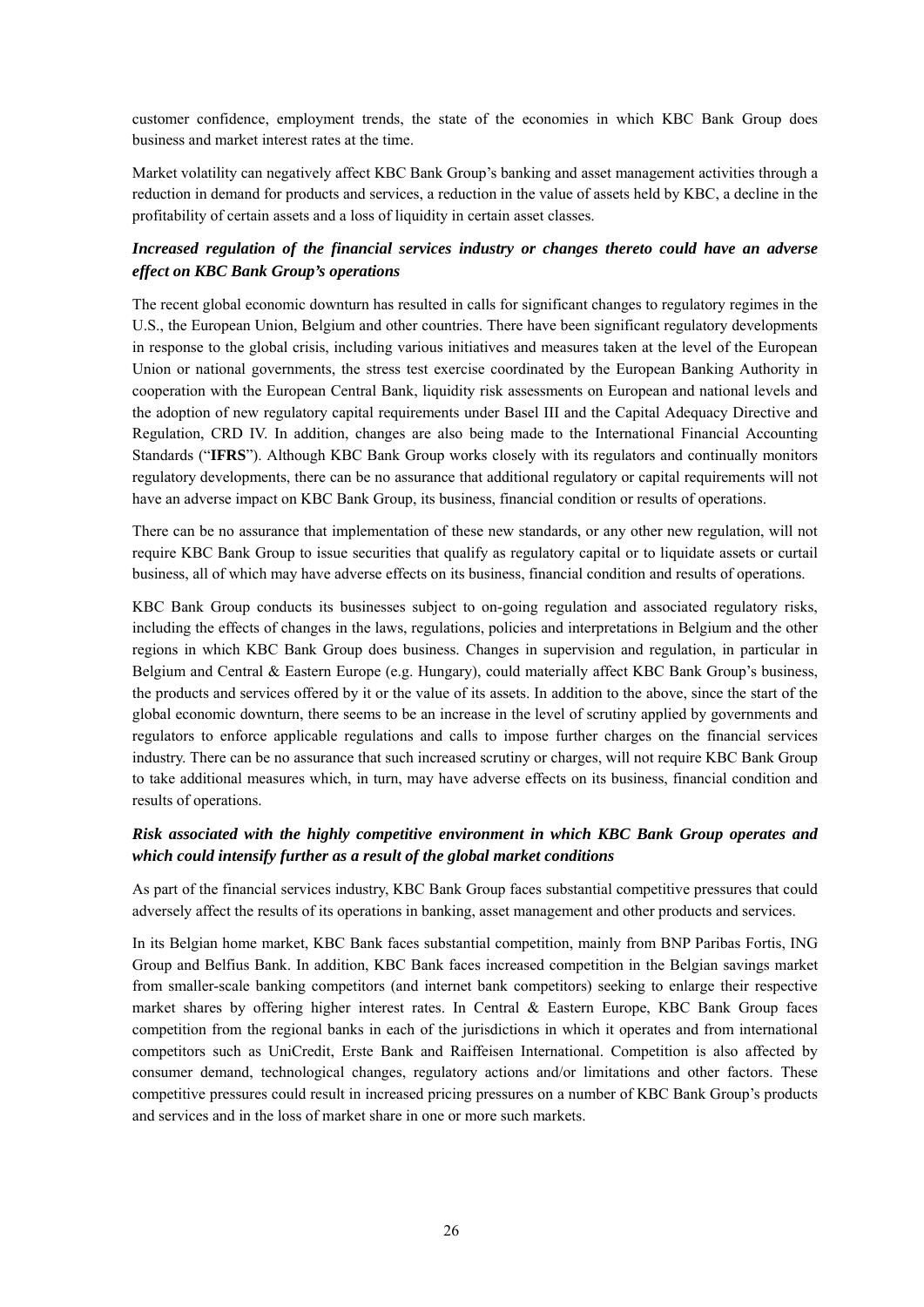customer confidence, employment trends, the state of the economies in which KBC Bank Group does business and market interest rates at the time.

Market volatility can negatively affect KBC Bank Group's banking and asset management activities through a reduction in demand for products and services, a reduction in the value of assets held by KBC, a decline in the profitability of certain assets and a loss of liquidity in certain asset classes.

## *Increased regulation of the financial services industry or changes thereto could have an adverse effect on KBC Bank Group's operations*

The recent global economic downturn has resulted in calls for significant changes to regulatory regimes in the U.S., the European Union, Belgium and other countries. There have been significant regulatory developments in response to the global crisis, including various initiatives and measures taken at the level of the European Union or national governments, the stress test exercise coordinated by the European Banking Authority in cooperation with the European Central Bank, liquidity risk assessments on European and national levels and the adoption of new regulatory capital requirements under Basel III and the Capital Adequacy Directive and Regulation, CRD IV. In addition, changes are also being made to the International Financial Accounting Standards ("**IFRS**"). Although KBC Bank Group works closely with its regulators and continually monitors regulatory developments, there can be no assurance that additional regulatory or capital requirements will not have an adverse impact on KBC Bank Group, its business, financial condition or results of operations.

There can be no assurance that implementation of these new standards, or any other new regulation, will not require KBC Bank Group to issue securities that qualify as regulatory capital or to liquidate assets or curtail business, all of which may have adverse effects on its business, financial condition and results of operations.

KBC Bank Group conducts its businesses subject to on-going regulation and associated regulatory risks, including the effects of changes in the laws, regulations, policies and interpretations in Belgium and the other regions in which KBC Bank Group does business. Changes in supervision and regulation, in particular in Belgium and Central & Eastern Europe (e.g. Hungary), could materially affect KBC Bank Group's business, the products and services offered by it or the value of its assets. In addition to the above, since the start of the global economic downturn, there seems to be an increase in the level of scrutiny applied by governments and regulators to enforce applicable regulations and calls to impose further charges on the financial services industry. There can be no assurance that such increased scrutiny or charges, will not require KBC Bank Group to take additional measures which, in turn, may have adverse effects on its business, financial condition and results of operations.

## *Risk associated with the highly competitive environment in which KBC Bank Group operates and which could intensify further as a result of the global market conditions*

As part of the financial services industry, KBC Bank Group faces substantial competitive pressures that could adversely affect the results of its operations in banking, asset management and other products and services.

In its Belgian home market, KBC Bank faces substantial competition, mainly from BNP Paribas Fortis, ING Group and Belfius Bank. In addition, KBC Bank faces increased competition in the Belgian savings market from smaller-scale banking competitors (and internet bank competitors) seeking to enlarge their respective market shares by offering higher interest rates. In Central & Eastern Europe, KBC Bank Group faces competition from the regional banks in each of the jurisdictions in which it operates and from international competitors such as UniCredit, Erste Bank and Raiffeisen International. Competition is also affected by consumer demand, technological changes, regulatory actions and/or limitations and other factors. These competitive pressures could result in increased pricing pressures on a number of KBC Bank Group's products and services and in the loss of market share in one or more such markets.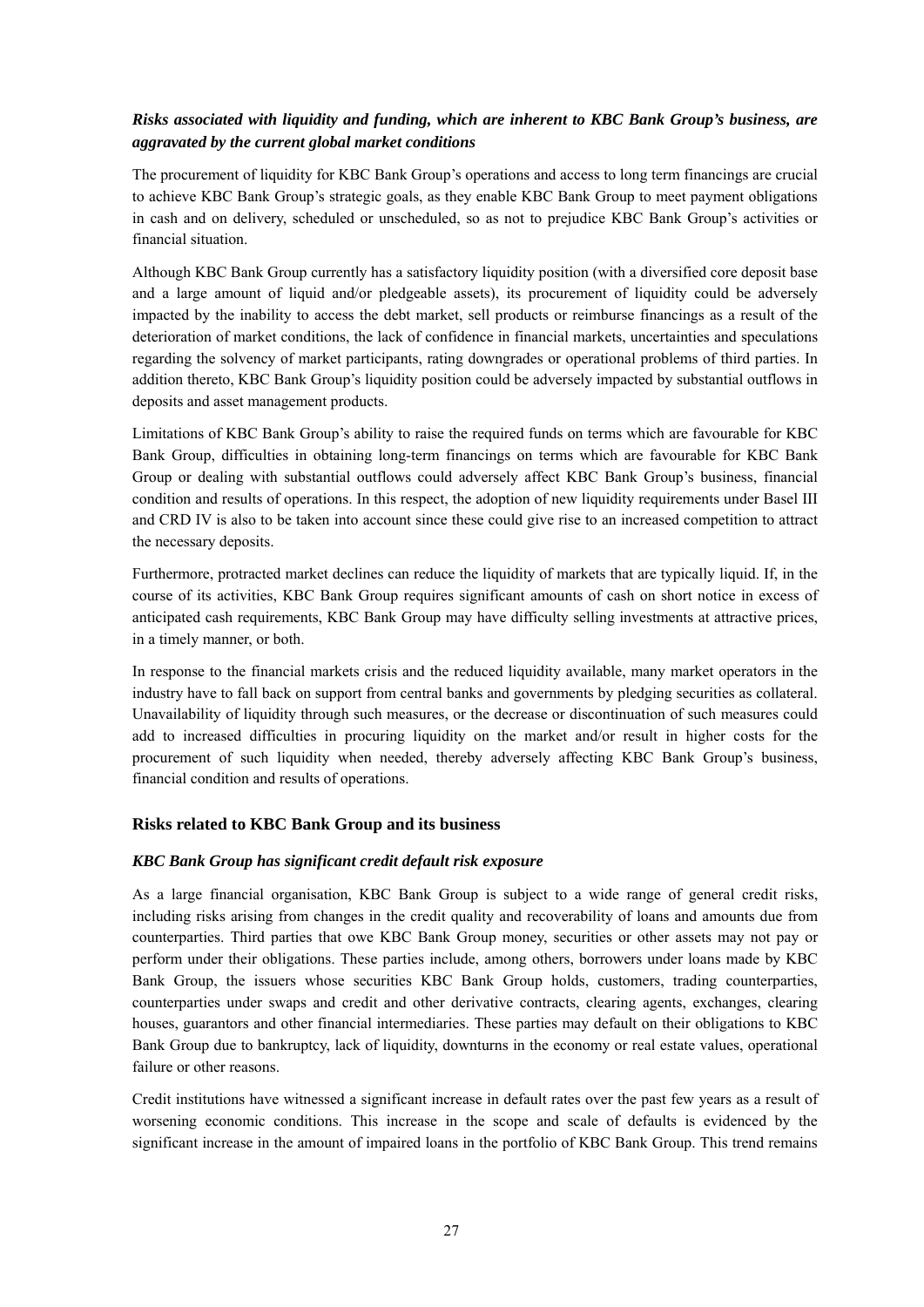## *Risks associated with liquidity and funding, which are inherent to KBC Bank Group's business, are aggravated by the current global market conditions*

The procurement of liquidity for KBC Bank Group's operations and access to long term financings are crucial to achieve KBC Bank Group's strategic goals, as they enable KBC Bank Group to meet payment obligations in cash and on delivery, scheduled or unscheduled, so as not to prejudice KBC Bank Group's activities or financial situation.

Although KBC Bank Group currently has a satisfactory liquidity position (with a diversified core deposit base and a large amount of liquid and/or pledgeable assets), its procurement of liquidity could be adversely impacted by the inability to access the debt market, sell products or reimburse financings as a result of the deterioration of market conditions, the lack of confidence in financial markets, uncertainties and speculations regarding the solvency of market participants, rating downgrades or operational problems of third parties. In addition thereto, KBC Bank Group's liquidity position could be adversely impacted by substantial outflows in deposits and asset management products.

Limitations of KBC Bank Group's ability to raise the required funds on terms which are favourable for KBC Bank Group, difficulties in obtaining long-term financings on terms which are favourable for KBC Bank Group or dealing with substantial outflows could adversely affect KBC Bank Group's business, financial condition and results of operations. In this respect, the adoption of new liquidity requirements under Basel III and CRD IV is also to be taken into account since these could give rise to an increased competition to attract the necessary deposits.

Furthermore, protracted market declines can reduce the liquidity of markets that are typically liquid. If, in the course of its activities, KBC Bank Group requires significant amounts of cash on short notice in excess of anticipated cash requirements, KBC Bank Group may have difficulty selling investments at attractive prices, in a timely manner, or both.

In response to the financial markets crisis and the reduced liquidity available, many market operators in the industry have to fall back on support from central banks and governments by pledging securities as collateral. Unavailability of liquidity through such measures, or the decrease or discontinuation of such measures could add to increased difficulties in procuring liquidity on the market and/or result in higher costs for the procurement of such liquidity when needed, thereby adversely affecting KBC Bank Group's business, financial condition and results of operations.

### **Risks related to KBC Bank Group and its business**

#### *KBC Bank Group has significant credit default risk exposure*

As a large financial organisation, KBC Bank Group is subject to a wide range of general credit risks, including risks arising from changes in the credit quality and recoverability of loans and amounts due from counterparties. Third parties that owe KBC Bank Group money, securities or other assets may not pay or perform under their obligations. These parties include, among others, borrowers under loans made by KBC Bank Group, the issuers whose securities KBC Bank Group holds, customers, trading counterparties, counterparties under swaps and credit and other derivative contracts, clearing agents, exchanges, clearing houses, guarantors and other financial intermediaries. These parties may default on their obligations to KBC Bank Group due to bankruptcy, lack of liquidity, downturns in the economy or real estate values, operational failure or other reasons.

Credit institutions have witnessed a significant increase in default rates over the past few years as a result of worsening economic conditions. This increase in the scope and scale of defaults is evidenced by the significant increase in the amount of impaired loans in the portfolio of KBC Bank Group. This trend remains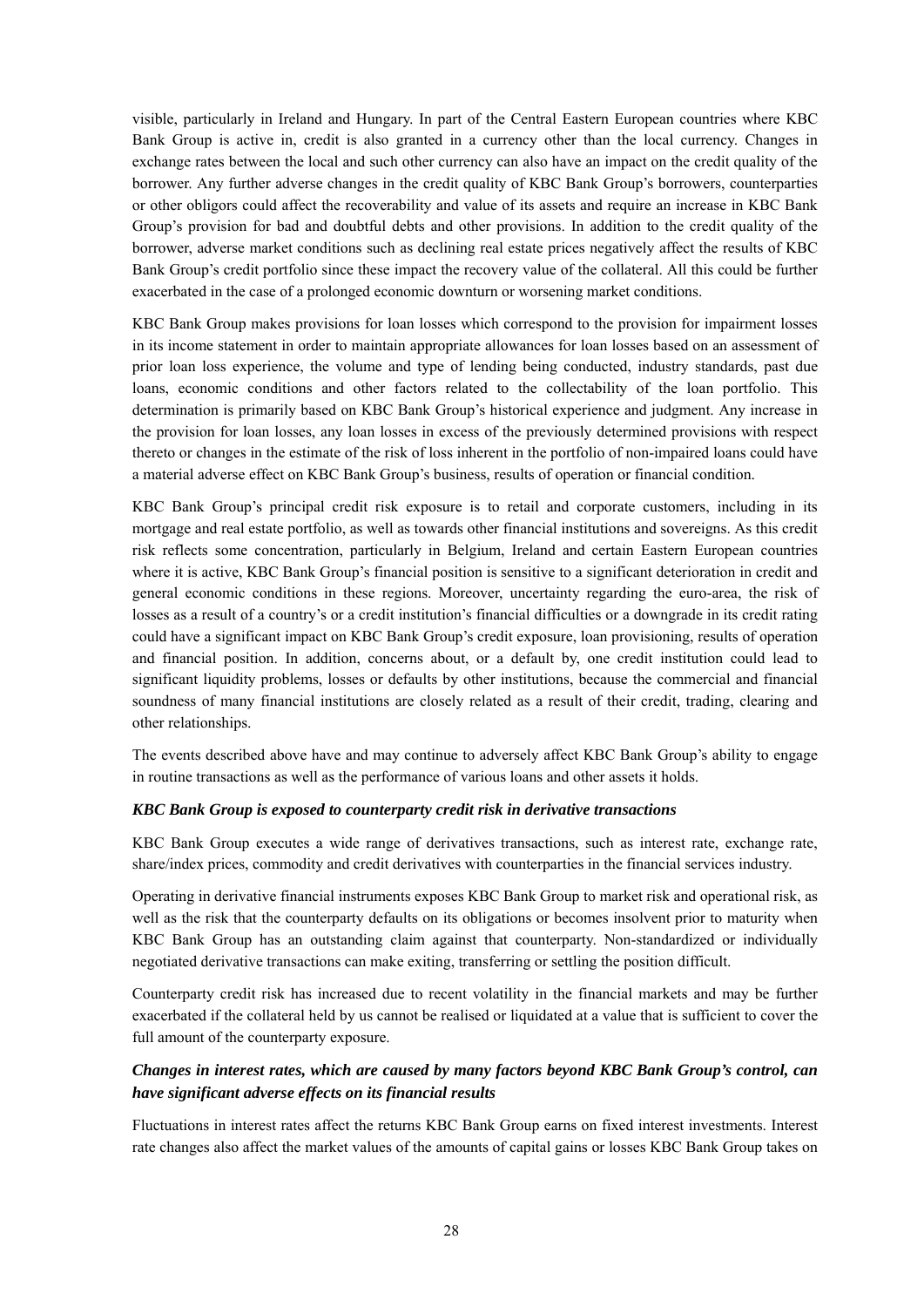visible, particularly in Ireland and Hungary. In part of the Central Eastern European countries where KBC Bank Group is active in, credit is also granted in a currency other than the local currency. Changes in exchange rates between the local and such other currency can also have an impact on the credit quality of the borrower. Any further adverse changes in the credit quality of KBC Bank Group's borrowers, counterparties or other obligors could affect the recoverability and value of its assets and require an increase in KBC Bank Group's provision for bad and doubtful debts and other provisions. In addition to the credit quality of the borrower, adverse market conditions such as declining real estate prices negatively affect the results of KBC Bank Group's credit portfolio since these impact the recovery value of the collateral. All this could be further exacerbated in the case of a prolonged economic downturn or worsening market conditions.

KBC Bank Group makes provisions for loan losses which correspond to the provision for impairment losses in its income statement in order to maintain appropriate allowances for loan losses based on an assessment of prior loan loss experience, the volume and type of lending being conducted, industry standards, past due loans, economic conditions and other factors related to the collectability of the loan portfolio. This determination is primarily based on KBC Bank Group's historical experience and judgment. Any increase in the provision for loan losses, any loan losses in excess of the previously determined provisions with respect thereto or changes in the estimate of the risk of loss inherent in the portfolio of non-impaired loans could have a material adverse effect on KBC Bank Group's business, results of operation or financial condition.

KBC Bank Group's principal credit risk exposure is to retail and corporate customers, including in its mortgage and real estate portfolio, as well as towards other financial institutions and sovereigns. As this credit risk reflects some concentration, particularly in Belgium, Ireland and certain Eastern European countries where it is active, KBC Bank Group's financial position is sensitive to a significant deterioration in credit and general economic conditions in these regions. Moreover, uncertainty regarding the euro-area, the risk of losses as a result of a country's or a credit institution's financial difficulties or a downgrade in its credit rating could have a significant impact on KBC Bank Group's credit exposure, loan provisioning, results of operation and financial position. In addition, concerns about, or a default by, one credit institution could lead to significant liquidity problems, losses or defaults by other institutions, because the commercial and financial soundness of many financial institutions are closely related as a result of their credit, trading, clearing and other relationships.

The events described above have and may continue to adversely affect KBC Bank Group's ability to engage in routine transactions as well as the performance of various loans and other assets it holds.

#### *KBC Bank Group is exposed to counterparty credit risk in derivative transactions*

KBC Bank Group executes a wide range of derivatives transactions, such as interest rate, exchange rate, share/index prices, commodity and credit derivatives with counterparties in the financial services industry.

Operating in derivative financial instruments exposes KBC Bank Group to market risk and operational risk, as well as the risk that the counterparty defaults on its obligations or becomes insolvent prior to maturity when KBC Bank Group has an outstanding claim against that counterparty. Non-standardized or individually negotiated derivative transactions can make exiting, transferring or settling the position difficult.

Counterparty credit risk has increased due to recent volatility in the financial markets and may be further exacerbated if the collateral held by us cannot be realised or liquidated at a value that is sufficient to cover the full amount of the counterparty exposure.

## *Changes in interest rates, which are caused by many factors beyond KBC Bank Group's control, can have significant adverse effects on its financial results*

Fluctuations in interest rates affect the returns KBC Bank Group earns on fixed interest investments. Interest rate changes also affect the market values of the amounts of capital gains or losses KBC Bank Group takes on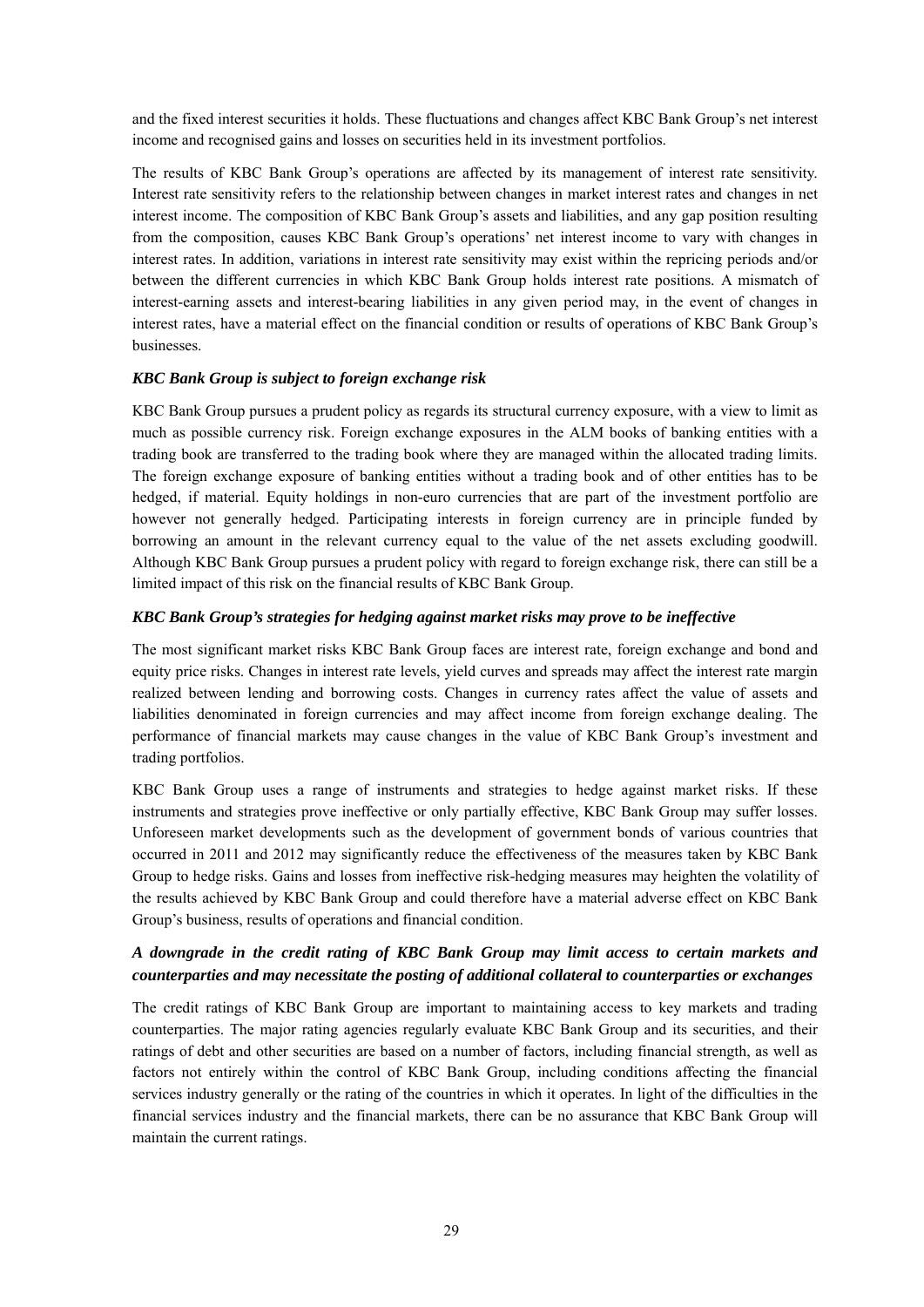and the fixed interest securities it holds. These fluctuations and changes affect KBC Bank Group's net interest income and recognised gains and losses on securities held in its investment portfolios.

The results of KBC Bank Group's operations are affected by its management of interest rate sensitivity. Interest rate sensitivity refers to the relationship between changes in market interest rates and changes in net interest income. The composition of KBC Bank Group's assets and liabilities, and any gap position resulting from the composition, causes KBC Bank Group's operations' net interest income to vary with changes in interest rates. In addition, variations in interest rate sensitivity may exist within the repricing periods and/or between the different currencies in which KBC Bank Group holds interest rate positions. A mismatch of interest-earning assets and interest-bearing liabilities in any given period may, in the event of changes in interest rates, have a material effect on the financial condition or results of operations of KBC Bank Group's businesses.

### *KBC Bank Group is subject to foreign exchange risk*

KBC Bank Group pursues a prudent policy as regards its structural currency exposure, with a view to limit as much as possible currency risk. Foreign exchange exposures in the ALM books of banking entities with a trading book are transferred to the trading book where they are managed within the allocated trading limits. The foreign exchange exposure of banking entities without a trading book and of other entities has to be hedged, if material. Equity holdings in non-euro currencies that are part of the investment portfolio are however not generally hedged. Participating interests in foreign currency are in principle funded by borrowing an amount in the relevant currency equal to the value of the net assets excluding goodwill. Although KBC Bank Group pursues a prudent policy with regard to foreign exchange risk, there can still be a limited impact of this risk on the financial results of KBC Bank Group.

#### *KBC Bank Group's strategies for hedging against market risks may prove to be ineffective*

The most significant market risks KBC Bank Group faces are interest rate, foreign exchange and bond and equity price risks. Changes in interest rate levels, yield curves and spreads may affect the interest rate margin realized between lending and borrowing costs. Changes in currency rates affect the value of assets and liabilities denominated in foreign currencies and may affect income from foreign exchange dealing. The performance of financial markets may cause changes in the value of KBC Bank Group's investment and trading portfolios.

KBC Bank Group uses a range of instruments and strategies to hedge against market risks. If these instruments and strategies prove ineffective or only partially effective, KBC Bank Group may suffer losses. Unforeseen market developments such as the development of government bonds of various countries that occurred in 2011 and 2012 may significantly reduce the effectiveness of the measures taken by KBC Bank Group to hedge risks. Gains and losses from ineffective risk-hedging measures may heighten the volatility of the results achieved by KBC Bank Group and could therefore have a material adverse effect on KBC Bank Group's business, results of operations and financial condition.

## *A downgrade in the credit rating of KBC Bank Group may limit access to certain markets and counterparties and may necessitate the posting of additional collateral to counterparties or exchanges*

The credit ratings of KBC Bank Group are important to maintaining access to key markets and trading counterparties. The major rating agencies regularly evaluate KBC Bank Group and its securities, and their ratings of debt and other securities are based on a number of factors, including financial strength, as well as factors not entirely within the control of KBC Bank Group, including conditions affecting the financial services industry generally or the rating of the countries in which it operates. In light of the difficulties in the financial services industry and the financial markets, there can be no assurance that KBC Bank Group will maintain the current ratings.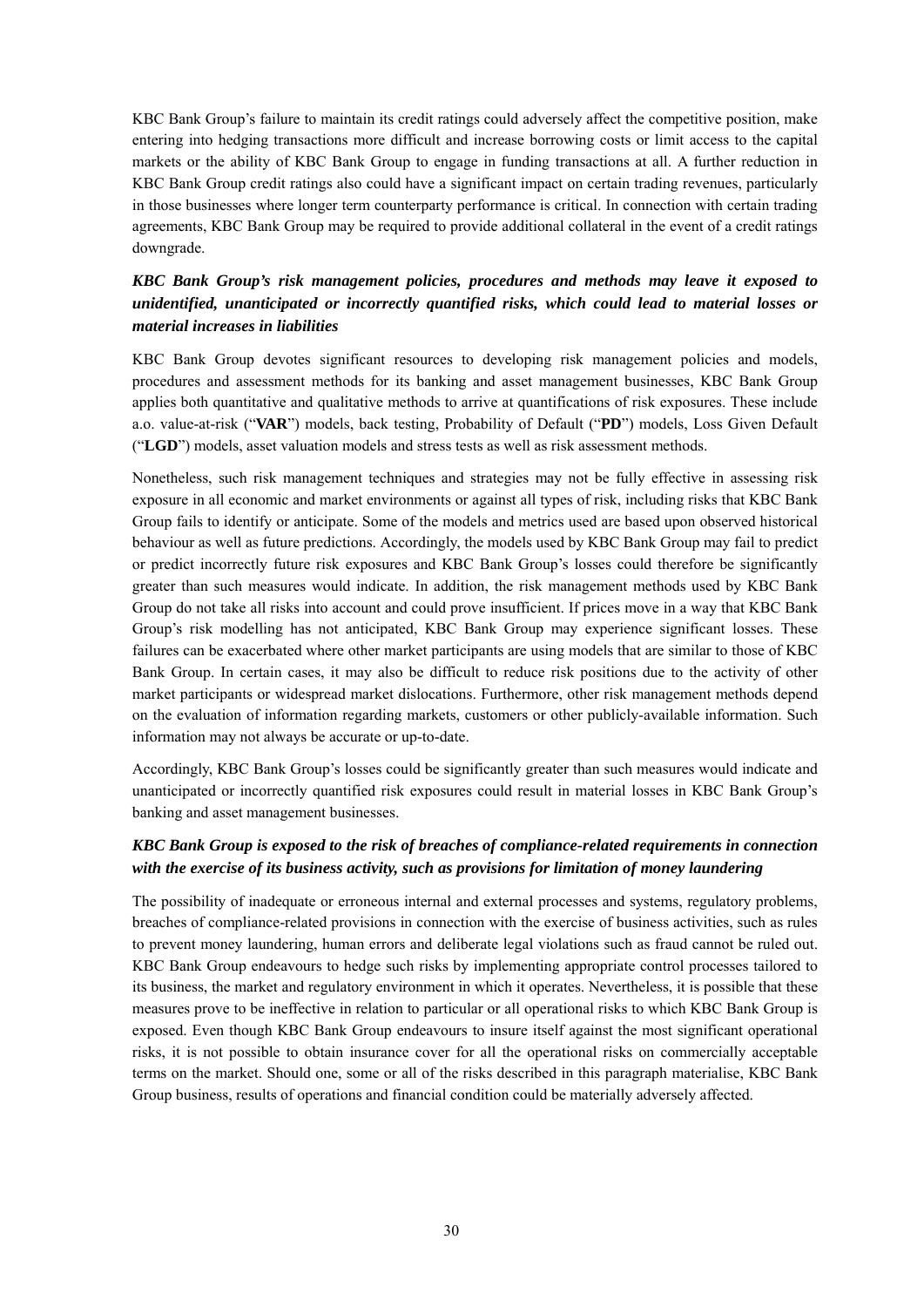KBC Bank Group's failure to maintain its credit ratings could adversely affect the competitive position, make entering into hedging transactions more difficult and increase borrowing costs or limit access to the capital markets or the ability of KBC Bank Group to engage in funding transactions at all. A further reduction in KBC Bank Group credit ratings also could have a significant impact on certain trading revenues, particularly in those businesses where longer term counterparty performance is critical. In connection with certain trading agreements, KBC Bank Group may be required to provide additional collateral in the event of a credit ratings downgrade.

## *KBC Bank Group's risk management policies, procedures and methods may leave it exposed to unidentified, unanticipated or incorrectly quantified risks, which could lead to material losses or material increases in liabilities*

KBC Bank Group devotes significant resources to developing risk management policies and models, procedures and assessment methods for its banking and asset management businesses, KBC Bank Group applies both quantitative and qualitative methods to arrive at quantifications of risk exposures. These include a.o. value-at-risk ("**VAR**") models, back testing, Probability of Default ("**PD**") models, Loss Given Default ("**LGD**") models, asset valuation models and stress tests as well as risk assessment methods.

Nonetheless, such risk management techniques and strategies may not be fully effective in assessing risk exposure in all economic and market environments or against all types of risk, including risks that KBC Bank Group fails to identify or anticipate. Some of the models and metrics used are based upon observed historical behaviour as well as future predictions. Accordingly, the models used by KBC Bank Group may fail to predict or predict incorrectly future risk exposures and KBC Bank Group's losses could therefore be significantly greater than such measures would indicate. In addition, the risk management methods used by KBC Bank Group do not take all risks into account and could prove insufficient. If prices move in a way that KBC Bank Group's risk modelling has not anticipated, KBC Bank Group may experience significant losses. These failures can be exacerbated where other market participants are using models that are similar to those of KBC Bank Group. In certain cases, it may also be difficult to reduce risk positions due to the activity of other market participants or widespread market dislocations. Furthermore, other risk management methods depend on the evaluation of information regarding markets, customers or other publicly-available information. Such information may not always be accurate or up-to-date.

Accordingly, KBC Bank Group's losses could be significantly greater than such measures would indicate and unanticipated or incorrectly quantified risk exposures could result in material losses in KBC Bank Group's banking and asset management businesses.

## *KBC Bank Group is exposed to the risk of breaches of compliance-related requirements in connection with the exercise of its business activity, such as provisions for limitation of money laundering*

The possibility of inadequate or erroneous internal and external processes and systems, regulatory problems, breaches of compliance-related provisions in connection with the exercise of business activities, such as rules to prevent money laundering, human errors and deliberate legal violations such as fraud cannot be ruled out. KBC Bank Group endeavours to hedge such risks by implementing appropriate control processes tailored to its business, the market and regulatory environment in which it operates. Nevertheless, it is possible that these measures prove to be ineffective in relation to particular or all operational risks to which KBC Bank Group is exposed. Even though KBC Bank Group endeavours to insure itself against the most significant operational risks, it is not possible to obtain insurance cover for all the operational risks on commercially acceptable terms on the market. Should one, some or all of the risks described in this paragraph materialise, KBC Bank Group business, results of operations and financial condition could be materially adversely affected.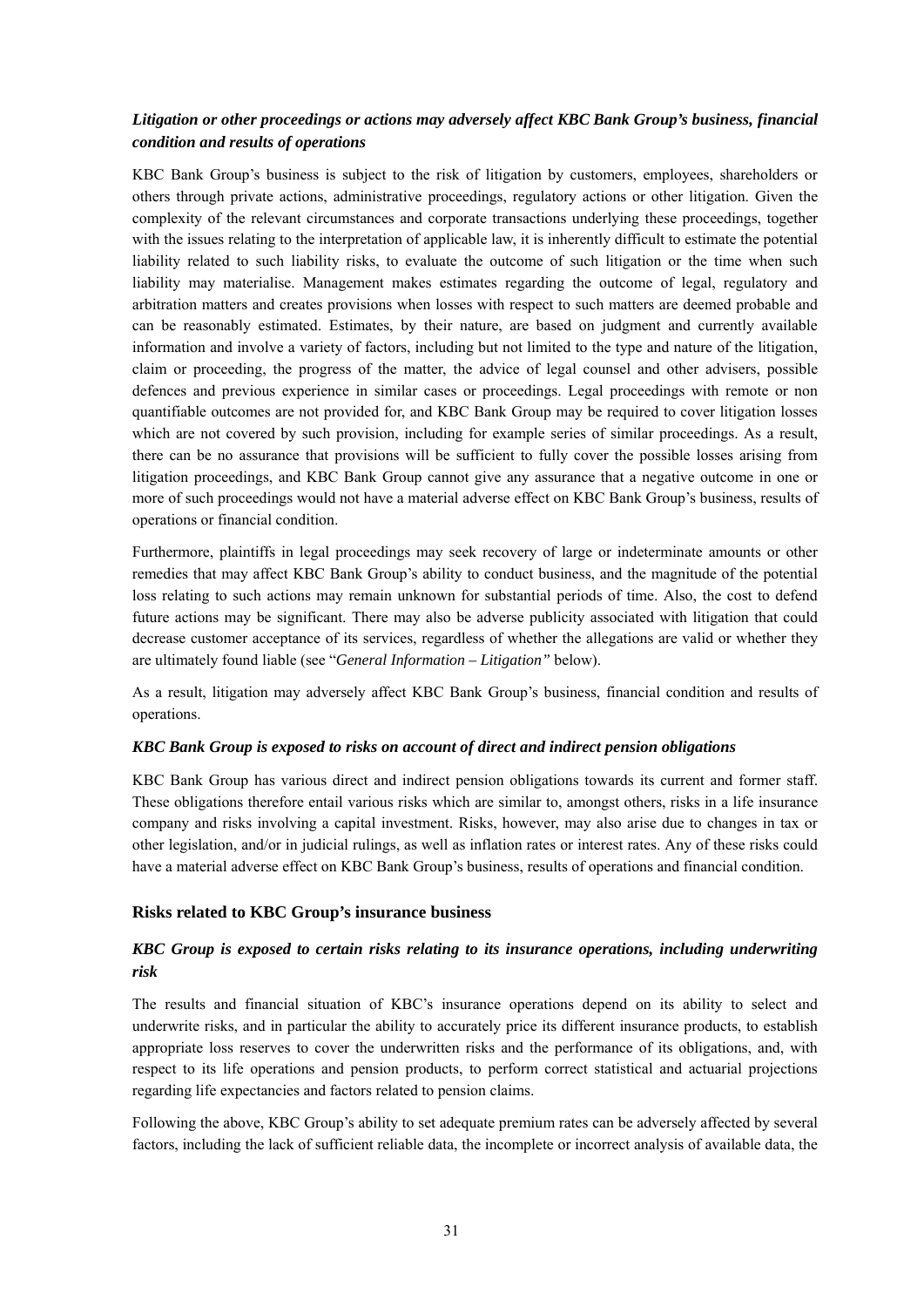## *Litigation or other proceedings or actions may adversely affect KBC Bank Group's business, financial condition and results of operations*

KBC Bank Group's business is subject to the risk of litigation by customers, employees, shareholders or others through private actions, administrative proceedings, regulatory actions or other litigation. Given the complexity of the relevant circumstances and corporate transactions underlying these proceedings, together with the issues relating to the interpretation of applicable law, it is inherently difficult to estimate the potential liability related to such liability risks, to evaluate the outcome of such litigation or the time when such liability may materialise. Management makes estimates regarding the outcome of legal, regulatory and arbitration matters and creates provisions when losses with respect to such matters are deemed probable and can be reasonably estimated. Estimates, by their nature, are based on judgment and currently available information and involve a variety of factors, including but not limited to the type and nature of the litigation, claim or proceeding, the progress of the matter, the advice of legal counsel and other advisers, possible defences and previous experience in similar cases or proceedings. Legal proceedings with remote or non quantifiable outcomes are not provided for, and KBC Bank Group may be required to cover litigation losses which are not covered by such provision, including for example series of similar proceedings. As a result, there can be no assurance that provisions will be sufficient to fully cover the possible losses arising from litigation proceedings, and KBC Bank Group cannot give any assurance that a negative outcome in one or more of such proceedings would not have a material adverse effect on KBC Bank Group's business, results of operations or financial condition.

Furthermore, plaintiffs in legal proceedings may seek recovery of large or indeterminate amounts or other remedies that may affect KBC Bank Group's ability to conduct business, and the magnitude of the potential loss relating to such actions may remain unknown for substantial periods of time. Also, the cost to defend future actions may be significant. There may also be adverse publicity associated with litigation that could decrease customer acceptance of its services, regardless of whether the allegations are valid or whether they are ultimately found liable (see "*General Information – Litigation"* below).

As a result, litigation may adversely affect KBC Bank Group's business, financial condition and results of operations.

#### *KBC Bank Group is exposed to risks on account of direct and indirect pension obligations*

KBC Bank Group has various direct and indirect pension obligations towards its current and former staff. These obligations therefore entail various risks which are similar to, amongst others, risks in a life insurance company and risks involving a capital investment. Risks, however, may also arise due to changes in tax or other legislation, and/or in judicial rulings, as well as inflation rates or interest rates. Any of these risks could have a material adverse effect on KBC Bank Group's business, results of operations and financial condition.

### **Risks related to KBC Group's insurance business**

## *KBC Group is exposed to certain risks relating to its insurance operations, including underwriting risk*

The results and financial situation of KBC's insurance operations depend on its ability to select and underwrite risks, and in particular the ability to accurately price its different insurance products, to establish appropriate loss reserves to cover the underwritten risks and the performance of its obligations, and, with respect to its life operations and pension products, to perform correct statistical and actuarial projections regarding life expectancies and factors related to pension claims.

Following the above, KBC Group's ability to set adequate premium rates can be adversely affected by several factors, including the lack of sufficient reliable data, the incomplete or incorrect analysis of available data, the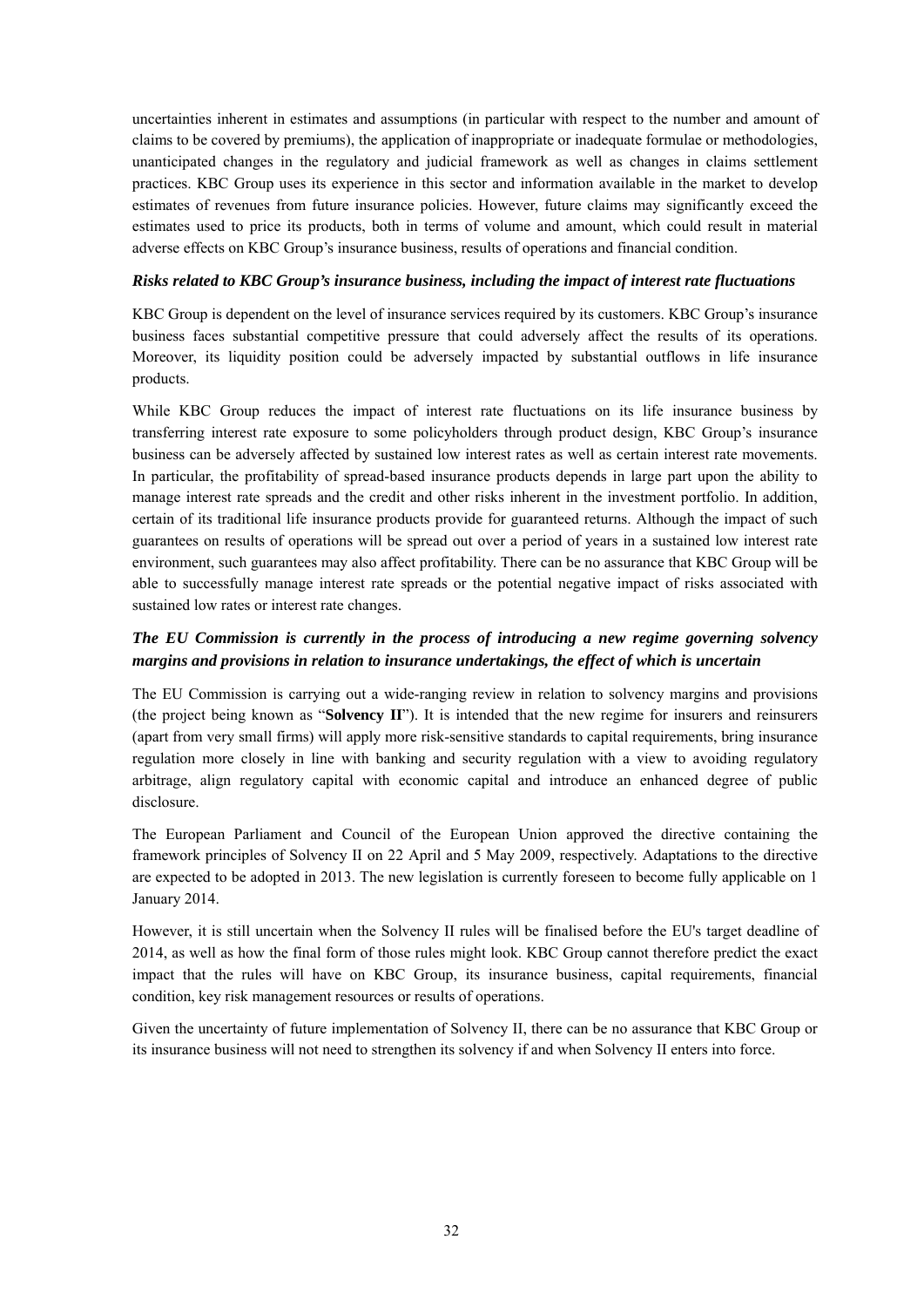uncertainties inherent in estimates and assumptions (in particular with respect to the number and amount of claims to be covered by premiums), the application of inappropriate or inadequate formulae or methodologies, unanticipated changes in the regulatory and judicial framework as well as changes in claims settlement practices. KBC Group uses its experience in this sector and information available in the market to develop estimates of revenues from future insurance policies. However, future claims may significantly exceed the estimates used to price its products, both in terms of volume and amount, which could result in material adverse effects on KBC Group's insurance business, results of operations and financial condition.

#### *Risks related to KBC Group's insurance business, including the impact of interest rate fluctuations*

KBC Group is dependent on the level of insurance services required by its customers. KBC Group's insurance business faces substantial competitive pressure that could adversely affect the results of its operations. Moreover, its liquidity position could be adversely impacted by substantial outflows in life insurance products.

While KBC Group reduces the impact of interest rate fluctuations on its life insurance business by transferring interest rate exposure to some policyholders through product design, KBC Group's insurance business can be adversely affected by sustained low interest rates as well as certain interest rate movements. In particular, the profitability of spread-based insurance products depends in large part upon the ability to manage interest rate spreads and the credit and other risks inherent in the investment portfolio. In addition, certain of its traditional life insurance products provide for guaranteed returns. Although the impact of such guarantees on results of operations will be spread out over a period of years in a sustained low interest rate environment, such guarantees may also affect profitability. There can be no assurance that KBC Group will be able to successfully manage interest rate spreads or the potential negative impact of risks associated with sustained low rates or interest rate changes.

## *The EU Commission is currently in the process of introducing a new regime governing solvency margins and provisions in relation to insurance undertakings, the effect of which is uncertain*

The EU Commission is carrying out a wide-ranging review in relation to solvency margins and provisions (the project being known as "**Solvency II**"). It is intended that the new regime for insurers and reinsurers (apart from very small firms) will apply more risk-sensitive standards to capital requirements, bring insurance regulation more closely in line with banking and security regulation with a view to avoiding regulatory arbitrage, align regulatory capital with economic capital and introduce an enhanced degree of public disclosure.

The European Parliament and Council of the European Union approved the directive containing the framework principles of Solvency II on 22 April and 5 May 2009, respectively. Adaptations to the directive are expected to be adopted in 2013. The new legislation is currently foreseen to become fully applicable on 1 January 2014.

However, it is still uncertain when the Solvency II rules will be finalised before the EU's target deadline of 2014, as well as how the final form of those rules might look. KBC Group cannot therefore predict the exact impact that the rules will have on KBC Group, its insurance business, capital requirements, financial condition, key risk management resources or results of operations.

Given the uncertainty of future implementation of Solvency II, there can be no assurance that KBC Group or its insurance business will not need to strengthen its solvency if and when Solvency II enters into force.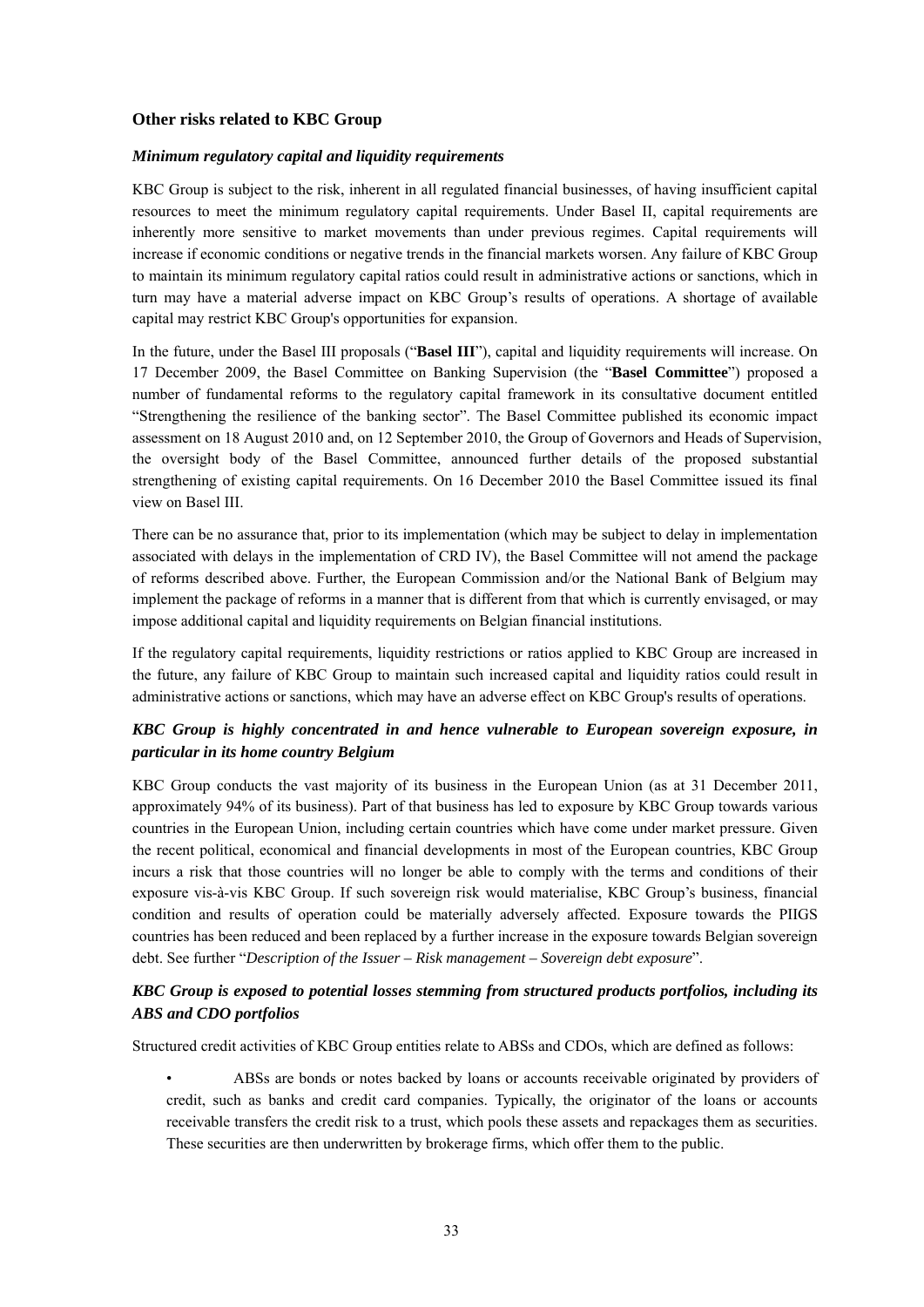#### **Other risks related to KBC Group**

#### *Minimum regulatory capital and liquidity requirements*

KBC Group is subject to the risk, inherent in all regulated financial businesses, of having insufficient capital resources to meet the minimum regulatory capital requirements. Under Basel II, capital requirements are inherently more sensitive to market movements than under previous regimes. Capital requirements will increase if economic conditions or negative trends in the financial markets worsen. Any failure of KBC Group to maintain its minimum regulatory capital ratios could result in administrative actions or sanctions, which in turn may have a material adverse impact on KBC Group's results of operations. A shortage of available capital may restrict KBC Group's opportunities for expansion.

In the future, under the Basel III proposals ("**Basel III**"), capital and liquidity requirements will increase. On 17 December 2009, the Basel Committee on Banking Supervision (the "**Basel Committee**") proposed a number of fundamental reforms to the regulatory capital framework in its consultative document entitled "Strengthening the resilience of the banking sector". The Basel Committee published its economic impact assessment on 18 August 2010 and, on 12 September 2010, the Group of Governors and Heads of Supervision, the oversight body of the Basel Committee, announced further details of the proposed substantial strengthening of existing capital requirements. On 16 December 2010 the Basel Committee issued its final view on Basel III.

There can be no assurance that, prior to its implementation (which may be subject to delay in implementation associated with delays in the implementation of CRD IV), the Basel Committee will not amend the package of reforms described above. Further, the European Commission and/or the National Bank of Belgium may implement the package of reforms in a manner that is different from that which is currently envisaged, or may impose additional capital and liquidity requirements on Belgian financial institutions.

If the regulatory capital requirements, liquidity restrictions or ratios applied to KBC Group are increased in the future, any failure of KBC Group to maintain such increased capital and liquidity ratios could result in administrative actions or sanctions, which may have an adverse effect on KBC Group's results of operations.

## *KBC Group is highly concentrated in and hence vulnerable to European sovereign exposure, in particular in its home country Belgium*

KBC Group conducts the vast majority of its business in the European Union (as at 31 December 2011, approximately 94% of its business). Part of that business has led to exposure by KBC Group towards various countries in the European Union, including certain countries which have come under market pressure. Given the recent political, economical and financial developments in most of the European countries, KBC Group incurs a risk that those countries will no longer be able to comply with the terms and conditions of their exposure vis-à-vis KBC Group. If such sovereign risk would materialise, KBC Group's business, financial condition and results of operation could be materially adversely affected. Exposure towards the PIIGS countries has been reduced and been replaced by a further increase in the exposure towards Belgian sovereign debt. See further "*Description of the Issuer – Risk management – Sovereign debt exposure*".

## *KBC Group is exposed to potential losses stemming from structured products portfolios, including its ABS and CDO portfolios*

Structured credit activities of KBC Group entities relate to ABSs and CDOs, which are defined as follows:

• ABSs are bonds or notes backed by loans or accounts receivable originated by providers of credit, such as banks and credit card companies. Typically, the originator of the loans or accounts receivable transfers the credit risk to a trust, which pools these assets and repackages them as securities. These securities are then underwritten by brokerage firms, which offer them to the public.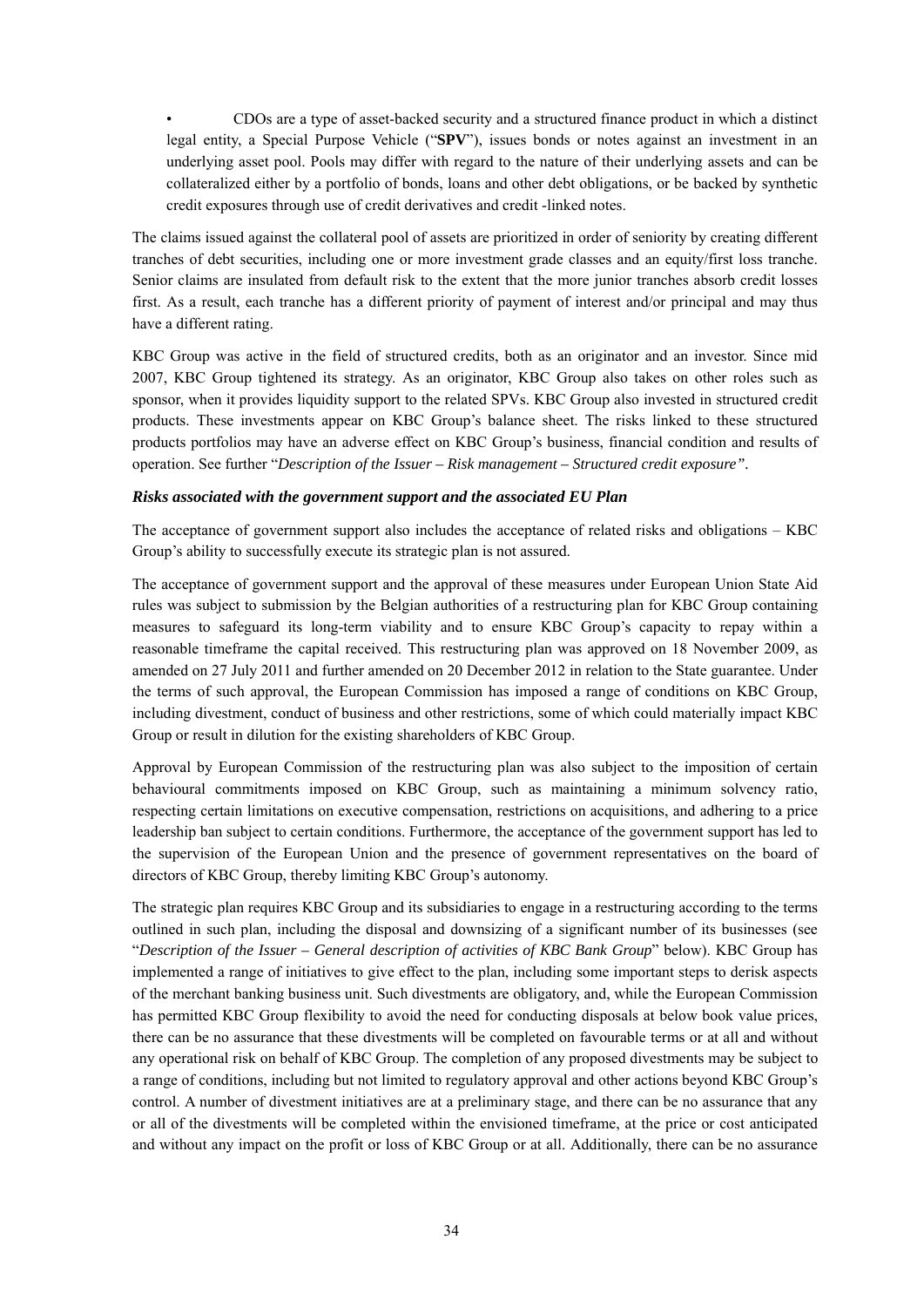• CDOs are a type of asset-backed security and a structured finance product in which a distinct legal entity, a Special Purpose Vehicle ("**SPV**"), issues bonds or notes against an investment in an underlying asset pool. Pools may differ with regard to the nature of their underlying assets and can be collateralized either by a portfolio of bonds, loans and other debt obligations, or be backed by synthetic credit exposures through use of credit derivatives and credit -linked notes.

The claims issued against the collateral pool of assets are prioritized in order of seniority by creating different tranches of debt securities, including one or more investment grade classes and an equity/first loss tranche. Senior claims are insulated from default risk to the extent that the more junior tranches absorb credit losses first. As a result, each tranche has a different priority of payment of interest and/or principal and may thus have a different rating.

KBC Group was active in the field of structured credits, both as an originator and an investor. Since mid 2007, KBC Group tightened its strategy. As an originator, KBC Group also takes on other roles such as sponsor, when it provides liquidity support to the related SPVs. KBC Group also invested in structured credit products. These investments appear on KBC Group's balance sheet. The risks linked to these structured products portfolios may have an adverse effect on KBC Group's business, financial condition and results of operation. See further "*Description of the Issuer – Risk management – Structured credit exposure".* 

#### *Risks associated with the government support and the associated EU Plan*

The acceptance of government support also includes the acceptance of related risks and obligations – KBC Group's ability to successfully execute its strategic plan is not assured.

The acceptance of government support and the approval of these measures under European Union State Aid rules was subject to submission by the Belgian authorities of a restructuring plan for KBC Group containing measures to safeguard its long-term viability and to ensure KBC Group's capacity to repay within a reasonable timeframe the capital received. This restructuring plan was approved on 18 November 2009, as amended on 27 July 2011 and further amended on 20 December 2012 in relation to the State guarantee. Under the terms of such approval, the European Commission has imposed a range of conditions on KBC Group, including divestment, conduct of business and other restrictions, some of which could materially impact KBC Group or result in dilution for the existing shareholders of KBC Group.

Approval by European Commission of the restructuring plan was also subject to the imposition of certain behavioural commitments imposed on KBC Group, such as maintaining a minimum solvency ratio, respecting certain limitations on executive compensation, restrictions on acquisitions, and adhering to a price leadership ban subject to certain conditions. Furthermore, the acceptance of the government support has led to the supervision of the European Union and the presence of government representatives on the board of directors of KBC Group, thereby limiting KBC Group's autonomy.

The strategic plan requires KBC Group and its subsidiaries to engage in a restructuring according to the terms outlined in such plan, including the disposal and downsizing of a significant number of its businesses (see "*Description of the Issuer – General description of activities of KBC Bank Group*" below). KBC Group has implemented a range of initiatives to give effect to the plan, including some important steps to derisk aspects of the merchant banking business unit. Such divestments are obligatory, and, while the European Commission has permitted KBC Group flexibility to avoid the need for conducting disposals at below book value prices, there can be no assurance that these divestments will be completed on favourable terms or at all and without any operational risk on behalf of KBC Group. The completion of any proposed divestments may be subject to a range of conditions, including but not limited to regulatory approval and other actions beyond KBC Group's control. A number of divestment initiatives are at a preliminary stage, and there can be no assurance that any or all of the divestments will be completed within the envisioned timeframe, at the price or cost anticipated and without any impact on the profit or loss of KBC Group or at all. Additionally, there can be no assurance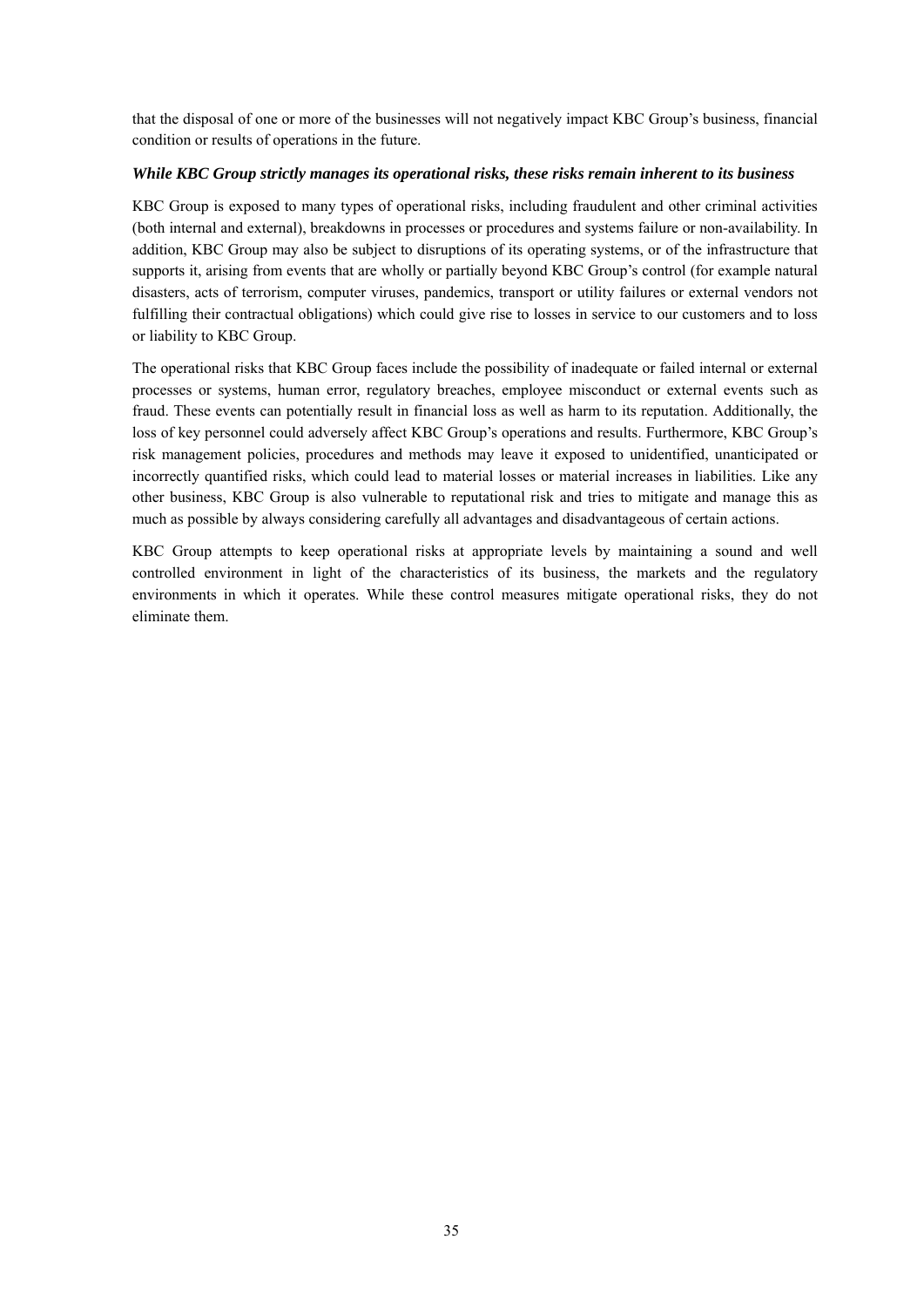that the disposal of one or more of the businesses will not negatively impact KBC Group's business, financial condition or results of operations in the future.

#### *While KBC Group strictly manages its operational risks, these risks remain inherent to its business*

KBC Group is exposed to many types of operational risks, including fraudulent and other criminal activities (both internal and external), breakdowns in processes or procedures and systems failure or non-availability. In addition, KBC Group may also be subject to disruptions of its operating systems, or of the infrastructure that supports it, arising from events that are wholly or partially beyond KBC Group's control (for example natural disasters, acts of terrorism, computer viruses, pandemics, transport or utility failures or external vendors not fulfilling their contractual obligations) which could give rise to losses in service to our customers and to loss or liability to KBC Group.

The operational risks that KBC Group faces include the possibility of inadequate or failed internal or external processes or systems, human error, regulatory breaches, employee misconduct or external events such as fraud. These events can potentially result in financial loss as well as harm to its reputation. Additionally, the loss of key personnel could adversely affect KBC Group's operations and results. Furthermore, KBC Group's risk management policies, procedures and methods may leave it exposed to unidentified, unanticipated or incorrectly quantified risks, which could lead to material losses or material increases in liabilities. Like any other business, KBC Group is also vulnerable to reputational risk and tries to mitigate and manage this as much as possible by always considering carefully all advantages and disadvantageous of certain actions.

KBC Group attempts to keep operational risks at appropriate levels by maintaining a sound and well controlled environment in light of the characteristics of its business, the markets and the regulatory environments in which it operates. While these control measures mitigate operational risks, they do not eliminate them.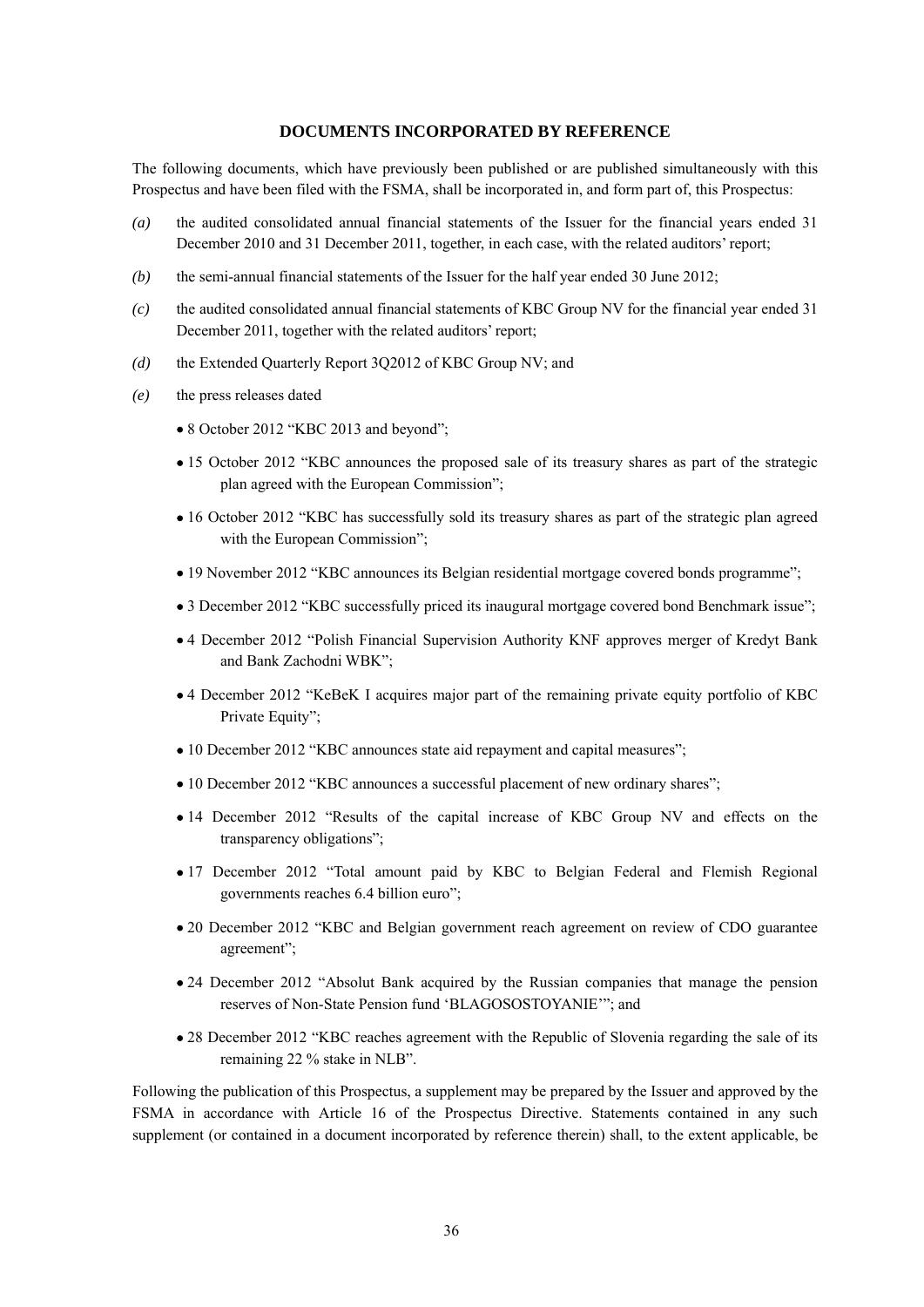### **DOCUMENTS INCORPORATED BY REFERENCE**

The following documents, which have previously been published or are published simultaneously with this Prospectus and have been filed with the FSMA, shall be incorporated in, and form part of, this Prospectus:

- *(a)* the audited consolidated annual financial statements of the Issuer for the financial years ended 31 December 2010 and 31 December 2011, together, in each case, with the related auditors' report;
- *(b)* the semi-annual financial statements of the Issuer for the half year ended 30 June 2012;
- *(c)* the audited consolidated annual financial statements of KBC Group NV for the financial year ended 31 December 2011, together with the related auditors' report;
- *(d)* the Extended Quarterly Report 3Q2012 of KBC Group NV; and
- *(e)* the press releases dated
	- 8 October 2012 "KBC 2013 and beyond";
	- 15 October 2012 "KBC announces the proposed sale of its treasury shares as part of the strategic plan agreed with the European Commission";
	- 16 October 2012 "KBC has successfully sold its treasury shares as part of the strategic plan agreed with the European Commission";
	- 19 November 2012 "KBC announces its Belgian residential mortgage covered bonds programme";
	- 3 December 2012 "KBC successfully priced its inaugural mortgage covered bond Benchmark issue";
	- 4 December 2012 "Polish Financial Supervision Authority KNF approves merger of Kredyt Bank and Bank Zachodni WBK";
	- 4 December 2012 "KeBeK I acquires major part of the remaining private equity portfolio of KBC Private Equity";
	- 10 December 2012 "KBC announces state aid repayment and capital measures";
	- 10 December 2012 "KBC announces a successful placement of new ordinary shares";
	- 14 December 2012 "Results of the capital increase of KBC Group NV and effects on the transparency obligations";
	- 17 December 2012 "Total amount paid by KBC to Belgian Federal and Flemish Regional governments reaches 6.4 billion euro";
	- 20 December 2012 "KBC and Belgian government reach agreement on review of CDO guarantee agreement";
	- 24 December 2012 "Absolut Bank acquired by the Russian companies that manage the pension reserves of Non-State Pension fund 'BLAGOSOSTOYANIE'"; and
	- 28 December 2012 "KBC reaches agreement with the Republic of Slovenia regarding the sale of its remaining 22 % stake in NLB".

Following the publication of this Prospectus, a supplement may be prepared by the Issuer and approved by the FSMA in accordance with Article 16 of the Prospectus Directive. Statements contained in any such supplement (or contained in a document incorporated by reference therein) shall, to the extent applicable, be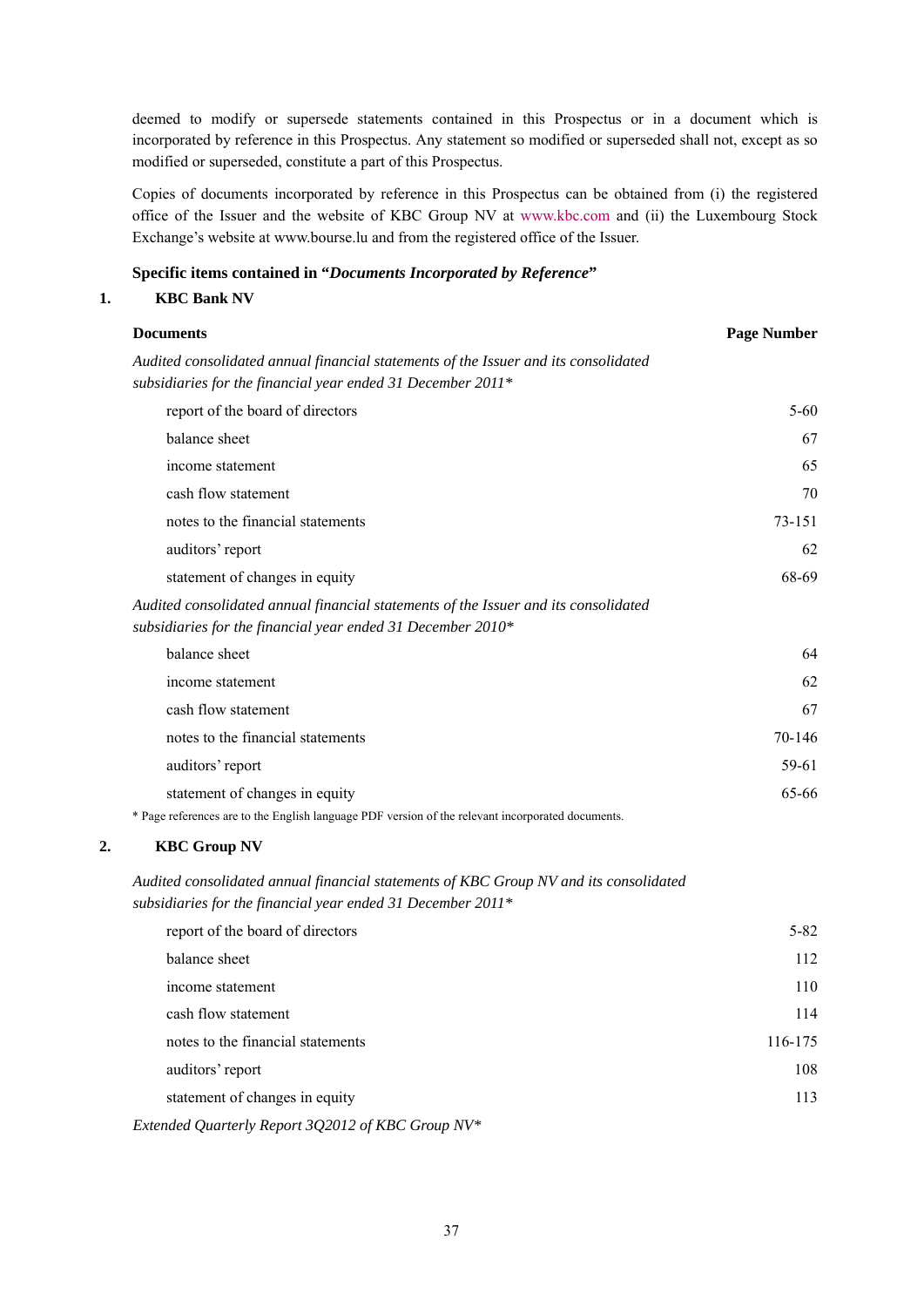deemed to modify or supersede statements contained in this Prospectus or in a document which is incorporated by reference in this Prospectus. Any statement so modified or superseded shall not, except as so modified or superseded, constitute a part of this Prospectus.

Copies of documents incorporated by reference in this Prospectus can be obtained from (i) the registered office of the Issuer and the website of KBC Group NV at www.kbc.com and (ii) the Luxembourg Stock Exchange's website at www.bourse.lu and from the registered office of the Issuer.

### **Specific items contained in "***Documents Incorporated by Reference***"**

#### **1. KBC Bank NV**

| <b>Documents</b>                                                                                  | <b>Page Number</b> |
|---------------------------------------------------------------------------------------------------|--------------------|
| Audited consolidated annual financial statements of the Issuer and its consolidated               |                    |
| subsidiaries for the financial year ended 31 December 2011*                                       |                    |
| report of the board of directors                                                                  | $5 - 60$           |
| balance sheet                                                                                     | 67                 |
| income statement                                                                                  | 65                 |
| cash flow statement                                                                               | 70                 |
| notes to the financial statements                                                                 | 73-151             |
| auditors' report                                                                                  | 62                 |
| statement of changes in equity                                                                    | 68-69              |
| Audited consolidated annual financial statements of the Issuer and its consolidated               |                    |
| subsidiaries for the financial year ended 31 December $2010*$                                     |                    |
| balance sheet                                                                                     | 64                 |
| income statement                                                                                  | 62                 |
| cash flow statement                                                                               | 67                 |
| notes to the financial statements                                                                 | 70-146             |
| auditors' report                                                                                  | 59-61              |
| statement of changes in equity                                                                    | 65-66              |
| * Page references are to the English language PDF version of the relevant incorporated documents. |                    |

# **2. KBC Group NV**

*Audited consolidated annual financial statements of KBC Group NV and its consolidated subsidiaries for the financial year ended 31 December 2011\** 

| report of the board of directors                  | $5 - 82$ |
|---------------------------------------------------|----------|
| balance sheet                                     | 112      |
| income statement                                  | 110      |
| cash flow statement                               | 114      |
| notes to the financial statements                 | 116-175  |
| auditors' report                                  | 108      |
| statement of changes in equity                    | 113      |
| Extended Quarterly Report 3Q2012 of KBC Group NV* |          |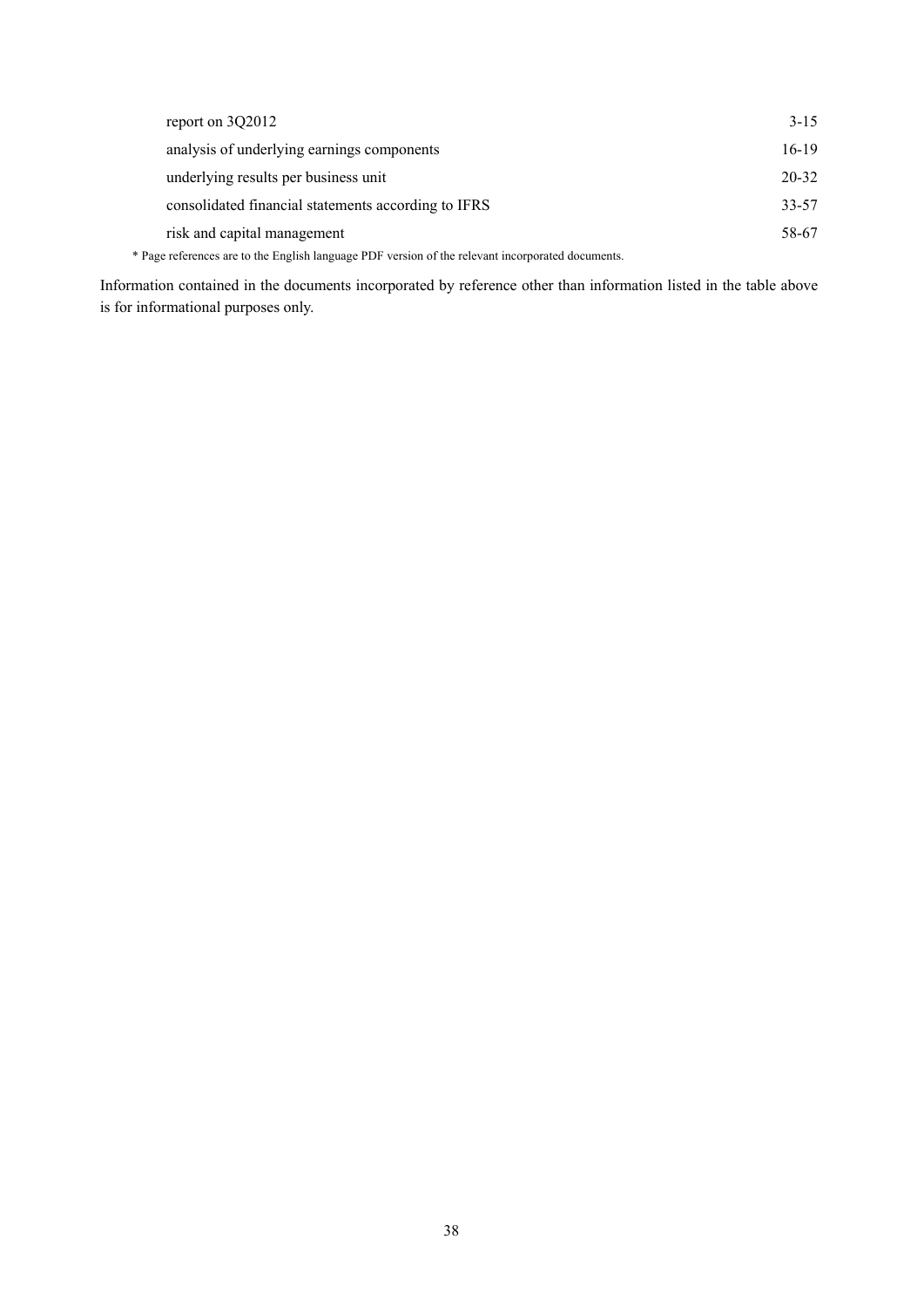| report on 3Q2012                                                                                  | $3 - 15$  |
|---------------------------------------------------------------------------------------------------|-----------|
| analysis of underlying earnings components                                                        | $16-19$   |
| underlying results per business unit                                                              | $20 - 32$ |
| consolidated financial statements according to IFRS                                               | $33 - 57$ |
| risk and capital management                                                                       | 58-67     |
| * Page references are to the English language PDF version of the relevant incorporated documents. |           |

Information contained in the documents incorporated by reference other than information listed in the table above is for informational purposes only.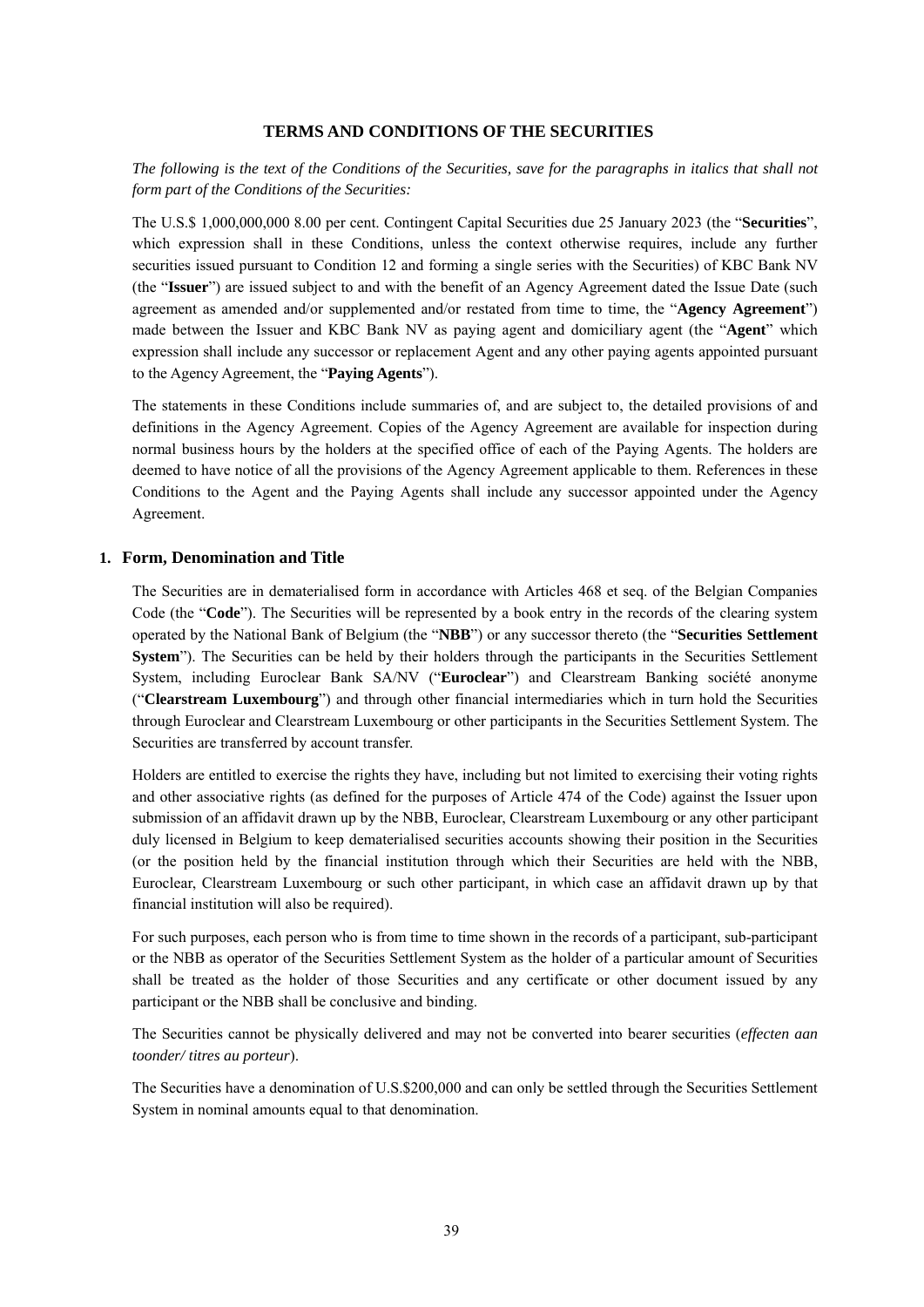### **TERMS AND CONDITIONS OF THE SECURITIES**

# *The following is the text of the Conditions of the Securities, save for the paragraphs in italics that shall not form part of the Conditions of the Securities:*

The U.S.\$ 1,000,000,000 8.00 per cent. Contingent Capital Securities due 25 January 2023 (the "**Securities**", which expression shall in these Conditions, unless the context otherwise requires, include any further securities issued pursuant to Condition 12 and forming a single series with the Securities) of KBC Bank NV (the "**Issuer**") are issued subject to and with the benefit of an Agency Agreement dated the Issue Date (such agreement as amended and/or supplemented and/or restated from time to time, the "**Agency Agreement**") made between the Issuer and KBC Bank NV as paying agent and domiciliary agent (the "**Agent**" which expression shall include any successor or replacement Agent and any other paying agents appointed pursuant to the Agency Agreement, the "**Paying Agents**").

The statements in these Conditions include summaries of, and are subject to, the detailed provisions of and definitions in the Agency Agreement. Copies of the Agency Agreement are available for inspection during normal business hours by the holders at the specified office of each of the Paying Agents. The holders are deemed to have notice of all the provisions of the Agency Agreement applicable to them. References in these Conditions to the Agent and the Paying Agents shall include any successor appointed under the Agency Agreement.

#### **1. Form, Denomination and Title**

The Securities are in dematerialised form in accordance with Articles 468 et seq. of the Belgian Companies Code (the "**Code**"). The Securities will be represented by a book entry in the records of the clearing system operated by the National Bank of Belgium (the "**NBB**") or any successor thereto (the "**Securities Settlement System**"). The Securities can be held by their holders through the participants in the Securities Settlement System, including Euroclear Bank SA/NV ("**Euroclear**") and Clearstream Banking société anonyme ("**Clearstream Luxembourg**") and through other financial intermediaries which in turn hold the Securities through Euroclear and Clearstream Luxembourg or other participants in the Securities Settlement System. The Securities are transferred by account transfer.

Holders are entitled to exercise the rights they have, including but not limited to exercising their voting rights and other associative rights (as defined for the purposes of Article 474 of the Code) against the Issuer upon submission of an affidavit drawn up by the NBB, Euroclear, Clearstream Luxembourg or any other participant duly licensed in Belgium to keep dematerialised securities accounts showing their position in the Securities (or the position held by the financial institution through which their Securities are held with the NBB, Euroclear, Clearstream Luxembourg or such other participant, in which case an affidavit drawn up by that financial institution will also be required).

For such purposes, each person who is from time to time shown in the records of a participant, sub-participant or the NBB as operator of the Securities Settlement System as the holder of a particular amount of Securities shall be treated as the holder of those Securities and any certificate or other document issued by any participant or the NBB shall be conclusive and binding.

The Securities cannot be physically delivered and may not be converted into bearer securities (*effecten aan toonder/ titres au porteur*).

The Securities have a denomination of U.S.\$200,000 and can only be settled through the Securities Settlement System in nominal amounts equal to that denomination.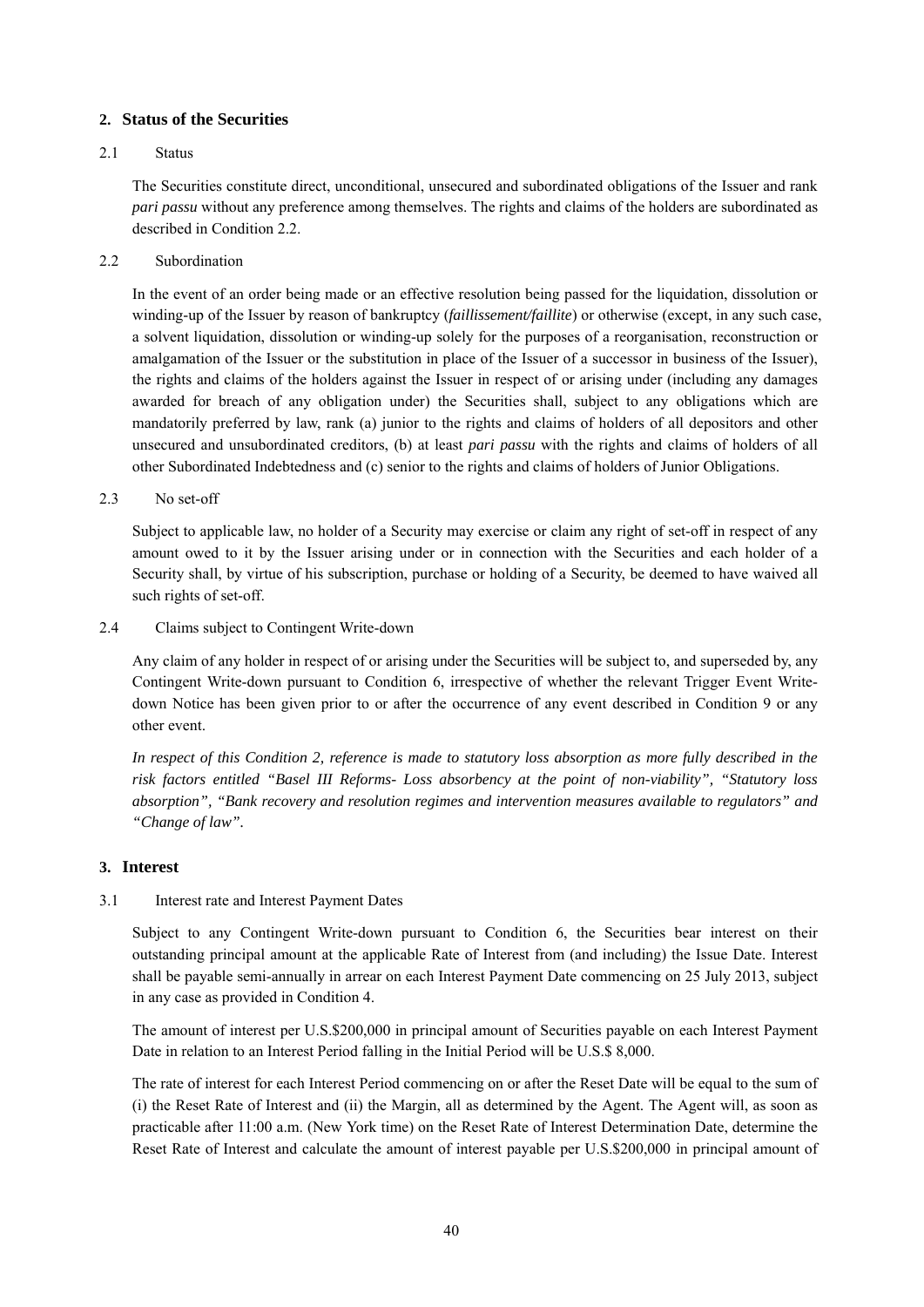### **2. Status of the Securities**

#### 2.1 Status

The Securities constitute direct, unconditional, unsecured and subordinated obligations of the Issuer and rank *pari passu* without any preference among themselves. The rights and claims of the holders are subordinated as described in Condition 2.2.

2.2 Subordination

In the event of an order being made or an effective resolution being passed for the liquidation, dissolution or winding-up of the Issuer by reason of bankruptcy (*faillissement/faillite*) or otherwise (except, in any such case, a solvent liquidation, dissolution or winding-up solely for the purposes of a reorganisation, reconstruction or amalgamation of the Issuer or the substitution in place of the Issuer of a successor in business of the Issuer), the rights and claims of the holders against the Issuer in respect of or arising under (including any damages awarded for breach of any obligation under) the Securities shall, subject to any obligations which are mandatorily preferred by law, rank (a) junior to the rights and claims of holders of all depositors and other unsecured and unsubordinated creditors, (b) at least *pari passu* with the rights and claims of holders of all other Subordinated Indebtedness and (c) senior to the rights and claims of holders of Junior Obligations.

2.3 No set-off

Subject to applicable law, no holder of a Security may exercise or claim any right of set-off in respect of any amount owed to it by the Issuer arising under or in connection with the Securities and each holder of a Security shall, by virtue of his subscription, purchase or holding of a Security, be deemed to have waived all such rights of set-off.

2.4 Claims subject to Contingent Write-down

Any claim of any holder in respect of or arising under the Securities will be subject to, and superseded by, any Contingent Write-down pursuant to Condition 6, irrespective of whether the relevant Trigger Event Writedown Notice has been given prior to or after the occurrence of any event described in Condition 9 or any other event.

*In respect of this Condition 2, reference is made to statutory loss absorption as more fully described in the risk factors entitled "Basel III Reforms- Loss absorbency at the point of non-viability", "Statutory loss absorption", "Bank recovery and resolution regimes and intervention measures available to regulators" and "Change of law".* 

# **3. Interest**

# 3.1 Interest rate and Interest Payment Dates

Subject to any Contingent Write-down pursuant to Condition 6, the Securities bear interest on their outstanding principal amount at the applicable Rate of Interest from (and including) the Issue Date. Interest shall be payable semi-annually in arrear on each Interest Payment Date commencing on 25 July 2013, subject in any case as provided in Condition 4.

The amount of interest per U.S.\$200,000 in principal amount of Securities payable on each Interest Payment Date in relation to an Interest Period falling in the Initial Period will be U.S.\$ 8,000.

The rate of interest for each Interest Period commencing on or after the Reset Date will be equal to the sum of (i) the Reset Rate of Interest and (ii) the Margin, all as determined by the Agent. The Agent will, as soon as practicable after 11:00 a.m. (New York time) on the Reset Rate of Interest Determination Date, determine the Reset Rate of Interest and calculate the amount of interest payable per U.S.\$200,000 in principal amount of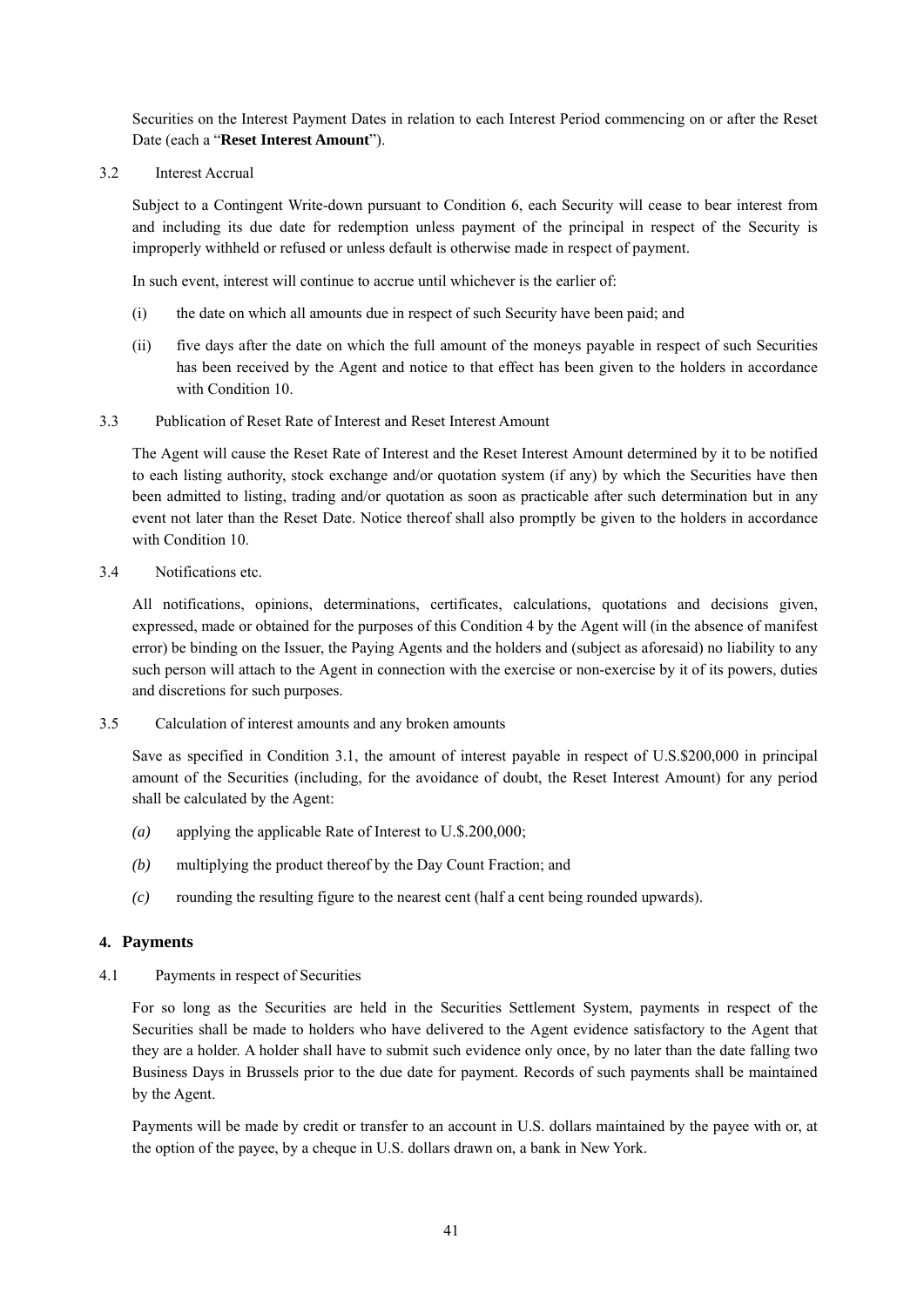Securities on the Interest Payment Dates in relation to each Interest Period commencing on or after the Reset Date (each a "**Reset Interest Amount**").

3.2 Interest Accrual

Subject to a Contingent Write-down pursuant to Condition 6, each Security will cease to bear interest from and including its due date for redemption unless payment of the principal in respect of the Security is improperly withheld or refused or unless default is otherwise made in respect of payment.

In such event, interest will continue to accrue until whichever is the earlier of:

- (i) the date on which all amounts due in respect of such Security have been paid; and
- (ii) five days after the date on which the full amount of the moneys payable in respect of such Securities has been received by the Agent and notice to that effect has been given to the holders in accordance with Condition 10.
- 3.3 Publication of Reset Rate of Interest and Reset Interest Amount

The Agent will cause the Reset Rate of Interest and the Reset Interest Amount determined by it to be notified to each listing authority, stock exchange and/or quotation system (if any) by which the Securities have then been admitted to listing, trading and/or quotation as soon as practicable after such determination but in any event not later than the Reset Date. Notice thereof shall also promptly be given to the holders in accordance with Condition 10.

3.4 Notifications etc.

All notifications, opinions, determinations, certificates, calculations, quotations and decisions given, expressed, made or obtained for the purposes of this Condition 4 by the Agent will (in the absence of manifest error) be binding on the Issuer, the Paying Agents and the holders and (subject as aforesaid) no liability to any such person will attach to the Agent in connection with the exercise or non-exercise by it of its powers, duties and discretions for such purposes.

3.5 Calculation of interest amounts and any broken amounts

Save as specified in Condition 3.1, the amount of interest payable in respect of U.S.\$200,000 in principal amount of the Securities (including, for the avoidance of doubt, the Reset Interest Amount) for any period shall be calculated by the Agent:

- *(a)* applying the applicable Rate of Interest to U.\$.200,000;
- *(b)* multiplying the product thereof by the Day Count Fraction; and
- *(c)* rounding the resulting figure to the nearest cent (half a cent being rounded upwards).

# **4. Payments**

4.1 Payments in respect of Securities

For so long as the Securities are held in the Securities Settlement System, payments in respect of the Securities shall be made to holders who have delivered to the Agent evidence satisfactory to the Agent that they are a holder. A holder shall have to submit such evidence only once, by no later than the date falling two Business Days in Brussels prior to the due date for payment. Records of such payments shall be maintained by the Agent.

Payments will be made by credit or transfer to an account in U.S. dollars maintained by the payee with or, at the option of the payee, by a cheque in U.S. dollars drawn on, a bank in New York.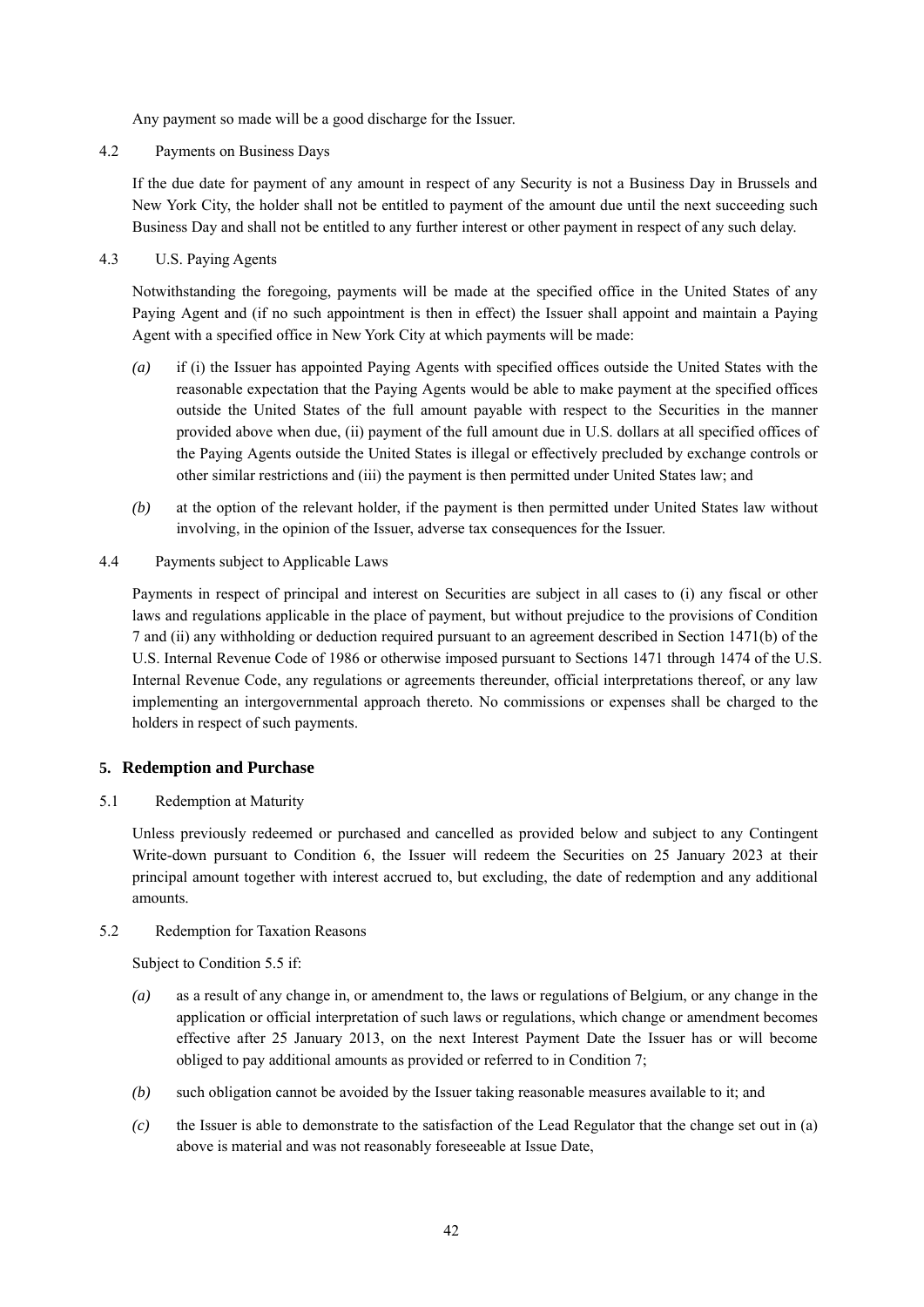Any payment so made will be a good discharge for the Issuer.

4.2 Payments on Business Days

If the due date for payment of any amount in respect of any Security is not a Business Day in Brussels and New York City, the holder shall not be entitled to payment of the amount due until the next succeeding such Business Day and shall not be entitled to any further interest or other payment in respect of any such delay.

4.3 U.S. Paying Agents

Notwithstanding the foregoing, payments will be made at the specified office in the United States of any Paying Agent and (if no such appointment is then in effect) the Issuer shall appoint and maintain a Paying Agent with a specified office in New York City at which payments will be made:

- *(a)* if (i) the Issuer has appointed Paying Agents with specified offices outside the United States with the reasonable expectation that the Paying Agents would be able to make payment at the specified offices outside the United States of the full amount payable with respect to the Securities in the manner provided above when due, (ii) payment of the full amount due in U.S. dollars at all specified offices of the Paying Agents outside the United States is illegal or effectively precluded by exchange controls or other similar restrictions and (iii) the payment is then permitted under United States law; and
- *(b)* at the option of the relevant holder, if the payment is then permitted under United States law without involving, in the opinion of the Issuer, adverse tax consequences for the Issuer.
- 4.4 Payments subject to Applicable Laws

Payments in respect of principal and interest on Securities are subject in all cases to (i) any fiscal or other laws and regulations applicable in the place of payment, but without prejudice to the provisions of Condition 7 and (ii) any withholding or deduction required pursuant to an agreement described in Section 1471(b) of the U.S. Internal Revenue Code of 1986 or otherwise imposed pursuant to Sections 1471 through 1474 of the U.S. Internal Revenue Code, any regulations or agreements thereunder, official interpretations thereof, or any law implementing an intergovernmental approach thereto. No commissions or expenses shall be charged to the holders in respect of such payments.

# **5. Redemption and Purchase**

5.1 Redemption at Maturity

Unless previously redeemed or purchased and cancelled as provided below and subject to any Contingent Write-down pursuant to Condition 6, the Issuer will redeem the Securities on 25 January 2023 at their principal amount together with interest accrued to, but excluding, the date of redemption and any additional amounts.

# 5.2 Redemption for Taxation Reasons

Subject to Condition 5.5 if:

- *(a)* as a result of any change in, or amendment to, the laws or regulations of Belgium, or any change in the application or official interpretation of such laws or regulations, which change or amendment becomes effective after 25 January 2013, on the next Interest Payment Date the Issuer has or will become obliged to pay additional amounts as provided or referred to in Condition 7;
- *(b)* such obligation cannot be avoided by the Issuer taking reasonable measures available to it; and
- *(c)* the Issuer is able to demonstrate to the satisfaction of the Lead Regulator that the change set out in (a) above is material and was not reasonably foreseeable at Issue Date,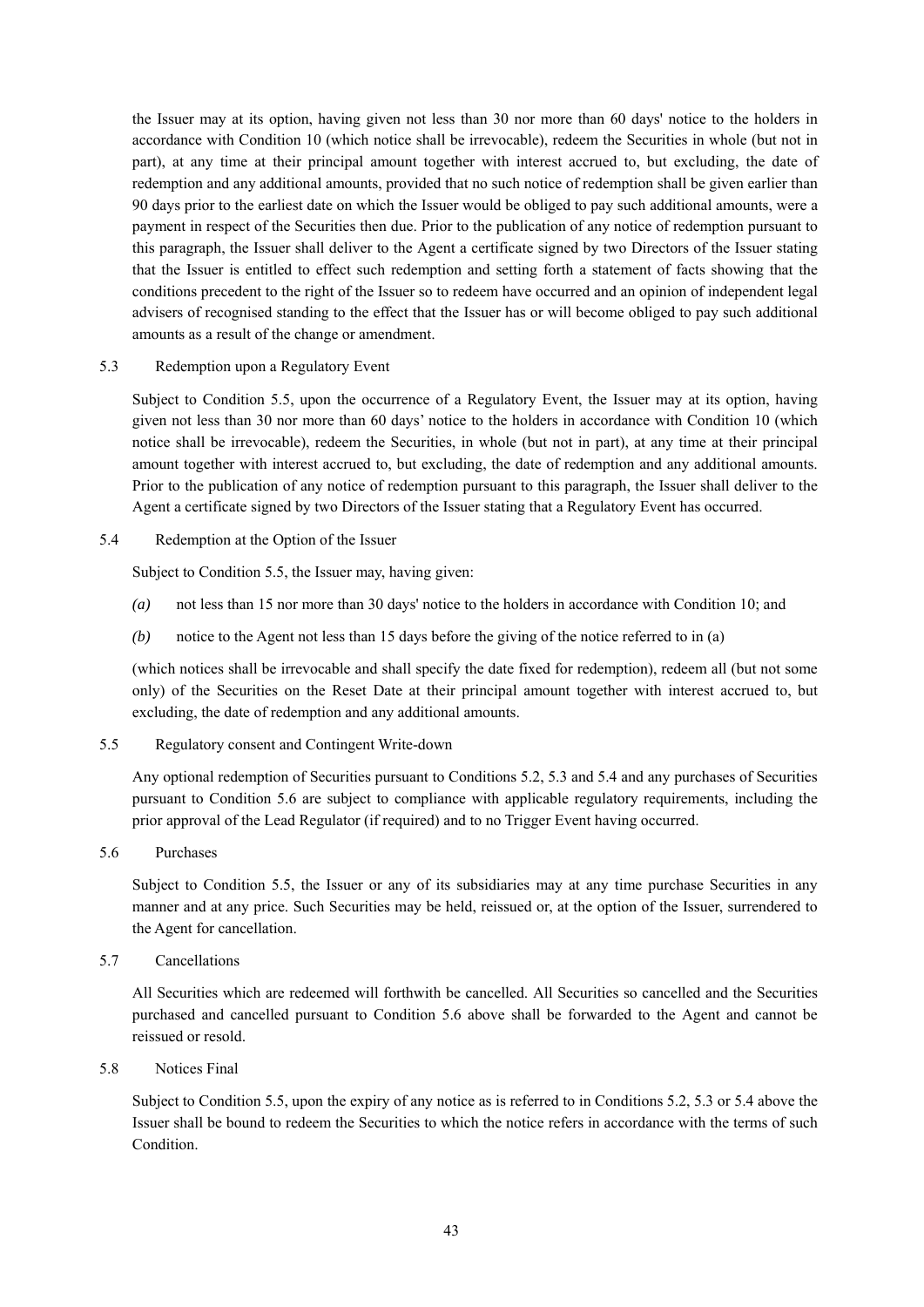the Issuer may at its option, having given not less than 30 nor more than 60 days' notice to the holders in accordance with Condition 10 (which notice shall be irrevocable), redeem the Securities in whole (but not in part), at any time at their principal amount together with interest accrued to, but excluding, the date of redemption and any additional amounts, provided that no such notice of redemption shall be given earlier than 90 days prior to the earliest date on which the Issuer would be obliged to pay such additional amounts, were a payment in respect of the Securities then due. Prior to the publication of any notice of redemption pursuant to this paragraph, the Issuer shall deliver to the Agent a certificate signed by two Directors of the Issuer stating that the Issuer is entitled to effect such redemption and setting forth a statement of facts showing that the conditions precedent to the right of the Issuer so to redeem have occurred and an opinion of independent legal advisers of recognised standing to the effect that the Issuer has or will become obliged to pay such additional amounts as a result of the change or amendment.

### 5.3 Redemption upon a Regulatory Event

Subject to Condition 5.5, upon the occurrence of a Regulatory Event, the Issuer may at its option, having given not less than 30 nor more than 60 days' notice to the holders in accordance with Condition 10 (which notice shall be irrevocable), redeem the Securities, in whole (but not in part), at any time at their principal amount together with interest accrued to, but excluding, the date of redemption and any additional amounts. Prior to the publication of any notice of redemption pursuant to this paragraph, the Issuer shall deliver to the Agent a certificate signed by two Directors of the Issuer stating that a Regulatory Event has occurred.

### 5.4 Redemption at the Option of the Issuer

Subject to Condition 5.5, the Issuer may, having given:

- *(a)* not less than 15 nor more than 30 days' notice to the holders in accordance with Condition 10; and
- *(b)* notice to the Agent not less than 15 days before the giving of the notice referred to in (a)

(which notices shall be irrevocable and shall specify the date fixed for redemption), redeem all (but not some only) of the Securities on the Reset Date at their principal amount together with interest accrued to, but excluding, the date of redemption and any additional amounts.

#### 5.5 Regulatory consent and Contingent Write-down

Any optional redemption of Securities pursuant to Conditions 5.2, 5.3 and 5.4 and any purchases of Securities pursuant to Condition 5.6 are subject to compliance with applicable regulatory requirements, including the prior approval of the Lead Regulator (if required) and to no Trigger Event having occurred.

#### 5.6 Purchases

Subject to Condition 5.5, the Issuer or any of its subsidiaries may at any time purchase Securities in any manner and at any price. Such Securities may be held, reissued or, at the option of the Issuer, surrendered to the Agent for cancellation.

### 5.7 Cancellations

All Securities which are redeemed will forthwith be cancelled. All Securities so cancelled and the Securities purchased and cancelled pursuant to Condition 5.6 above shall be forwarded to the Agent and cannot be reissued or resold.

### 5.8 Notices Final

Subject to Condition 5.5, upon the expiry of any notice as is referred to in Conditions 5.2, 5.3 or 5.4 above the Issuer shall be bound to redeem the Securities to which the notice refers in accordance with the terms of such Condition.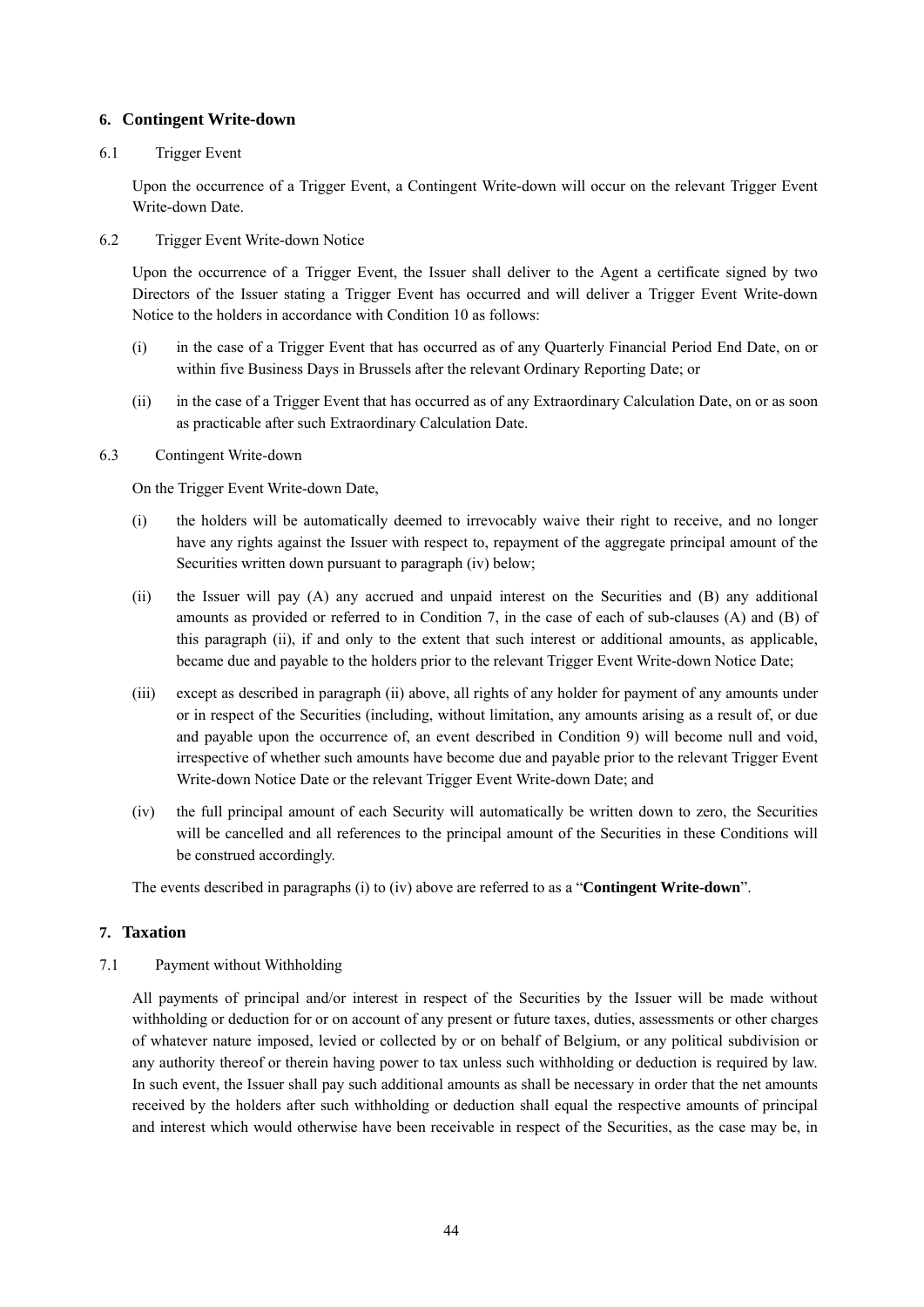### **6. Contingent Write-down**

#### 6.1 Trigger Event

Upon the occurrence of a Trigger Event, a Contingent Write-down will occur on the relevant Trigger Event Write-down Date.

6.2 Trigger Event Write-down Notice

Upon the occurrence of a Trigger Event, the Issuer shall deliver to the Agent a certificate signed by two Directors of the Issuer stating a Trigger Event has occurred and will deliver a Trigger Event Write-down Notice to the holders in accordance with Condition 10 as follows:

- (i) in the case of a Trigger Event that has occurred as of any Quarterly Financial Period End Date, on or within five Business Days in Brussels after the relevant Ordinary Reporting Date; or
- (ii) in the case of a Trigger Event that has occurred as of any Extraordinary Calculation Date, on or as soon as practicable after such Extraordinary Calculation Date.

#### 6.3 Contingent Write-down

On the Trigger Event Write-down Date,

- (i) the holders will be automatically deemed to irrevocably waive their right to receive, and no longer have any rights against the Issuer with respect to, repayment of the aggregate principal amount of the Securities written down pursuant to paragraph (iv) below;
- (ii) the Issuer will pay (A) any accrued and unpaid interest on the Securities and (B) any additional amounts as provided or referred to in Condition 7, in the case of each of sub-clauses (A) and (B) of this paragraph (ii), if and only to the extent that such interest or additional amounts, as applicable, became due and payable to the holders prior to the relevant Trigger Event Write-down Notice Date;
- (iii) except as described in paragraph (ii) above, all rights of any holder for payment of any amounts under or in respect of the Securities (including, without limitation, any amounts arising as a result of, or due and payable upon the occurrence of, an event described in Condition 9) will become null and void, irrespective of whether such amounts have become due and payable prior to the relevant Trigger Event Write-down Notice Date or the relevant Trigger Event Write-down Date; and
- (iv) the full principal amount of each Security will automatically be written down to zero, the Securities will be cancelled and all references to the principal amount of the Securities in these Conditions will be construed accordingly.

The events described in paragraphs (i) to (iv) above are referred to as a "**Contingent Write-down**".

#### **7. Taxation**

7.1 Payment without Withholding

All payments of principal and/or interest in respect of the Securities by the Issuer will be made without withholding or deduction for or on account of any present or future taxes, duties, assessments or other charges of whatever nature imposed, levied or collected by or on behalf of Belgium, or any political subdivision or any authority thereof or therein having power to tax unless such withholding or deduction is required by law. In such event, the Issuer shall pay such additional amounts as shall be necessary in order that the net amounts received by the holders after such withholding or deduction shall equal the respective amounts of principal and interest which would otherwise have been receivable in respect of the Securities, as the case may be, in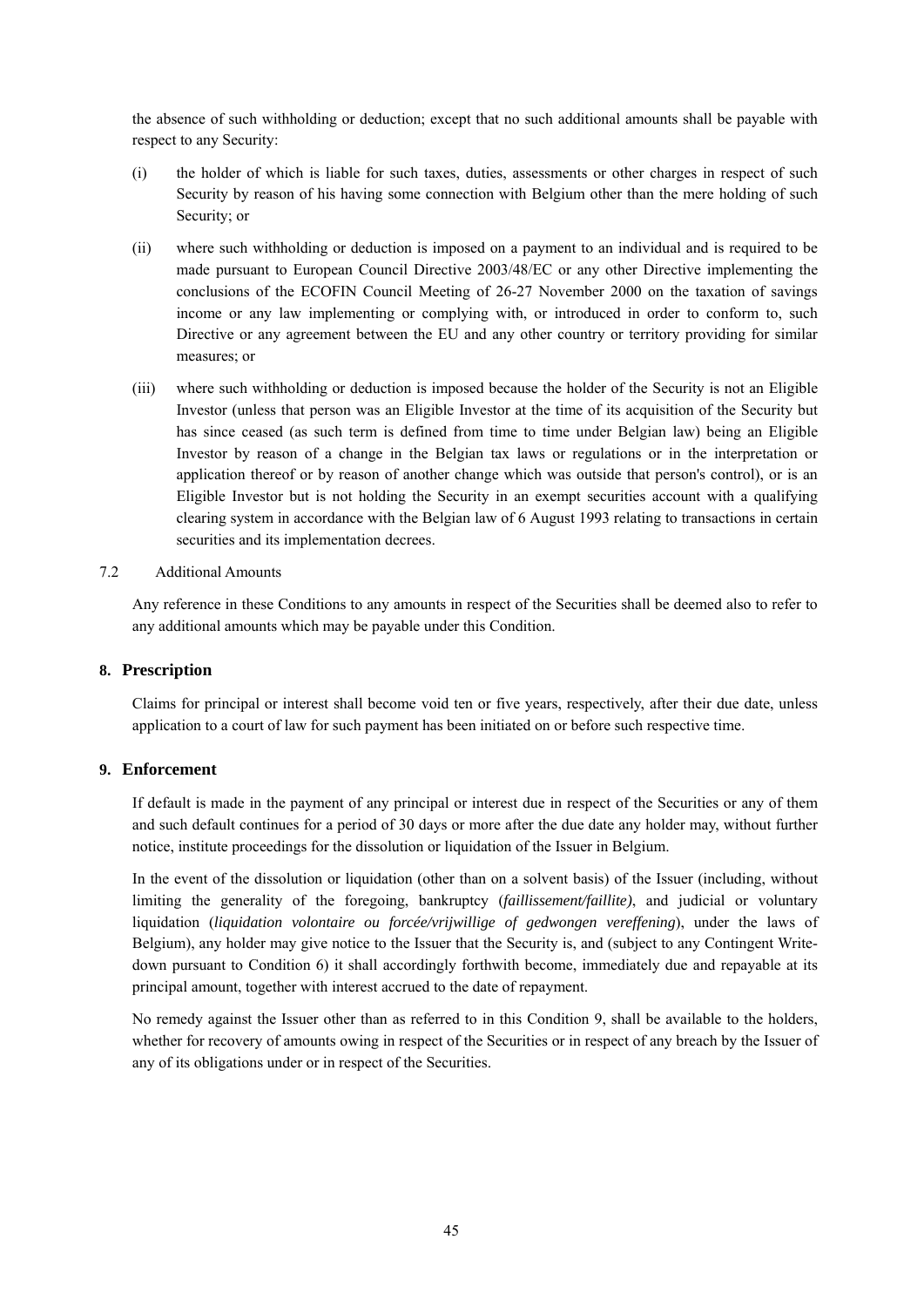the absence of such withholding or deduction; except that no such additional amounts shall be payable with respect to any Security:

- (i) the holder of which is liable for such taxes, duties, assessments or other charges in respect of such Security by reason of his having some connection with Belgium other than the mere holding of such Security; or
- (ii) where such withholding or deduction is imposed on a payment to an individual and is required to be made pursuant to European Council Directive 2003/48/EC or any other Directive implementing the conclusions of the ECOFIN Council Meeting of 26-27 November 2000 on the taxation of savings income or any law implementing or complying with, or introduced in order to conform to, such Directive or any agreement between the EU and any other country or territory providing for similar measures; or
- (iii) where such withholding or deduction is imposed because the holder of the Security is not an Eligible Investor (unless that person was an Eligible Investor at the time of its acquisition of the Security but has since ceased (as such term is defined from time to time under Belgian law) being an Eligible Investor by reason of a change in the Belgian tax laws or regulations or in the interpretation or application thereof or by reason of another change which was outside that person's control), or is an Eligible Investor but is not holding the Security in an exempt securities account with a qualifying clearing system in accordance with the Belgian law of 6 August 1993 relating to transactions in certain securities and its implementation decrees.

#### 7.2 Additional Amounts

Any reference in these Conditions to any amounts in respect of the Securities shall be deemed also to refer to any additional amounts which may be payable under this Condition.

#### **8. Prescription**

Claims for principal or interest shall become void ten or five years, respectively, after their due date, unless application to a court of law for such payment has been initiated on or before such respective time.

#### **9. Enforcement**

If default is made in the payment of any principal or interest due in respect of the Securities or any of them and such default continues for a period of 30 days or more after the due date any holder may, without further notice, institute proceedings for the dissolution or liquidation of the Issuer in Belgium.

In the event of the dissolution or liquidation (other than on a solvent basis) of the Issuer (including, without limiting the generality of the foregoing, bankruptcy (*faillissement/faillite)*, and judicial or voluntary liquidation (*liquidation volontaire ou forcée/vrijwillige of gedwongen vereffening*), under the laws of Belgium), any holder may give notice to the Issuer that the Security is, and (subject to any Contingent Writedown pursuant to Condition 6) it shall accordingly forthwith become, immediately due and repayable at its principal amount, together with interest accrued to the date of repayment.

No remedy against the Issuer other than as referred to in this Condition 9, shall be available to the holders, whether for recovery of amounts owing in respect of the Securities or in respect of any breach by the Issuer of any of its obligations under or in respect of the Securities.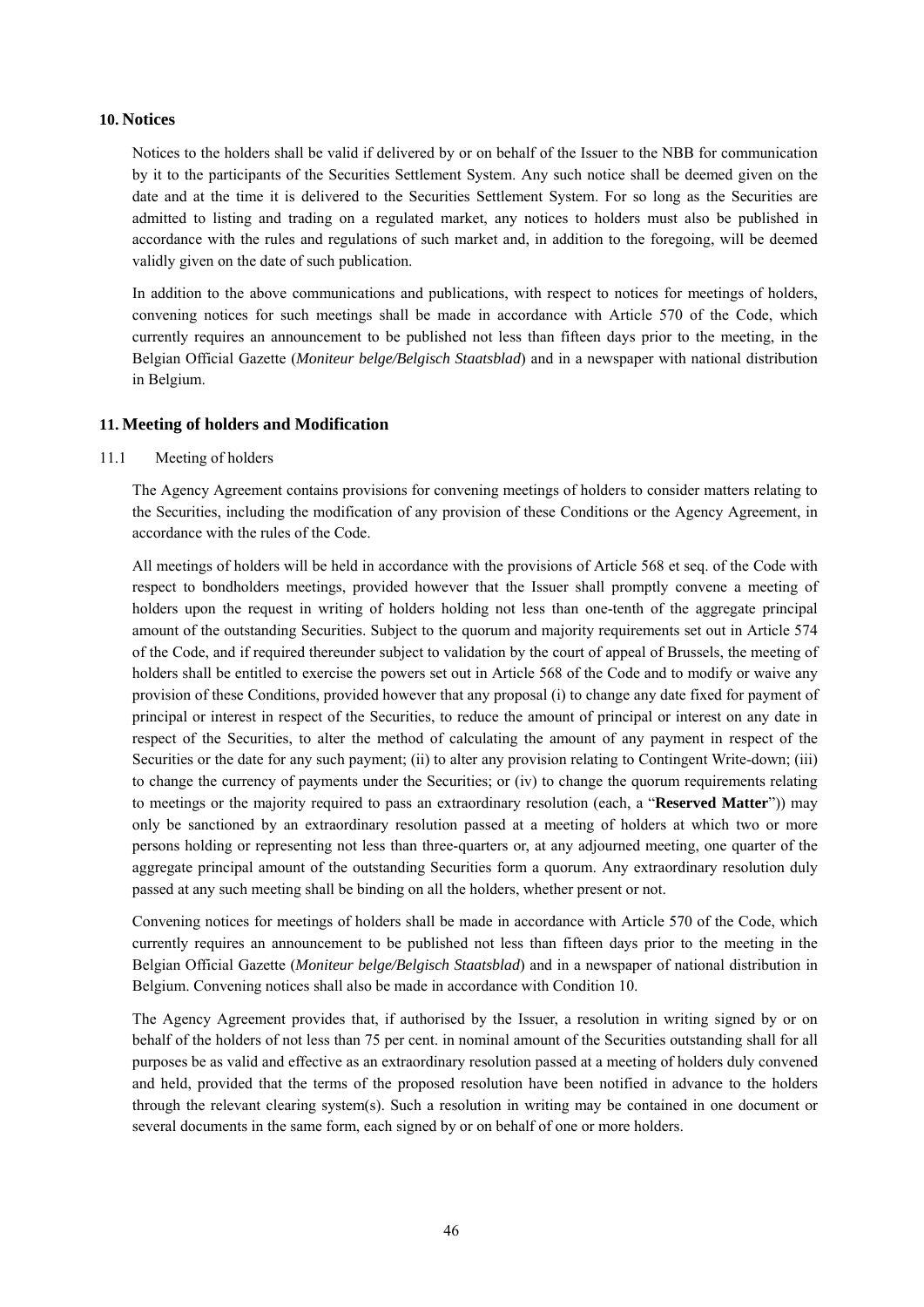#### **10. Notices**

Notices to the holders shall be valid if delivered by or on behalf of the Issuer to the NBB for communication by it to the participants of the Securities Settlement System. Any such notice shall be deemed given on the date and at the time it is delivered to the Securities Settlement System. For so long as the Securities are admitted to listing and trading on a regulated market, any notices to holders must also be published in accordance with the rules and regulations of such market and, in addition to the foregoing, will be deemed validly given on the date of such publication.

In addition to the above communications and publications, with respect to notices for meetings of holders, convening notices for such meetings shall be made in accordance with Article 570 of the Code, which currently requires an announcement to be published not less than fifteen days prior to the meeting, in the Belgian Official Gazette (*Moniteur belge/Belgisch Staatsblad*) and in a newspaper with national distribution in Belgium.

#### **11. Meeting of holders and Modification**

#### 11.1 Meeting of holders

The Agency Agreement contains provisions for convening meetings of holders to consider matters relating to the Securities, including the modification of any provision of these Conditions or the Agency Agreement, in accordance with the rules of the Code.

All meetings of holders will be held in accordance with the provisions of Article 568 et seq. of the Code with respect to bondholders meetings, provided however that the Issuer shall promptly convene a meeting of holders upon the request in writing of holders holding not less than one-tenth of the aggregate principal amount of the outstanding Securities. Subject to the quorum and majority requirements set out in Article 574 of the Code, and if required thereunder subject to validation by the court of appeal of Brussels, the meeting of holders shall be entitled to exercise the powers set out in Article 568 of the Code and to modify or waive any provision of these Conditions, provided however that any proposal (i) to change any date fixed for payment of principal or interest in respect of the Securities, to reduce the amount of principal or interest on any date in respect of the Securities, to alter the method of calculating the amount of any payment in respect of the Securities or the date for any such payment; (ii) to alter any provision relating to Contingent Write-down; (iii) to change the currency of payments under the Securities; or (iv) to change the quorum requirements relating to meetings or the majority required to pass an extraordinary resolution (each, a "**Reserved Matter**")) may only be sanctioned by an extraordinary resolution passed at a meeting of holders at which two or more persons holding or representing not less than three-quarters or, at any adjourned meeting, one quarter of the aggregate principal amount of the outstanding Securities form a quorum. Any extraordinary resolution duly passed at any such meeting shall be binding on all the holders, whether present or not.

Convening notices for meetings of holders shall be made in accordance with Article 570 of the Code, which currently requires an announcement to be published not less than fifteen days prior to the meeting in the Belgian Official Gazette (*Moniteur belge/Belgisch Staatsblad*) and in a newspaper of national distribution in Belgium. Convening notices shall also be made in accordance with Condition 10.

The Agency Agreement provides that, if authorised by the Issuer, a resolution in writing signed by or on behalf of the holders of not less than 75 per cent. in nominal amount of the Securities outstanding shall for all purposes be as valid and effective as an extraordinary resolution passed at a meeting of holders duly convened and held, provided that the terms of the proposed resolution have been notified in advance to the holders through the relevant clearing system(s). Such a resolution in writing may be contained in one document or several documents in the same form, each signed by or on behalf of one or more holders.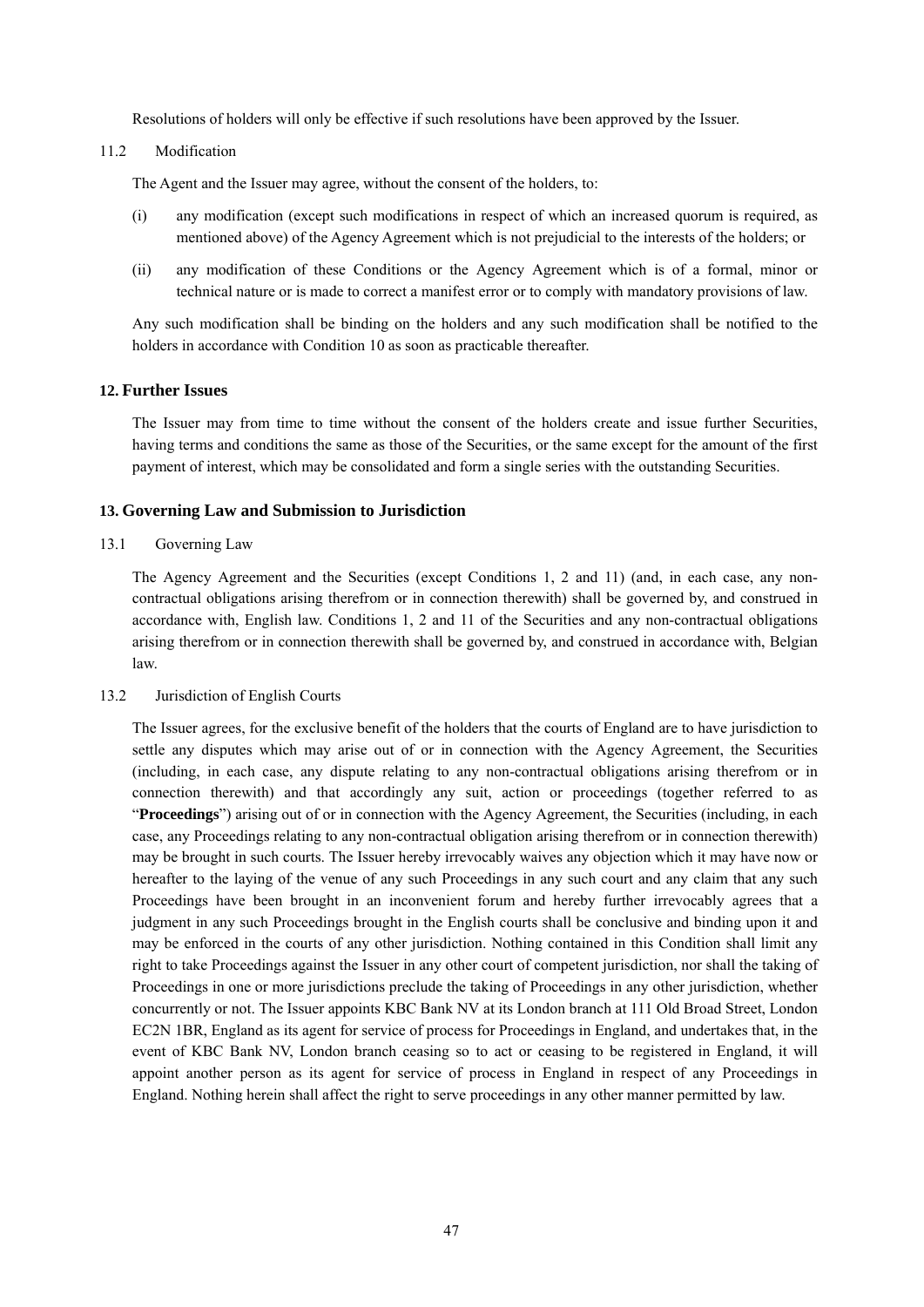Resolutions of holders will only be effective if such resolutions have been approved by the Issuer.

11.2 Modification

The Agent and the Issuer may agree, without the consent of the holders, to:

- (i) any modification (except such modifications in respect of which an increased quorum is required, as mentioned above) of the Agency Agreement which is not prejudicial to the interests of the holders; or
- (ii) any modification of these Conditions or the Agency Agreement which is of a formal, minor or technical nature or is made to correct a manifest error or to comply with mandatory provisions of law.

Any such modification shall be binding on the holders and any such modification shall be notified to the holders in accordance with Condition 10 as soon as practicable thereafter.

#### **12. Further Issues**

The Issuer may from time to time without the consent of the holders create and issue further Securities, having terms and conditions the same as those of the Securities, or the same except for the amount of the first payment of interest, which may be consolidated and form a single series with the outstanding Securities.

#### **13. Governing Law and Submission to Jurisdiction**

#### 13.1 Governing Law

The Agency Agreement and the Securities (except Conditions 1, 2 and 11) (and, in each case, any noncontractual obligations arising therefrom or in connection therewith) shall be governed by, and construed in accordance with, English law. Conditions 1, 2 and 11 of the Securities and any non-contractual obligations arising therefrom or in connection therewith shall be governed by, and construed in accordance with, Belgian law.

#### 13.2 Jurisdiction of English Courts

The Issuer agrees, for the exclusive benefit of the holders that the courts of England are to have jurisdiction to settle any disputes which may arise out of or in connection with the Agency Agreement, the Securities (including, in each case, any dispute relating to any non-contractual obligations arising therefrom or in connection therewith) and that accordingly any suit, action or proceedings (together referred to as "**Proceedings**") arising out of or in connection with the Agency Agreement, the Securities (including, in each case, any Proceedings relating to any non-contractual obligation arising therefrom or in connection therewith) may be brought in such courts. The Issuer hereby irrevocably waives any objection which it may have now or hereafter to the laying of the venue of any such Proceedings in any such court and any claim that any such Proceedings have been brought in an inconvenient forum and hereby further irrevocably agrees that a judgment in any such Proceedings brought in the English courts shall be conclusive and binding upon it and may be enforced in the courts of any other jurisdiction. Nothing contained in this Condition shall limit any right to take Proceedings against the Issuer in any other court of competent jurisdiction, nor shall the taking of Proceedings in one or more jurisdictions preclude the taking of Proceedings in any other jurisdiction, whether concurrently or not. The Issuer appoints KBC Bank NV at its London branch at 111 Old Broad Street, London EC2N 1BR, England as its agent for service of process for Proceedings in England, and undertakes that, in the event of KBC Bank NV, London branch ceasing so to act or ceasing to be registered in England, it will appoint another person as its agent for service of process in England in respect of any Proceedings in England. Nothing herein shall affect the right to serve proceedings in any other manner permitted by law.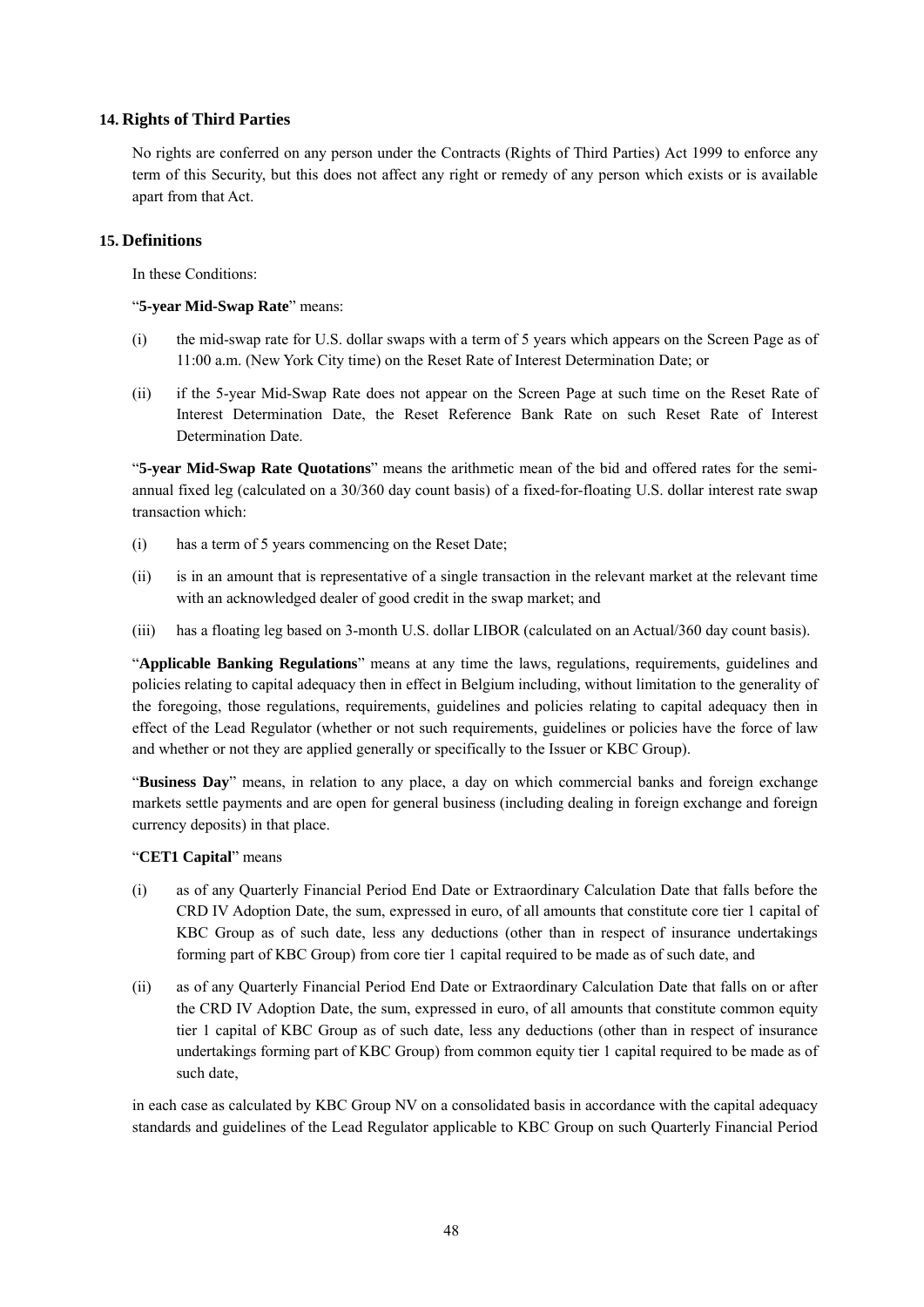### **14. Rights of Third Parties**

No rights are conferred on any person under the Contracts (Rights of Third Parties) Act 1999 to enforce any term of this Security, but this does not affect any right or remedy of any person which exists or is available apart from that Act.

### **15. Definitions**

In these Conditions:

### "**5-year Mid-Swap Rate**" means:

- (i) the mid-swap rate for U.S. dollar swaps with a term of 5 years which appears on the Screen Page as of 11:00 a.m. (New York City time) on the Reset Rate of Interest Determination Date; or
- (ii) if the 5-year Mid-Swap Rate does not appear on the Screen Page at such time on the Reset Rate of Interest Determination Date, the Reset Reference Bank Rate on such Reset Rate of Interest Determination Date.

"**5-year Mid-Swap Rate Quotations**" means the arithmetic mean of the bid and offered rates for the semiannual fixed leg (calculated on a 30/360 day count basis) of a fixed-for-floating U.S. dollar interest rate swap transaction which:

- (i) has a term of 5 years commencing on the Reset Date;
- (ii) is in an amount that is representative of a single transaction in the relevant market at the relevant time with an acknowledged dealer of good credit in the swap market; and
- (iii) has a floating leg based on 3-month U.S. dollar LIBOR (calculated on an Actual/360 day count basis).

"**Applicable Banking Regulations**" means at any time the laws, regulations, requirements, guidelines and policies relating to capital adequacy then in effect in Belgium including, without limitation to the generality of the foregoing, those regulations, requirements, guidelines and policies relating to capital adequacy then in effect of the Lead Regulator (whether or not such requirements, guidelines or policies have the force of law and whether or not they are applied generally or specifically to the Issuer or KBC Group).

"**Business Day**" means, in relation to any place, a day on which commercial banks and foreign exchange markets settle payments and are open for general business (including dealing in foreign exchange and foreign currency deposits) in that place.

# "**CET1 Capital**" means

- (i) as of any Quarterly Financial Period End Date or Extraordinary Calculation Date that falls before the CRD IV Adoption Date, the sum, expressed in euro, of all amounts that constitute core tier 1 capital of KBC Group as of such date, less any deductions (other than in respect of insurance undertakings forming part of KBC Group) from core tier 1 capital required to be made as of such date, and
- (ii) as of any Quarterly Financial Period End Date or Extraordinary Calculation Date that falls on or after the CRD IV Adoption Date, the sum, expressed in euro, of all amounts that constitute common equity tier 1 capital of KBC Group as of such date, less any deductions (other than in respect of insurance undertakings forming part of KBC Group) from common equity tier 1 capital required to be made as of such date,

in each case as calculated by KBC Group NV on a consolidated basis in accordance with the capital adequacy standards and guidelines of the Lead Regulator applicable to KBC Group on such Quarterly Financial Period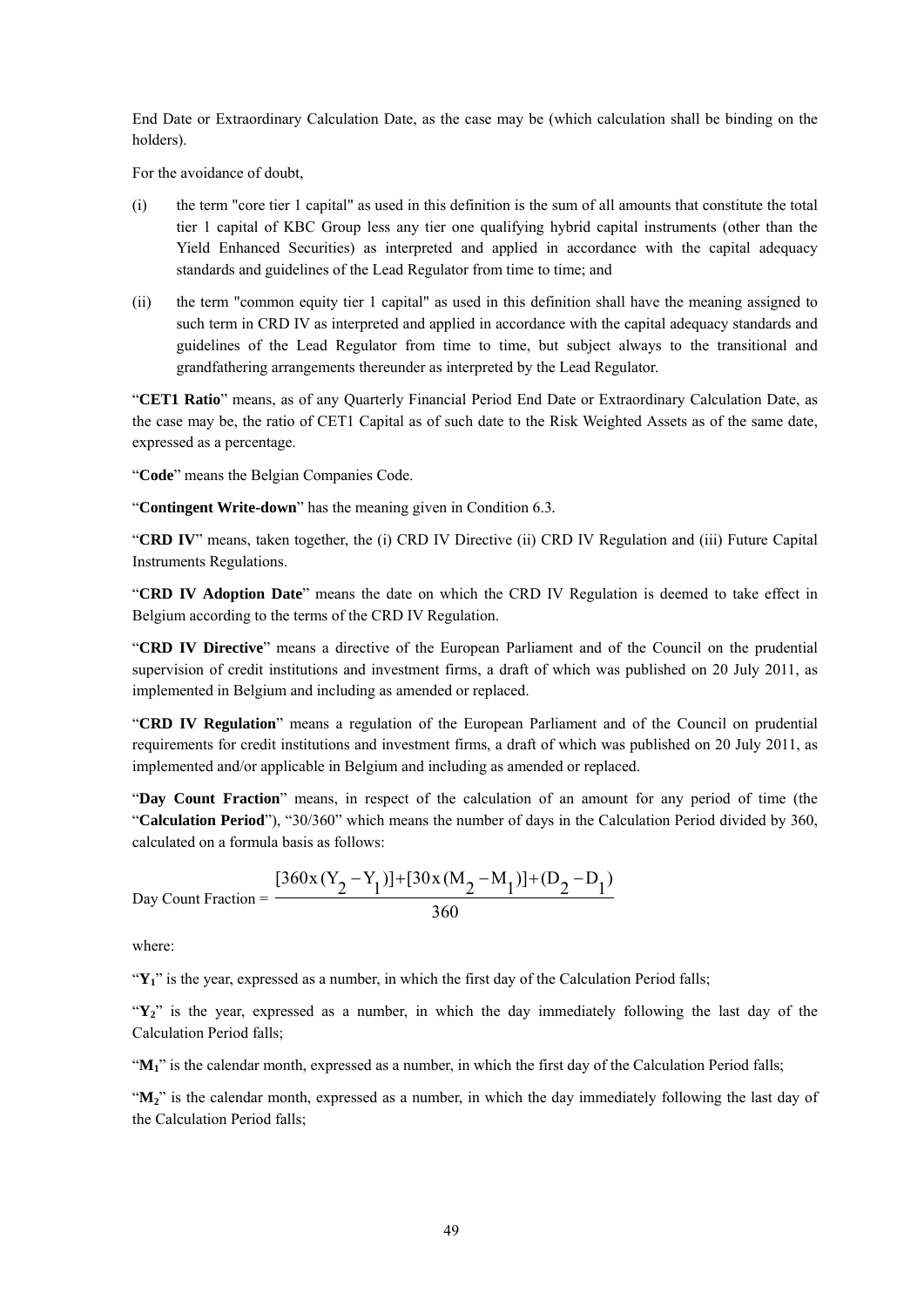End Date or Extraordinary Calculation Date, as the case may be (which calculation shall be binding on the holders).

For the avoidance of doubt,

- (i) the term "core tier 1 capital" as used in this definition is the sum of all amounts that constitute the total tier 1 capital of KBC Group less any tier one qualifying hybrid capital instruments (other than the Yield Enhanced Securities) as interpreted and applied in accordance with the capital adequacy standards and guidelines of the Lead Regulator from time to time; and
- (ii) the term "common equity tier 1 capital" as used in this definition shall have the meaning assigned to such term in CRD IV as interpreted and applied in accordance with the capital adequacy standards and guidelines of the Lead Regulator from time to time, but subject always to the transitional and grandfathering arrangements thereunder as interpreted by the Lead Regulator.

"**CET1 Ratio**" means, as of any Quarterly Financial Period End Date or Extraordinary Calculation Date, as the case may be, the ratio of CET1 Capital as of such date to the Risk Weighted Assets as of the same date, expressed as a percentage.

"**Code**" means the Belgian Companies Code.

"**Contingent Write-down**" has the meaning given in Condition 6.3*.*

"**CRD IV**" means, taken together, the (i) CRD IV Directive (ii) CRD IV Regulation and (iii) Future Capital Instruments Regulations.

"**CRD IV Adoption Date**" means the date on which the CRD IV Regulation is deemed to take effect in Belgium according to the terms of the CRD IV Regulation.

"**CRD IV Directive**" means a directive of the European Parliament and of the Council on the prudential supervision of credit institutions and investment firms, a draft of which was published on 20 July 2011, as implemented in Belgium and including as amended or replaced.

"**CRD IV Regulation**" means a regulation of the European Parliament and of the Council on prudential requirements for credit institutions and investment firms, a draft of which was published on 20 July 2011, as implemented and/or applicable in Belgium and including as amended or replaced.

"**Day Count Fraction**" means, in respect of the calculation of an amount for any period of time (the "**Calculation Period**"), "30/360" which means the number of days in the Calculation Period divided by 360, calculated on a formula basis as follows:

Day Count Fraction = 
$$
\frac{[360x(Y_2 - Y_1)] + [30x(M_2 - M_1)] + (D_2 - D_1)}{360}
$$

where:

"Y<sub>1</sub>" is the year, expressed as a number, in which the first day of the Calculation Period falls;

"Y<sub>2</sub>" is the year, expressed as a number, in which the day immediately following the last day of the Calculation Period falls;

"**M1**" is the calendar month, expressed as a number, in which the first day of the Calculation Period falls;

"**M2**" is the calendar month, expressed as a number, in which the day immediately following the last day of the Calculation Period falls;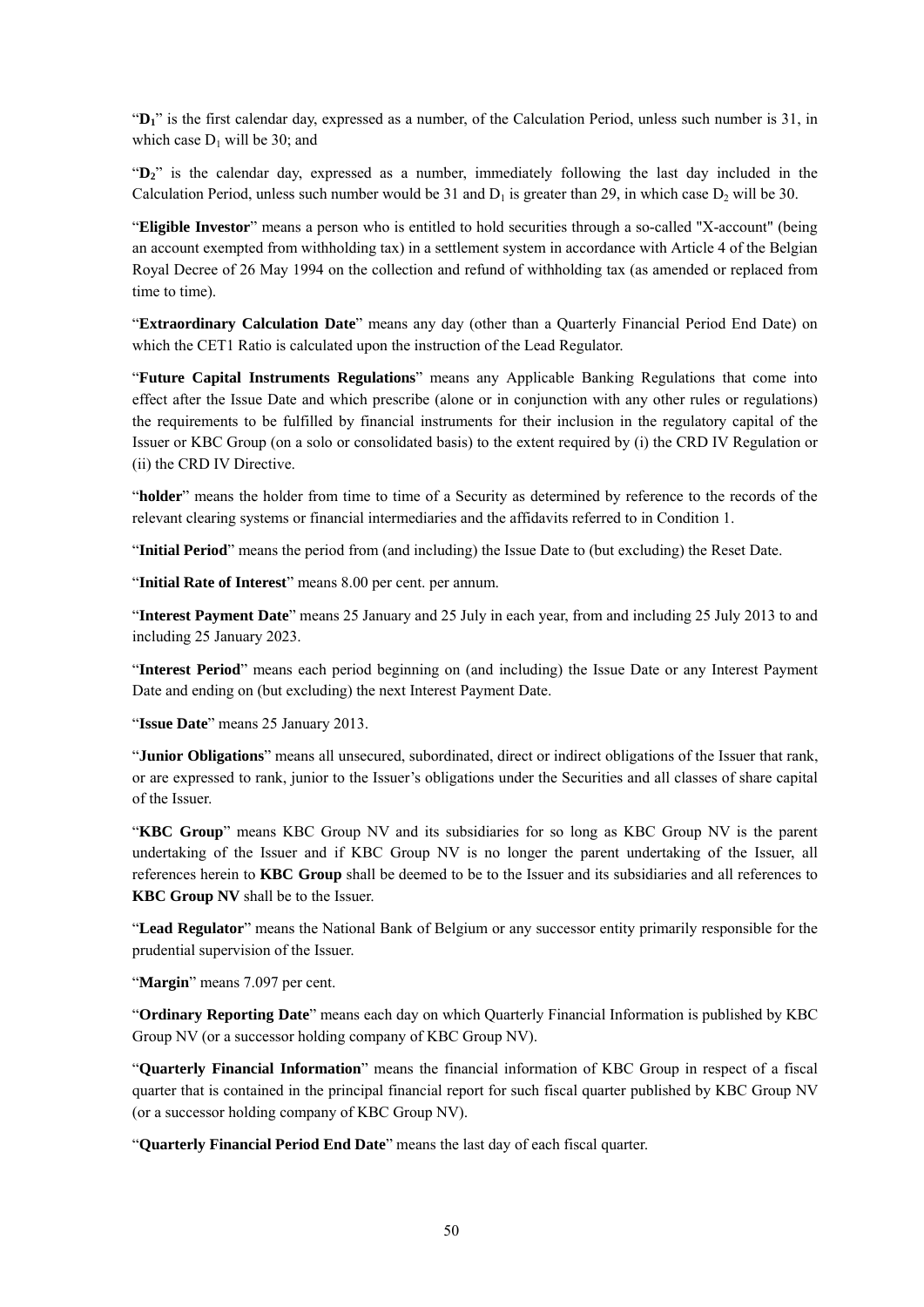"**D1**" is the first calendar day, expressed as a number, of the Calculation Period, unless such number is 31, in which case  $D_1$  will be 30; and

"D<sub>2</sub>" is the calendar day, expressed as a number, immediately following the last day included in the Calculation Period, unless such number would be 31 and  $D_1$  is greater than 29, in which case  $D_2$  will be 30.

"**Eligible Investor**" means a person who is entitled to hold securities through a so-called "X-account" (being an account exempted from withholding tax) in a settlement system in accordance with Article 4 of the Belgian Royal Decree of 26 May 1994 on the collection and refund of withholding tax (as amended or replaced from time to time).

"**Extraordinary Calculation Date**" means any day (other than a Quarterly Financial Period End Date) on which the CET1 Ratio is calculated upon the instruction of the Lead Regulator.

"**Future Capital Instruments Regulations**" means any Applicable Banking Regulations that come into effect after the Issue Date and which prescribe (alone or in conjunction with any other rules or regulations) the requirements to be fulfilled by financial instruments for their inclusion in the regulatory capital of the Issuer or KBC Group (on a solo or consolidated basis) to the extent required by (i) the CRD IV Regulation or (ii) the CRD IV Directive.

"**holder**" means the holder from time to time of a Security as determined by reference to the records of the relevant clearing systems or financial intermediaries and the affidavits referred to in Condition 1.

"**Initial Period**" means the period from (and including) the Issue Date to (but excluding) the Reset Date.

"**Initial Rate of Interest**" means 8.00 per cent. per annum.

"**Interest Payment Date**" means 25 January and 25 July in each year, from and including 25 July 2013 to and including 25 January 2023.

"**Interest Period**" means each period beginning on (and including) the Issue Date or any Interest Payment Date and ending on (but excluding) the next Interest Payment Date.

"**Issue Date**" means 25 January 2013.

"**Junior Obligations**" means all unsecured, subordinated, direct or indirect obligations of the Issuer that rank, or are expressed to rank, junior to the Issuer's obligations under the Securities and all classes of share capital of the Issuer.

"**KBC Group**" means KBC Group NV and its subsidiaries for so long as KBC Group NV is the parent undertaking of the Issuer and if KBC Group NV is no longer the parent undertaking of the Issuer, all references herein to **KBC Group** shall be deemed to be to the Issuer and its subsidiaries and all references to **KBC Group NV** shall be to the Issuer.

"**Lead Regulator**" means the National Bank of Belgium or any successor entity primarily responsible for the prudential supervision of the Issuer.

"**Margin**" means 7.097 per cent.

"**Ordinary Reporting Date**" means each day on which Quarterly Financial Information is published by KBC Group NV (or a successor holding company of KBC Group NV).

"**Quarterly Financial Information**" means the financial information of KBC Group in respect of a fiscal quarter that is contained in the principal financial report for such fiscal quarter published by KBC Group NV (or a successor holding company of KBC Group NV).

"**Quarterly Financial Period End Date**" means the last day of each fiscal quarter.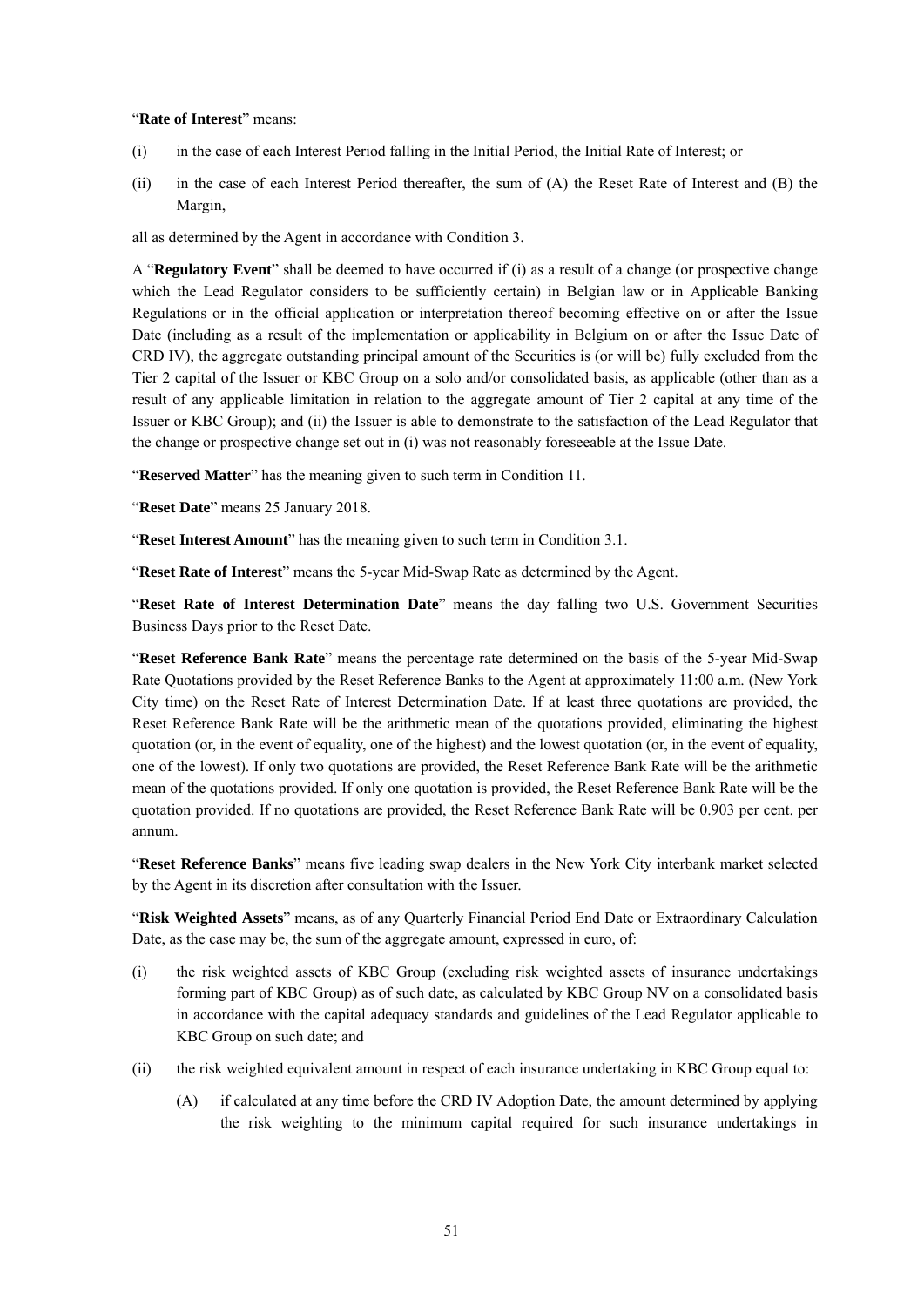#### "**Rate of Interest**" means:

- (i) in the case of each Interest Period falling in the Initial Period, the Initial Rate of Interest; or
- (ii) in the case of each Interest Period thereafter, the sum of (A) the Reset Rate of Interest and (B) the Margin,

all as determined by the Agent in accordance with Condition 3.

A "**Regulatory Event**" shall be deemed to have occurred if (i) as a result of a change (or prospective change which the Lead Regulator considers to be sufficiently certain) in Belgian law or in Applicable Banking Regulations or in the official application or interpretation thereof becoming effective on or after the Issue Date (including as a result of the implementation or applicability in Belgium on or after the Issue Date of CRD IV), the aggregate outstanding principal amount of the Securities is (or will be) fully excluded from the Tier 2 capital of the Issuer or KBC Group on a solo and/or consolidated basis, as applicable (other than as a result of any applicable limitation in relation to the aggregate amount of Tier 2 capital at any time of the Issuer or KBC Group); and (ii) the Issuer is able to demonstrate to the satisfaction of the Lead Regulator that the change or prospective change set out in (i) was not reasonably foreseeable at the Issue Date.

"**Reserved Matter**" has the meaning given to such term in Condition 11.

"**Reset Date**" means 25 January 2018.

"**Reset Interest Amount**" has the meaning given to such term in Condition 3.1.

"**Reset Rate of Interest**" means the 5-year Mid-Swap Rate as determined by the Agent.

"**Reset Rate of Interest Determination Date**" means the day falling two U.S. Government Securities Business Days prior to the Reset Date.

"**Reset Reference Bank Rate**" means the percentage rate determined on the basis of the 5-year Mid-Swap Rate Quotations provided by the Reset Reference Banks to the Agent at approximately 11:00 a.m. (New York City time) on the Reset Rate of Interest Determination Date. If at least three quotations are provided, the Reset Reference Bank Rate will be the arithmetic mean of the quotations provided, eliminating the highest quotation (or, in the event of equality, one of the highest) and the lowest quotation (or, in the event of equality, one of the lowest). If only two quotations are provided, the Reset Reference Bank Rate will be the arithmetic mean of the quotations provided. If only one quotation is provided, the Reset Reference Bank Rate will be the quotation provided. If no quotations are provided, the Reset Reference Bank Rate will be 0.903 per cent. per annum.

"**Reset Reference Banks**" means five leading swap dealers in the New York City interbank market selected by the Agent in its discretion after consultation with the Issuer.

"**Risk Weighted Assets**" means, as of any Quarterly Financial Period End Date or Extraordinary Calculation Date, as the case may be, the sum of the aggregate amount, expressed in euro, of:

- (i) the risk weighted assets of KBC Group (excluding risk weighted assets of insurance undertakings forming part of KBC Group) as of such date, as calculated by KBC Group NV on a consolidated basis in accordance with the capital adequacy standards and guidelines of the Lead Regulator applicable to KBC Group on such date; and
- (ii) the risk weighted equivalent amount in respect of each insurance undertaking in KBC Group equal to:
	- (A) if calculated at any time before the CRD IV Adoption Date, the amount determined by applying the risk weighting to the minimum capital required for such insurance undertakings in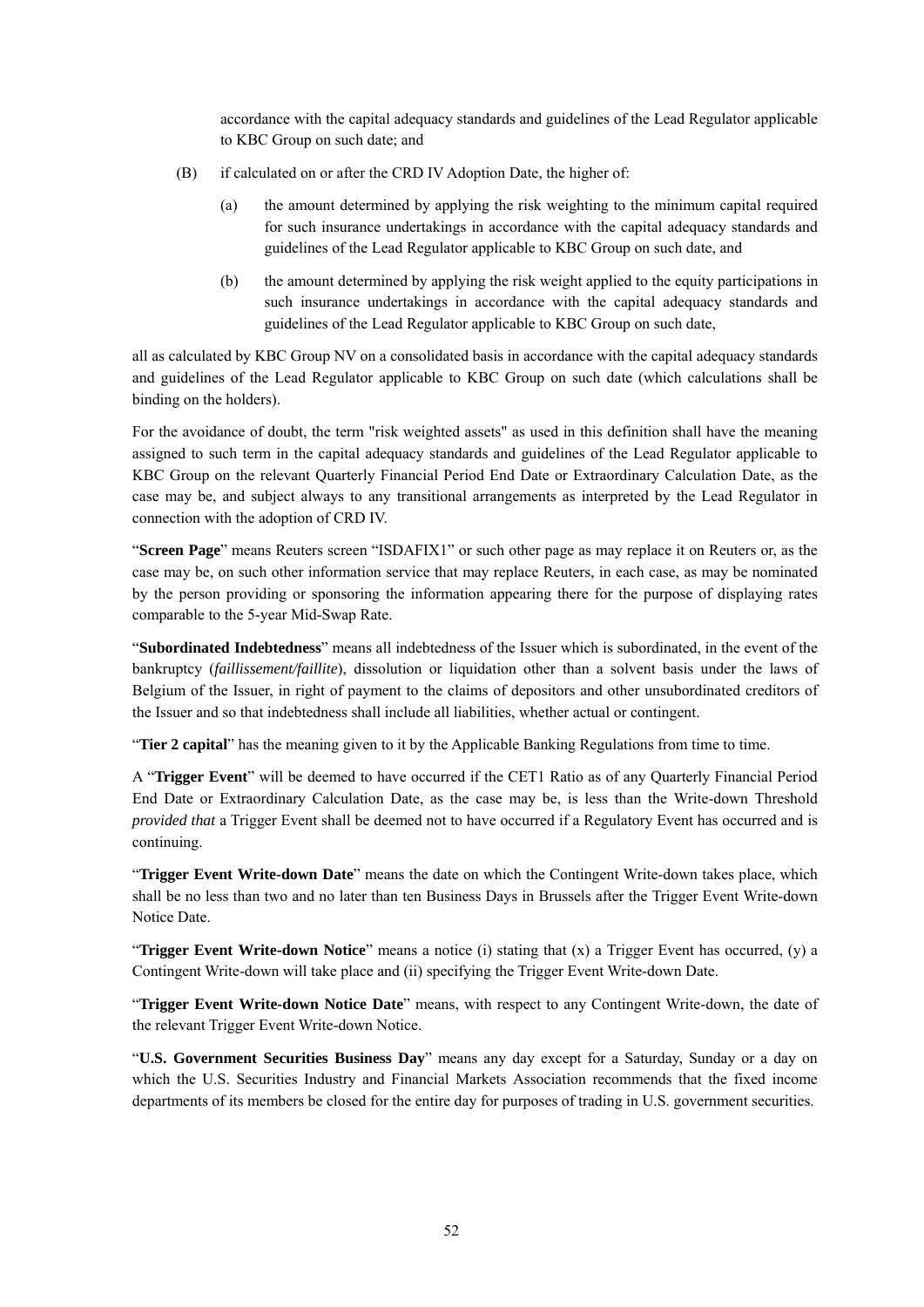accordance with the capital adequacy standards and guidelines of the Lead Regulator applicable to KBC Group on such date; and

- (B) if calculated on or after the CRD IV Adoption Date, the higher of:
	- (a) the amount determined by applying the risk weighting to the minimum capital required for such insurance undertakings in accordance with the capital adequacy standards and guidelines of the Lead Regulator applicable to KBC Group on such date, and
	- (b) the amount determined by applying the risk weight applied to the equity participations in such insurance undertakings in accordance with the capital adequacy standards and guidelines of the Lead Regulator applicable to KBC Group on such date,

all as calculated by KBC Group NV on a consolidated basis in accordance with the capital adequacy standards and guidelines of the Lead Regulator applicable to KBC Group on such date (which calculations shall be binding on the holders).

For the avoidance of doubt, the term "risk weighted assets" as used in this definition shall have the meaning assigned to such term in the capital adequacy standards and guidelines of the Lead Regulator applicable to KBC Group on the relevant Quarterly Financial Period End Date or Extraordinary Calculation Date, as the case may be, and subject always to any transitional arrangements as interpreted by the Lead Regulator in connection with the adoption of CRD IV.

"**Screen Page**" means Reuters screen "ISDAFIX1" or such other page as may replace it on Reuters or, as the case may be, on such other information service that may replace Reuters, in each case, as may be nominated by the person providing or sponsoring the information appearing there for the purpose of displaying rates comparable to the 5-year Mid-Swap Rate.

"**Subordinated Indebtedness**" means all indebtedness of the Issuer which is subordinated, in the event of the bankruptcy (*faillissement/faillite*), dissolution or liquidation other than a solvent basis under the laws of Belgium of the Issuer, in right of payment to the claims of depositors and other unsubordinated creditors of the Issuer and so that indebtedness shall include all liabilities, whether actual or contingent.

"**Tier 2 capital**" has the meaning given to it by the Applicable Banking Regulations from time to time.

A "**Trigger Event**" will be deemed to have occurred if the CET1 Ratio as of any Quarterly Financial Period End Date or Extraordinary Calculation Date, as the case may be, is less than the Write-down Threshold *provided that* a Trigger Event shall be deemed not to have occurred if a Regulatory Event has occurred and is continuing.

"**Trigger Event Write-down Date**" means the date on which the Contingent Write-down takes place, which shall be no less than two and no later than ten Business Days in Brussels after the Trigger Event Write-down Notice Date.

"**Trigger Event Write-down Notice**" means a notice (i) stating that (x) a Trigger Event has occurred, (y) a Contingent Write-down will take place and (ii) specifying the Trigger Event Write-down Date.

"**Trigger Event Write-down Notice Date**" means, with respect to any Contingent Write-down, the date of the relevant Trigger Event Write-down Notice.

"**U.S. Government Securities Business Day**" means any day except for a Saturday, Sunday or a day on which the U.S. Securities Industry and Financial Markets Association recommends that the fixed income departments of its members be closed for the entire day for purposes of trading in U.S. government securities.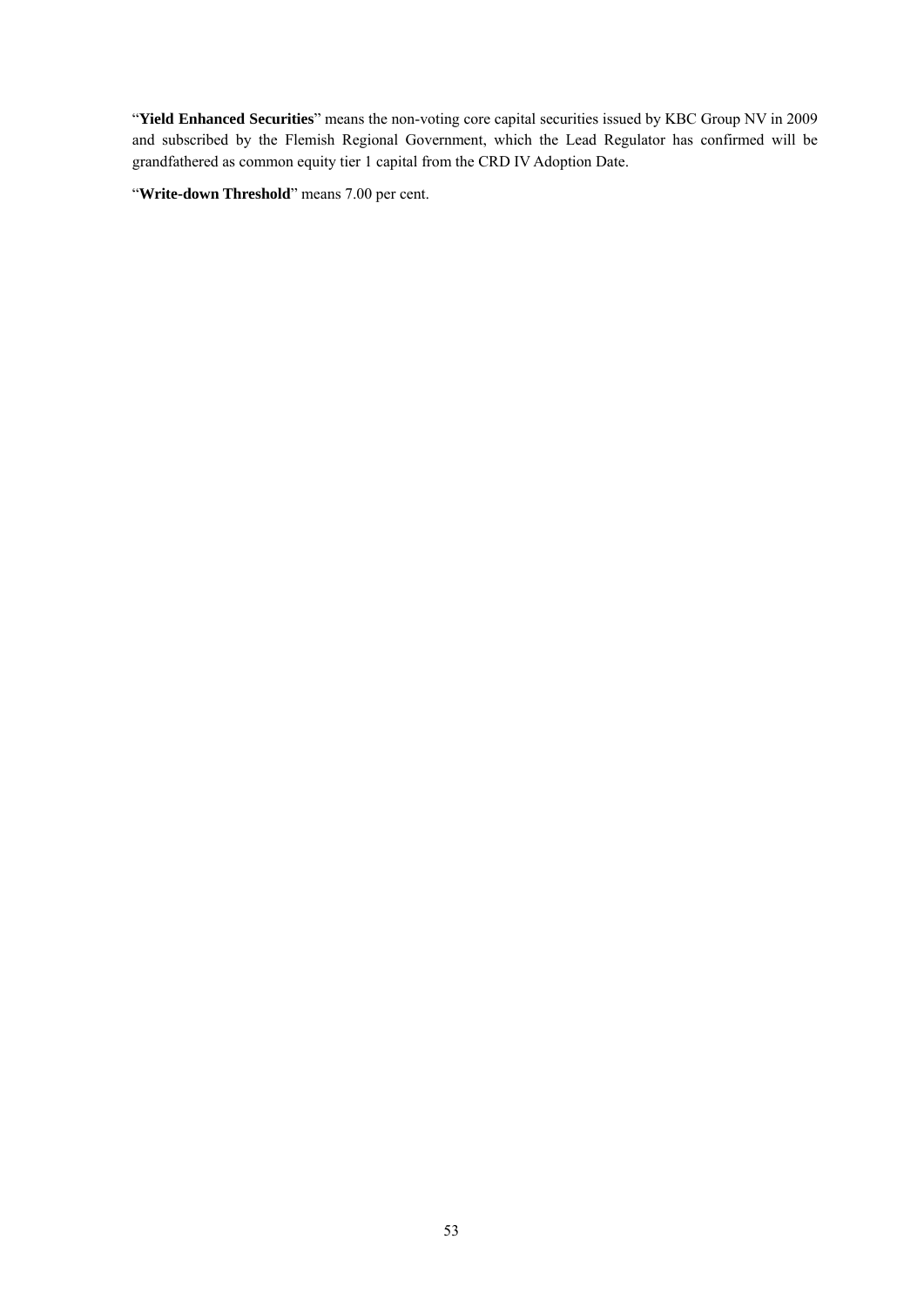"**Yield Enhanced Securities**" means the non-voting core capital securities issued by KBC Group NV in 2009 and subscribed by the Flemish Regional Government, which the Lead Regulator has confirmed will be grandfathered as common equity tier 1 capital from the CRD IV Adoption Date.

"**Write-down Threshold**" means 7.00 per cent.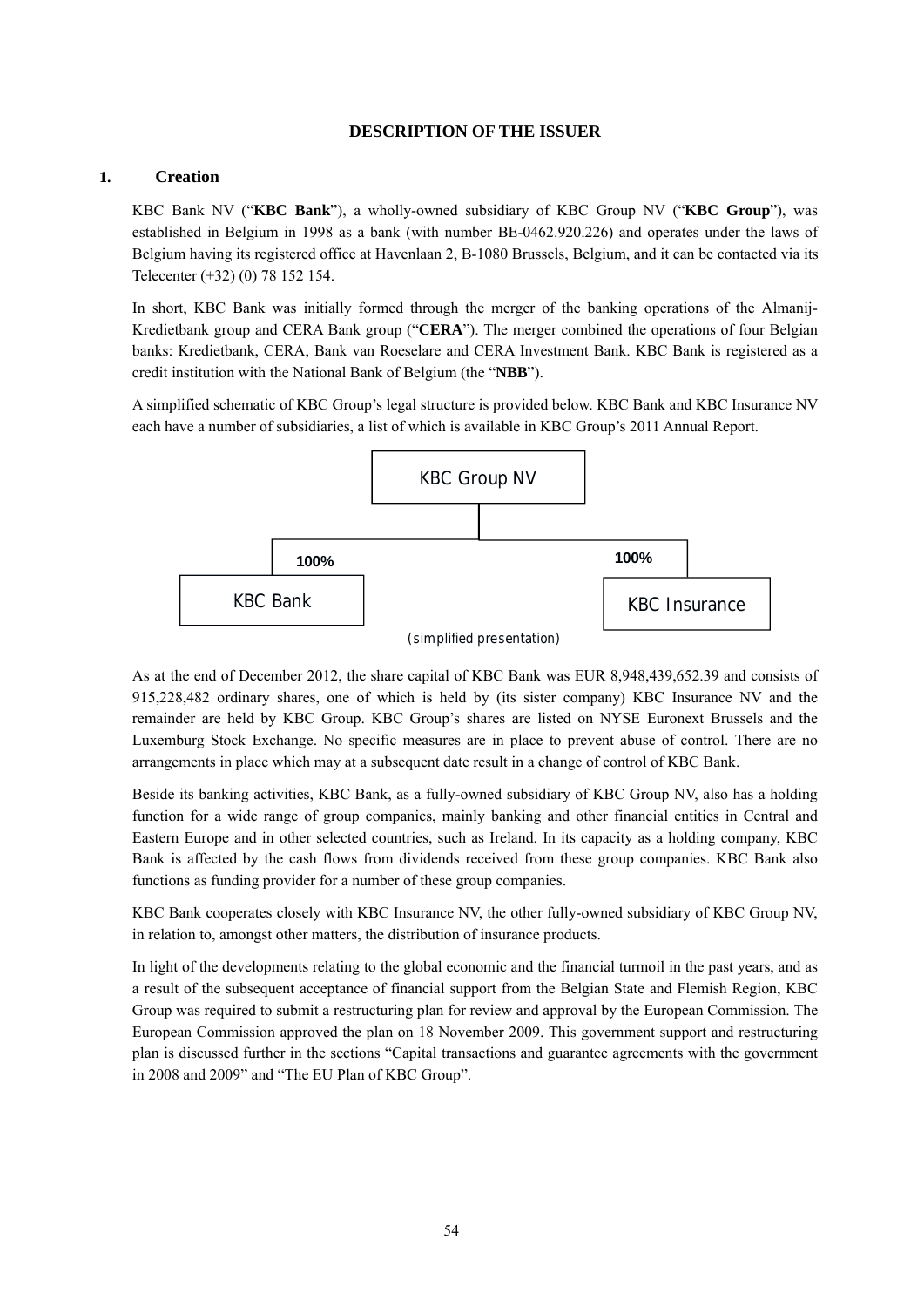# **DESCRIPTION OF THE ISSUER**

#### **1. Creation**

KBC Bank NV ("**KBC Bank**"), a wholly-owned subsidiary of KBC Group NV ("**KBC Group**"), was established in Belgium in 1998 as a bank (with number BE-0462.920.226) and operates under the laws of Belgium having its registered office at Havenlaan 2, B-1080 Brussels, Belgium, and it can be contacted via its Telecenter (+32) (0) 78 152 154.

In short, KBC Bank was initially formed through the merger of the banking operations of the Almanij-Kredietbank group and CERA Bank group ("**CERA**"). The merger combined the operations of four Belgian banks: Kredietbank, CERA, Bank van Roeselare and CERA Investment Bank. KBC Bank is registered as a credit institution with the National Bank of Belgium (the "**NBB**").

A simplified schematic of KBC Group's legal structure is provided below. KBC Bank and KBC Insurance NV each have a number of subsidiaries, a list of which is available in KBC Group's 2011 Annual Report.



<sup>(</sup>simplified presentation)

As at the end of December 2012, the share capital of KBC Bank was EUR 8,948,439,652.39 and consists of 915,228,482 ordinary shares, one of which is held by (its sister company) KBC Insurance NV and the remainder are held by KBC Group. KBC Group's shares are listed on NYSE Euronext Brussels and the Luxemburg Stock Exchange. No specific measures are in place to prevent abuse of control. There are no arrangements in place which may at a subsequent date result in a change of control of KBC Bank.

Beside its banking activities, KBC Bank, as a fully-owned subsidiary of KBC Group NV, also has a holding function for a wide range of group companies, mainly banking and other financial entities in Central and Eastern Europe and in other selected countries, such as Ireland. In its capacity as a holding company, KBC Bank is affected by the cash flows from dividends received from these group companies. KBC Bank also functions as funding provider for a number of these group companies.

KBC Bank cooperates closely with KBC Insurance NV, the other fully-owned subsidiary of KBC Group NV, in relation to, amongst other matters, the distribution of insurance products.

In light of the developments relating to the global economic and the financial turmoil in the past years, and as a result of the subsequent acceptance of financial support from the Belgian State and Flemish Region, KBC Group was required to submit a restructuring plan for review and approval by the European Commission. The European Commission approved the plan on 18 November 2009. This government support and restructuring plan is discussed further in the sections "Capital transactions and guarantee agreements with the government in 2008 and 2009" and "The EU Plan of KBC Group".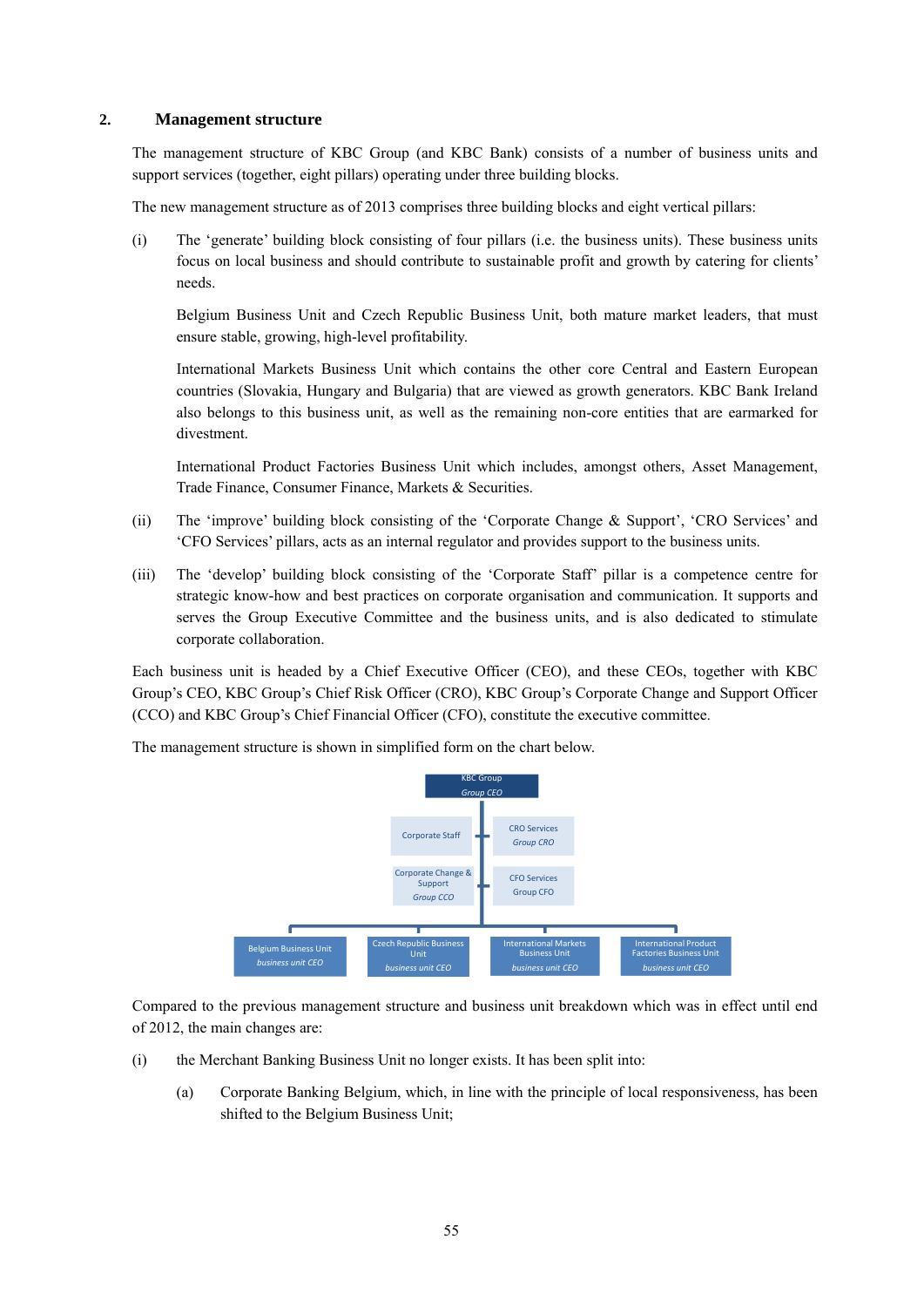### **2. Management structure**

The management structure of KBC Group (and KBC Bank) consists of a number of business units and support services (together, eight pillars) operating under three building blocks.

The new management structure as of 2013 comprises three building blocks and eight vertical pillars:

(i) The 'generate' building block consisting of four pillars (i.e. the business units). These business units focus on local business and should contribute to sustainable profit and growth by catering for clients' needs.

Belgium Business Unit and Czech Republic Business Unit, both mature market leaders, that must ensure stable, growing, high-level profitability.

International Markets Business Unit which contains the other core Central and Eastern European countries (Slovakia, Hungary and Bulgaria) that are viewed as growth generators. KBC Bank Ireland also belongs to this business unit, as well as the remaining non-core entities that are earmarked for divestment.

International Product Factories Business Unit which includes, amongst others, Asset Management, Trade Finance, Consumer Finance, Markets & Securities.

- (ii) The 'improve' building block consisting of the 'Corporate Change & Support', 'CRO Services' and 'CFO Services' pillars, acts as an internal regulator and provides support to the business units.
- (iii) The 'develop' building block consisting of the 'Corporate Staff' pillar is a competence centre for strategic know-how and best practices on corporate organisation and communication. It supports and serves the Group Executive Committee and the business units, and is also dedicated to stimulate corporate collaboration.

Each business unit is headed by a Chief Executive Officer (CEO), and these CEOs, together with KBC Group's CEO, KBC Group's Chief Risk Officer (CRO), KBC Group's Corporate Change and Support Officer (CCO) and KBC Group's Chief Financial Officer (CFO), constitute the executive committee.

The management structure is shown in simplified form on the chart below.



Compared to the previous management structure and business unit breakdown which was in effect until end of 2012, the main changes are:

- (i) the Merchant Banking Business Unit no longer exists. It has been split into:
	- (a) Corporate Banking Belgium, which, in line with the principle of local responsiveness, has been shifted to the Belgium Business Unit;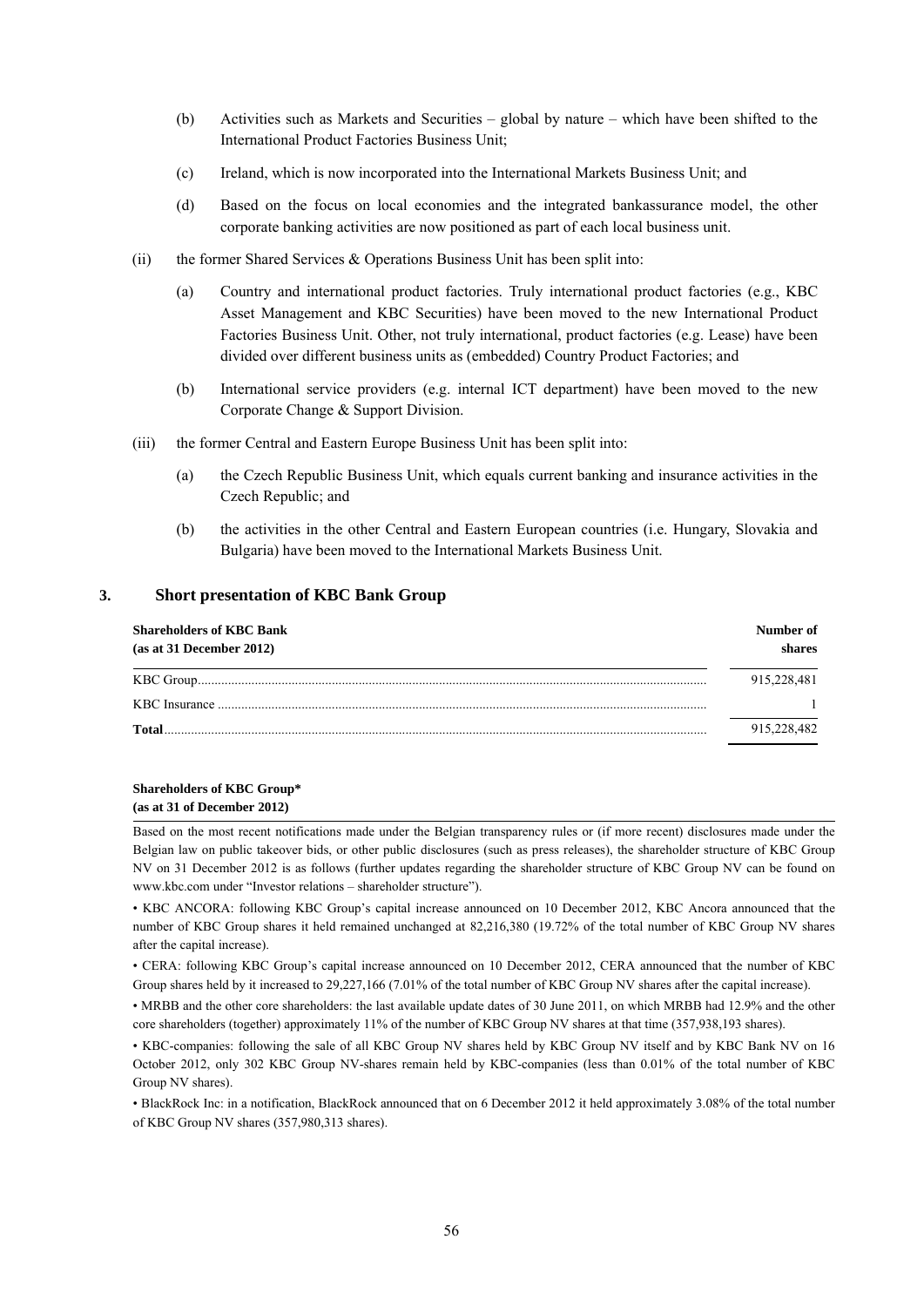- (b) Activities such as Markets and Securities global by nature which have been shifted to the International Product Factories Business Unit;
- (c) Ireland, which is now incorporated into the International Markets Business Unit; and
- (d) Based on the focus on local economies and the integrated bankassurance model, the other corporate banking activities are now positioned as part of each local business unit.
- (ii) the former Shared Services & Operations Business Unit has been split into:
	- (a) Country and international product factories. Truly international product factories (e.g., KBC Asset Management and KBC Securities) have been moved to the new International Product Factories Business Unit. Other, not truly international, product factories (e.g. Lease) have been divided over different business units as (embedded) Country Product Factories; and
	- (b) International service providers (e.g. internal ICT department) have been moved to the new Corporate Change & Support Division.
- (iii) the former Central and Eastern Europe Business Unit has been split into:
	- (a) the Czech Republic Business Unit, which equals current banking and insurance activities in the Czech Republic; and
	- (b) the activities in the other Central and Eastern European countries (i.e. Hungary, Slovakia and Bulgaria) have been moved to the International Markets Business Unit.

#### **3. Short presentation of KBC Bank Group**

| <b>Shareholders of KBC Bank</b><br>(as at 31 December 2012) | Number of<br>shares |
|-------------------------------------------------------------|---------------------|
|                                                             | 915.228.481         |
|                                                             |                     |
| Total                                                       | 915,228,482         |

#### **Shareholders of KBC Group\* (as at 31 of December 2012)**

Based on the most recent notifications made under the Belgian transparency rules or (if more recent) disclosures made under the Belgian law on public takeover bids, or other public disclosures (such as press releases), the shareholder structure of KBC Group NV on 31 December 2012 is as follows (further updates regarding the shareholder structure of KBC Group NV can be found on www.kbc.com under "Investor relations – shareholder structure").

• KBC ANCORA: following KBC Group's capital increase announced on 10 December 2012, KBC Ancora announced that the number of KBC Group shares it held remained unchanged at 82,216,380 (19.72% of the total number of KBC Group NV shares after the capital increase).

• CERA: following KBC Group's capital increase announced on 10 December 2012, CERA announced that the number of KBC Group shares held by it increased to 29,227,166 (7.01% of the total number of KBC Group NV shares after the capital increase).

• MRBB and the other core shareholders: the last available update dates of 30 June 2011, on which MRBB had 12.9% and the other core shareholders (together) approximately 11% of the number of KBC Group NV shares at that time (357,938,193 shares).

• BlackRock Inc: in a notification, BlackRock announced that on 6 December 2012 it held approximately 3.08% of the total number of KBC Group NV shares (357,980,313 shares).

<sup>•</sup> KBC-companies: following the sale of all KBC Group NV shares held by KBC Group NV itself and by KBC Bank NV on 16 October 2012, only 302 KBC Group NV-shares remain held by KBC-companies (less than 0.01% of the total number of KBC Group NV shares).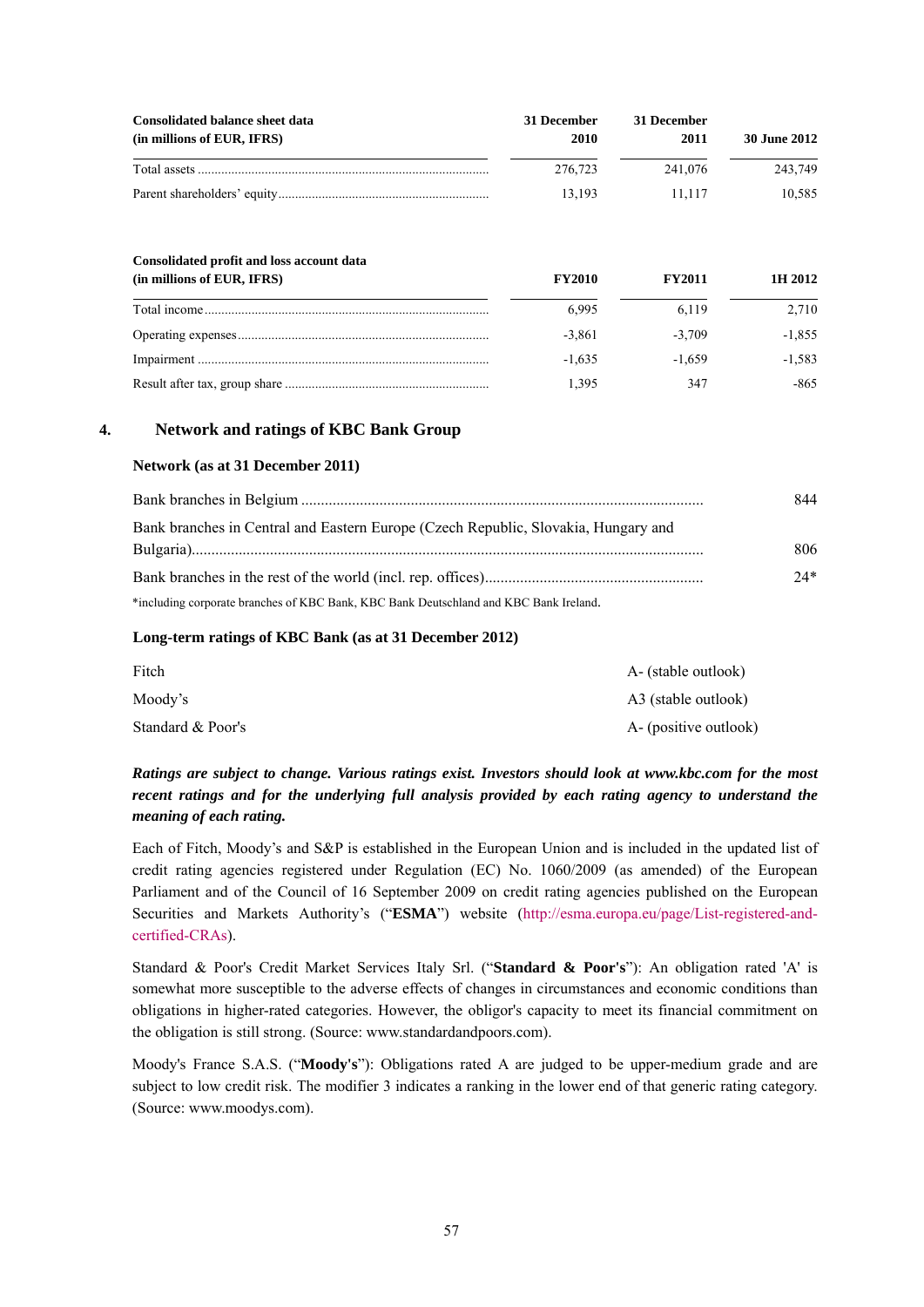| Consolidated balance sheet data<br>(in millions of EUR, IFRS) | 31 December<br>2010 | 31 December<br>2011 | 30 June 2012 |  |
|---------------------------------------------------------------|---------------------|---------------------|--------------|--|
|                                                               | 276.723             | 241.076             | 243.749      |  |
|                                                               | 13.193              | 11.117              | 10.585       |  |

| Consolidated profit and loss account data |               |               |          |
|-------------------------------------------|---------------|---------------|----------|
| (in millions of EUR, IFRS)                | <b>FY2010</b> | <b>FY2011</b> | 1H 2012  |
|                                           | 6.995         | 6.119         | 2.710    |
|                                           | $-3.861$      | $-3.709$      | $-1.855$ |
|                                           | $-1.635$      | $-1.659$      | $-1.583$ |
|                                           | 1.395         | 347           | -865     |

### **4. Network and ratings of KBC Bank Group**

### **Network (as at 31 December 2011)**

|                                                                                       | 844   |
|---------------------------------------------------------------------------------------|-------|
| Bank branches in Central and Eastern Europe (Czech Republic, Slovakia, Hungary and    |       |
|                                                                                       | 806   |
|                                                                                       | $24*$ |
| *including corporate branches of KBC Bank, KBC Bank Deutschland and KBC Bank Ireland. |       |

#### **Long-term ratings of KBC Bank (as at 31 December 2012)**

| Fitch             | A- (stable outlook)   |
|-------------------|-----------------------|
| Moody's           | A3 (stable outlook)   |
| Standard & Poor's | A- (positive outlook) |

# *Ratings are subject to change. Various ratings exist. Investors should look at www.kbc.com for the most recent ratings and for the underlying full analysis provided by each rating agency to understand the meaning of each rating.*

Each of Fitch, Moody's and S&P is established in the European Union and is included in the updated list of credit rating agencies registered under Regulation (EC) No. 1060/2009 (as amended) of the European Parliament and of the Council of 16 September 2009 on credit rating agencies published on the European Securities and Markets Authority's ("**ESMA**") website (http://esma.europa.eu/page/List-registered-andcertified-CRAs).

Standard & Poor's Credit Market Services Italy Srl. ("**Standard & Poor's**"): An obligation rated 'A' is somewhat more susceptible to the adverse effects of changes in circumstances and economic conditions than obligations in higher-rated categories. However, the obligor's capacity to meet its financial commitment on the obligation is still strong. (Source: www.standardandpoors.com).

Moody's France S.A.S. ("**Moody's**"): Obligations rated A are judged to be upper-medium grade and are subject to low credit risk. The modifier 3 indicates a ranking in the lower end of that generic rating category. (Source: www.moodys.com).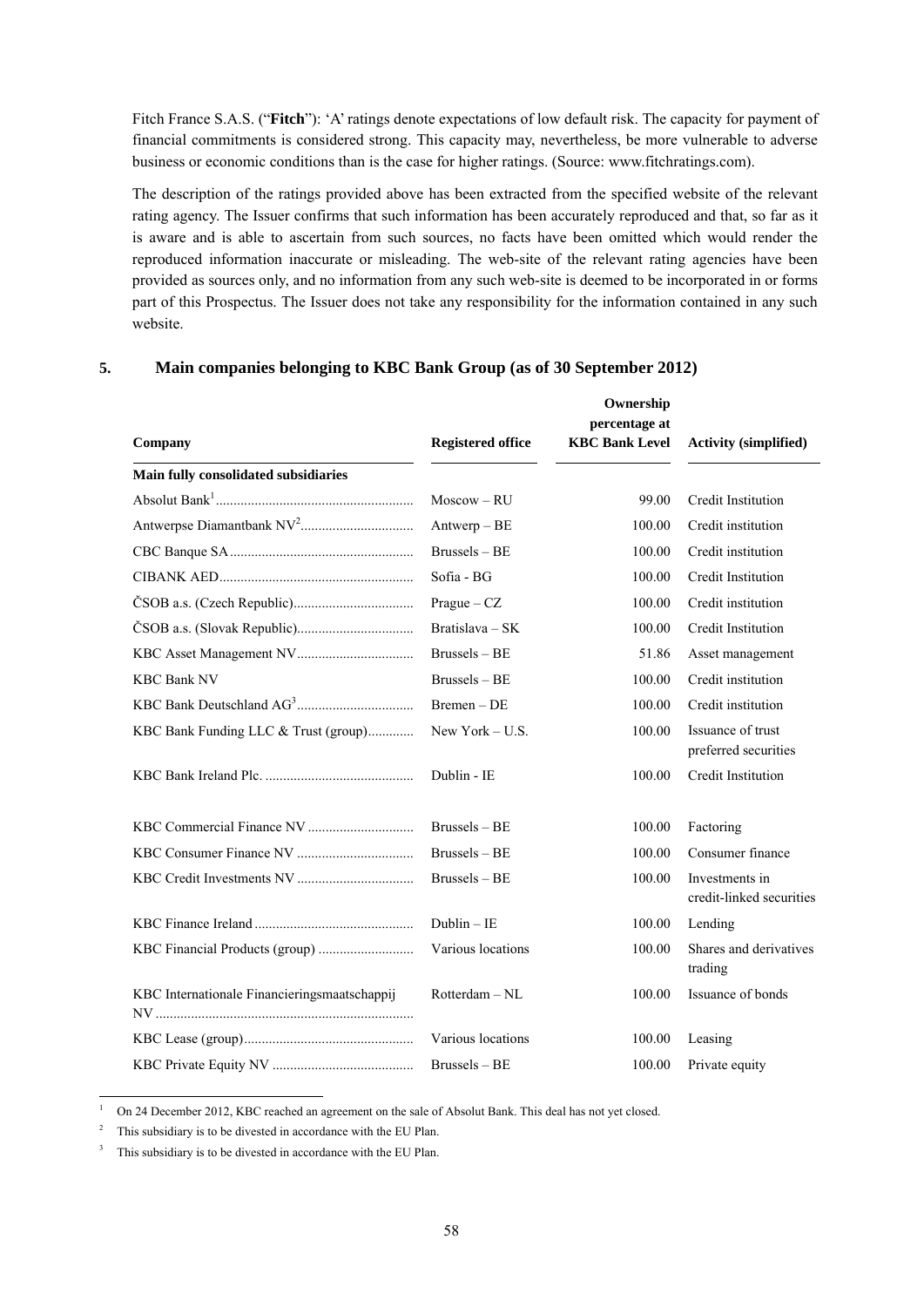Fitch France S.A.S. ("**Fitch**"): 'A' ratings denote expectations of low default risk. The capacity for payment of financial commitments is considered strong. This capacity may, nevertheless, be more vulnerable to adverse business or economic conditions than is the case for higher ratings. (Source: www.fitchratings.com).

The description of the ratings provided above has been extracted from the specified website of the relevant rating agency. The Issuer confirms that such information has been accurately reproduced and that, so far as it is aware and is able to ascertain from such sources, no facts have been omitted which would render the reproduced information inaccurate or misleading. The web-site of the relevant rating agencies have been provided as sources only, and no information from any such web-site is deemed to be incorporated in or forms part of this Prospectus. The Issuer does not take any responsibility for the information contained in any such website.

| Company                                      | <b>Registered office</b> | Ownership<br>percentage at<br><b>KBC Bank Level</b> | <b>Activity (simplified)</b>               |
|----------------------------------------------|--------------------------|-----------------------------------------------------|--------------------------------------------|
| Main fully consolidated subsidiaries         |                          |                                                     |                                            |
|                                              | $Moscow - RU$            | 99.00                                               | Credit Institution                         |
|                                              | $Antwerp - BE$           | 100.00                                              | Credit institution                         |
|                                              | Brussels - BE            | 100.00                                              | Credit institution                         |
|                                              | Sofia - BG               | 100.00                                              | Credit Institution                         |
|                                              | $Prague - CZ$            | 100.00                                              | Credit institution                         |
|                                              | Bratislava – SK          | 100.00                                              | Credit Institution                         |
|                                              | Brussels - BE            | 51.86                                               | Asset management                           |
| <b>KBC Bank NV</b>                           | $Brussels - BE$          | 100.00                                              | Credit institution                         |
|                                              | Bremen - DE              | 100.00                                              | Credit institution                         |
| KBC Bank Funding LLC & Trust (group)         | New York $- U.S.$        | 100.00                                              | Issuance of trust<br>preferred securities  |
|                                              | Dublin - IE              | 100.00                                              | Credit Institution                         |
|                                              | $Brussels - BE$          | 100.00                                              | Factoring                                  |
|                                              | $Brussels - BE$          | 100.00                                              | Consumer finance                           |
|                                              | Brussels - BE            | 100.00                                              | Investments in<br>credit-linked securities |
|                                              | $Dublin - IE$            | 100.00                                              | Lending                                    |
|                                              | Various locations        | 100.00                                              | Shares and derivatives<br>trading          |
| KBC Internationale Financieringsmaatschappij | Rotterdam - NL           | 100.00                                              | Issuance of bonds                          |
|                                              | Various locations        | 100.00                                              | Leasing                                    |
|                                              | Brussels - BE            | 100.00                                              | Private equity                             |

### **5. Main companies belonging to KBC Bank Group (as of 30 September 2012)**

1 On 24 December 2012, KBC reached an agreement on the sale of Absolut Bank. This deal has not yet closed.

2 This subsidiary is to be divested in accordance with the EU Plan.

-

3 This subsidiary is to be divested in accordance with the EU Plan.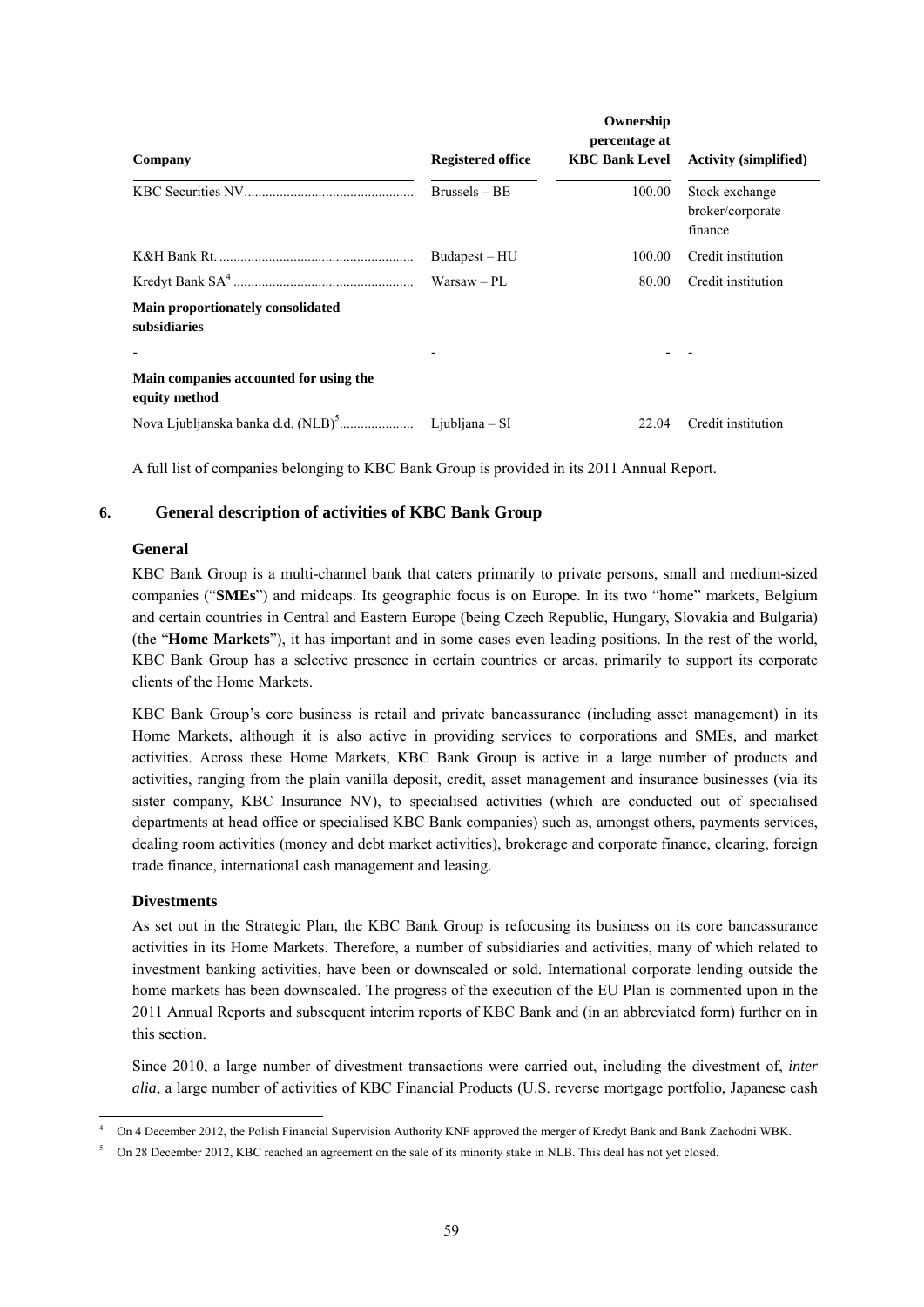|                                                         |                          | Ownership                              |                                               |
|---------------------------------------------------------|--------------------------|----------------------------------------|-----------------------------------------------|
| Company                                                 | <b>Registered office</b> | percentage at<br><b>KBC Bank Level</b> | <b>Activity (simplified)</b>                  |
|                                                         | $Brussels - BE$          | 100.00                                 | Stock exchange<br>broker/corporate<br>finance |
|                                                         | Budapest-HU              | 100.00                                 | Credit institution                            |
|                                                         | $Warsaw - PI$            | 80.00                                  | Credit institution                            |
| Main proportionately consolidated<br>subsidiaries       |                          |                                        |                                               |
|                                                         |                          |                                        |                                               |
| Main companies accounted for using the<br>equity method |                          |                                        |                                               |
|                                                         |                          | 22.04                                  | Credit institution                            |

A full list of companies belonging to KBC Bank Group is provided in its 2011 Annual Report.

# **6. General description of activities of KBC Bank Group**

### **General**

KBC Bank Group is a multi-channel bank that caters primarily to private persons, small and medium-sized companies ("**SMEs**") and midcaps. Its geographic focus is on Europe. In its two "home" markets, Belgium and certain countries in Central and Eastern Europe (being Czech Republic, Hungary, Slovakia and Bulgaria) (the "**Home Markets**"), it has important and in some cases even leading positions. In the rest of the world, KBC Bank Group has a selective presence in certain countries or areas, primarily to support its corporate clients of the Home Markets.

KBC Bank Group's core business is retail and private bancassurance (including asset management) in its Home Markets, although it is also active in providing services to corporations and SMEs, and market activities. Across these Home Markets, KBC Bank Group is active in a large number of products and activities, ranging from the plain vanilla deposit, credit, asset management and insurance businesses (via its sister company, KBC Insurance NV), to specialised activities (which are conducted out of specialised departments at head office or specialised KBC Bank companies) such as, amongst others, payments services, dealing room activities (money and debt market activities), brokerage and corporate finance, clearing, foreign trade finance, international cash management and leasing.

# **Divestments**

As set out in the Strategic Plan, the KBC Bank Group is refocusing its business on its core bancassurance activities in its Home Markets. Therefore, a number of subsidiaries and activities, many of which related to investment banking activities, have been or downscaled or sold. International corporate lending outside the home markets has been downscaled. The progress of the execution of the EU Plan is commented upon in the 2011 Annual Reports and subsequent interim reports of KBC Bank and (in an abbreviated form) further on in this section.

Since 2010, a large number of divestment transactions were carried out, including the divestment of, *inter alia*, a large number of activities of KBC Financial Products (U.S. reverse mortgage portfolio, Japanese cash

<sup>1</sup> 4 On 4 December 2012, the Polish Financial Supervision Authority KNF approved the merger of Kredyt Bank and Bank Zachodni WBK.

<sup>5</sup> On 28 December 2012, KBC reached an agreement on the sale of its minority stake in NLB. This deal has not yet closed.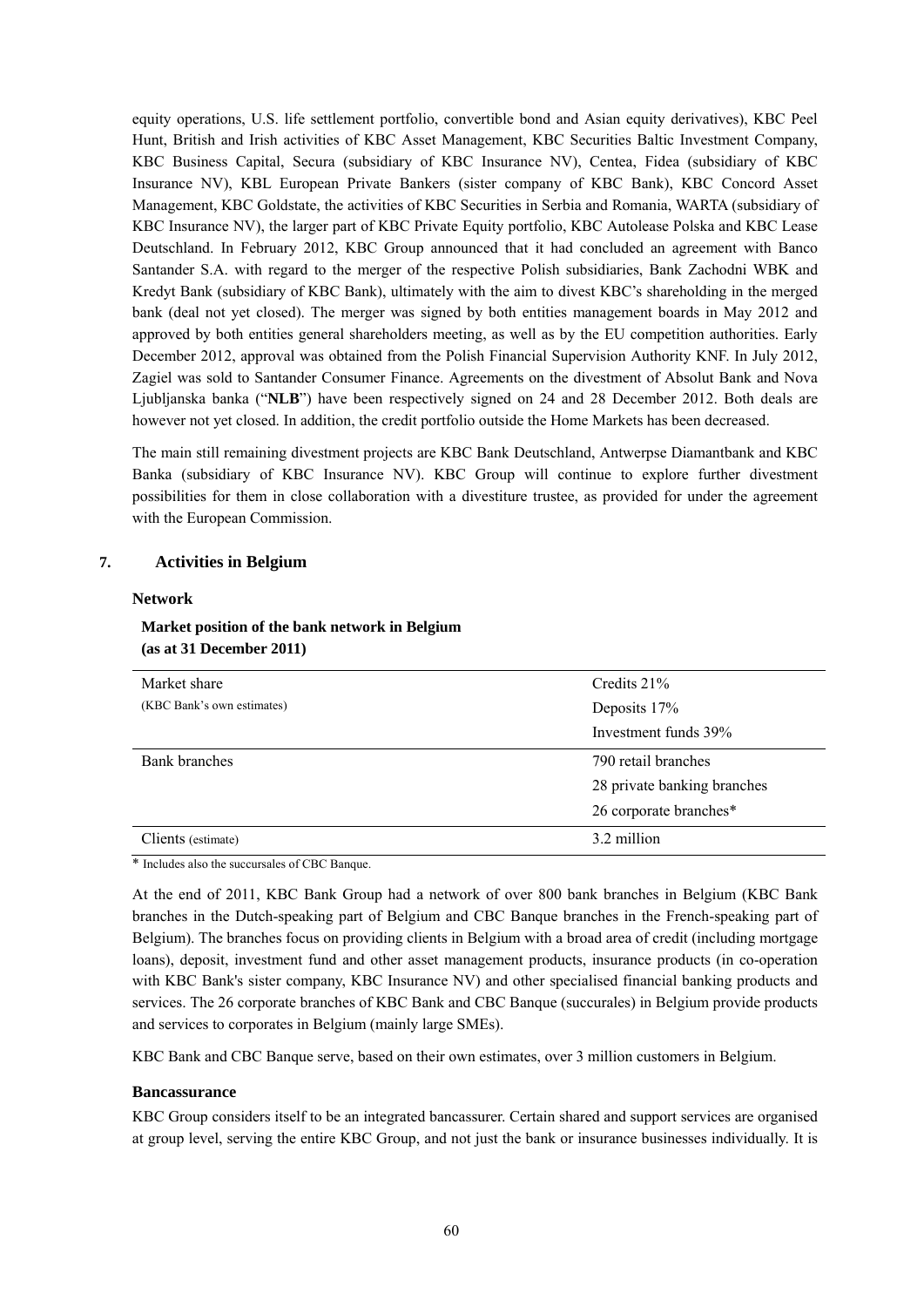equity operations, U.S. life settlement portfolio, convertible bond and Asian equity derivatives), KBC Peel Hunt, British and Irish activities of KBC Asset Management, KBC Securities Baltic Investment Company, KBC Business Capital, Secura (subsidiary of KBC Insurance NV), Centea, Fidea (subsidiary of KBC Insurance NV), KBL European Private Bankers (sister company of KBC Bank), KBC Concord Asset Management, KBC Goldstate, the activities of KBC Securities in Serbia and Romania, WARTA (subsidiary of KBC Insurance NV), the larger part of KBC Private Equity portfolio, KBC Autolease Polska and KBC Lease Deutschland. In February 2012, KBC Group announced that it had concluded an agreement with Banco Santander S.A. with regard to the merger of the respective Polish subsidiaries, Bank Zachodni WBK and Kredyt Bank (subsidiary of KBC Bank), ultimately with the aim to divest KBC's shareholding in the merged bank (deal not yet closed). The merger was signed by both entities management boards in May 2012 and approved by both entities general shareholders meeting, as well as by the EU competition authorities. Early December 2012, approval was obtained from the Polish Financial Supervision Authority KNF. In July 2012, Zagiel was sold to Santander Consumer Finance. Agreements on the divestment of Absolut Bank and Nova Ljubljanska banka ("**NLB**") have been respectively signed on 24 and 28 December 2012. Both deals are however not yet closed. In addition, the credit portfolio outside the Home Markets has been decreased.

The main still remaining divestment projects are KBC Bank Deutschland, Antwerpse Diamantbank and KBC Banka (subsidiary of KBC Insurance NV). KBC Group will continue to explore further divestment possibilities for them in close collaboration with a divestiture trustee, as provided for under the agreement with the European Commission.

### **7. Activities in Belgium**

#### **Network**

### **Market position of the bank network in Belgium (as at 31 December 2011)**

| Market share               | Credits 21%                 |  |
|----------------------------|-----------------------------|--|
| (KBC Bank's own estimates) | Deposits 17%                |  |
|                            | Investment funds 39%        |  |
| Bank branches              | 790 retail branches         |  |
|                            | 28 private banking branches |  |
|                            | 26 corporate branches*      |  |
| Clients (estimate)         | 3.2 million                 |  |

\* Includes also the succursales of CBC Banque.

At the end of 2011, KBC Bank Group had a network of over 800 bank branches in Belgium (KBC Bank branches in the Dutch-speaking part of Belgium and CBC Banque branches in the French-speaking part of Belgium). The branches focus on providing clients in Belgium with a broad area of credit (including mortgage loans), deposit, investment fund and other asset management products, insurance products (in co-operation with KBC Bank's sister company, KBC Insurance NV) and other specialised financial banking products and services. The 26 corporate branches of KBC Bank and CBC Banque (succurales) in Belgium provide products and services to corporates in Belgium (mainly large SMEs).

KBC Bank and CBC Banque serve, based on their own estimates, over 3 million customers in Belgium.

#### **Bancassurance**

KBC Group considers itself to be an integrated bancassurer. Certain shared and support services are organised at group level, serving the entire KBC Group, and not just the bank or insurance businesses individually. It is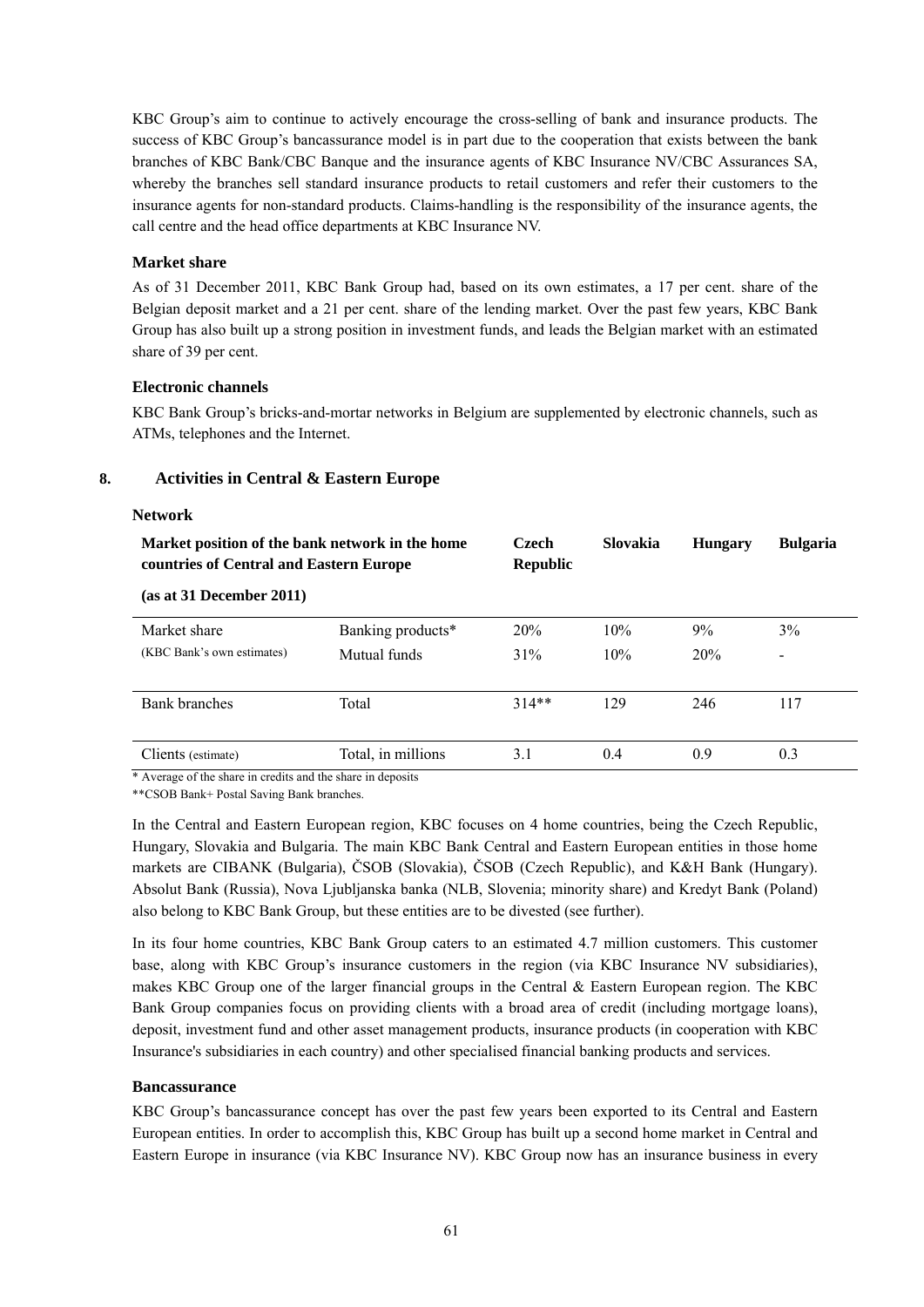KBC Group's aim to continue to actively encourage the cross-selling of bank and insurance products. The success of KBC Group's bancassurance model is in part due to the cooperation that exists between the bank branches of KBC Bank/CBC Banque and the insurance agents of KBC Insurance NV/CBC Assurances SA, whereby the branches sell standard insurance products to retail customers and refer their customers to the insurance agents for non-standard products. Claims-handling is the responsibility of the insurance agents, the call centre and the head office departments at KBC Insurance NV.

### **Market share**

As of 31 December 2011, KBC Bank Group had, based on its own estimates, a 17 per cent. share of the Belgian deposit market and a 21 per cent. share of the lending market. Over the past few years, KBC Bank Group has also built up a strong position in investment funds, and leads the Belgian market with an estimated share of 39 per cent.

### **Electronic channels**

KBC Bank Group's bricks-and-mortar networks in Belgium are supplemented by electronic channels, such as ATMs, telephones and the Internet.

# **8. Activities in Central & Eastern Europe**

#### **Network**

| Market position of the bank network in the home<br>countries of Central and Eastern Europe |                    | <b>Czech</b><br><b>Republic</b> | Slovakia | <b>Hungary</b> | <b>Bulgaria</b>          |
|--------------------------------------------------------------------------------------------|--------------------|---------------------------------|----------|----------------|--------------------------|
| (as at 31 December 2011)                                                                   |                    |                                 |          |                |                          |
| Market share                                                                               | Banking products*  | 20%                             | 10%      | 9%             | 3%                       |
| (KBC Bank's own estimates)                                                                 | Mutual funds       | 31%                             | 10%      | 20%            | $\overline{\phantom{a}}$ |
| <b>Bank branches</b>                                                                       | Total              | $314**$                         | 129      | 246            | 117                      |
| Clients (estimate)                                                                         | Total, in millions | 3.1                             | 0.4      | 0.9            | 0.3                      |

\* Average of the share in credits and the share in deposits

\*\*CSOB Bank+ Postal Saving Bank branches.

In the Central and Eastern European region, KBC focuses on 4 home countries, being the Czech Republic, Hungary, Slovakia and Bulgaria. The main KBC Bank Central and Eastern European entities in those home markets are CIBANK (Bulgaria), ČSOB (Slovakia), ČSOB (Czech Republic), and K&H Bank (Hungary). Absolut Bank (Russia), Nova Ljubljanska banka (NLB, Slovenia; minority share) and Kredyt Bank (Poland) also belong to KBC Bank Group, but these entities are to be divested (see further).

In its four home countries, KBC Bank Group caters to an estimated 4.7 million customers. This customer base, along with KBC Group's insurance customers in the region (via KBC Insurance NV subsidiaries), makes KBC Group one of the larger financial groups in the Central & Eastern European region. The KBC Bank Group companies focus on providing clients with a broad area of credit (including mortgage loans), deposit, investment fund and other asset management products, insurance products (in cooperation with KBC Insurance's subsidiaries in each country) and other specialised financial banking products and services.

#### **Bancassurance**

KBC Group's bancassurance concept has over the past few years been exported to its Central and Eastern European entities. In order to accomplish this, KBC Group has built up a second home market in Central and Eastern Europe in insurance (via KBC Insurance NV). KBC Group now has an insurance business in every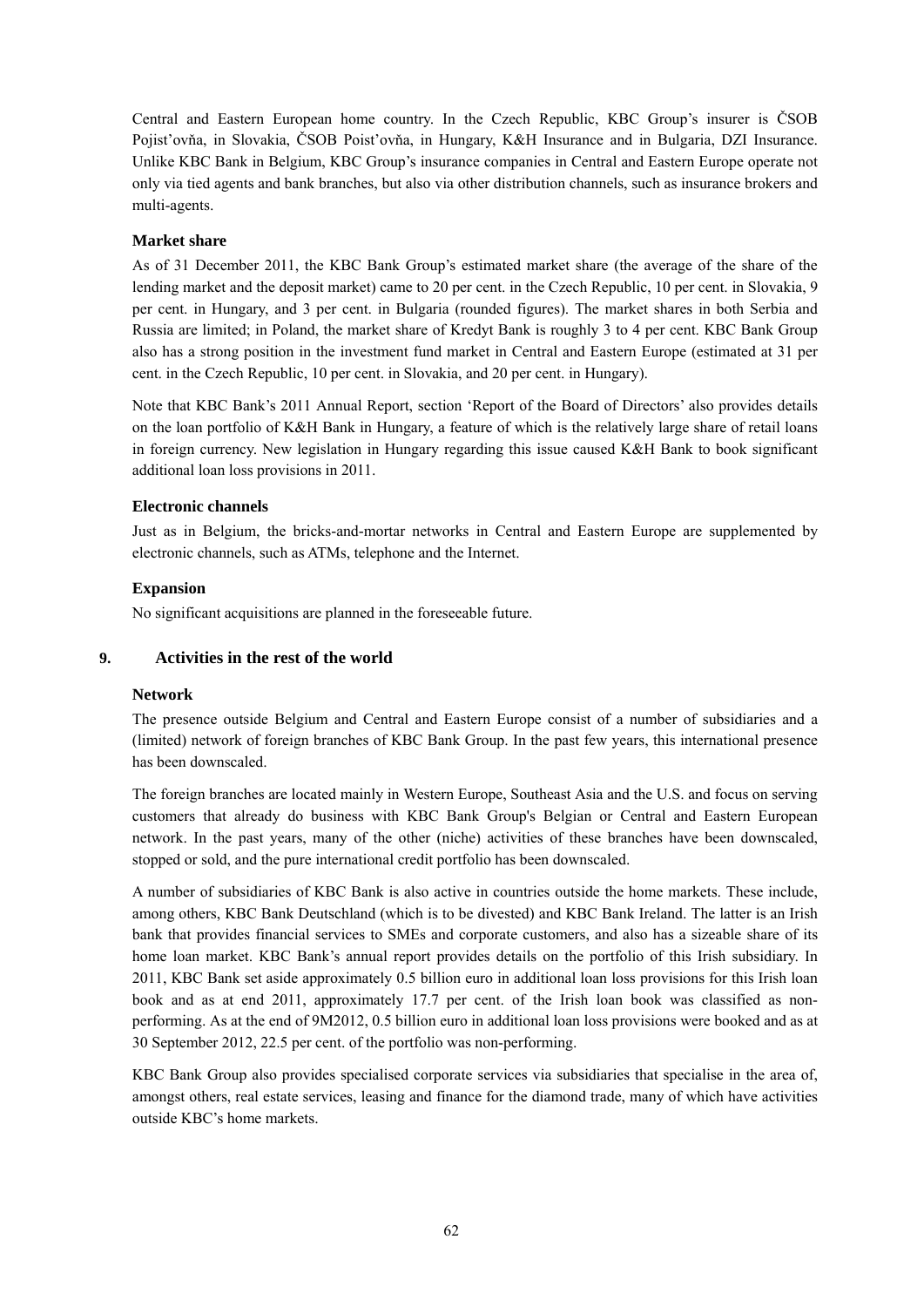Central and Eastern European home country. In the Czech Republic, KBC Group's insurer is ČSOB Pojist'ovňa, in Slovakia, ČSOB Poist'ovňa, in Hungary, K&H Insurance and in Bulgaria, DZI Insurance. Unlike KBC Bank in Belgium, KBC Group's insurance companies in Central and Eastern Europe operate not only via tied agents and bank branches, but also via other distribution channels, such as insurance brokers and multi-agents.

### **Market share**

As of 31 December 2011, the KBC Bank Group's estimated market share (the average of the share of the lending market and the deposit market) came to 20 per cent. in the Czech Republic, 10 per cent. in Slovakia, 9 per cent. in Hungary, and 3 per cent. in Bulgaria (rounded figures). The market shares in both Serbia and Russia are limited; in Poland, the market share of Kredyt Bank is roughly 3 to 4 per cent. KBC Bank Group also has a strong position in the investment fund market in Central and Eastern Europe (estimated at 31 per cent. in the Czech Republic, 10 per cent. in Slovakia, and 20 per cent. in Hungary).

Note that KBC Bank's 2011 Annual Report, section 'Report of the Board of Directors' also provides details on the loan portfolio of K&H Bank in Hungary, a feature of which is the relatively large share of retail loans in foreign currency. New legislation in Hungary regarding this issue caused K&H Bank to book significant additional loan loss provisions in 2011.

### **Electronic channels**

Just as in Belgium, the bricks-and-mortar networks in Central and Eastern Europe are supplemented by electronic channels, such as ATMs, telephone and the Internet.

### **Expansion**

No significant acquisitions are planned in the foreseeable future.

### **9. Activities in the rest of the world**

#### **Network**

The presence outside Belgium and Central and Eastern Europe consist of a number of subsidiaries and a (limited) network of foreign branches of KBC Bank Group. In the past few years, this international presence has been downscaled.

The foreign branches are located mainly in Western Europe, Southeast Asia and the U.S. and focus on serving customers that already do business with KBC Bank Group's Belgian or Central and Eastern European network. In the past years, many of the other (niche) activities of these branches have been downscaled, stopped or sold, and the pure international credit portfolio has been downscaled.

A number of subsidiaries of KBC Bank is also active in countries outside the home markets. These include, among others, KBC Bank Deutschland (which is to be divested) and KBC Bank Ireland. The latter is an Irish bank that provides financial services to SMEs and corporate customers, and also has a sizeable share of its home loan market. KBC Bank's annual report provides details on the portfolio of this Irish subsidiary. In 2011, KBC Bank set aside approximately 0.5 billion euro in additional loan loss provisions for this Irish loan book and as at end 2011, approximately 17.7 per cent. of the Irish loan book was classified as nonperforming. As at the end of 9M2012, 0.5 billion euro in additional loan loss provisions were booked and as at 30 September 2012, 22.5 per cent. of the portfolio was non-performing.

KBC Bank Group also provides specialised corporate services via subsidiaries that specialise in the area of, amongst others, real estate services, leasing and finance for the diamond trade, many of which have activities outside KBC's home markets.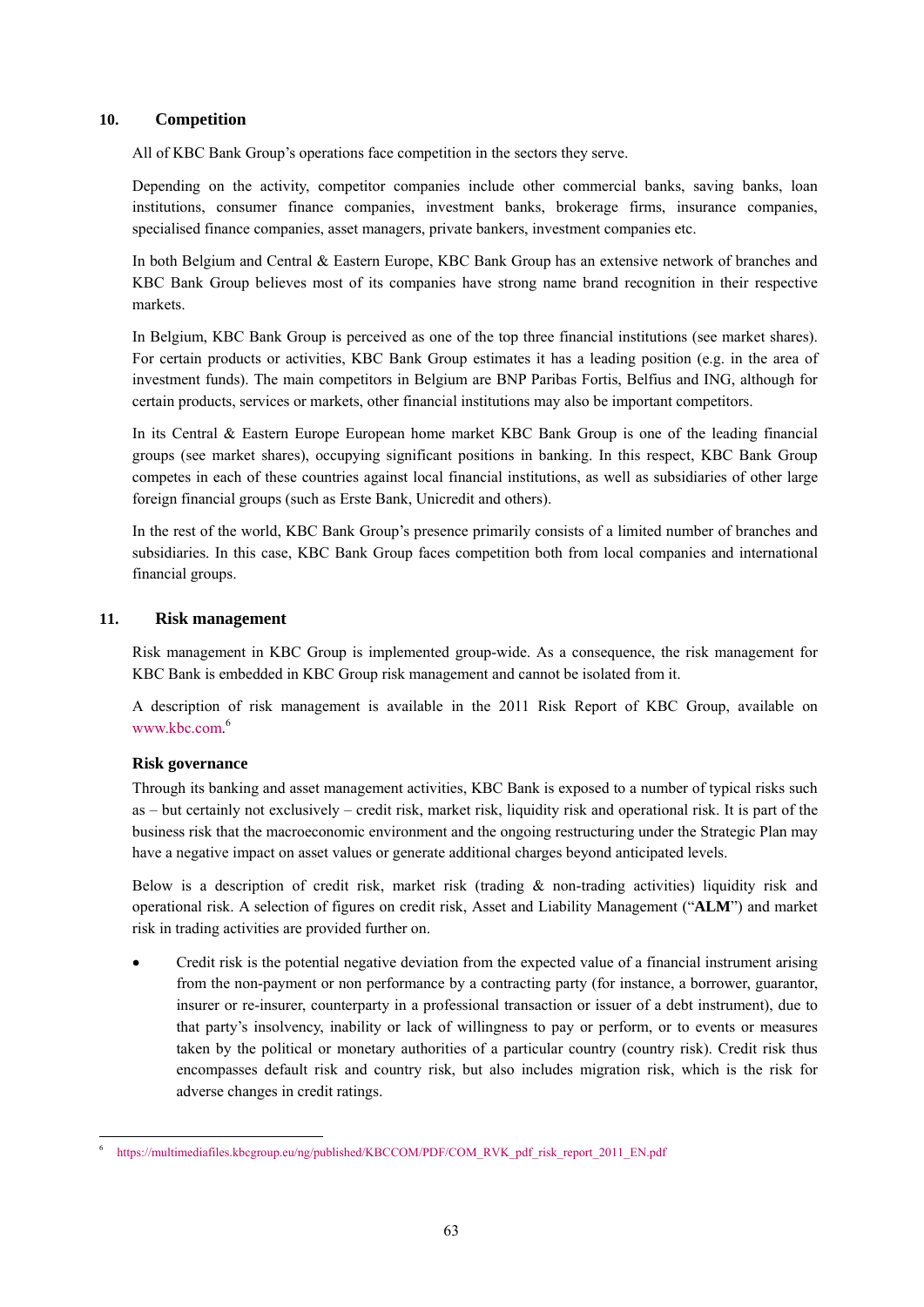### **10. Competition**

All of KBC Bank Group's operations face competition in the sectors they serve.

Depending on the activity, competitor companies include other commercial banks, saving banks, loan institutions, consumer finance companies, investment banks, brokerage firms, insurance companies, specialised finance companies, asset managers, private bankers, investment companies etc.

In both Belgium and Central & Eastern Europe, KBC Bank Group has an extensive network of branches and KBC Bank Group believes most of its companies have strong name brand recognition in their respective markets.

In Belgium, KBC Bank Group is perceived as one of the top three financial institutions (see market shares). For certain products or activities, KBC Bank Group estimates it has a leading position (e.g. in the area of investment funds). The main competitors in Belgium are BNP Paribas Fortis, Belfius and ING, although for certain products, services or markets, other financial institutions may also be important competitors.

In its Central & Eastern Europe European home market KBC Bank Group is one of the leading financial groups (see market shares), occupying significant positions in banking. In this respect, KBC Bank Group competes in each of these countries against local financial institutions, as well as subsidiaries of other large foreign financial groups (such as Erste Bank, Unicredit and others).

In the rest of the world, KBC Bank Group's presence primarily consists of a limited number of branches and subsidiaries. In this case, KBC Bank Group faces competition both from local companies and international financial groups.

# **11. Risk management**

Risk management in KBC Group is implemented group-wide. As a consequence, the risk management for KBC Bank is embedded in KBC Group risk management and cannot be isolated from it.

A description of risk management is available in the 2011 Risk Report of KBC Group, available on www.kbc.com. 6

# **Risk governance**

Through its banking and asset management activities, KBC Bank is exposed to a number of typical risks such as – but certainly not exclusively – credit risk, market risk, liquidity risk and operational risk. It is part of the business risk that the macroeconomic environment and the ongoing restructuring under the Strategic Plan may have a negative impact on asset values or generate additional charges beyond anticipated levels.

Below is a description of credit risk, market risk (trading & non-trading activities) liquidity risk and operational risk. A selection of figures on credit risk, Asset and Liability Management ("**ALM**") and market risk in trading activities are provided further on.

 Credit risk is the potential negative deviation from the expected value of a financial instrument arising from the non-payment or non performance by a contracting party (for instance, a borrower, guarantor, insurer or re-insurer, counterparty in a professional transaction or issuer of a debt instrument), due to that party's insolvency, inability or lack of willingness to pay or perform, or to events or measures taken by the political or monetary authorities of a particular country (country risk). Credit risk thus encompasses default risk and country risk, but also includes migration risk, which is the risk for adverse changes in credit ratings.

https://multimediafiles.kbcgroup.eu/ng/published/KBCCOM/PDF/COM\_RVK\_pdf\_risk\_report\_2011\_EN.pdf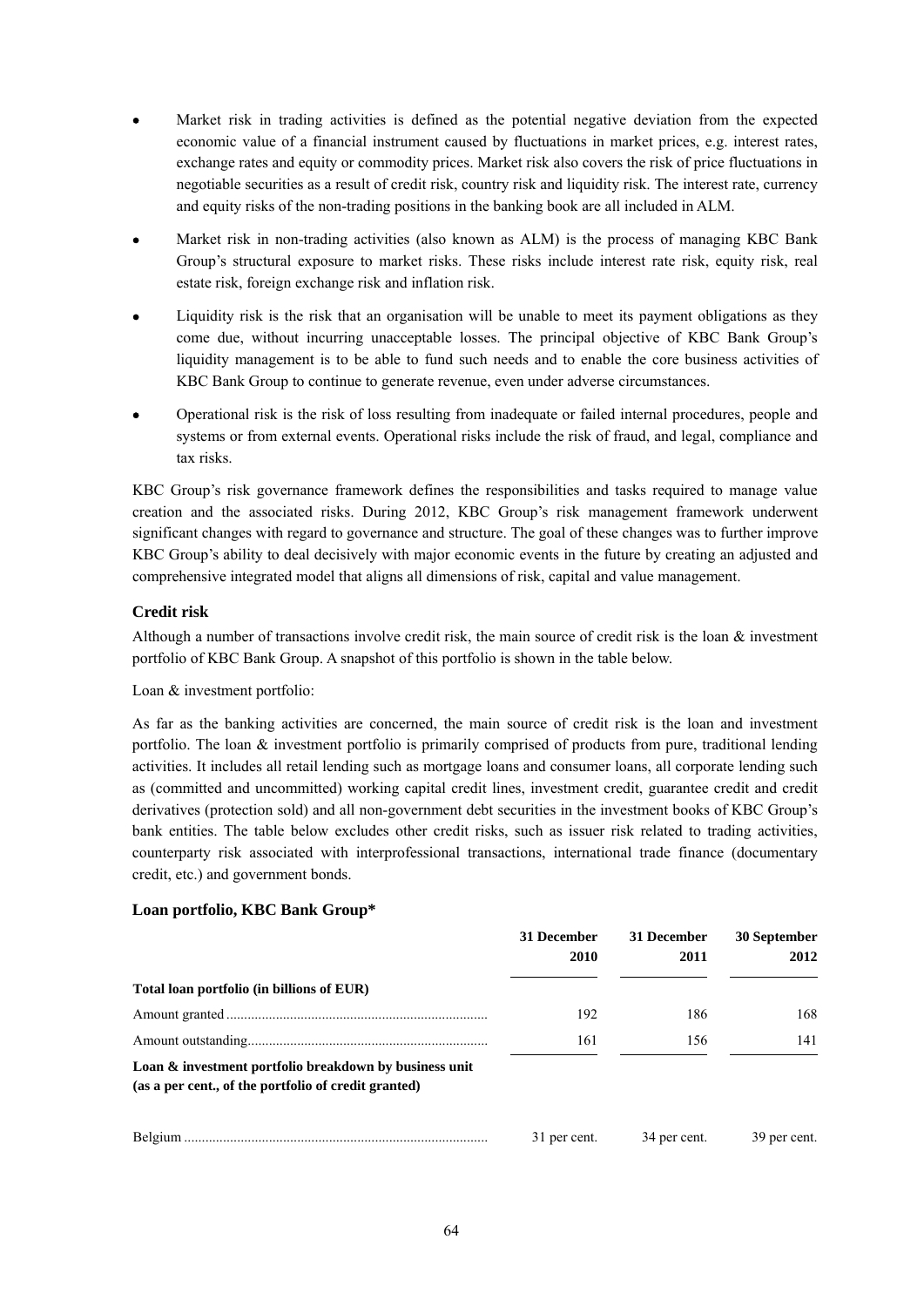- Market risk in trading activities is defined as the potential negative deviation from the expected economic value of a financial instrument caused by fluctuations in market prices, e.g. interest rates, exchange rates and equity or commodity prices. Market risk also covers the risk of price fluctuations in negotiable securities as a result of credit risk, country risk and liquidity risk. The interest rate, currency and equity risks of the non-trading positions in the banking book are all included in ALM.
- Market risk in non-trading activities (also known as ALM) is the process of managing KBC Bank Group's structural exposure to market risks. These risks include interest rate risk, equity risk, real estate risk, foreign exchange risk and inflation risk.
- Liquidity risk is the risk that an organisation will be unable to meet its payment obligations as they come due, without incurring unacceptable losses. The principal objective of KBC Bank Group's liquidity management is to be able to fund such needs and to enable the core business activities of KBC Bank Group to continue to generate revenue, even under adverse circumstances.
- Operational risk is the risk of loss resulting from inadequate or failed internal procedures, people and systems or from external events. Operational risks include the risk of fraud, and legal, compliance and tax risks.

KBC Group's risk governance framework defines the responsibilities and tasks required to manage value creation and the associated risks. During 2012, KBC Group's risk management framework underwent significant changes with regard to governance and structure. The goal of these changes was to further improve KBC Group's ability to deal decisively with major economic events in the future by creating an adjusted and comprehensive integrated model that aligns all dimensions of risk, capital and value management.

# **Credit risk**

Although a number of transactions involve credit risk, the main source of credit risk is the loan & investment portfolio of KBC Bank Group. A snapshot of this portfolio is shown in the table below.

Loan & investment portfolio:

As far as the banking activities are concerned, the main source of credit risk is the loan and investment portfolio. The loan & investment portfolio is primarily comprised of products from pure, traditional lending activities. It includes all retail lending such as mortgage loans and consumer loans, all corporate lending such as (committed and uncommitted) working capital credit lines, investment credit, guarantee credit and credit derivatives (protection sold) and all non-government debt securities in the investment books of KBC Group's bank entities. The table below excludes other credit risks, such as issuer risk related to trading activities, counterparty risk associated with interprofessional transactions, international trade finance (documentary credit, etc.) and government bonds.

# **Loan portfolio, KBC Bank Group\***

|                                                                                                                | 31 December<br>2010 | 31 December<br>2011 | 30 September<br>2012 |
|----------------------------------------------------------------------------------------------------------------|---------------------|---------------------|----------------------|
| Total loan portfolio (in billions of EUR)                                                                      |                     |                     |                      |
|                                                                                                                | 192                 | 186                 | 168                  |
|                                                                                                                | 161                 | 156                 | 141                  |
| Loan & investment portfolio breakdown by business unit<br>(as a per cent., of the portfolio of credit granted) |                     |                     |                      |
|                                                                                                                | 31 per cent.        | 34 per cent.        | 39 per cent.         |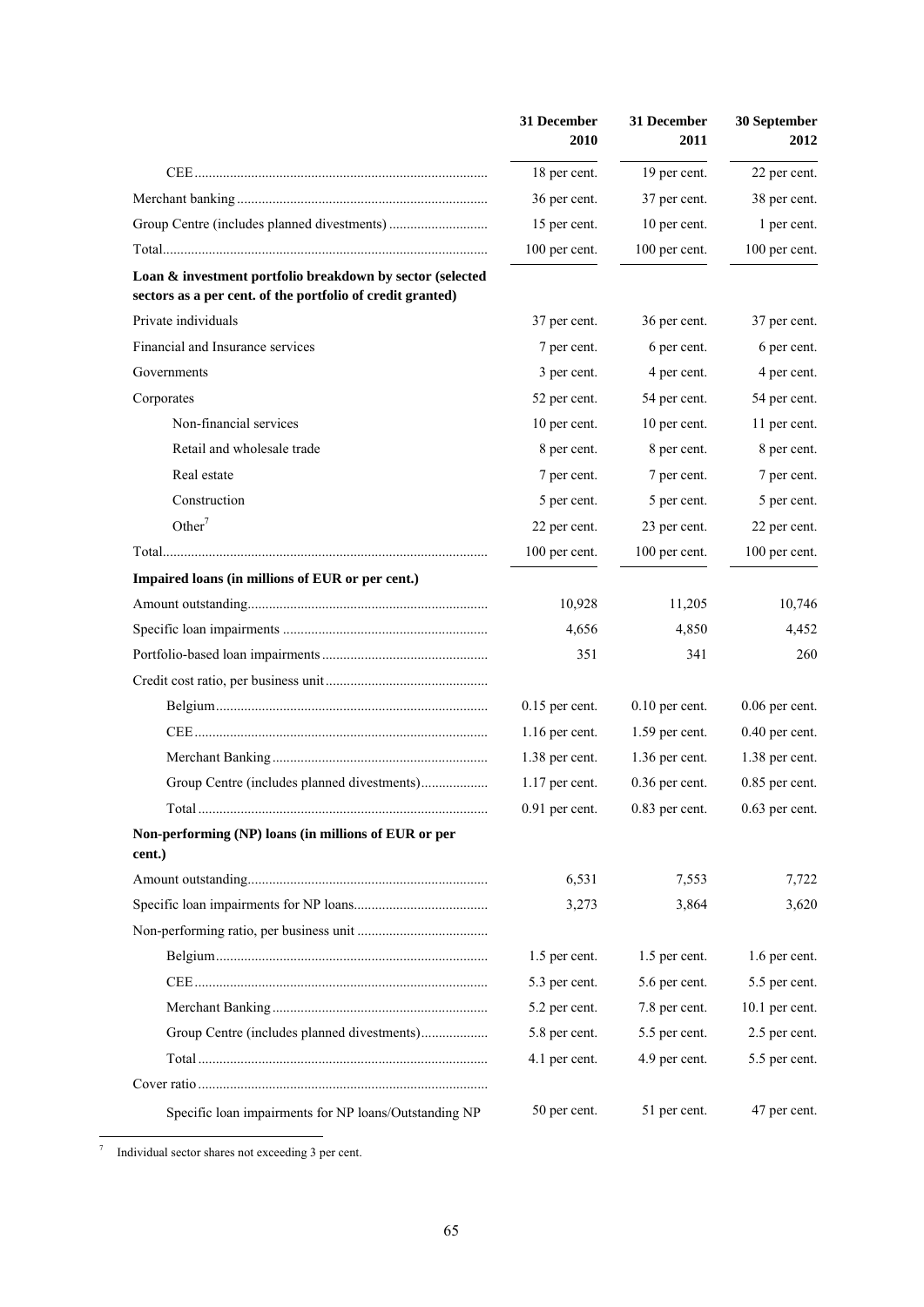|                                                                                                                         | 31 December<br>2010 | 31 December<br><b>2011</b> | 30 September<br>2012 |
|-------------------------------------------------------------------------------------------------------------------------|---------------------|----------------------------|----------------------|
|                                                                                                                         | 18 per cent.        | 19 per cent.               | 22 per cent.         |
|                                                                                                                         | 36 per cent.        | 37 per cent.               | 38 per cent.         |
|                                                                                                                         | 15 per cent.        | 10 per cent.               | 1 per cent.          |
|                                                                                                                         | 100 per cent.       | 100 per cent.              | 100 per cent.        |
| Loan & investment portfolio breakdown by sector (selected<br>sectors as a per cent. of the portfolio of credit granted) |                     |                            |                      |
| Private individuals                                                                                                     | 37 per cent.        | 36 per cent.               | 37 per cent.         |
| Financial and Insurance services                                                                                        | 7 per cent.         | 6 per cent.                | 6 per cent.          |
| Governments                                                                                                             | 3 per cent.         | 4 per cent.                | 4 per cent.          |
| Corporates                                                                                                              | 52 per cent.        | 54 per cent.               | 54 per cent.         |
| Non-financial services                                                                                                  | 10 per cent.        | 10 per cent.               | 11 per cent.         |
| Retail and wholesale trade                                                                                              | 8 per cent.         | 8 per cent.                | 8 per cent.          |
| Real estate                                                                                                             | 7 per cent.         | 7 per cent.                | 7 per cent.          |
| Construction                                                                                                            | 5 per cent.         | 5 per cent.                | 5 per cent.          |
| Other <sup>7</sup>                                                                                                      | 22 per cent.        | 23 per cent.               | 22 per cent.         |
|                                                                                                                         | 100 per cent.       | 100 per cent.              | 100 per cent.        |
| Impaired loans (in millions of EUR or per cent.)                                                                        |                     |                            |                      |
|                                                                                                                         | 10,928              | 11,205                     | 10,746               |
|                                                                                                                         | 4,656               | 4,850                      | 4,452                |
|                                                                                                                         | 351                 | 341                        | 260                  |
|                                                                                                                         |                     |                            |                      |
|                                                                                                                         | $0.15$ per cent.    | $0.10$ per cent.           | $0.06$ per cent.     |
|                                                                                                                         | $1.16$ per cent.    | $1.59$ per cent.           | $0.40$ per cent.     |
|                                                                                                                         | 1.38 per cent.      | 1.36 per cent.             | 1.38 per cent.       |
|                                                                                                                         | $1.17$ per cent.    | $0.36$ per cent.           | $0.85$ per cent.     |
|                                                                                                                         | $0.91$ per cent.    | $0.83$ per cent.           | $0.63$ per cent.     |
| Non-performing (NP) loans (in millions of EUR or per<br>cent.)                                                          |                     |                            |                      |
|                                                                                                                         | 6,531               | 7,553                      | 7,722                |
|                                                                                                                         | 3,273               | 3,864                      | 3,620                |
|                                                                                                                         |                     |                            |                      |
|                                                                                                                         | 1.5 per cent.       | 1.5 per cent.              | 1.6 per cent.        |
|                                                                                                                         | 5.3 per cent.       | 5.6 per cent.              | 5.5 per cent.        |
|                                                                                                                         | 5.2 per cent.       | 7.8 per cent.              | 10.1 per cent.       |
| Group Centre (includes planned divestments)                                                                             | 5.8 per cent.       | 5.5 per cent.              | 2.5 per cent.        |
|                                                                                                                         | 4.1 per cent.       | 4.9 per cent.              | 5.5 per cent.        |
|                                                                                                                         |                     |                            |                      |
| Specific loan impairments for NP loans/Outstanding NP                                                                   | 50 per cent.        | 51 per cent.               | 47 per cent.         |

7 Individual sector shares not exceeding 3 per cent.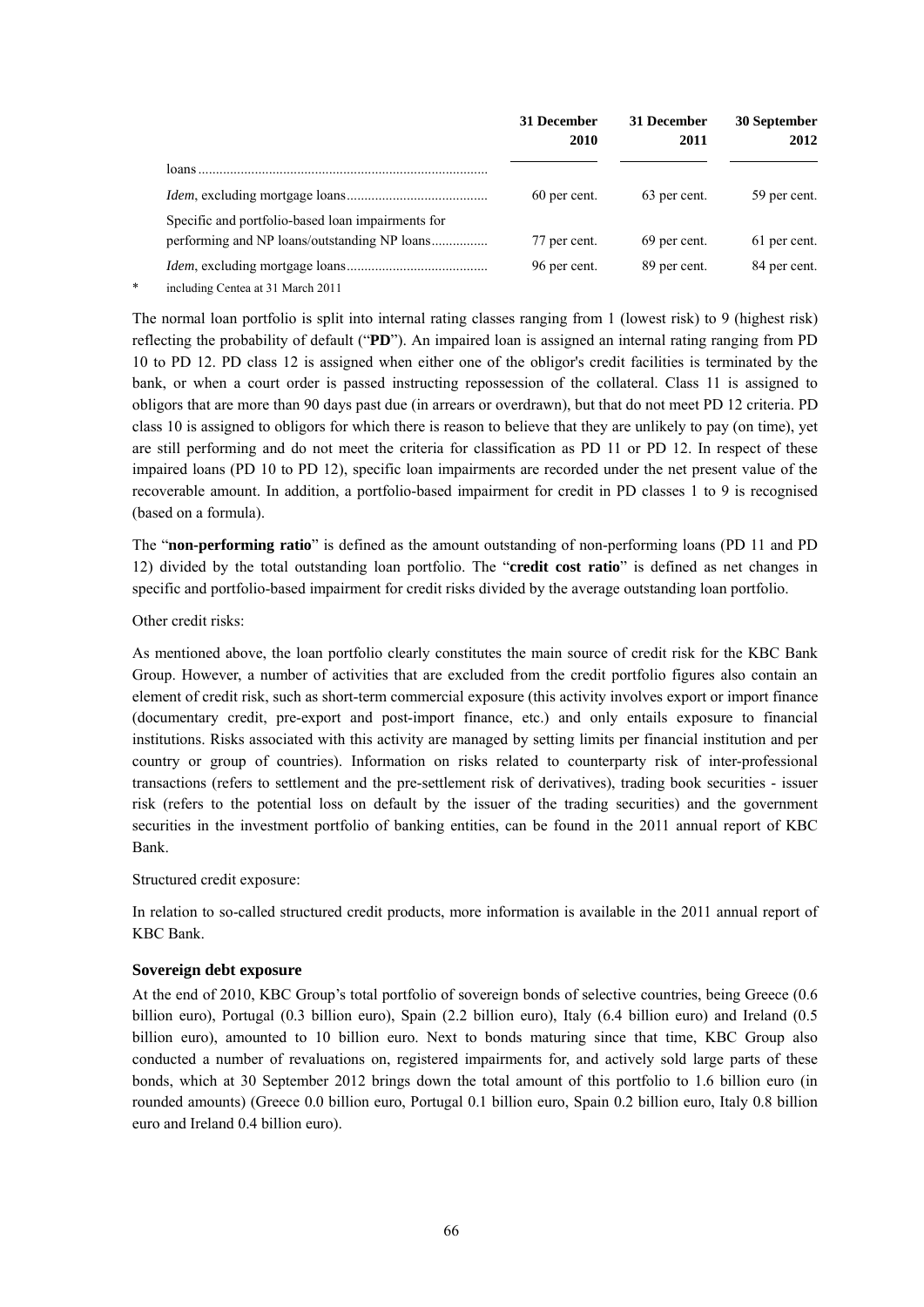|                                                   | 31 December<br>2010 | 31 December<br>2011 | 30 September<br>2012 |
|---------------------------------------------------|---------------------|---------------------|----------------------|
|                                                   |                     |                     |                      |
|                                                   | 60 per cent.        | 63 per cent.        | 59 per cent.         |
| Specific and portfolio-based loan impairments for |                     |                     |                      |
|                                                   | 77 per cent.        | 69 per cent.        | 61 per cent.         |
| including Centea at 31 March 2011                 | 96 per cent.        | 89 per cent.        | 84 per cent.         |

The normal loan portfolio is split into internal rating classes ranging from 1 (lowest risk) to 9 (highest risk) reflecting the probability of default ("**PD**"). An impaired loan is assigned an internal rating ranging from PD 10 to PD 12. PD class 12 is assigned when either one of the obligor's credit facilities is terminated by the bank, or when a court order is passed instructing repossession of the collateral. Class 11 is assigned to obligors that are more than 90 days past due (in arrears or overdrawn), but that do not meet PD 12 criteria. PD class 10 is assigned to obligors for which there is reason to believe that they are unlikely to pay (on time), yet are still performing and do not meet the criteria for classification as PD 11 or PD 12. In respect of these impaired loans (PD 10 to PD 12), specific loan impairments are recorded under the net present value of the recoverable amount. In addition, a portfolio-based impairment for credit in PD classes 1 to 9 is recognised (based on a formula).

The "**non-performing ratio**" is defined as the amount outstanding of non-performing loans (PD 11 and PD 12) divided by the total outstanding loan portfolio. The "**credit cost ratio**" is defined as net changes in specific and portfolio-based impairment for credit risks divided by the average outstanding loan portfolio.

Other credit risks:

As mentioned above, the loan portfolio clearly constitutes the main source of credit risk for the KBC Bank Group. However, a number of activities that are excluded from the credit portfolio figures also contain an element of credit risk, such as short-term commercial exposure (this activity involves export or import finance (documentary credit, pre-export and post-import finance, etc.) and only entails exposure to financial institutions. Risks associated with this activity are managed by setting limits per financial institution and per country or group of countries). Information on risks related to counterparty risk of inter-professional transactions (refers to settlement and the pre-settlement risk of derivatives), trading book securities - issuer risk (refers to the potential loss on default by the issuer of the trading securities) and the government securities in the investment portfolio of banking entities, can be found in the 2011 annual report of KBC Bank.

Structured credit exposure:

In relation to so-called structured credit products, more information is available in the 2011 annual report of KBC Bank.

# **Sovereign debt exposure**

At the end of 2010, KBC Group's total portfolio of sovereign bonds of selective countries, being Greece (0.6 billion euro), Portugal (0.3 billion euro), Spain (2.2 billion euro), Italy (6.4 billion euro) and Ireland (0.5 billion euro), amounted to 10 billion euro. Next to bonds maturing since that time, KBC Group also conducted a number of revaluations on, registered impairments for, and actively sold large parts of these bonds, which at 30 September 2012 brings down the total amount of this portfolio to 1.6 billion euro (in rounded amounts) (Greece 0.0 billion euro, Portugal 0.1 billion euro, Spain 0.2 billion euro, Italy 0.8 billion euro and Ireland 0.4 billion euro).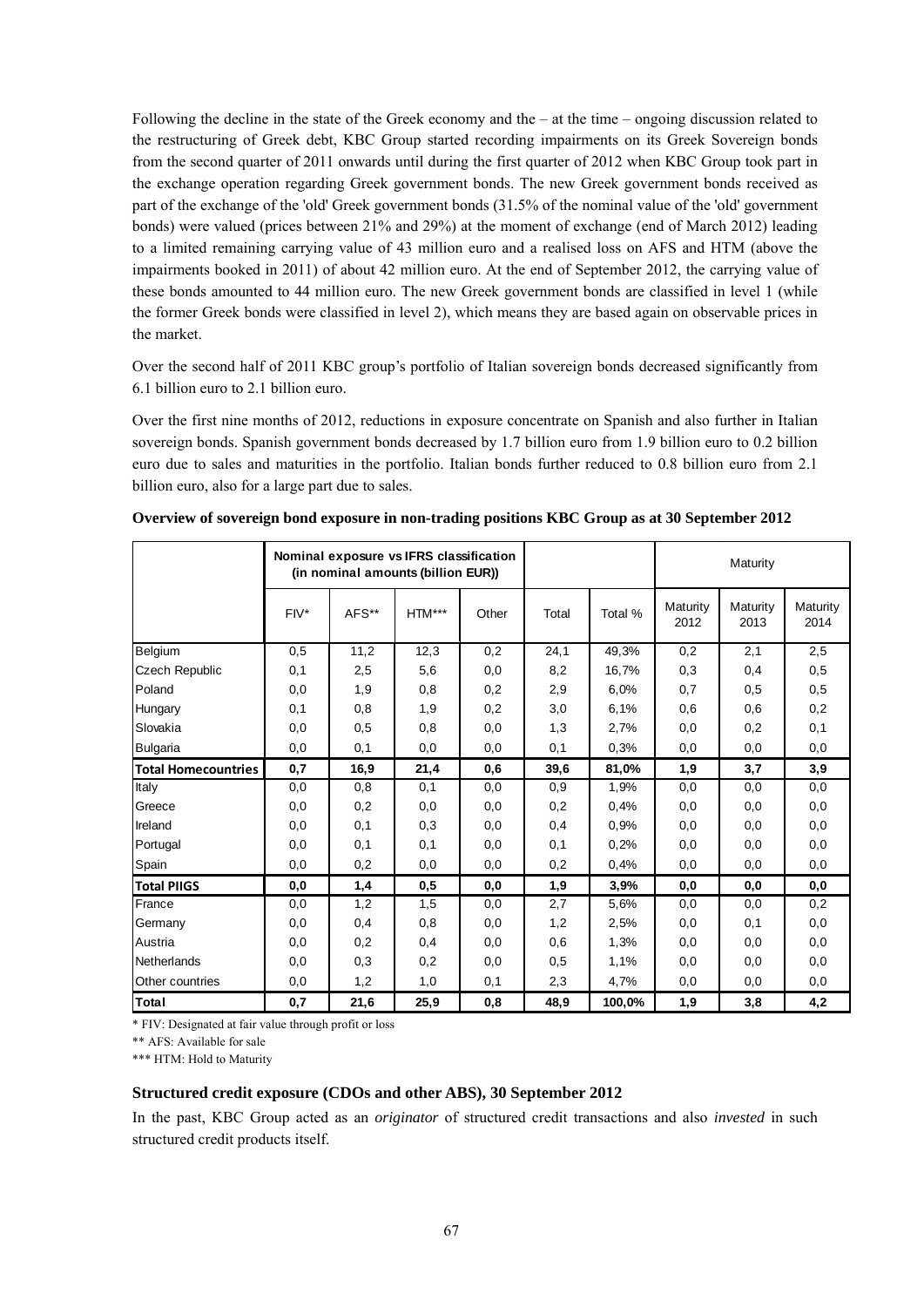Following the decline in the state of the Greek economy and the – at the time – ongoing discussion related to the restructuring of Greek debt, KBC Group started recording impairments on its Greek Sovereign bonds from the second quarter of 2011 onwards until during the first quarter of 2012 when KBC Group took part in the exchange operation regarding Greek government bonds. The new Greek government bonds received as part of the exchange of the 'old' Greek government bonds (31.5% of the nominal value of the 'old' government bonds) were valued (prices between 21% and 29%) at the moment of exchange (end of March 2012) leading to a limited remaining carrying value of 43 million euro and a realised loss on AFS and HTM (above the impairments booked in 2011) of about 42 million euro. At the end of September 2012, the carrying value of these bonds amounted to 44 million euro. The new Greek government bonds are classified in level 1 (while the former Greek bonds were classified in level 2), which means they are based again on observable prices in the market.

Over the second half of 2011 KBC group's portfolio of Italian sovereign bonds decreased significantly from 6.1 billion euro to 2.1 billion euro.

Over the first nine months of 2012, reductions in exposure concentrate on Spanish and also further in Italian sovereign bonds. Spanish government bonds decreased by 1.7 billion euro from 1.9 billion euro to 0.2 billion euro due to sales and maturities in the portfolio. Italian bonds further reduced to 0.8 billion euro from 2.1 billion euro, also for a large part due to sales.

|                            | Nominal exposure vs IFRS classification<br>(in nominal amounts (billion EUR)) |       |        |       |       |         | Maturity         |                  |                  |
|----------------------------|-------------------------------------------------------------------------------|-------|--------|-------|-------|---------|------------------|------------------|------------------|
|                            | $FIV^*$                                                                       | AFS** | HTM*** | Other | Total | Total % | Maturity<br>2012 | Maturity<br>2013 | Maturity<br>2014 |
| Belgium                    | 0,5                                                                           | 11,2  | 12,3   | 0,2   | 24,1  | 49,3%   | 0,2              | 2,1              | 2,5              |
| <b>Czech Republic</b>      | 0,1                                                                           | 2,5   | 5,6    | 0,0   | 8,2   | 16,7%   | 0,3              | 0,4              | 0,5              |
| Poland                     | 0,0                                                                           | 1,9   | 0,8    | 0,2   | 2,9   | 6,0%    | 0,7              | 0,5              | 0,5              |
| Hungary                    | 0, 1                                                                          | 0,8   | 1,9    | 0,2   | 3,0   | 6,1%    | 0,6              | 0,6              | 0,2              |
| Slovakia                   | 0,0                                                                           | 0,5   | 0,8    | 0,0   | 1,3   | 2,7%    | 0,0              | 0,2              | 0,1              |
| Bulgaria                   | 0,0                                                                           | 0,1   | 0,0    | 0,0   | 0,1   | 0.3%    | 0,0              | 0,0              | 0,0              |
| <b>Total Homecountries</b> | 0,7                                                                           | 16,9  | 21,4   | 0,6   | 39,6  | 81,0%   | 1,9              | 3,7              | 3,9              |
| Italy                      | 0,0                                                                           | 0,8   | 0,1    | 0,0   | 0,9   | 1,9%    | 0,0              | 0,0              | 0,0              |
| Greece                     | 0,0                                                                           | 0,2   | 0,0    | 0,0   | 0,2   | 0,4%    | 0,0              | 0,0              | 0,0              |
| Ireland                    | 0,0                                                                           | 0,1   | 0,3    | 0,0   | 0,4   | 0.9%    | 0,0              | 0,0              | 0,0              |
| Portugal                   | 0,0                                                                           | 0,1   | 0,1    | 0,0   | 0,1   | 0,2%    | 0,0              | 0,0              | 0,0              |
| Spain                      | 0,0                                                                           | 0,2   | 0,0    | 0,0   | 0,2   | 0,4%    | 0,0              | 0,0              | 0,0              |
| <b>Total PIIGS</b>         | 0,0                                                                           | 1,4   | 0,5    | 0,0   | 1,9   | 3,9%    | 0,0              | 0,0              | 0, 0             |
| France                     | 0,0                                                                           | 1,2   | 1,5    | 0,0   | 2,7   | 5,6%    | 0,0              | 0,0              | 0,2              |
| Germany                    | 0,0                                                                           | 0,4   | 0,8    | 0,0   | 1,2   | 2,5%    | 0,0              | 0,1              | 0,0              |
| Austria                    | 0,0                                                                           | 0,2   | 0,4    | 0,0   | 0,6   | 1,3%    | 0,0              | 0,0              | 0,0              |
| <b>Netherlands</b>         | 0,0                                                                           | 0,3   | 0,2    | 0,0   | 0,5   | 1,1%    | 0,0              | 0,0              | 0,0              |
| Other countries            | 0,0                                                                           | 1,2   | 1,0    | 0,1   | 2,3   | 4,7%    | 0,0              | 0,0              | 0,0              |
| Total                      | 0,7                                                                           | 21,6  | 25,9   | 0,8   | 48,9  | 100,0%  | 1,9              | 3,8              | 4,2              |

**Overview of sovereign bond exposure in non-trading positions KBC Group as at 30 September 2012**

\* FIV: Designated at fair value through profit or loss

\*\* AFS: Available for sale

\*\*\* HTM: Hold to Maturity

#### **Structured credit exposure (CDOs and other ABS), 30 September 2012**

In the past, KBC Group acted as an *originator* of structured credit transactions and also *invested* in such structured credit products itself.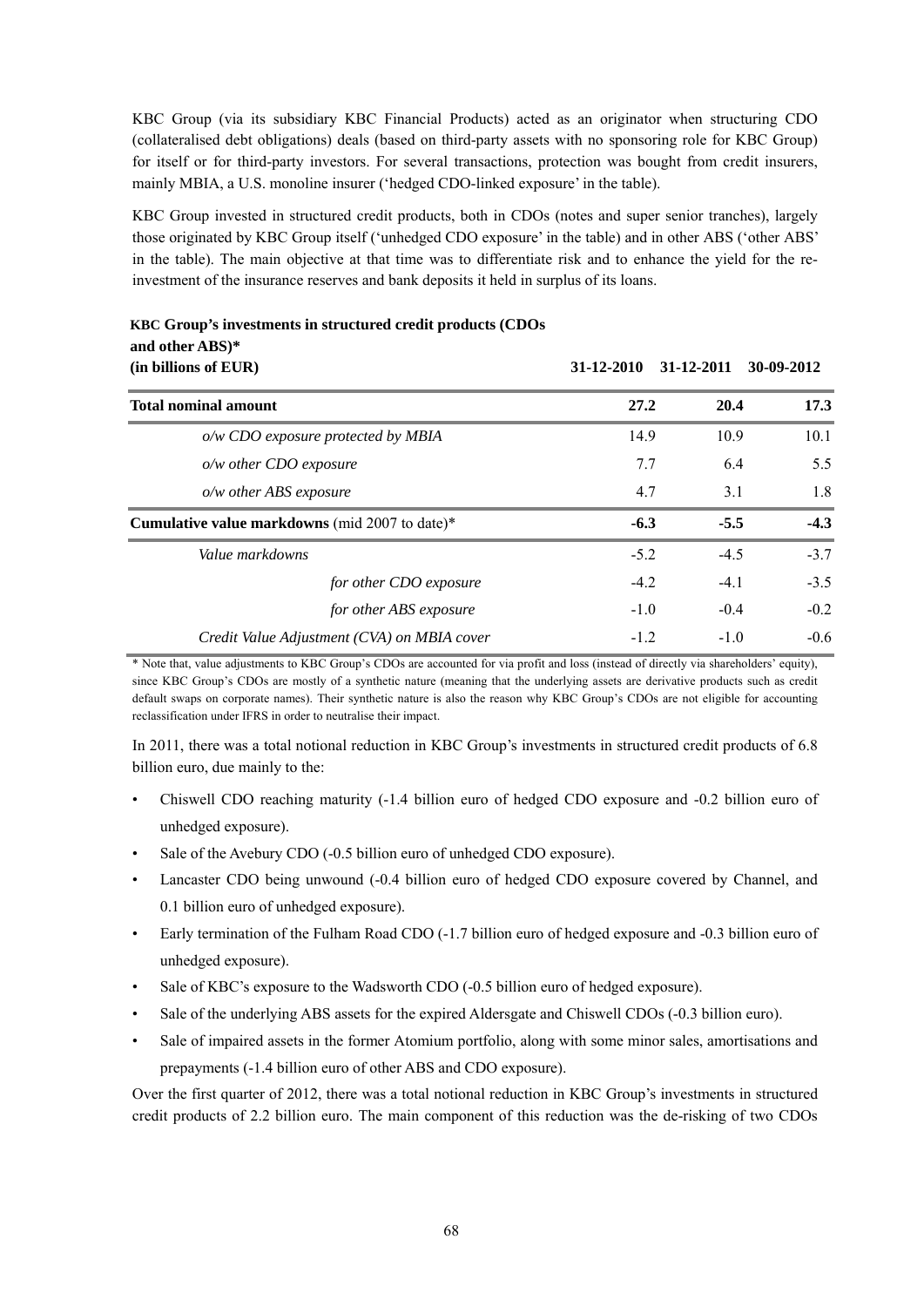KBC Group (via its subsidiary KBC Financial Products) acted as an originator when structuring CDO (collateralised debt obligations) deals (based on third-party assets with no sponsoring role for KBC Group) for itself or for third-party investors. For several transactions, protection was bought from credit insurers, mainly MBIA, a U.S. monoline insurer ('hedged CDO-linked exposure' in the table).

KBC Group invested in structured credit products, both in CDOs (notes and super senior tranches), largely those originated by KBC Group itself ('unhedged CDO exposure' in the table) and in other ABS ('other ABS' in the table). The main objective at that time was to differentiate risk and to enhance the yield for the reinvestment of the insurance reserves and bank deposits it held in surplus of its loans.

| (in billions of EUR)                           |                                             | 31-12-2010 | 31-12-2011   | 30-09-2012 |
|------------------------------------------------|---------------------------------------------|------------|--------------|------------|
| <b>Total nominal amount</b>                    |                                             |            | 27.2<br>20.4 | 17.3       |
| o/w CDO exposure protected by MBIA             |                                             | 14.9       | 10.9         | 10.1       |
| o/w other CDO exposure                         |                                             | 7.7        | 6.4          | 5.5        |
| o/w other ABS exposure                         |                                             | 4.7        | 3.1          | 1.8        |
| Cumulative value markdowns (mid 2007 to date)* |                                             | $-6.3$     | $-5.5$       | $-4.3$     |
| Value markdowns                                |                                             | $-5.2$     | $-4.5$       | $-3.7$     |
|                                                | for other CDO exposure                      | $-4.2$     | $-4.1$       | $-3.5$     |
|                                                | for other ABS exposure                      | $-1.0$     | $-0.4$       | $-0.2$     |
|                                                | Credit Value Adjustment (CVA) on MBIA cover | $-1.2$     | $-1.0$       | $-0.6$     |

# **KBC Group's investments in structured credit products (CDOs and other ABS)\***

\* Note that, value adjustments to KBC Group's CDOs are accounted for via profit and loss (instead of directly via shareholders' equity), since KBC Group's CDOs are mostly of a synthetic nature (meaning that the underlying assets are derivative products such as credit default swaps on corporate names). Their synthetic nature is also the reason why KBC Group's CDOs are not eligible for accounting reclassification under IFRS in order to neutralise their impact.

In 2011, there was a total notional reduction in KBC Group's investments in structured credit products of 6.8 billion euro, due mainly to the:

- Chiswell CDO reaching maturity (-1.4 billion euro of hedged CDO exposure and -0.2 billion euro of unhedged exposure).
- Sale of the Avebury CDO (-0.5 billion euro of unhedged CDO exposure).
- Lancaster CDO being unwound (-0.4 billion euro of hedged CDO exposure covered by Channel, and 0.1 billion euro of unhedged exposure).
- Early termination of the Fulham Road CDO (-1.7 billion euro of hedged exposure and -0.3 billion euro of unhedged exposure).
- Sale of KBC's exposure to the Wadsworth CDO (-0.5 billion euro of hedged exposure).
- Sale of the underlying ABS assets for the expired Aldersgate and Chiswell CDOs (-0.3 billion euro).
- Sale of impaired assets in the former Atomium portfolio, along with some minor sales, amortisations and prepayments (-1.4 billion euro of other ABS and CDO exposure).

Over the first quarter of 2012, there was a total notional reduction in KBC Group's investments in structured credit products of 2.2 billion euro. The main component of this reduction was the de-risking of two CDOs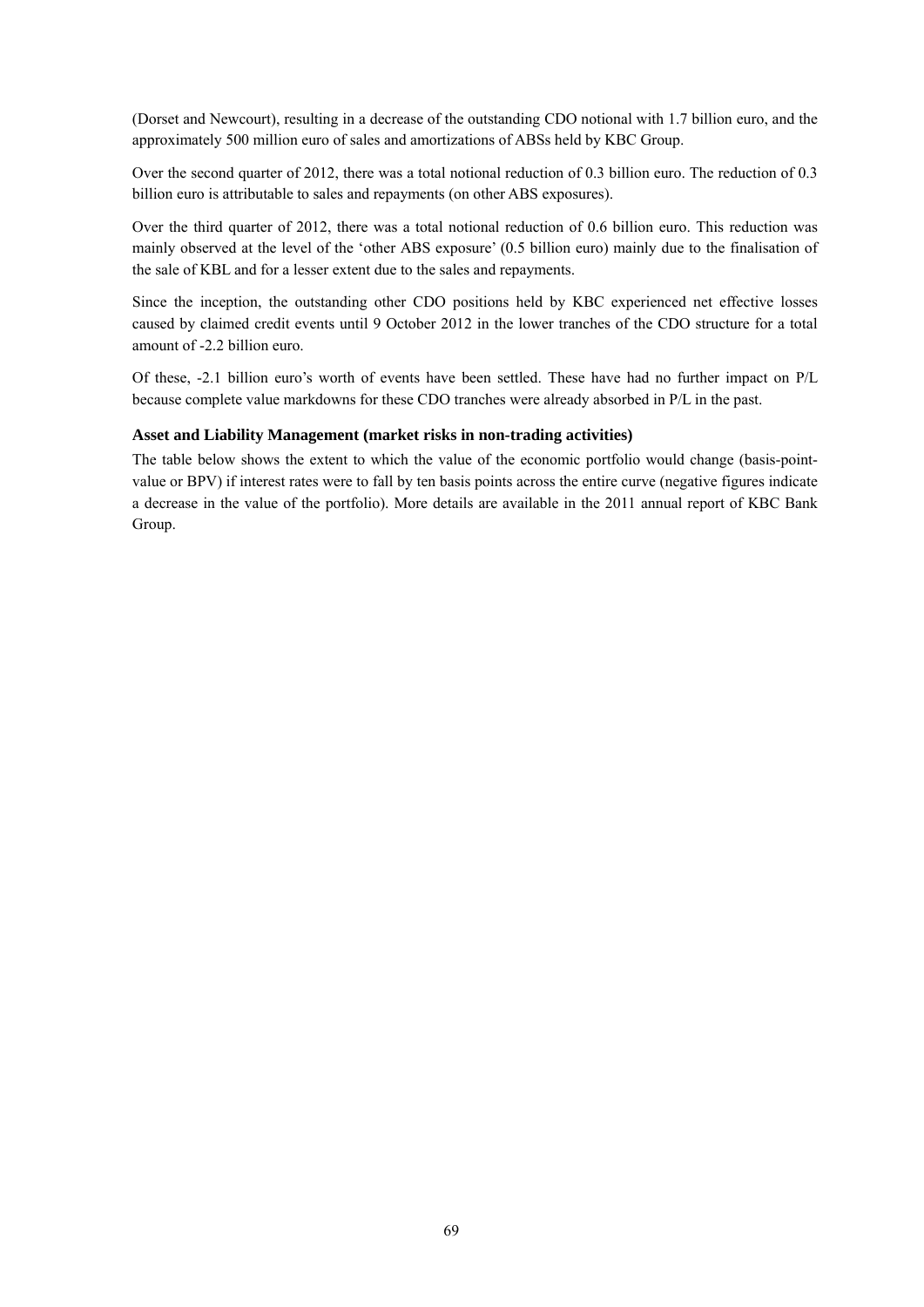(Dorset and Newcourt), resulting in a decrease of the outstanding CDO notional with 1.7 billion euro, and the approximately 500 million euro of sales and amortizations of ABSs held by KBC Group.

Over the second quarter of 2012, there was a total notional reduction of 0.3 billion euro. The reduction of 0.3 billion euro is attributable to sales and repayments (on other ABS exposures).

Over the third quarter of 2012, there was a total notional reduction of 0.6 billion euro. This reduction was mainly observed at the level of the 'other ABS exposure' (0.5 billion euro) mainly due to the finalisation of the sale of KBL and for a lesser extent due to the sales and repayments.

Since the inception, the outstanding other CDO positions held by KBC experienced net effective losses caused by claimed credit events until 9 October 2012 in the lower tranches of the CDO structure for a total amount of -2.2 billion euro.

Of these, -2.1 billion euro's worth of events have been settled. These have had no further impact on P/L because complete value markdowns for these CDO tranches were already absorbed in P/L in the past.

#### **Asset and Liability Management (market risks in non-trading activities)**

The table below shows the extent to which the value of the economic portfolio would change (basis-pointvalue or BPV) if interest rates were to fall by ten basis points across the entire curve (negative figures indicate a decrease in the value of the portfolio). More details are available in the 2011 annual report of KBC Bank Group.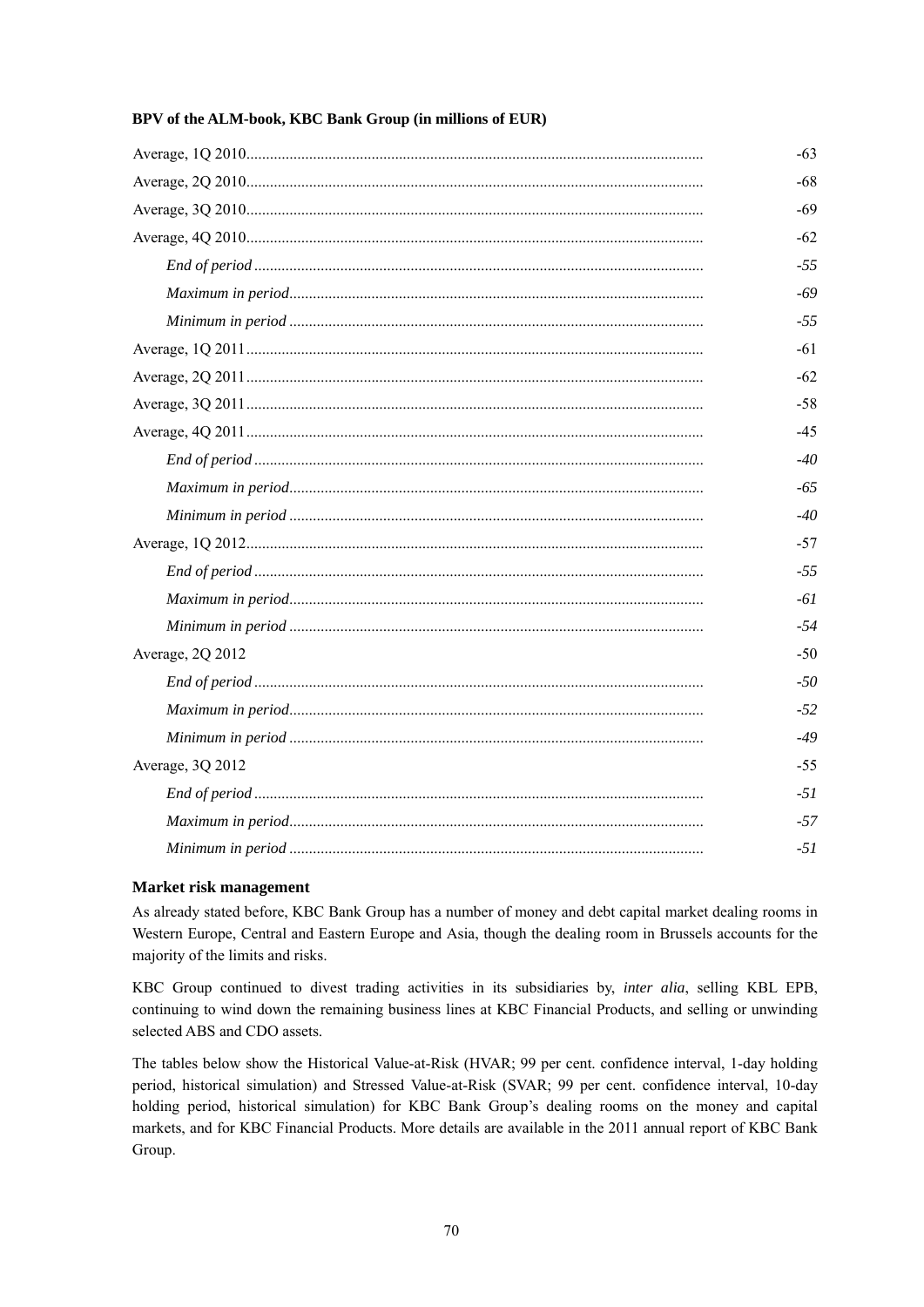|                  | $-63$ |
|------------------|-------|
|                  | $-68$ |
|                  | -69   |
|                  | $-62$ |
|                  | $-55$ |
|                  | $-69$ |
|                  | $-55$ |
|                  | $-61$ |
|                  | $-62$ |
|                  | $-58$ |
|                  | $-45$ |
|                  | $-40$ |
|                  | $-65$ |
|                  | $-40$ |
|                  | $-57$ |
|                  | $-55$ |
|                  | $-61$ |
|                  | $-54$ |
| Average, 2Q 2012 | $-50$ |
|                  | $-50$ |
|                  | $-52$ |
|                  | $-49$ |
| Average, 3Q 2012 | $-55$ |
|                  | $-51$ |
|                  | $-57$ |
|                  | $-51$ |

### **BPV of the ALM-book, KBC Bank Group (in millions of EUR)**

#### **Market risk management**

As already stated before, KBC Bank Group has a number of money and debt capital market dealing rooms in Western Europe, Central and Eastern Europe and Asia, though the dealing room in Brussels accounts for the majority of the limits and risks.

KBC Group continued to divest trading activities in its subsidiaries by, *inter alia*, selling KBL EPB, continuing to wind down the remaining business lines at KBC Financial Products, and selling or unwinding selected ABS and CDO assets.

The tables below show the Historical Value-at-Risk (HVAR; 99 per cent. confidence interval, 1-day holding period, historical simulation) and Stressed Value-at-Risk (SVAR; 99 per cent. confidence interval, 10-day holding period, historical simulation) for KBC Bank Group's dealing rooms on the money and capital markets, and for KBC Financial Products. More details are available in the 2011 annual report of KBC Bank Group.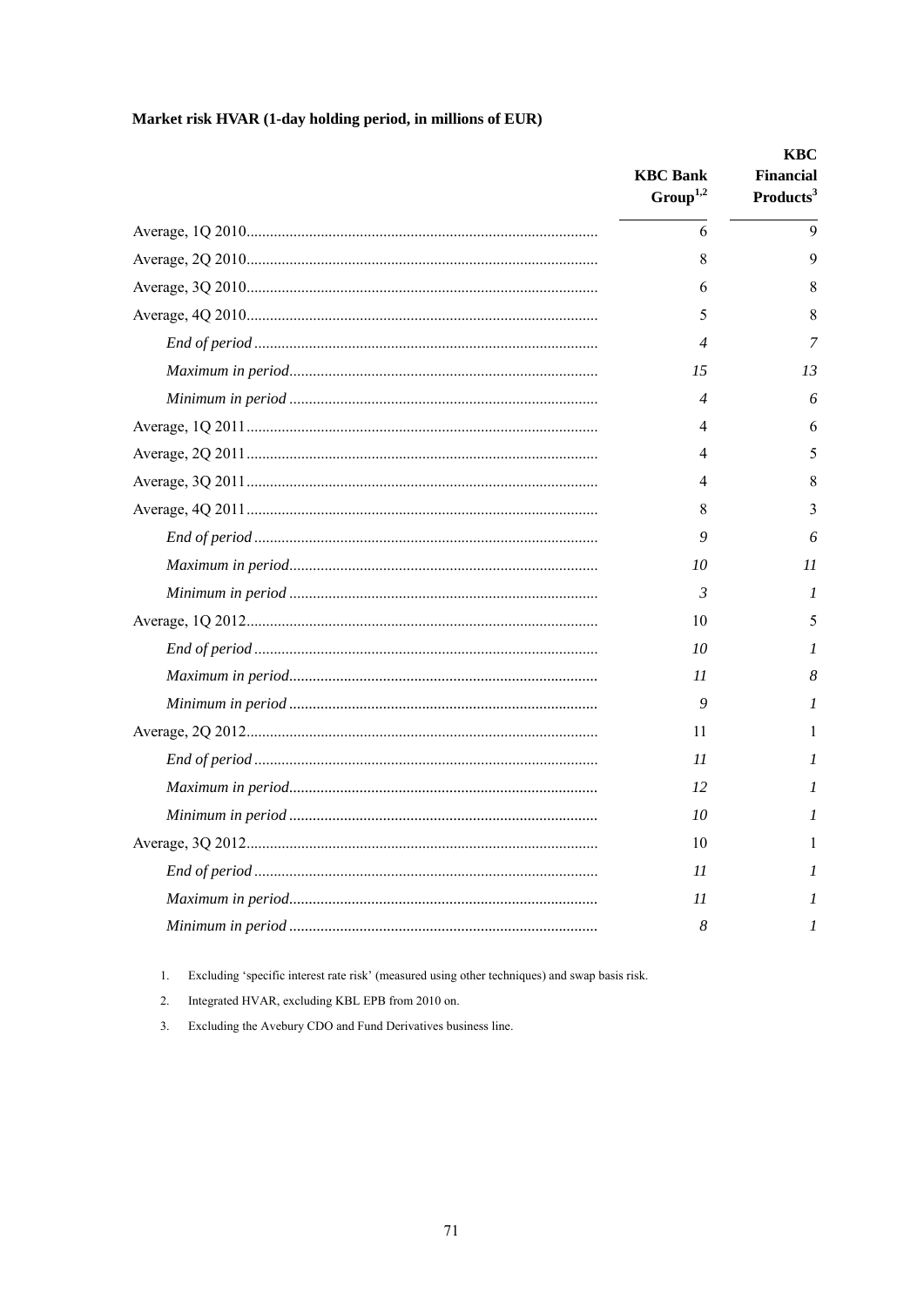# Market risk HVAR (1-day holding period, in millions of EUR)

| <b>KBC</b> Bank<br>Group <sup>1,2</sup> | KBC<br><b>Financial</b><br>Products <sup>3</sup> |
|-----------------------------------------|--------------------------------------------------|
| 6                                       | 9                                                |
| 8                                       | 9                                                |
| 6                                       | 8                                                |
| 5                                       | 8                                                |
| 4                                       | 7                                                |
| 15                                      | 13                                               |
| 4                                       | 6                                                |
| 4                                       | 6                                                |
| 4                                       | 5                                                |
| 4                                       | 8                                                |
| 8                                       | 3                                                |
| 9                                       | 6                                                |
| 10                                      | 11                                               |
| 3                                       | 1                                                |
| 10                                      | 5                                                |
| 10                                      | 1                                                |
| 11                                      | 8                                                |
| 9                                       | 1                                                |
| 11                                      |                                                  |
| 11                                      | 1                                                |
| 12                                      | I                                                |
| 10                                      | 1                                                |
| 10                                      | 1                                                |
| 11                                      | 1                                                |
| 11                                      | 1                                                |
| 8                                       | 1                                                |

 $1.$ Excluding 'specific interest rate risk' (measured using other techniques) and swap basis risk.

Integrated HVAR, excluding KBL EPB from 2010 on. 2.

 $3.$ Excluding the Avebury CDO and Fund Derivatives business line.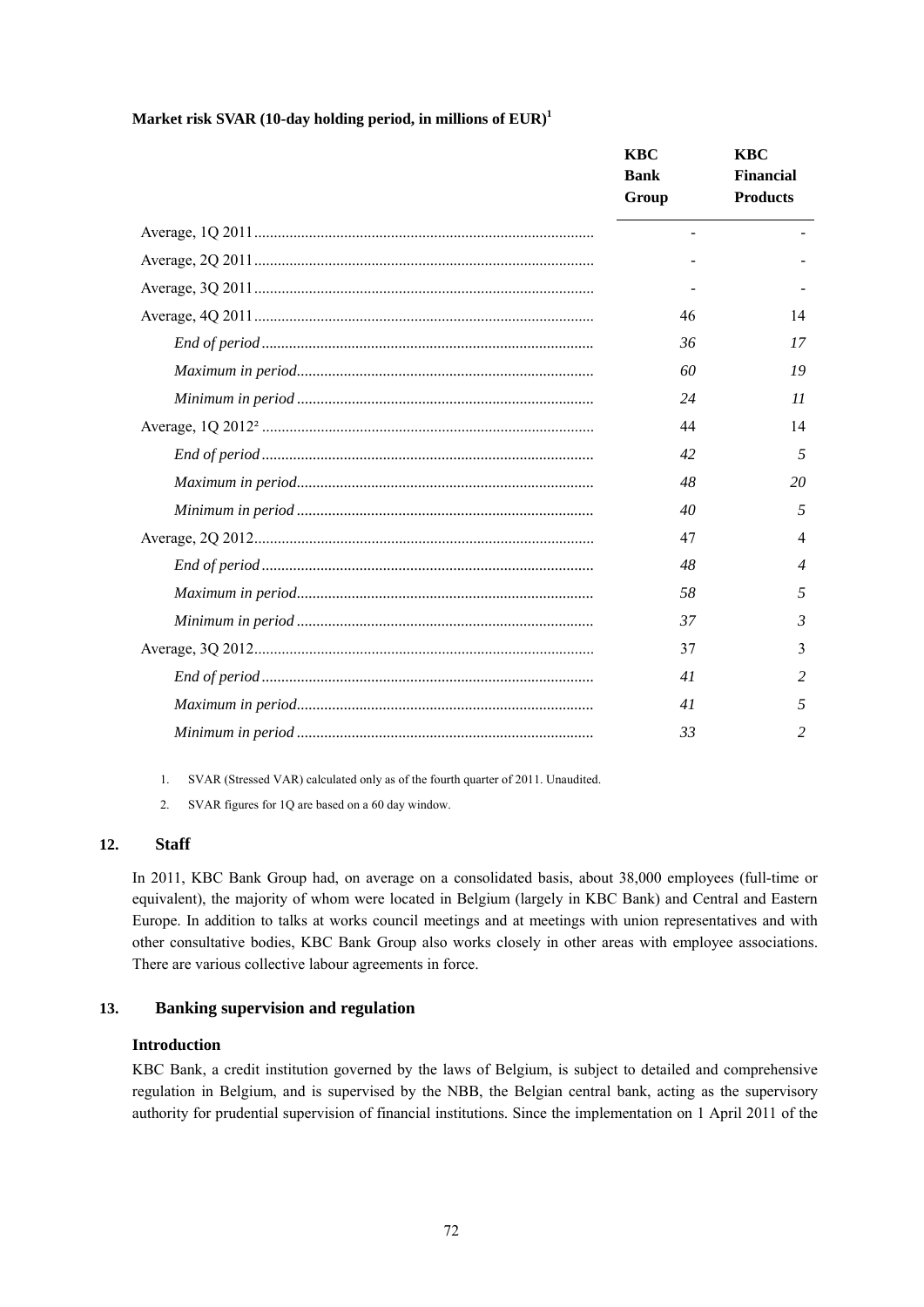**Market risk SVAR (10-day holding period, in millions of EUR)1** 

| <b>KBC</b>               | <b>KBC</b>       |
|--------------------------|------------------|
| <b>Bank</b>              | <b>Financial</b> |
| Group                    | <b>Products</b>  |
| $\overline{\phantom{a}}$ |                  |
|                          |                  |
|                          |                  |
| 46                       | 14               |
| 36                       | 17               |
| 60                       | 19               |
| 24                       | 11               |
| 44                       | 14               |
| 42                       | 5                |
| 48                       | 20               |
| 40                       | 5                |
| 47                       | 4                |
| 48                       | $\overline{4}$   |
| 58                       | 5                |
| 37                       | 3                |
| 37                       | 3                |
| 41                       | 2                |
| 41                       | 5                |
| 33                       | 2                |

1. SVAR (Stressed VAR) calculated only as of the fourth quarter of 2011. Unaudited.

2. SVAR figures for 1Q are based on a 60 day window.

### **12. Staff**

In 2011, KBC Bank Group had, on average on a consolidated basis, about 38,000 employees (full-time or equivalent), the majority of whom were located in Belgium (largely in KBC Bank) and Central and Eastern Europe. In addition to talks at works council meetings and at meetings with union representatives and with other consultative bodies, KBC Bank Group also works closely in other areas with employee associations. There are various collective labour agreements in force.

#### **13. Banking supervision and regulation**

# **Introduction**

KBC Bank, a credit institution governed by the laws of Belgium, is subject to detailed and comprehensive regulation in Belgium, and is supervised by the NBB, the Belgian central bank, acting as the supervisory authority for prudential supervision of financial institutions. Since the implementation on 1 April 2011 of the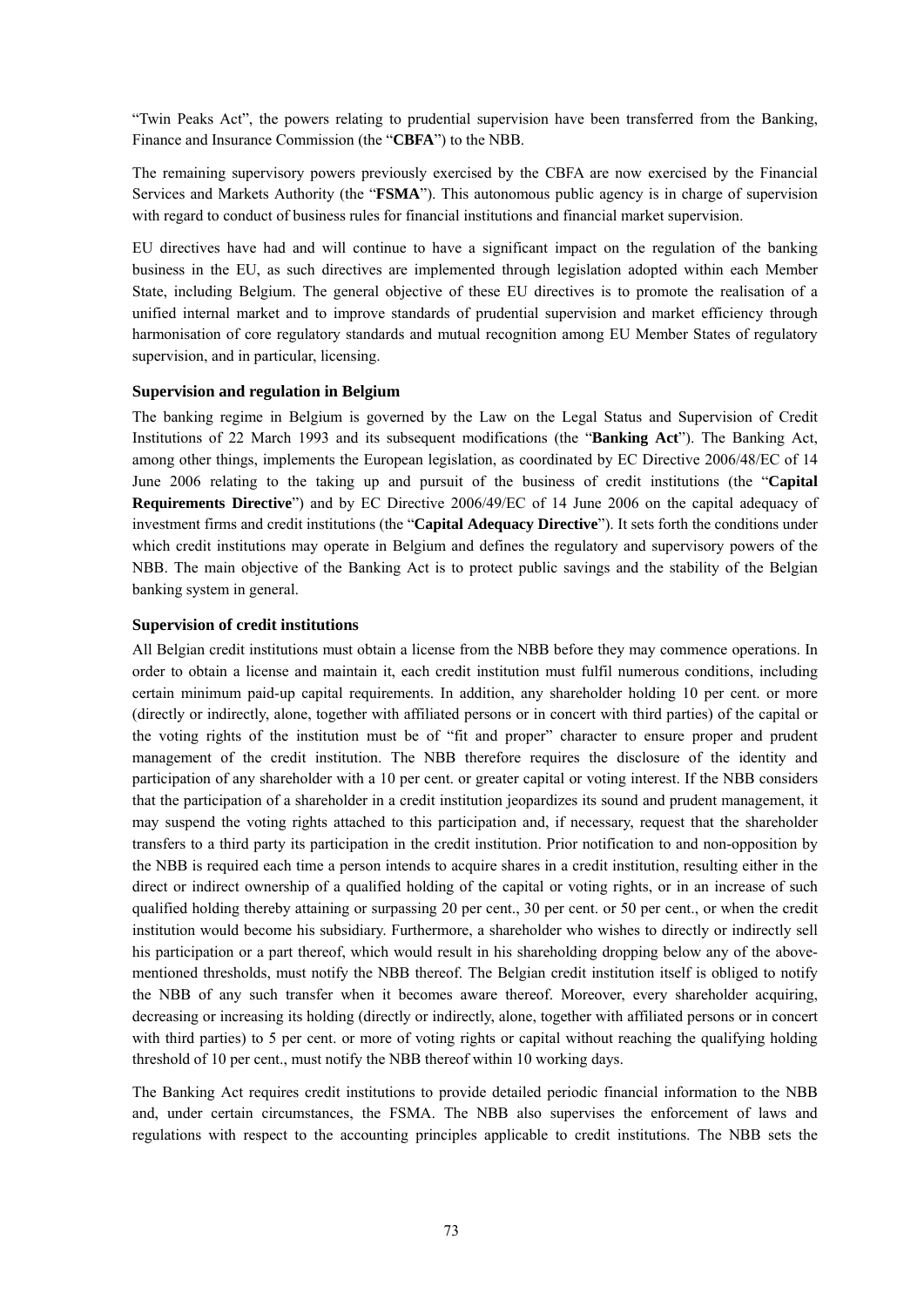"Twin Peaks Act", the powers relating to prudential supervision have been transferred from the Banking, Finance and Insurance Commission (the "**CBFA**") to the NBB.

The remaining supervisory powers previously exercised by the CBFA are now exercised by the Financial Services and Markets Authority (the "**FSMA**"). This autonomous public agency is in charge of supervision with regard to conduct of business rules for financial institutions and financial market supervision.

EU directives have had and will continue to have a significant impact on the regulation of the banking business in the EU, as such directives are implemented through legislation adopted within each Member State, including Belgium. The general objective of these EU directives is to promote the realisation of a unified internal market and to improve standards of prudential supervision and market efficiency through harmonisation of core regulatory standards and mutual recognition among EU Member States of regulatory supervision, and in particular, licensing.

### **Supervision and regulation in Belgium**

The banking regime in Belgium is governed by the Law on the Legal Status and Supervision of Credit Institutions of 22 March 1993 and its subsequent modifications (the "**Banking Act**"). The Banking Act, among other things, implements the European legislation, as coordinated by EC Directive 2006/48/EC of 14 June 2006 relating to the taking up and pursuit of the business of credit institutions (the "**Capital Requirements Directive**") and by EC Directive 2006/49/EC of 14 June 2006 on the capital adequacy of investment firms and credit institutions (the "**Capital Adequacy Directive**"). It sets forth the conditions under which credit institutions may operate in Belgium and defines the regulatory and supervisory powers of the NBB. The main objective of the Banking Act is to protect public savings and the stability of the Belgian banking system in general.

### **Supervision of credit institutions**

All Belgian credit institutions must obtain a license from the NBB before they may commence operations. In order to obtain a license and maintain it, each credit institution must fulfil numerous conditions, including certain minimum paid-up capital requirements. In addition, any shareholder holding 10 per cent. or more (directly or indirectly, alone, together with affiliated persons or in concert with third parties) of the capital or the voting rights of the institution must be of "fit and proper" character to ensure proper and prudent management of the credit institution. The NBB therefore requires the disclosure of the identity and participation of any shareholder with a 10 per cent. or greater capital or voting interest. If the NBB considers that the participation of a shareholder in a credit institution jeopardizes its sound and prudent management, it may suspend the voting rights attached to this participation and, if necessary, request that the shareholder transfers to a third party its participation in the credit institution. Prior notification to and non-opposition by the NBB is required each time a person intends to acquire shares in a credit institution, resulting either in the direct or indirect ownership of a qualified holding of the capital or voting rights, or in an increase of such qualified holding thereby attaining or surpassing 20 per cent., 30 per cent. or 50 per cent., or when the credit institution would become his subsidiary. Furthermore, a shareholder who wishes to directly or indirectly sell his participation or a part thereof, which would result in his shareholding dropping below any of the abovementioned thresholds, must notify the NBB thereof. The Belgian credit institution itself is obliged to notify the NBB of any such transfer when it becomes aware thereof. Moreover, every shareholder acquiring, decreasing or increasing its holding (directly or indirectly, alone, together with affiliated persons or in concert with third parties) to 5 per cent. or more of voting rights or capital without reaching the qualifying holding threshold of 10 per cent., must notify the NBB thereof within 10 working days.

The Banking Act requires credit institutions to provide detailed periodic financial information to the NBB and, under certain circumstances, the FSMA. The NBB also supervises the enforcement of laws and regulations with respect to the accounting principles applicable to credit institutions. The NBB sets the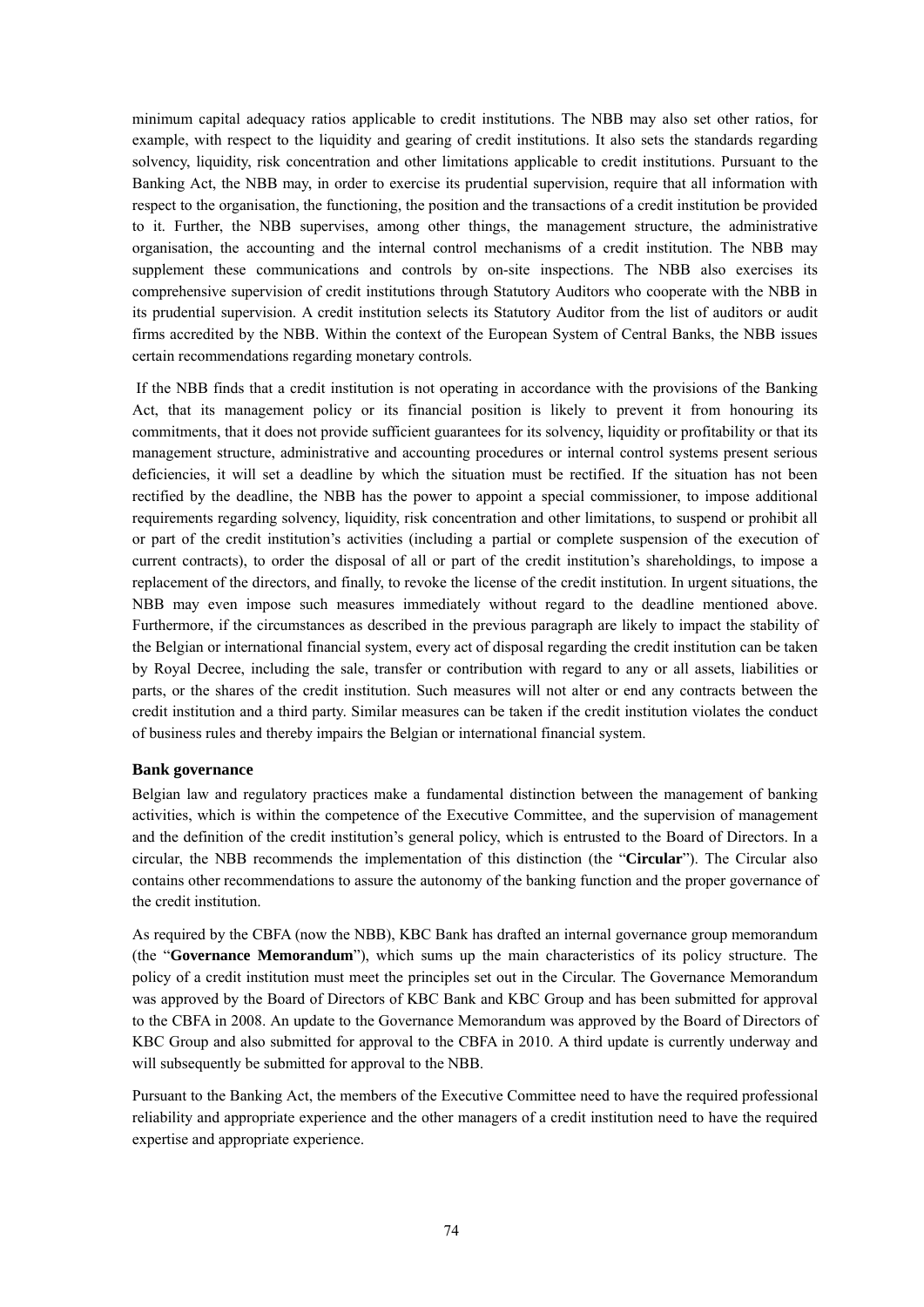minimum capital adequacy ratios applicable to credit institutions. The NBB may also set other ratios, for example, with respect to the liquidity and gearing of credit institutions. It also sets the standards regarding solvency, liquidity, risk concentration and other limitations applicable to credit institutions. Pursuant to the Banking Act, the NBB may, in order to exercise its prudential supervision, require that all information with respect to the organisation, the functioning, the position and the transactions of a credit institution be provided to it. Further, the NBB supervises, among other things, the management structure, the administrative organisation, the accounting and the internal control mechanisms of a credit institution. The NBB may supplement these communications and controls by on-site inspections. The NBB also exercises its comprehensive supervision of credit institutions through Statutory Auditors who cooperate with the NBB in its prudential supervision. A credit institution selects its Statutory Auditor from the list of auditors or audit firms accredited by the NBB. Within the context of the European System of Central Banks, the NBB issues certain recommendations regarding monetary controls.

 If the NBB finds that a credit institution is not operating in accordance with the provisions of the Banking Act, that its management policy or its financial position is likely to prevent it from honouring its commitments, that it does not provide sufficient guarantees for its solvency, liquidity or profitability or that its management structure, administrative and accounting procedures or internal control systems present serious deficiencies, it will set a deadline by which the situation must be rectified. If the situation has not been rectified by the deadline, the NBB has the power to appoint a special commissioner, to impose additional requirements regarding solvency, liquidity, risk concentration and other limitations, to suspend or prohibit all or part of the credit institution's activities (including a partial or complete suspension of the execution of current contracts), to order the disposal of all or part of the credit institution's shareholdings, to impose a replacement of the directors, and finally, to revoke the license of the credit institution. In urgent situations, the NBB may even impose such measures immediately without regard to the deadline mentioned above. Furthermore, if the circumstances as described in the previous paragraph are likely to impact the stability of the Belgian or international financial system, every act of disposal regarding the credit institution can be taken by Royal Decree, including the sale, transfer or contribution with regard to any or all assets, liabilities or parts, or the shares of the credit institution. Such measures will not alter or end any contracts between the credit institution and a third party. Similar measures can be taken if the credit institution violates the conduct of business rules and thereby impairs the Belgian or international financial system.

### **Bank governance**

Belgian law and regulatory practices make a fundamental distinction between the management of banking activities, which is within the competence of the Executive Committee, and the supervision of management and the definition of the credit institution's general policy, which is entrusted to the Board of Directors. In a circular, the NBB recommends the implementation of this distinction (the "**Circular**"). The Circular also contains other recommendations to assure the autonomy of the banking function and the proper governance of the credit institution.

As required by the CBFA (now the NBB), KBC Bank has drafted an internal governance group memorandum (the "**Governance Memorandum**"), which sums up the main characteristics of its policy structure. The policy of a credit institution must meet the principles set out in the Circular. The Governance Memorandum was approved by the Board of Directors of KBC Bank and KBC Group and has been submitted for approval to the CBFA in 2008. An update to the Governance Memorandum was approved by the Board of Directors of KBC Group and also submitted for approval to the CBFA in 2010. A third update is currently underway and will subsequently be submitted for approval to the NBB.

Pursuant to the Banking Act, the members of the Executive Committee need to have the required professional reliability and appropriate experience and the other managers of a credit institution need to have the required expertise and appropriate experience.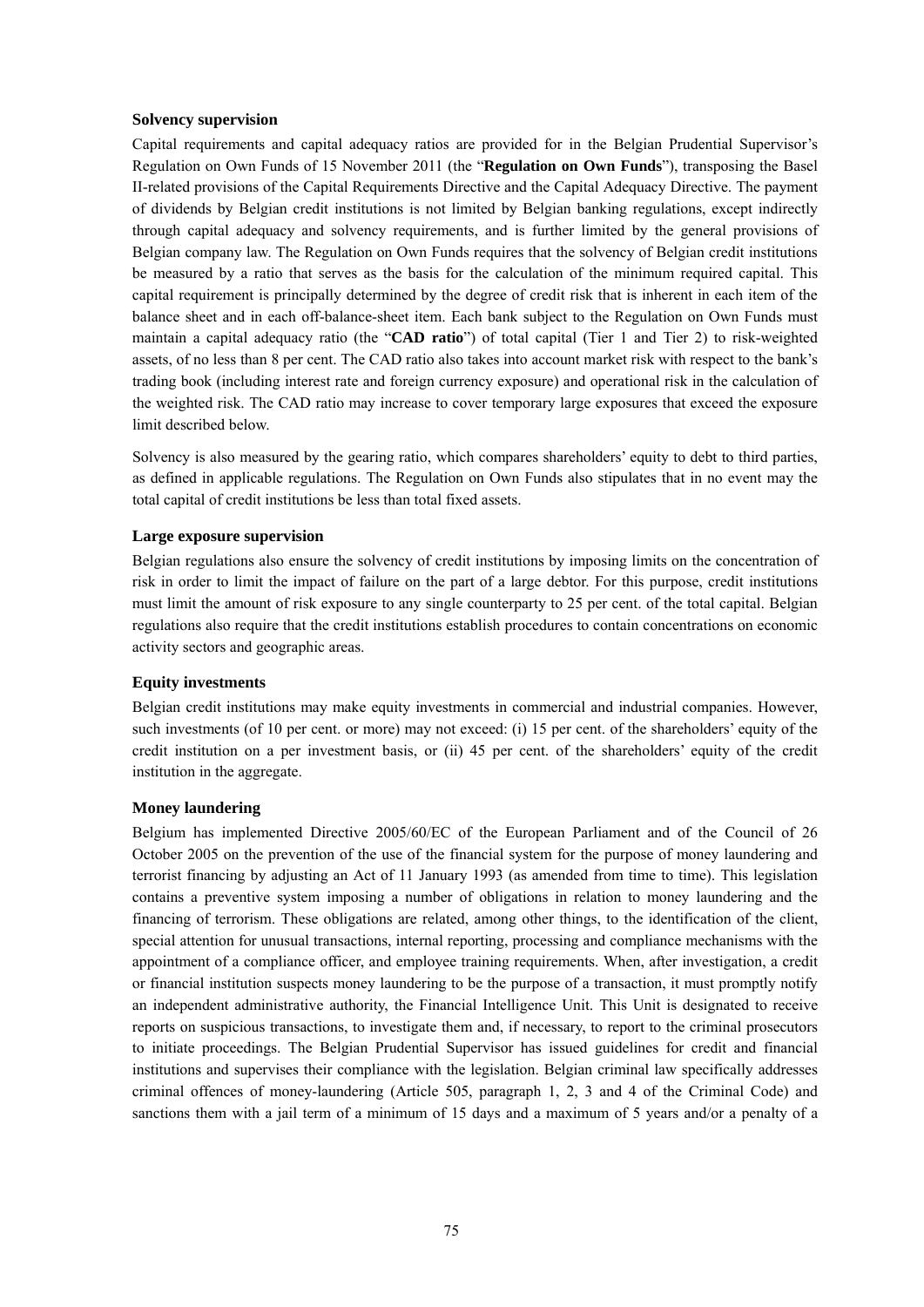#### **Solvency supervision**

Capital requirements and capital adequacy ratios are provided for in the Belgian Prudential Supervisor's Regulation on Own Funds of 15 November 2011 (the "**Regulation on Own Funds**"), transposing the Basel II-related provisions of the Capital Requirements Directive and the Capital Adequacy Directive. The payment of dividends by Belgian credit institutions is not limited by Belgian banking regulations, except indirectly through capital adequacy and solvency requirements, and is further limited by the general provisions of Belgian company law. The Regulation on Own Funds requires that the solvency of Belgian credit institutions be measured by a ratio that serves as the basis for the calculation of the minimum required capital. This capital requirement is principally determined by the degree of credit risk that is inherent in each item of the balance sheet and in each off-balance-sheet item. Each bank subject to the Regulation on Own Funds must maintain a capital adequacy ratio (the "**CAD ratio**") of total capital (Tier 1 and Tier 2) to risk-weighted assets, of no less than 8 per cent. The CAD ratio also takes into account market risk with respect to the bank's trading book (including interest rate and foreign currency exposure) and operational risk in the calculation of the weighted risk. The CAD ratio may increase to cover temporary large exposures that exceed the exposure limit described below.

Solvency is also measured by the gearing ratio, which compares shareholders' equity to debt to third parties, as defined in applicable regulations. The Regulation on Own Funds also stipulates that in no event may the total capital of credit institutions be less than total fixed assets.

### **Large exposure supervision**

Belgian regulations also ensure the solvency of credit institutions by imposing limits on the concentration of risk in order to limit the impact of failure on the part of a large debtor. For this purpose, credit institutions must limit the amount of risk exposure to any single counterparty to 25 per cent. of the total capital. Belgian regulations also require that the credit institutions establish procedures to contain concentrations on economic activity sectors and geographic areas.

### **Equity investments**

Belgian credit institutions may make equity investments in commercial and industrial companies. However, such investments (of 10 per cent. or more) may not exceed: (i) 15 per cent. of the shareholders' equity of the credit institution on a per investment basis, or (ii) 45 per cent. of the shareholders' equity of the credit institution in the aggregate.

#### **Money laundering**

Belgium has implemented Directive 2005/60/EC of the European Parliament and of the Council of 26 October 2005 on the prevention of the use of the financial system for the purpose of money laundering and terrorist financing by adjusting an Act of 11 January 1993 (as amended from time to time). This legislation contains a preventive system imposing a number of obligations in relation to money laundering and the financing of terrorism. These obligations are related, among other things, to the identification of the client, special attention for unusual transactions, internal reporting, processing and compliance mechanisms with the appointment of a compliance officer, and employee training requirements. When, after investigation, a credit or financial institution suspects money laundering to be the purpose of a transaction, it must promptly notify an independent administrative authority, the Financial Intelligence Unit. This Unit is designated to receive reports on suspicious transactions, to investigate them and, if necessary, to report to the criminal prosecutors to initiate proceedings. The Belgian Prudential Supervisor has issued guidelines for credit and financial institutions and supervises their compliance with the legislation. Belgian criminal law specifically addresses criminal offences of money-laundering (Article 505, paragraph 1, 2, 3 and 4 of the Criminal Code) and sanctions them with a jail term of a minimum of 15 days and a maximum of 5 years and/or a penalty of a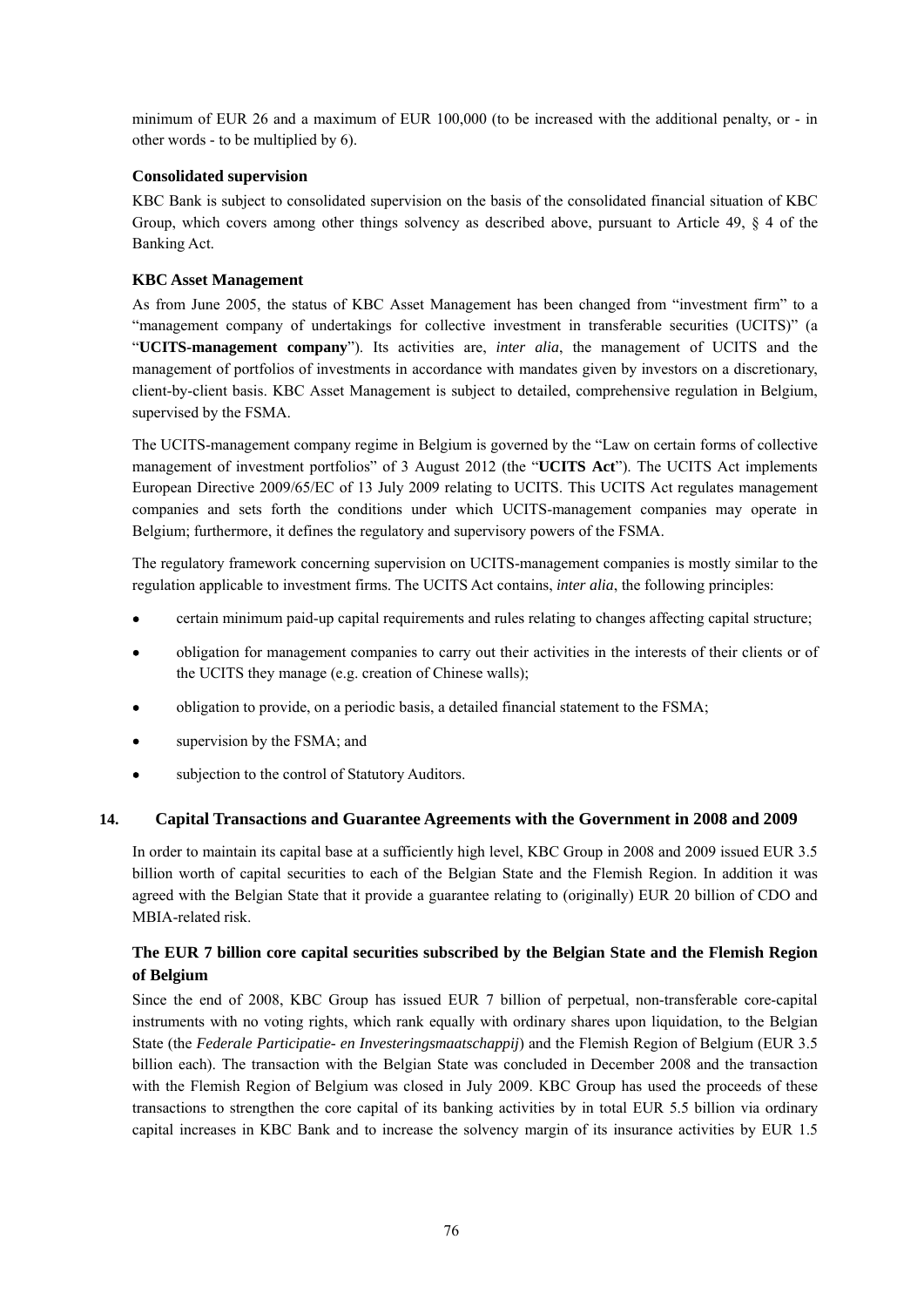minimum of EUR 26 and a maximum of EUR 100,000 (to be increased with the additional penalty, or - in other words - to be multiplied by 6).

# **Consolidated supervision**

KBC Bank is subject to consolidated supervision on the basis of the consolidated financial situation of KBC Group, which covers among other things solvency as described above, pursuant to Article 49, § 4 of the Banking Act.

# **KBC Asset Management**

As from June 2005, the status of KBC Asset Management has been changed from "investment firm" to a "management company of undertakings for collective investment in transferable securities (UCITS)" (a "**UCITS-management company**"). Its activities are, *inter alia*, the management of UCITS and the management of portfolios of investments in accordance with mandates given by investors on a discretionary, client-by-client basis. KBC Asset Management is subject to detailed, comprehensive regulation in Belgium, supervised by the FSMA.

The UCITS-management company regime in Belgium is governed by the "Law on certain forms of collective management of investment portfolios" of 3 August 2012 (the "**UCITS Act**"). The UCITS Act implements European Directive 2009/65/EC of 13 July 2009 relating to UCITS. This UCITS Act regulates management companies and sets forth the conditions under which UCITS-management companies may operate in Belgium; furthermore, it defines the regulatory and supervisory powers of the FSMA.

The regulatory framework concerning supervision on UCITS-management companies is mostly similar to the regulation applicable to investment firms. The UCITS Act contains, *inter alia*, the following principles:

- certain minimum paid-up capital requirements and rules relating to changes affecting capital structure;
- obligation for management companies to carry out their activities in the interests of their clients or of the UCITS they manage (e.g. creation of Chinese walls);
- obligation to provide, on a periodic basis, a detailed financial statement to the FSMA;
- supervision by the FSMA; and
- subjection to the control of Statutory Auditors.

# **14. Capital Transactions and Guarantee Agreements with the Government in 2008 and 2009**

In order to maintain its capital base at a sufficiently high level, KBC Group in 2008 and 2009 issued EUR 3.5 billion worth of capital securities to each of the Belgian State and the Flemish Region. In addition it was agreed with the Belgian State that it provide a guarantee relating to (originally) EUR 20 billion of CDO and MBIA-related risk.

# **The EUR 7 billion core capital securities subscribed by the Belgian State and the Flemish Region of Belgium**

Since the end of 2008, KBC Group has issued EUR 7 billion of perpetual, non-transferable core-capital instruments with no voting rights, which rank equally with ordinary shares upon liquidation, to the Belgian State (the *Federale Participatie- en Investeringsmaatschappij*) and the Flemish Region of Belgium (EUR 3.5 billion each). The transaction with the Belgian State was concluded in December 2008 and the transaction with the Flemish Region of Belgium was closed in July 2009. KBC Group has used the proceeds of these transactions to strengthen the core capital of its banking activities by in total EUR 5.5 billion via ordinary capital increases in KBC Bank and to increase the solvency margin of its insurance activities by EUR 1.5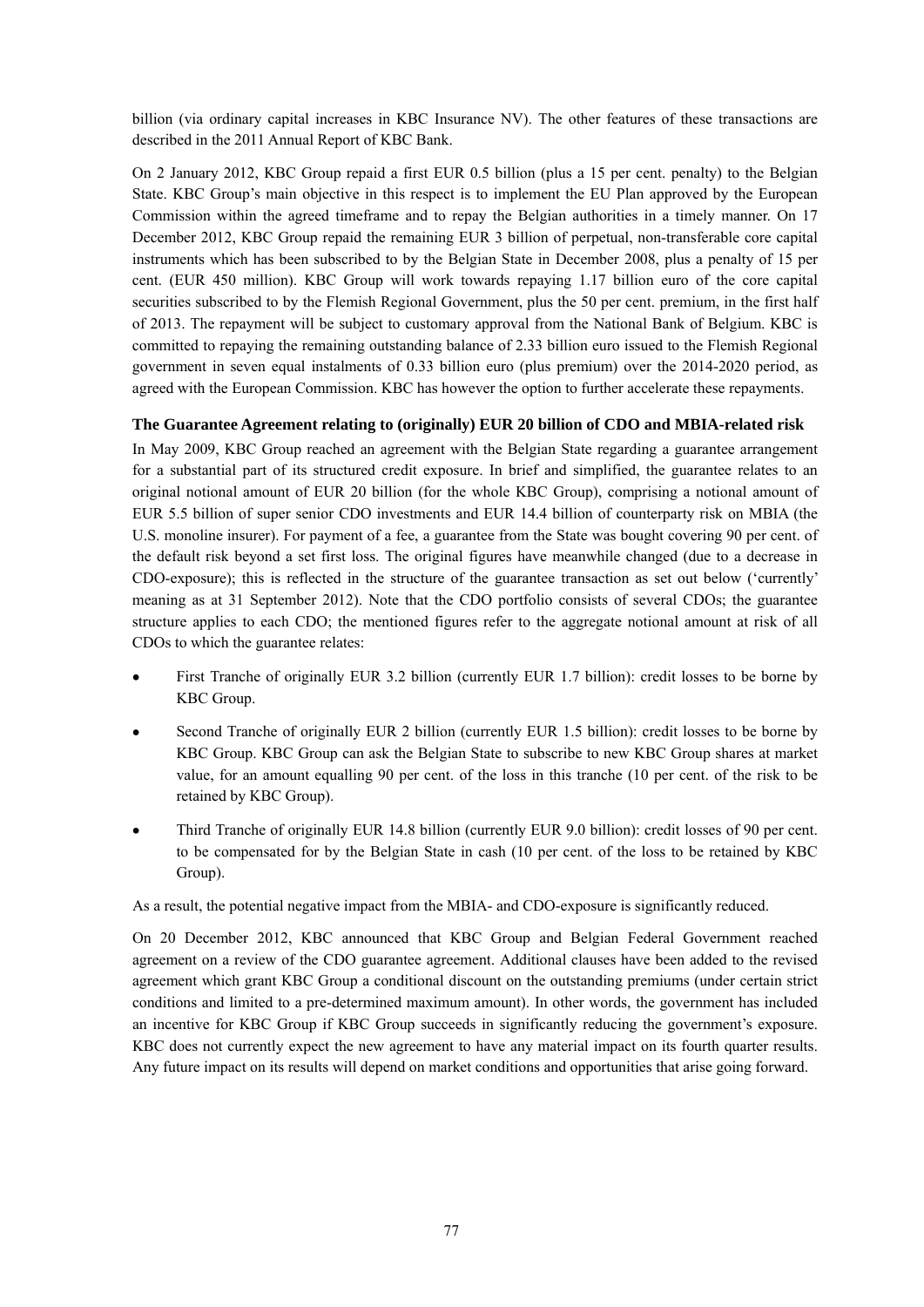billion (via ordinary capital increases in KBC Insurance NV). The other features of these transactions are described in the 2011 Annual Report of KBC Bank.

On 2 January 2012, KBC Group repaid a first EUR 0.5 billion (plus a 15 per cent. penalty) to the Belgian State. KBC Group's main objective in this respect is to implement the EU Plan approved by the European Commission within the agreed timeframe and to repay the Belgian authorities in a timely manner. On 17 December 2012, KBC Group repaid the remaining EUR 3 billion of perpetual, non-transferable core capital instruments which has been subscribed to by the Belgian State in December 2008, plus a penalty of 15 per cent. (EUR 450 million). KBC Group will work towards repaying 1.17 billion euro of the core capital securities subscribed to by the Flemish Regional Government, plus the 50 per cent. premium, in the first half of 2013. The repayment will be subject to customary approval from the National Bank of Belgium. KBC is committed to repaying the remaining outstanding balance of 2.33 billion euro issued to the Flemish Regional government in seven equal instalments of 0.33 billion euro (plus premium) over the 2014-2020 period, as agreed with the European Commission. KBC has however the option to further accelerate these repayments.

### **The Guarantee Agreement relating to (originally) EUR 20 billion of CDO and MBIA-related risk**

In May 2009, KBC Group reached an agreement with the Belgian State regarding a guarantee arrangement for a substantial part of its structured credit exposure. In brief and simplified, the guarantee relates to an original notional amount of EUR 20 billion (for the whole KBC Group), comprising a notional amount of EUR 5.5 billion of super senior CDO investments and EUR 14.4 billion of counterparty risk on MBIA (the U.S. monoline insurer). For payment of a fee, a guarantee from the State was bought covering 90 per cent. of the default risk beyond a set first loss. The original figures have meanwhile changed (due to a decrease in CDO-exposure); this is reflected in the structure of the guarantee transaction as set out below ('currently' meaning as at 31 September 2012). Note that the CDO portfolio consists of several CDOs; the guarantee structure applies to each CDO; the mentioned figures refer to the aggregate notional amount at risk of all CDOs to which the guarantee relates:

- First Tranche of originally EUR 3.2 billion (currently EUR 1.7 billion): credit losses to be borne by KBC Group.
- Second Tranche of originally EUR 2 billion (currently EUR 1.5 billion): credit losses to be borne by KBC Group. KBC Group can ask the Belgian State to subscribe to new KBC Group shares at market value, for an amount equalling 90 per cent. of the loss in this tranche (10 per cent. of the risk to be retained by KBC Group).
- Third Tranche of originally EUR 14.8 billion (currently EUR 9.0 billion): credit losses of 90 per cent. to be compensated for by the Belgian State in cash (10 per cent. of the loss to be retained by KBC Group).

As a result, the potential negative impact from the MBIA- and CDO-exposure is significantly reduced.

On 20 December 2012, KBC announced that KBC Group and Belgian Federal Government reached agreement on a review of the CDO guarantee agreement. Additional clauses have been added to the revised agreement which grant KBC Group a conditional discount on the outstanding premiums (under certain strict conditions and limited to a pre-determined maximum amount). In other words, the government has included an incentive for KBC Group if KBC Group succeeds in significantly reducing the government's exposure. KBC does not currently expect the new agreement to have any material impact on its fourth quarter results. Any future impact on its results will depend on market conditions and opportunities that arise going forward.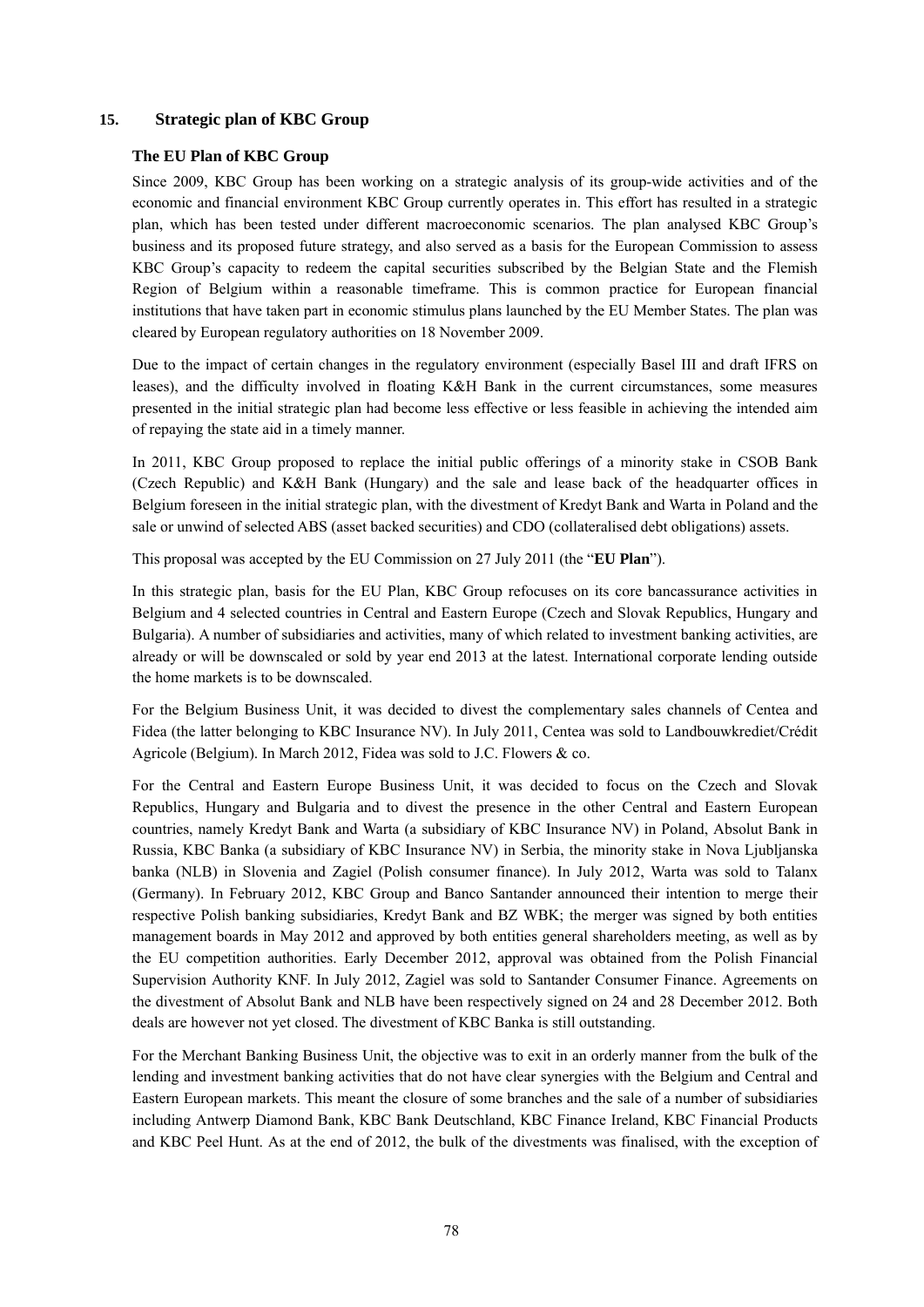### **15. Strategic plan of KBC Group**

#### **The EU Plan of KBC Group**

Since 2009, KBC Group has been working on a strategic analysis of its group-wide activities and of the economic and financial environment KBC Group currently operates in. This effort has resulted in a strategic plan, which has been tested under different macroeconomic scenarios. The plan analysed KBC Group's business and its proposed future strategy, and also served as a basis for the European Commission to assess KBC Group's capacity to redeem the capital securities subscribed by the Belgian State and the Flemish Region of Belgium within a reasonable timeframe. This is common practice for European financial institutions that have taken part in economic stimulus plans launched by the EU Member States. The plan was cleared by European regulatory authorities on 18 November 2009.

Due to the impact of certain changes in the regulatory environment (especially Basel III and draft IFRS on leases), and the difficulty involved in floating K&H Bank in the current circumstances, some measures presented in the initial strategic plan had become less effective or less feasible in achieving the intended aim of repaying the state aid in a timely manner.

In 2011, KBC Group proposed to replace the initial public offerings of a minority stake in CSOB Bank (Czech Republic) and K&H Bank (Hungary) and the sale and lease back of the headquarter offices in Belgium foreseen in the initial strategic plan, with the divestment of Kredyt Bank and Warta in Poland and the sale or unwind of selected ABS (asset backed securities) and CDO (collateralised debt obligations) assets.

This proposal was accepted by the EU Commission on 27 July 2011 (the "**EU Plan**").

In this strategic plan, basis for the EU Plan, KBC Group refocuses on its core bancassurance activities in Belgium and 4 selected countries in Central and Eastern Europe (Czech and Slovak Republics, Hungary and Bulgaria). A number of subsidiaries and activities, many of which related to investment banking activities, are already or will be downscaled or sold by year end 2013 at the latest. International corporate lending outside the home markets is to be downscaled.

For the Belgium Business Unit, it was decided to divest the complementary sales channels of Centea and Fidea (the latter belonging to KBC Insurance NV). In July 2011, Centea was sold to Landbouwkrediet/Crédit Agricole (Belgium). In March 2012, Fidea was sold to J.C. Flowers & co.

For the Central and Eastern Europe Business Unit, it was decided to focus on the Czech and Slovak Republics, Hungary and Bulgaria and to divest the presence in the other Central and Eastern European countries, namely Kredyt Bank and Warta (a subsidiary of KBC Insurance NV) in Poland, Absolut Bank in Russia, KBC Banka (a subsidiary of KBC Insurance NV) in Serbia, the minority stake in Nova Ljubljanska banka (NLB) in Slovenia and Zagiel (Polish consumer finance). In July 2012, Warta was sold to Talanx (Germany). In February 2012, KBC Group and Banco Santander announced their intention to merge their respective Polish banking subsidiaries, Kredyt Bank and BZ WBK; the merger was signed by both entities management boards in May 2012 and approved by both entities general shareholders meeting, as well as by the EU competition authorities. Early December 2012, approval was obtained from the Polish Financial Supervision Authority KNF. In July 2012, Zagiel was sold to Santander Consumer Finance. Agreements on the divestment of Absolut Bank and NLB have been respectively signed on 24 and 28 December 2012. Both deals are however not yet closed. The divestment of KBC Banka is still outstanding.

For the Merchant Banking Business Unit, the objective was to exit in an orderly manner from the bulk of the lending and investment banking activities that do not have clear synergies with the Belgium and Central and Eastern European markets. This meant the closure of some branches and the sale of a number of subsidiaries including Antwerp Diamond Bank, KBC Bank Deutschland, KBC Finance Ireland, KBC Financial Products and KBC Peel Hunt. As at the end of 2012, the bulk of the divestments was finalised, with the exception of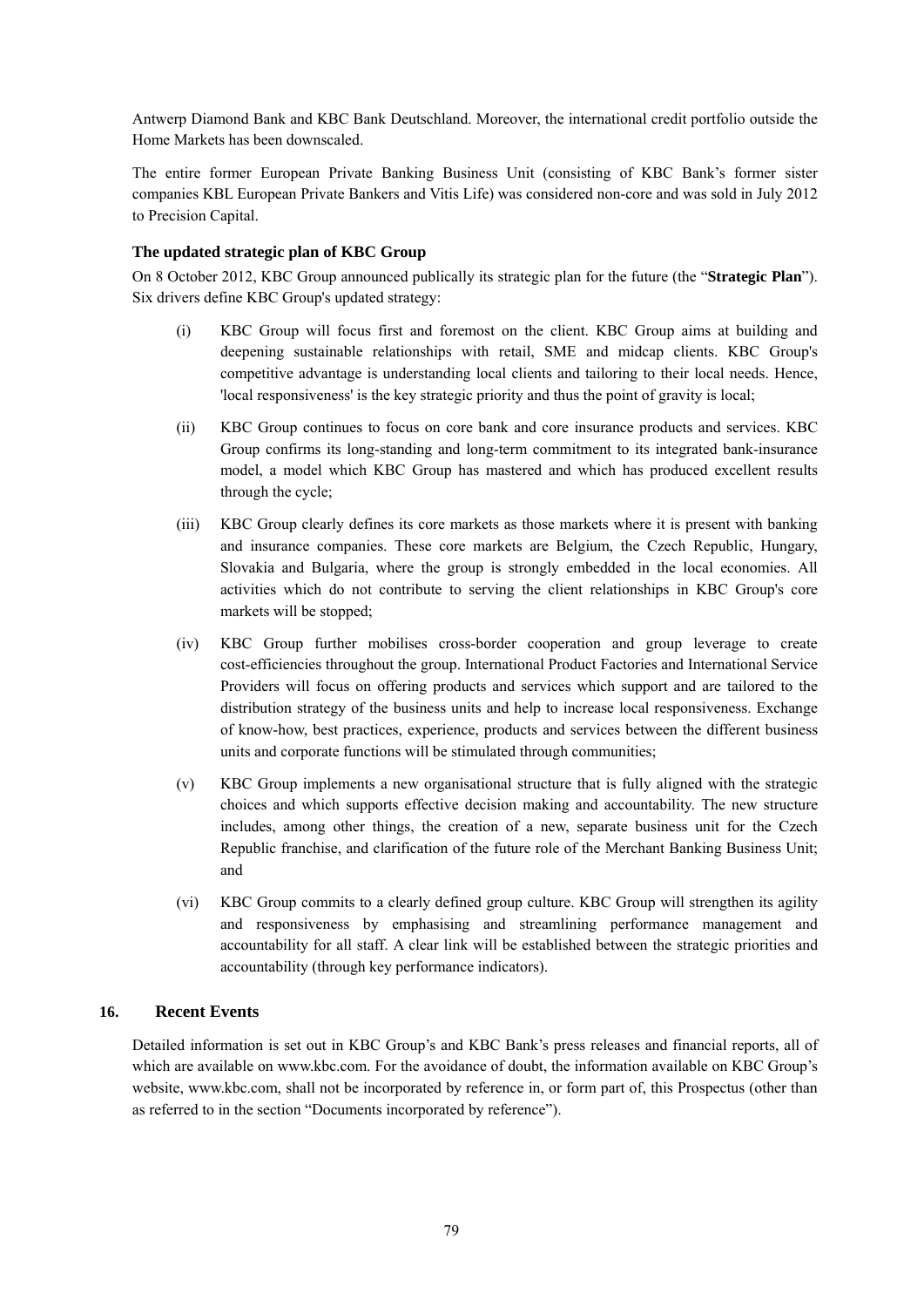Antwerp Diamond Bank and KBC Bank Deutschland. Moreover, the international credit portfolio outside the Home Markets has been downscaled.

The entire former European Private Banking Business Unit (consisting of KBC Bank's former sister companies KBL European Private Bankers and Vitis Life) was considered non-core and was sold in July 2012 to Precision Capital.

### **The updated strategic plan of KBC Group**

On 8 October 2012, KBC Group announced publically its strategic plan for the future (the "**Strategic Plan**"). Six drivers define KBC Group's updated strategy:

- (i) KBC Group will focus first and foremost on the client. KBC Group aims at building and deepening sustainable relationships with retail, SME and midcap clients. KBC Group's competitive advantage is understanding local clients and tailoring to their local needs. Hence, 'local responsiveness' is the key strategic priority and thus the point of gravity is local;
- (ii) KBC Group continues to focus on core bank and core insurance products and services. KBC Group confirms its long-standing and long-term commitment to its integrated bank-insurance model, a model which KBC Group has mastered and which has produced excellent results through the cycle;
- (iii) KBC Group clearly defines its core markets as those markets where it is present with banking and insurance companies. These core markets are Belgium, the Czech Republic, Hungary, Slovakia and Bulgaria, where the group is strongly embedded in the local economies. All activities which do not contribute to serving the client relationships in KBC Group's core markets will be stopped;
- (iv) KBC Group further mobilises cross-border cooperation and group leverage to create cost-efficiencies throughout the group. International Product Factories and International Service Providers will focus on offering products and services which support and are tailored to the distribution strategy of the business units and help to increase local responsiveness. Exchange of know-how, best practices, experience, products and services between the different business units and corporate functions will be stimulated through communities;
- (v) KBC Group implements a new organisational structure that is fully aligned with the strategic choices and which supports effective decision making and accountability. The new structure includes, among other things, the creation of a new, separate business unit for the Czech Republic franchise, and clarification of the future role of the Merchant Banking Business Unit; and
- (vi) KBC Group commits to a clearly defined group culture. KBC Group will strengthen its agility and responsiveness by emphasising and streamlining performance management and accountability for all staff. A clear link will be established between the strategic priorities and accountability (through key performance indicators).

# **16. Recent Events**

Detailed information is set out in KBC Group's and KBC Bank's press releases and financial reports, all of which are available on www.kbc.com. For the avoidance of doubt, the information available on KBC Group's website, www.kbc.com, shall not be incorporated by reference in, or form part of, this Prospectus (other than as referred to in the section "Documents incorporated by reference").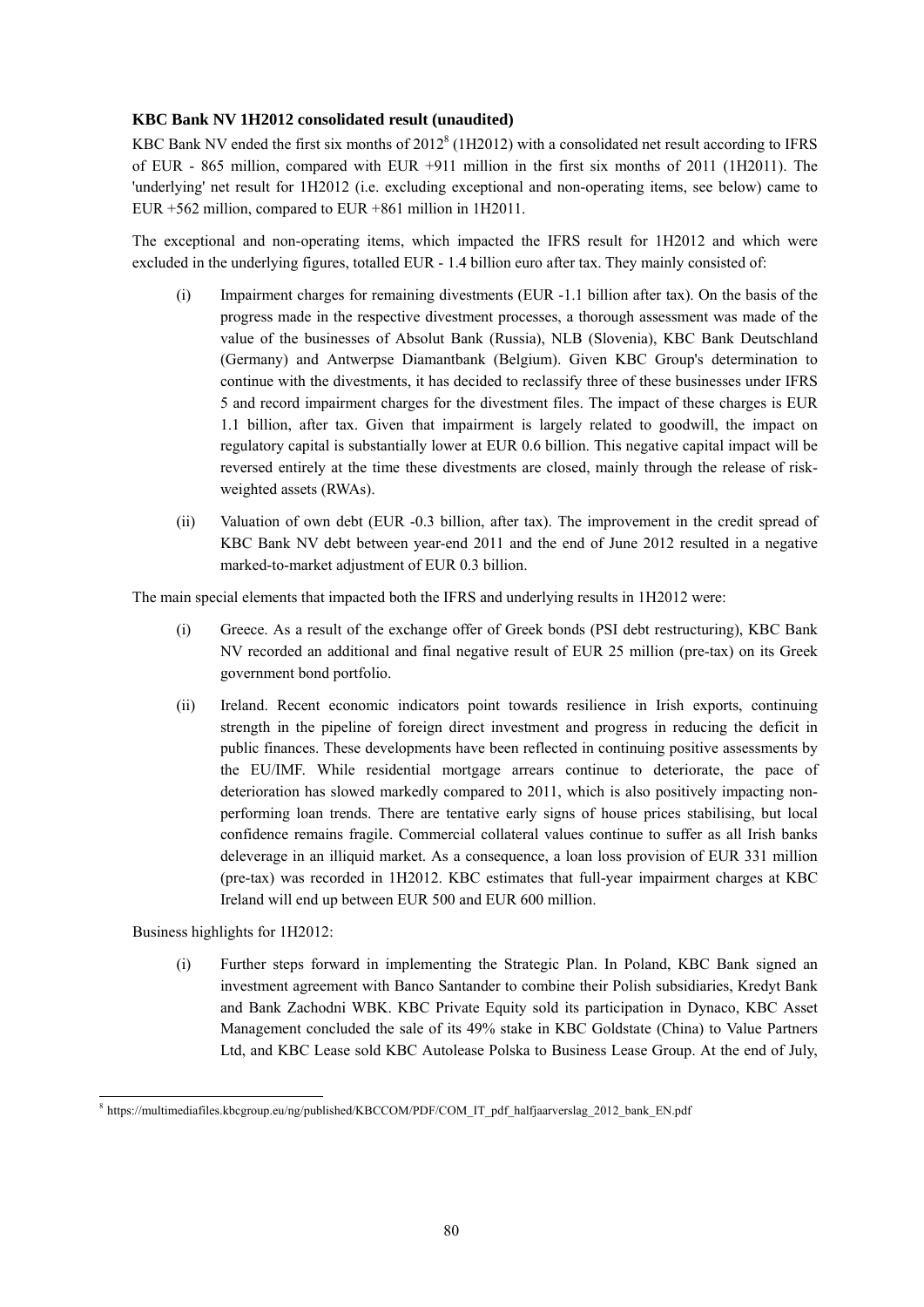# **KBC Bank NV 1H2012 consolidated result (unaudited)**

KBC Bank NV ended the first six months of  $2012<sup>8</sup>$  (1H2012) with a consolidated net result according to IFRS of EUR - 865 million, compared with EUR +911 million in the first six months of 2011 (1H2011). The 'underlying' net result for 1H2012 (i.e. excluding exceptional and non-operating items, see below) came to EUR +562 million, compared to EUR +861 million in 1H2011.

The exceptional and non-operating items, which impacted the IFRS result for 1H2012 and which were excluded in the underlying figures, totalled EUR - 1.4 billion euro after tax. They mainly consisted of:

- (i) Impairment charges for remaining divestments (EUR -1.1 billion after tax). On the basis of the progress made in the respective divestment processes, a thorough assessment was made of the value of the businesses of Absolut Bank (Russia), NLB (Slovenia), KBC Bank Deutschland (Germany) and Antwerpse Diamantbank (Belgium). Given KBC Group's determination to continue with the divestments, it has decided to reclassify three of these businesses under IFRS 5 and record impairment charges for the divestment files. The impact of these charges is EUR 1.1 billion, after tax. Given that impairment is largely related to goodwill, the impact on regulatory capital is substantially lower at EUR 0.6 billion. This negative capital impact will be reversed entirely at the time these divestments are closed, mainly through the release of riskweighted assets (RWAs).
- (ii) Valuation of own debt (EUR -0.3 billion, after tax). The improvement in the credit spread of KBC Bank NV debt between year-end 2011 and the end of June 2012 resulted in a negative marked-to-market adjustment of EUR 0.3 billion.

The main special elements that impacted both the IFRS and underlying results in 1H2012 were:

- (i) Greece. As a result of the exchange offer of Greek bonds (PSI debt restructuring), KBC Bank NV recorded an additional and final negative result of EUR 25 million (pre-tax) on its Greek government bond portfolio.
- (ii) Ireland. Recent economic indicators point towards resilience in Irish exports, continuing strength in the pipeline of foreign direct investment and progress in reducing the deficit in public finances. These developments have been reflected in continuing positive assessments by the EU/IMF. While residential mortgage arrears continue to deteriorate, the pace of deterioration has slowed markedly compared to 2011, which is also positively impacting nonperforming loan trends. There are tentative early signs of house prices stabilising, but local confidence remains fragile. Commercial collateral values continue to suffer as all Irish banks deleverage in an illiquid market. As a consequence, a loan loss provision of EUR 331 million (pre-tax) was recorded in 1H2012. KBC estimates that full-year impairment charges at KBC Ireland will end up between EUR 500 and EUR 600 million.

Business highlights for 1H2012:

(i) Further steps forward in implementing the Strategic Plan. In Poland, KBC Bank signed an investment agreement with Banco Santander to combine their Polish subsidiaries, Kredyt Bank and Bank Zachodni WBK. KBC Private Equity sold its participation in Dynaco, KBC Asset Management concluded the sale of its 49% stake in KBC Goldstate (China) to Value Partners Ltd, and KBC Lease sold KBC Autolease Polska to Business Lease Group. At the end of July,

<sup>-</sup><sup>8</sup> https://multimediafiles.kbcgroup.eu/ng/published/KBCCOM/PDF/COM\_IT\_pdf\_halfjaarverslag\_2012\_bank\_EN.pdf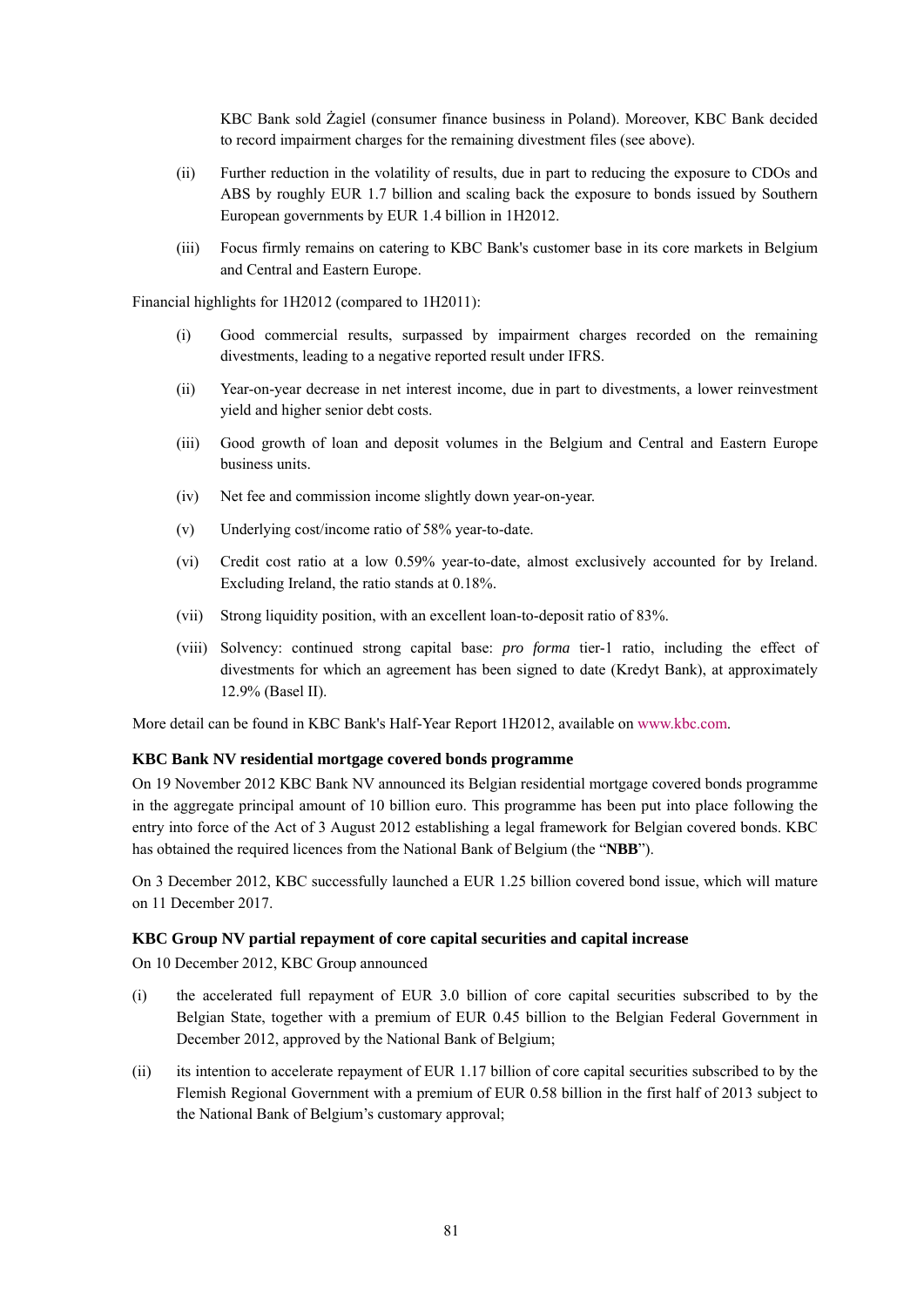KBC Bank sold Żagiel (consumer finance business in Poland). Moreover, KBC Bank decided to record impairment charges for the remaining divestment files (see above).

- (ii) Further reduction in the volatility of results, due in part to reducing the exposure to CDOs and ABS by roughly EUR 1.7 billion and scaling back the exposure to bonds issued by Southern European governments by EUR 1.4 billion in 1H2012.
- (iii) Focus firmly remains on catering to KBC Bank's customer base in its core markets in Belgium and Central and Eastern Europe.

Financial highlights for 1H2012 (compared to 1H2011):

- (i) Good commercial results, surpassed by impairment charges recorded on the remaining divestments, leading to a negative reported result under IFRS.
- (ii) Year-on-year decrease in net interest income, due in part to divestments, a lower reinvestment yield and higher senior debt costs.
- (iii) Good growth of loan and deposit volumes in the Belgium and Central and Eastern Europe business units.
- (iv) Net fee and commission income slightly down year-on-year.
- (v) Underlying cost/income ratio of 58% year-to-date.
- (vi) Credit cost ratio at a low 0.59% year-to-date, almost exclusively accounted for by Ireland. Excluding Ireland, the ratio stands at 0.18%.
- (vii) Strong liquidity position, with an excellent loan-to-deposit ratio of 83%.
- (viii) Solvency: continued strong capital base: *pro forma* tier-1 ratio, including the effect of divestments for which an agreement has been signed to date (Kredyt Bank), at approximately 12.9% (Basel II).

More detail can be found in KBC Bank's Half-Year Report 1H2012, available on www.kbc.com.

#### **KBC Bank NV residential mortgage covered bonds programme**

On 19 November 2012 KBC Bank NV announced its Belgian residential mortgage covered bonds programme in the aggregate principal amount of 10 billion euro. This programme has been put into place following the entry into force of the Act of 3 August 2012 establishing a legal framework for Belgian covered bonds. KBC has obtained the required licences from the National Bank of Belgium (the "**NBB**").

On 3 December 2012, KBC successfully launched a EUR 1.25 billion covered bond issue, which will mature on 11 December 2017.

#### **KBC Group NV partial repayment of core capital securities and capital increase**

On 10 December 2012, KBC Group announced

- (i) the accelerated full repayment of EUR 3.0 billion of core capital securities subscribed to by the Belgian State, together with a premium of EUR 0.45 billion to the Belgian Federal Government in December 2012, approved by the National Bank of Belgium;
- (ii) its intention to accelerate repayment of EUR 1.17 billion of core capital securities subscribed to by the Flemish Regional Government with a premium of EUR 0.58 billion in the first half of 2013 subject to the National Bank of Belgium's customary approval;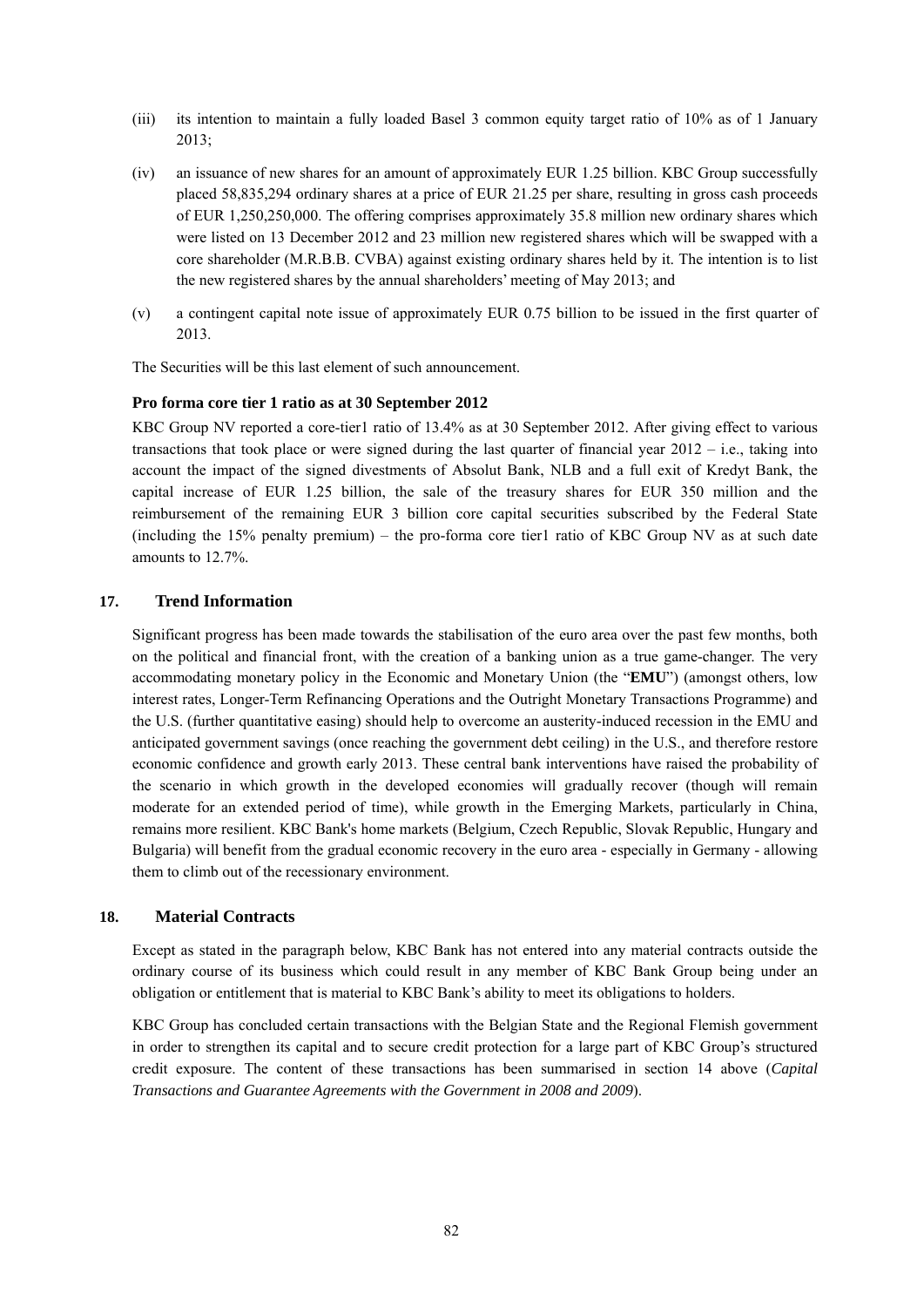- (iii) its intention to maintain a fully loaded Basel 3 common equity target ratio of 10% as of 1 January 2013;
- (iv) an issuance of new shares for an amount of approximately EUR 1.25 billion. KBC Group successfully placed 58,835,294 ordinary shares at a price of EUR 21.25 per share, resulting in gross cash proceeds of EUR 1,250,250,000. The offering comprises approximately 35.8 million new ordinary shares which were listed on 13 December 2012 and 23 million new registered shares which will be swapped with a core shareholder (M.R.B.B. CVBA) against existing ordinary shares held by it. The intention is to list the new registered shares by the annual shareholders' meeting of May 2013; and
- (v) a contingent capital note issue of approximately EUR 0.75 billion to be issued in the first quarter of 2013.

The Securities will be this last element of such announcement.

#### **Pro forma core tier 1 ratio as at 30 September 2012**

KBC Group NV reported a core-tier1 ratio of 13.4% as at 30 September 2012. After giving effect to various transactions that took place or were signed during the last quarter of financial year 2012 – i.e., taking into account the impact of the signed divestments of Absolut Bank, NLB and a full exit of Kredyt Bank, the capital increase of EUR 1.25 billion, the sale of the treasury shares for EUR 350 million and the reimbursement of the remaining EUR 3 billion core capital securities subscribed by the Federal State (including the 15% penalty premium) – the pro-forma core tier1 ratio of KBC Group NV as at such date amounts to 12.7%.

### **17. Trend Information**

Significant progress has been made towards the stabilisation of the euro area over the past few months, both on the political and financial front, with the creation of a banking union as a true game-changer. The very accommodating monetary policy in the Economic and Monetary Union (the "**EMU**") (amongst others, low interest rates, Longer-Term Refinancing Operations and the Outright Monetary Transactions Programme) and the U.S. (further quantitative easing) should help to overcome an austerity-induced recession in the EMU and anticipated government savings (once reaching the government debt ceiling) in the U.S., and therefore restore economic confidence and growth early 2013. These central bank interventions have raised the probability of the scenario in which growth in the developed economies will gradually recover (though will remain moderate for an extended period of time), while growth in the Emerging Markets, particularly in China, remains more resilient. KBC Bank's home markets (Belgium, Czech Republic, Slovak Republic, Hungary and Bulgaria) will benefit from the gradual economic recovery in the euro area - especially in Germany - allowing them to climb out of the recessionary environment.

#### **18. Material Contracts**

Except as stated in the paragraph below, KBC Bank has not entered into any material contracts outside the ordinary course of its business which could result in any member of KBC Bank Group being under an obligation or entitlement that is material to KBC Bank's ability to meet its obligations to holders.

KBC Group has concluded certain transactions with the Belgian State and the Regional Flemish government in order to strengthen its capital and to secure credit protection for a large part of KBC Group's structured credit exposure. The content of these transactions has been summarised in section 14 above (*Capital Transactions and Guarantee Agreements with the Government in 2008 and 2009*).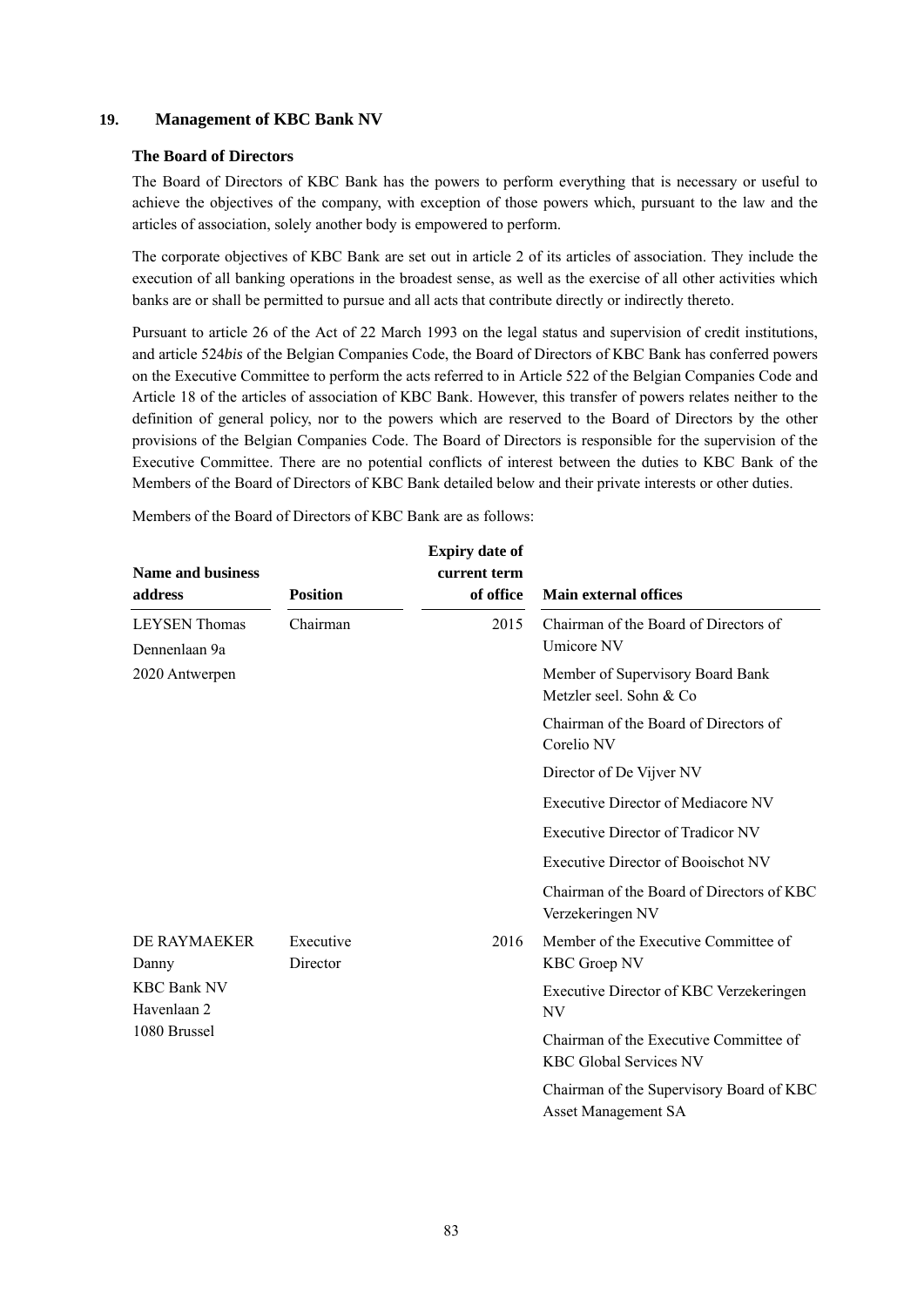# **19. Management of KBC Bank NV**

#### **The Board of Directors**

The Board of Directors of KBC Bank has the powers to perform everything that is necessary or useful to achieve the objectives of the company, with exception of those powers which, pursuant to the law and the articles of association, solely another body is empowered to perform.

The corporate objectives of KBC Bank are set out in article 2 of its articles of association. They include the execution of all banking operations in the broadest sense, as well as the exercise of all other activities which banks are or shall be permitted to pursue and all acts that contribute directly or indirectly thereto.

Pursuant to article 26 of the Act of 22 March 1993 on the legal status and supervision of credit institutions, and article 524*bis* of the Belgian Companies Code, the Board of Directors of KBC Bank has conferred powers on the Executive Committee to perform the acts referred to in Article 522 of the Belgian Companies Code and Article 18 of the articles of association of KBC Bank. However, this transfer of powers relates neither to the definition of general policy, nor to the powers which are reserved to the Board of Directors by the other provisions of the Belgian Companies Code. The Board of Directors is responsible for the supervision of the Executive Committee. There are no potential conflicts of interest between the duties to KBC Bank of the Members of the Board of Directors of KBC Bank detailed below and their private interests or other duties.

Members of the Board of Directors of KBC Bank are as follows:

| <b>Name and business</b><br>address               | <b>Position</b>       | <b>Expiry date of</b><br>current term<br>of office | <b>Main external offices</b>                                            |
|---------------------------------------------------|-----------------------|----------------------------------------------------|-------------------------------------------------------------------------|
| <b>LEYSEN</b> Thomas<br>Dennenlaan 9a             | Chairman              | 2015                                               | Chairman of the Board of Directors of<br>Umicore NV                     |
| 2020 Antwerpen                                    |                       |                                                    | Member of Supervisory Board Bank<br>Metzler seel. Sohn & Co             |
|                                                   |                       |                                                    | Chairman of the Board of Directors of<br>Corelio NV                     |
|                                                   |                       |                                                    | Director of De Vijver NV                                                |
|                                                   |                       |                                                    | <b>Executive Director of Mediacore NV</b>                               |
|                                                   |                       |                                                    | Executive Director of Tradicor NV                                       |
|                                                   |                       |                                                    | Executive Director of Booischot NV                                      |
|                                                   |                       |                                                    | Chairman of the Board of Directors of KBC<br>Verzekeringen NV           |
| DE RAYMAEKER<br>Danny                             | Executive<br>Director | 2016                                               | Member of the Executive Committee of<br><b>KBC Groep NV</b>             |
| <b>KBC Bank NV</b><br>Havenlaan 2<br>1080 Brussel |                       |                                                    | Executive Director of KBC Verzekeringen<br>NV                           |
|                                                   |                       |                                                    | Chairman of the Executive Committee of<br><b>KBC Global Services NV</b> |
|                                                   |                       |                                                    | Chairman of the Supervisory Board of KBC<br><b>Asset Management SA</b>  |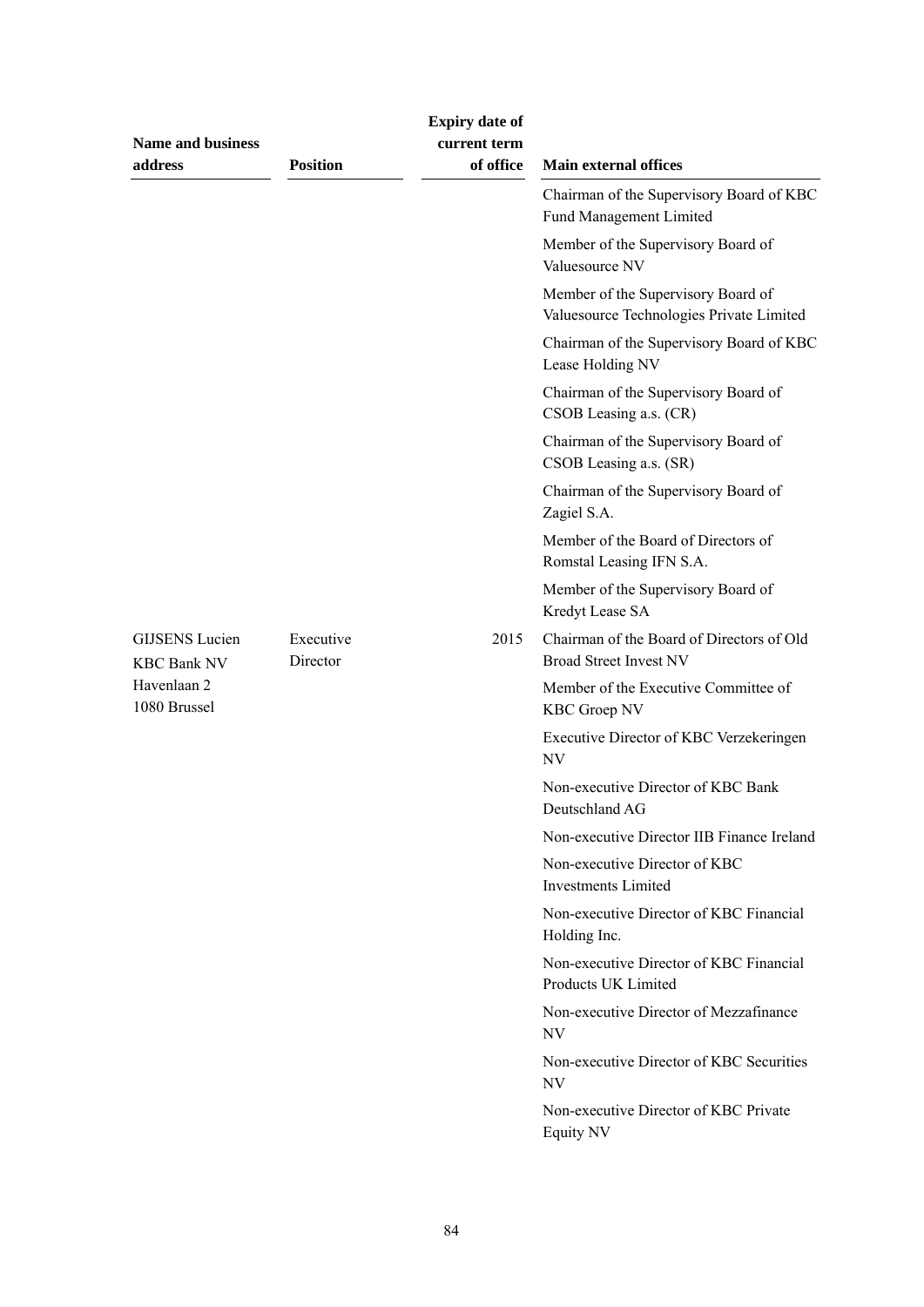| <b>Name and business</b><br>address         | <b>Position</b>       | <b>Expiry date of</b><br>current term<br>of office | <b>Main external offices</b>                                                   |
|---------------------------------------------|-----------------------|----------------------------------------------------|--------------------------------------------------------------------------------|
|                                             |                       |                                                    | Chairman of the Supervisory Board of KBC<br>Fund Management Limited            |
|                                             |                       |                                                    | Member of the Supervisory Board of<br>Valuesource NV                           |
|                                             |                       |                                                    | Member of the Supervisory Board of<br>Valuesource Technologies Private Limited |
|                                             |                       |                                                    | Chairman of the Supervisory Board of KBC<br>Lease Holding NV                   |
|                                             |                       |                                                    | Chairman of the Supervisory Board of<br>CSOB Leasing a.s. (CR)                 |
|                                             |                       |                                                    | Chairman of the Supervisory Board of<br>CSOB Leasing a.s. (SR)                 |
|                                             |                       |                                                    | Chairman of the Supervisory Board of<br>Zagiel S.A.                            |
|                                             |                       |                                                    | Member of the Board of Directors of<br>Romstal Leasing IFN S.A.                |
|                                             |                       |                                                    | Member of the Supervisory Board of<br>Kredyt Lease SA                          |
| <b>GIJSENS</b> Lucien<br><b>KBC Bank NV</b> | Executive<br>Director | 2015                                               | Chairman of the Board of Directors of Old<br><b>Broad Street Invest NV</b>     |
| Havenlaan 2<br>1080 Brussel                 |                       |                                                    | Member of the Executive Committee of<br><b>KBC Groep NV</b>                    |
|                                             |                       |                                                    | Executive Director of KBC Verzekeringen<br>NV                                  |
|                                             |                       |                                                    | Non-executive Director of KBC Bank<br>Deutschland AG                           |
|                                             |                       |                                                    | Non-executive Director IIB Finance Ireland                                     |
|                                             |                       |                                                    | Non-executive Director of KBC<br><b>Investments Limited</b>                    |
|                                             |                       |                                                    | Non-executive Director of KBC Financial<br>Holding Inc.                        |
|                                             |                       |                                                    | Non-executive Director of KBC Financial<br>Products UK Limited                 |
|                                             |                       |                                                    | Non-executive Director of Mezzafinance<br>NV                                   |
|                                             |                       |                                                    | Non-executive Director of KBC Securities<br><b>NV</b>                          |
|                                             |                       |                                                    | Non-executive Director of KBC Private<br>Equity NV                             |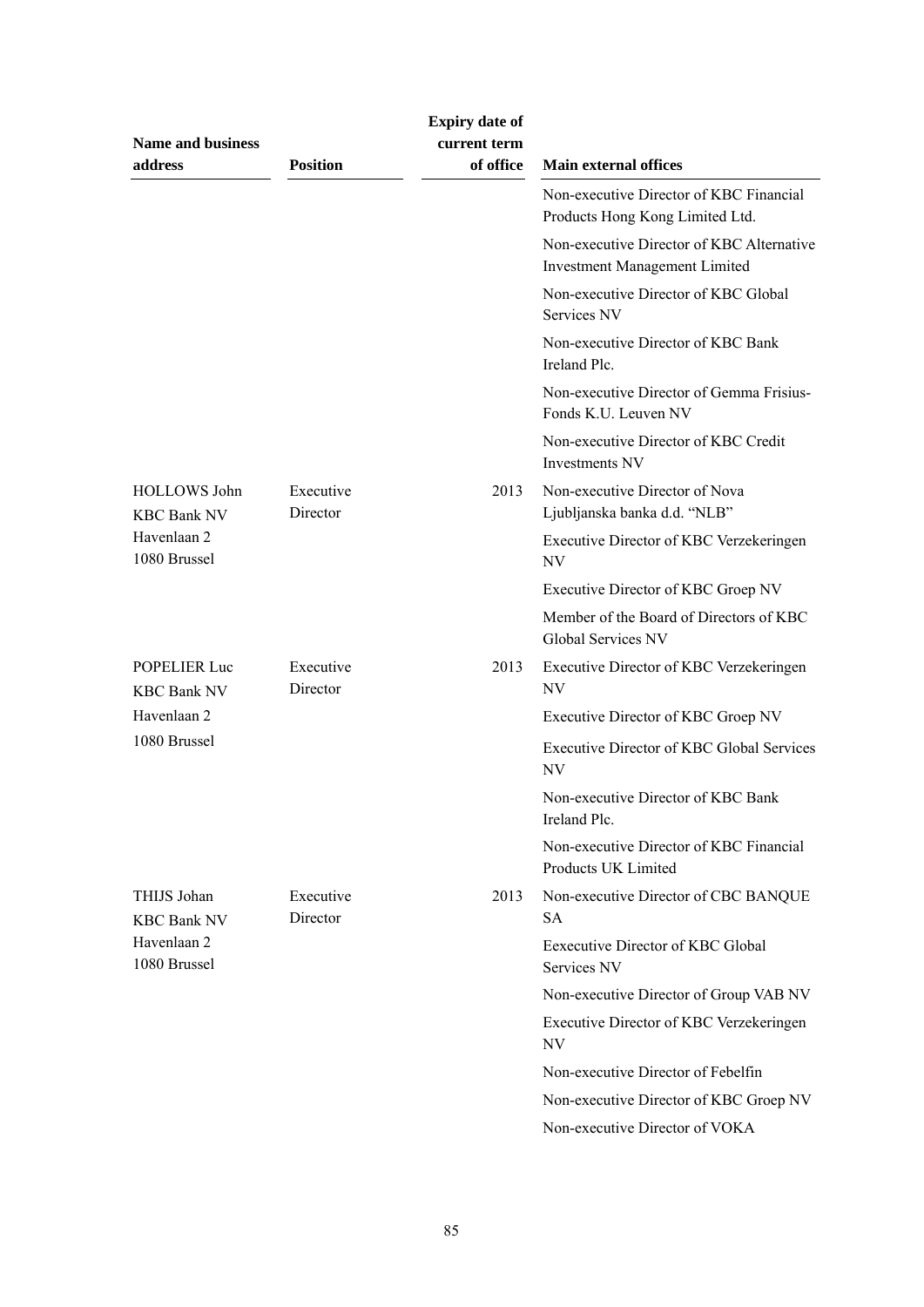| <b>Name and business</b><br>address       | <b>Position</b>       | <b>Expiry date of</b><br>current term<br>of office | <b>Main external offices</b>                                                      |
|-------------------------------------------|-----------------------|----------------------------------------------------|-----------------------------------------------------------------------------------|
|                                           |                       |                                                    | Non-executive Director of KBC Financial<br>Products Hong Kong Limited Ltd.        |
|                                           |                       |                                                    | Non-executive Director of KBC Alternative<br><b>Investment Management Limited</b> |
|                                           |                       |                                                    | Non-executive Director of KBC Global<br>Services NV                               |
|                                           |                       |                                                    | Non-executive Director of KBC Bank<br>Ireland Plc.                                |
|                                           |                       |                                                    | Non-executive Director of Gemma Frisius-<br>Fonds K.U. Leuven NV                  |
|                                           |                       |                                                    | Non-executive Director of KBC Credit<br><b>Investments NV</b>                     |
| <b>HOLLOWS</b> John<br><b>KBC Bank NV</b> | Executive<br>Director | 2013                                               | Non-executive Director of Nova<br>Ljubljanska banka d.d. "NLB"                    |
| Havenlaan 2<br>1080 Brussel               |                       |                                                    | Executive Director of KBC Verzekeringen<br>NV                                     |
|                                           |                       |                                                    | Executive Director of KBC Groep NV                                                |
|                                           |                       |                                                    | Member of the Board of Directors of KBC<br>Global Services NV                     |
| <b>POPELIER Luc</b><br><b>KBC Bank NV</b> | Executive<br>Director | 2013                                               | Executive Director of KBC Verzekeringen<br>NV                                     |
| Havenlaan 2                               |                       |                                                    | Executive Director of KBC Groep NV                                                |
| 1080 Brussel                              |                       |                                                    | <b>Executive Director of KBC Global Services</b><br>NV                            |
|                                           |                       |                                                    | Non-executive Director of KBC Bank<br>Ireland Plc.                                |
|                                           |                       |                                                    | Non-executive Director of KBC Financial<br>Products UK Limited                    |
| THIJS Johan<br><b>KBC Bank NV</b>         | Executive<br>Director | 2013                                               | Non-executive Director of CBC BANQUE<br><b>SA</b>                                 |
| Havenlaan 2<br>1080 Brussel               |                       |                                                    | Eexecutive Director of KBC Global<br>Services NV                                  |
|                                           |                       |                                                    | Non-executive Director of Group VAB NV                                            |
|                                           |                       |                                                    | Executive Director of KBC Verzekeringen<br>NV                                     |
|                                           |                       |                                                    | Non-executive Director of Febelfin                                                |
|                                           |                       |                                                    | Non-executive Director of KBC Groep NV                                            |
|                                           |                       |                                                    | Non-executive Director of VOKA                                                    |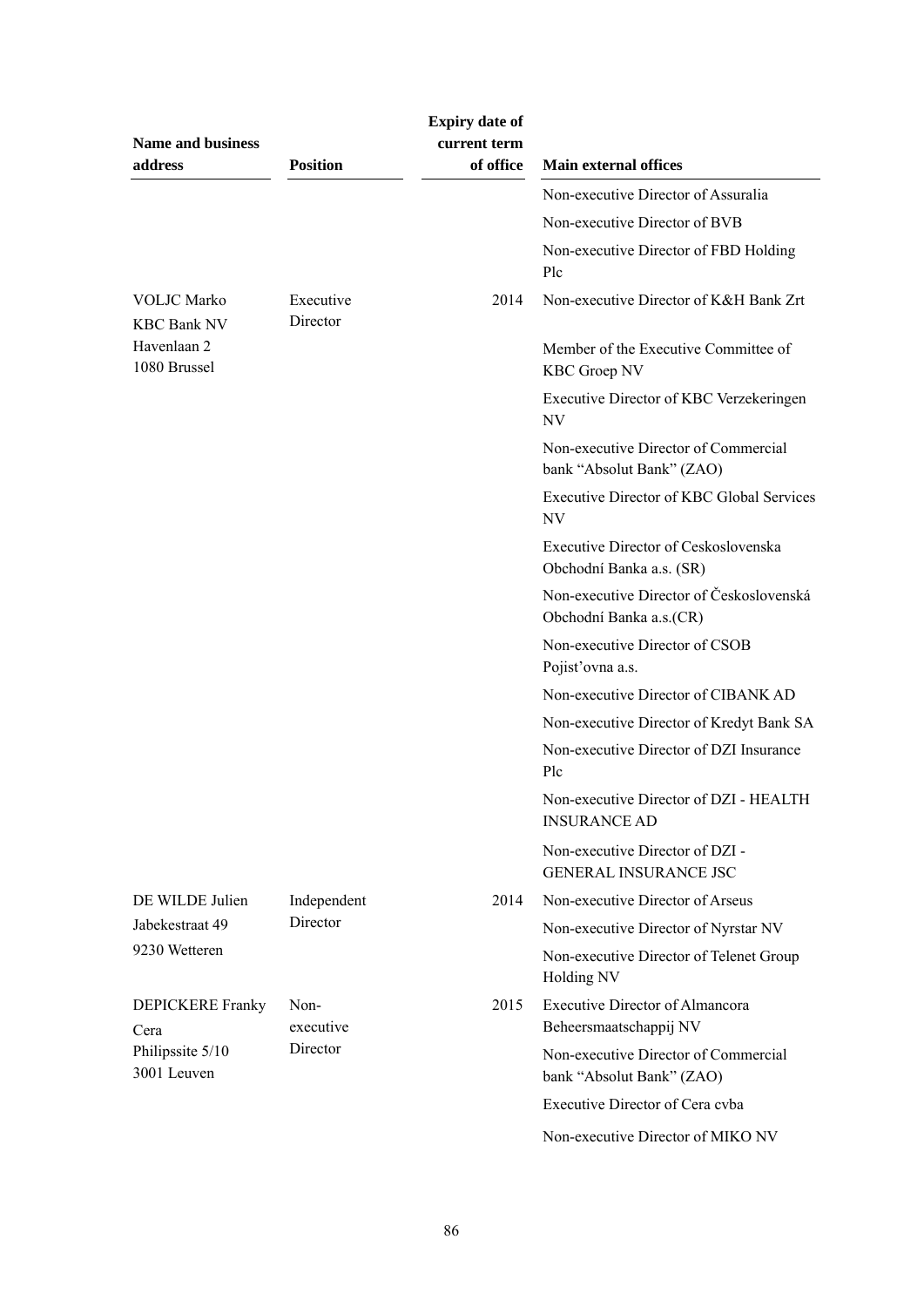| <b>Name and business</b><br>address      | <b>Position</b>       | <b>Expiry date of</b><br>current term<br>of office | <b>Main external offices</b>                                        |
|------------------------------------------|-----------------------|----------------------------------------------------|---------------------------------------------------------------------|
|                                          |                       |                                                    | Non-executive Director of Assuralia                                 |
|                                          |                       |                                                    | Non-executive Director of BVB                                       |
|                                          |                       |                                                    | Non-executive Director of FBD Holding<br>Plc                        |
| <b>VOLJC</b> Marko<br><b>KBC Bank NV</b> | Executive<br>Director | 2014                                               | Non-executive Director of K&H Bank Zrt                              |
| Havenlaan 2<br>1080 Brussel              |                       |                                                    | Member of the Executive Committee of<br><b>KBC Groep NV</b>         |
|                                          |                       |                                                    | Executive Director of KBC Verzekeringen<br>NV                       |
|                                          |                       |                                                    | Non-executive Director of Commercial<br>bank "Absolut Bank" (ZAO)   |
|                                          |                       |                                                    | <b>Executive Director of KBC Global Services</b><br>NV              |
|                                          |                       |                                                    | Executive Director of Ceskoslovenska<br>Obchodní Banka a.s. (SR)    |
|                                          |                       |                                                    | Non-executive Director of Československá<br>Obchodní Banka a.s.(CR) |
|                                          |                       |                                                    | Non-executive Director of CSOB<br>Pojist'ovna a.s.                  |
|                                          |                       |                                                    | Non-executive Director of CIBANK AD                                 |
|                                          |                       |                                                    | Non-executive Director of Kredyt Bank SA                            |
|                                          |                       |                                                    | Non-executive Director of DZI Insurance<br>Plc                      |
|                                          |                       |                                                    | Non-executive Director of DZI - HEALTH<br><b>INSURANCE AD</b>       |
|                                          |                       |                                                    | Non-executive Director of DZI -<br><b>GENERAL INSURANCE JSC</b>     |
| DE WILDE Julien                          | Independent           | 2014                                               | Non-executive Director of Arseus                                    |
| Jabekestraat 49                          | Director              |                                                    | Non-executive Director of Nyrstar NV                                |
| 9230 Wetteren                            |                       |                                                    | Non-executive Director of Telenet Group<br>Holding NV               |
| <b>DEPICKERE Franky</b><br>Cera          | Non-<br>executive     | 2015                                               | <b>Executive Director of Almancora</b><br>Beheersmaatschappij NV    |
| Philipssite 5/10<br>3001 Leuven          | Director              |                                                    | Non-executive Director of Commercial<br>bank "Absolut Bank" (ZAO)   |
|                                          |                       |                                                    | Executive Director of Cera cvba                                     |
|                                          |                       |                                                    | Non-executive Director of MIKO NV                                   |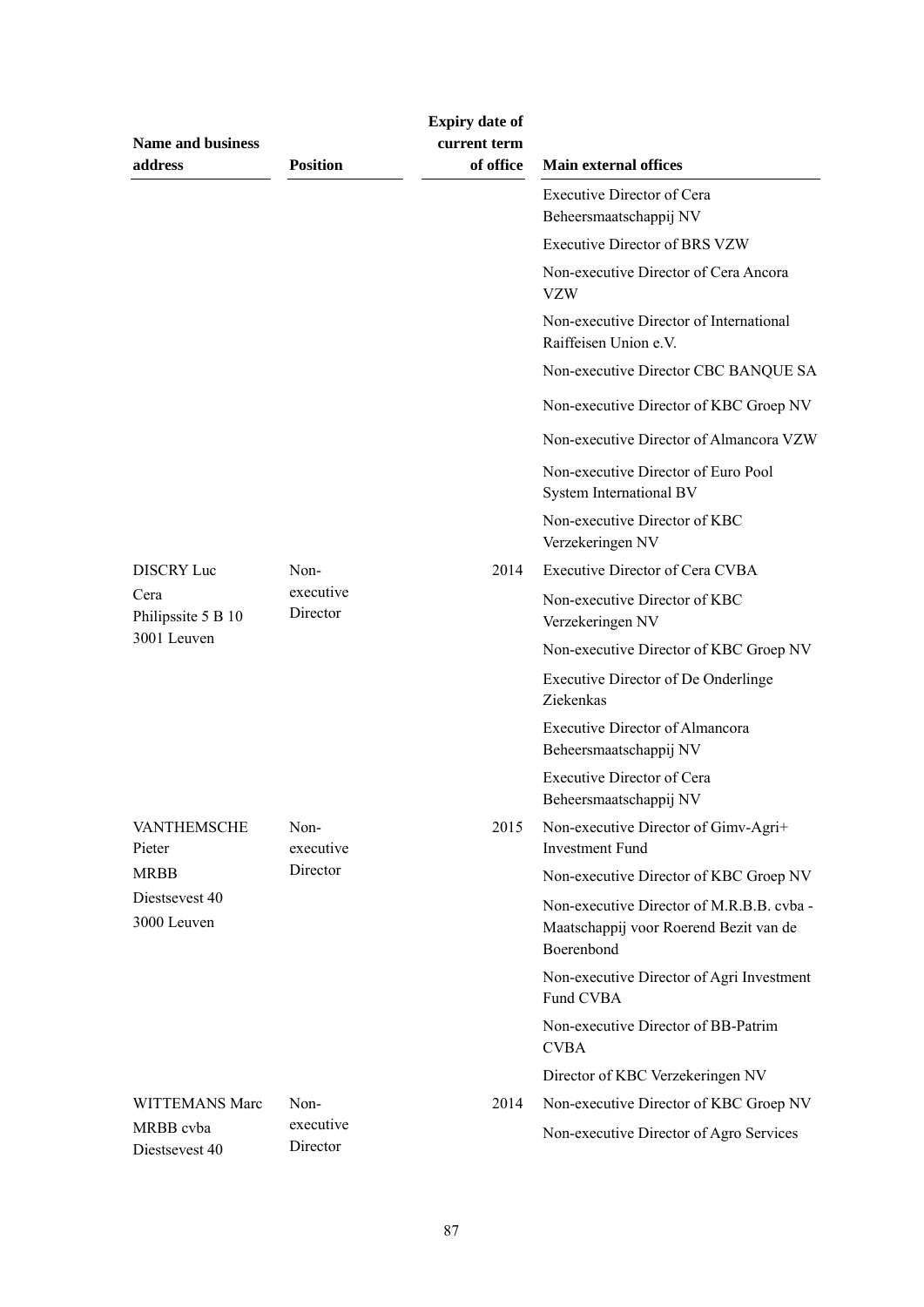| <b>Name and business</b><br>address | <b>Position</b>       | <b>Expiry date of</b><br>current term<br>of office | <b>Main external offices</b>                                                                      |
|-------------------------------------|-----------------------|----------------------------------------------------|---------------------------------------------------------------------------------------------------|
|                                     |                       |                                                    | <b>Executive Director of Cera</b><br>Beheersmaatschappij NV                                       |
|                                     |                       |                                                    | <b>Executive Director of BRS VZW</b>                                                              |
|                                     |                       |                                                    | Non-executive Director of Cera Ancora<br><b>VZW</b>                                               |
|                                     |                       |                                                    | Non-executive Director of International<br>Raiffeisen Union e.V.                                  |
|                                     |                       |                                                    | Non-executive Director CBC BANQUE SA                                                              |
|                                     |                       |                                                    | Non-executive Director of KBC Groep NV                                                            |
|                                     |                       |                                                    | Non-executive Director of Almancora VZW                                                           |
|                                     |                       |                                                    | Non-executive Director of Euro Pool<br>System International BV                                    |
|                                     |                       |                                                    | Non-executive Director of KBC<br>Verzekeringen NV                                                 |
| DISCRY Luc                          | Non-                  | 2014                                               | <b>Executive Director of Cera CVBA</b>                                                            |
| Cera<br>Philipssite 5 B 10          | executive<br>Director |                                                    | Non-executive Director of KBC<br>Verzekeringen NV                                                 |
| 3001 Leuven                         |                       |                                                    | Non-executive Director of KBC Groep NV                                                            |
|                                     |                       |                                                    | Executive Director of De Onderlinge<br>Ziekenkas                                                  |
|                                     |                       |                                                    | <b>Executive Director of Almancora</b><br>Beheersmaatschappij NV                                  |
|                                     |                       |                                                    | <b>Executive Director of Cera</b><br>Beheersmaatschappij NV                                       |
| <b>VANTHEMSCHE</b><br>Pieter        | Non-<br>executive     | 2015                                               | Non-executive Director of Gimv-Agri+<br><b>Investment Fund</b>                                    |
| <b>MRBB</b>                         | Director              |                                                    | Non-executive Director of KBC Groep NV                                                            |
| Diestsevest 40<br>3000 Leuven       |                       |                                                    | Non-executive Director of M.R.B.B. cvba -<br>Maatschappij voor Roerend Bezit van de<br>Boerenbond |
|                                     |                       |                                                    | Non-executive Director of Agri Investment<br>Fund CVBA                                            |
|                                     |                       |                                                    | Non-executive Director of BB-Patrim<br><b>CVBA</b>                                                |
|                                     |                       |                                                    | Director of KBC Verzekeringen NV                                                                  |
| WITTEMANS Marc                      | Non-                  | 2014                                               | Non-executive Director of KBC Groep NV                                                            |
| MRBB cvba<br>Diestsevest 40         | executive<br>Director |                                                    | Non-executive Director of Agro Services                                                           |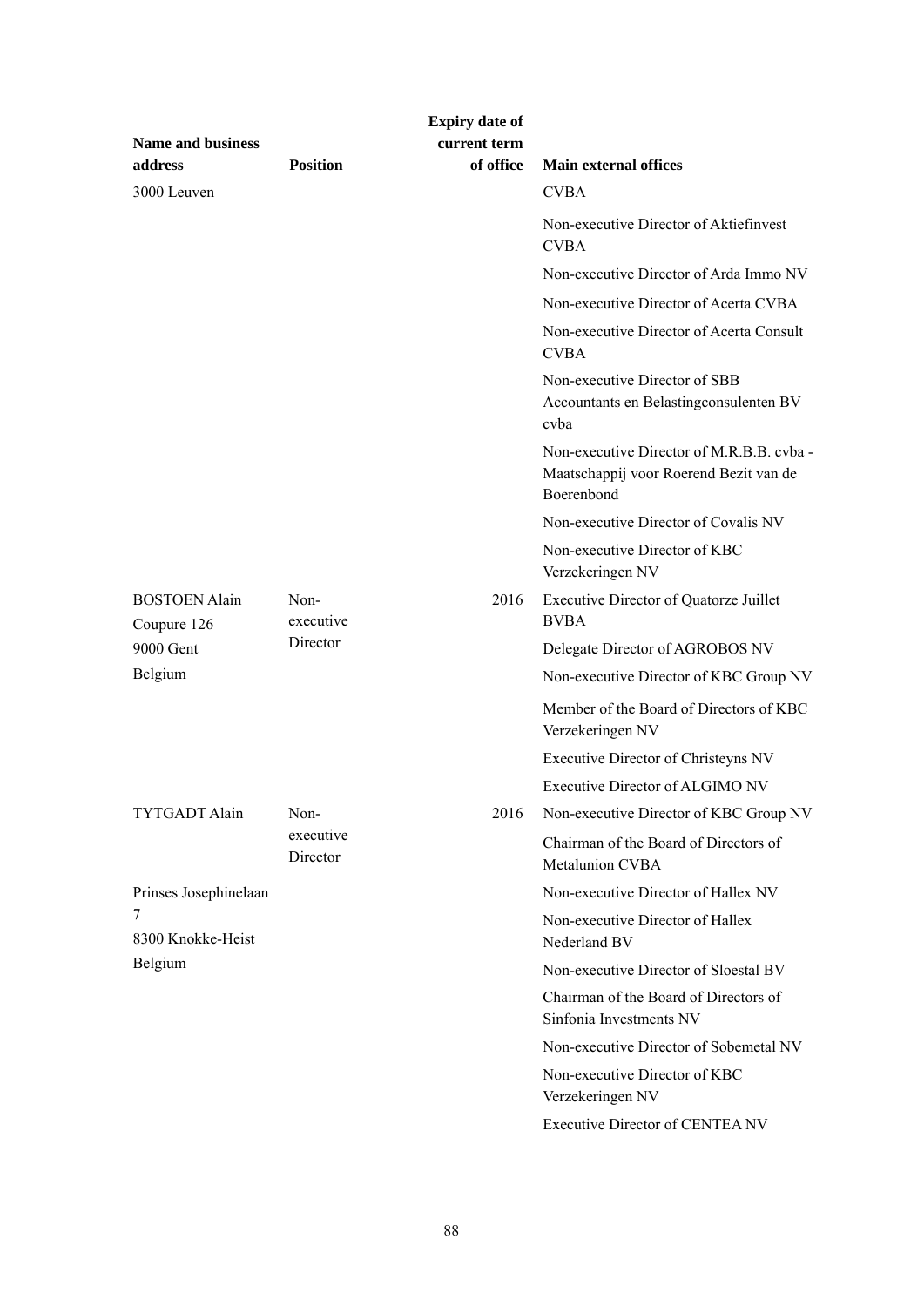| <b>Name and business</b>            |                       | <b>Expiry date of</b><br>current term |                                                                                                   |
|-------------------------------------|-----------------------|---------------------------------------|---------------------------------------------------------------------------------------------------|
| address                             | <b>Position</b>       | of office                             | <b>Main external offices</b>                                                                      |
| 3000 Leuven                         |                       |                                       | <b>CVBA</b>                                                                                       |
|                                     |                       |                                       | Non-executive Director of Aktiefinvest<br><b>CVBA</b>                                             |
|                                     |                       |                                       | Non-executive Director of Arda Immo NV                                                            |
|                                     |                       |                                       | Non-executive Director of Acerta CVBA                                                             |
|                                     |                       |                                       | Non-executive Director of Acerta Consult<br><b>CVBA</b>                                           |
|                                     |                       |                                       | Non-executive Director of SBB<br>Accountants en Belastingconsulenten BV<br>cyba                   |
|                                     |                       |                                       | Non-executive Director of M.R.B.B. cvba -<br>Maatschappij voor Roerend Bezit van de<br>Boerenbond |
|                                     |                       |                                       | Non-executive Director of Covalis NV                                                              |
|                                     |                       |                                       | Non-executive Director of KBC<br>Verzekeringen NV                                                 |
| <b>BOSTOEN Alain</b><br>Coupure 126 | Non-<br>executive     | 2016                                  | <b>Executive Director of Quatorze Juillet</b><br><b>BVBA</b>                                      |
| 9000 Gent                           | Director              |                                       | Delegate Director of AGROBOS NV                                                                   |
| Belgium                             |                       |                                       | Non-executive Director of KBC Group NV                                                            |
|                                     |                       |                                       | Member of the Board of Directors of KBC<br>Verzekeringen NV                                       |
|                                     |                       |                                       | <b>Executive Director of Christeyns NV</b>                                                        |
|                                     |                       |                                       | <b>Executive Director of ALGIMO NV</b>                                                            |
| <b>TYTGADT Alain</b>                | Non-                  | 2016                                  | Non-executive Director of KBC Group NV                                                            |
|                                     | executive<br>Director |                                       | Chairman of the Board of Directors of<br>Metalunion CVBA                                          |
| Prinses Josephinelaan               |                       |                                       | Non-executive Director of Hallex NV                                                               |
| 7<br>8300 Knokke-Heist              |                       |                                       | Non-executive Director of Hallex<br>Nederland BV                                                  |
| Belgium                             |                       |                                       | Non-executive Director of Sloestal BV                                                             |
|                                     |                       |                                       | Chairman of the Board of Directors of<br>Sinfonia Investments NV                                  |
|                                     |                       |                                       | Non-executive Director of Sobemetal NV                                                            |
|                                     |                       |                                       | Non-executive Director of KBC<br>Verzekeringen NV                                                 |
|                                     |                       |                                       | Executive Director of CENTEA NV                                                                   |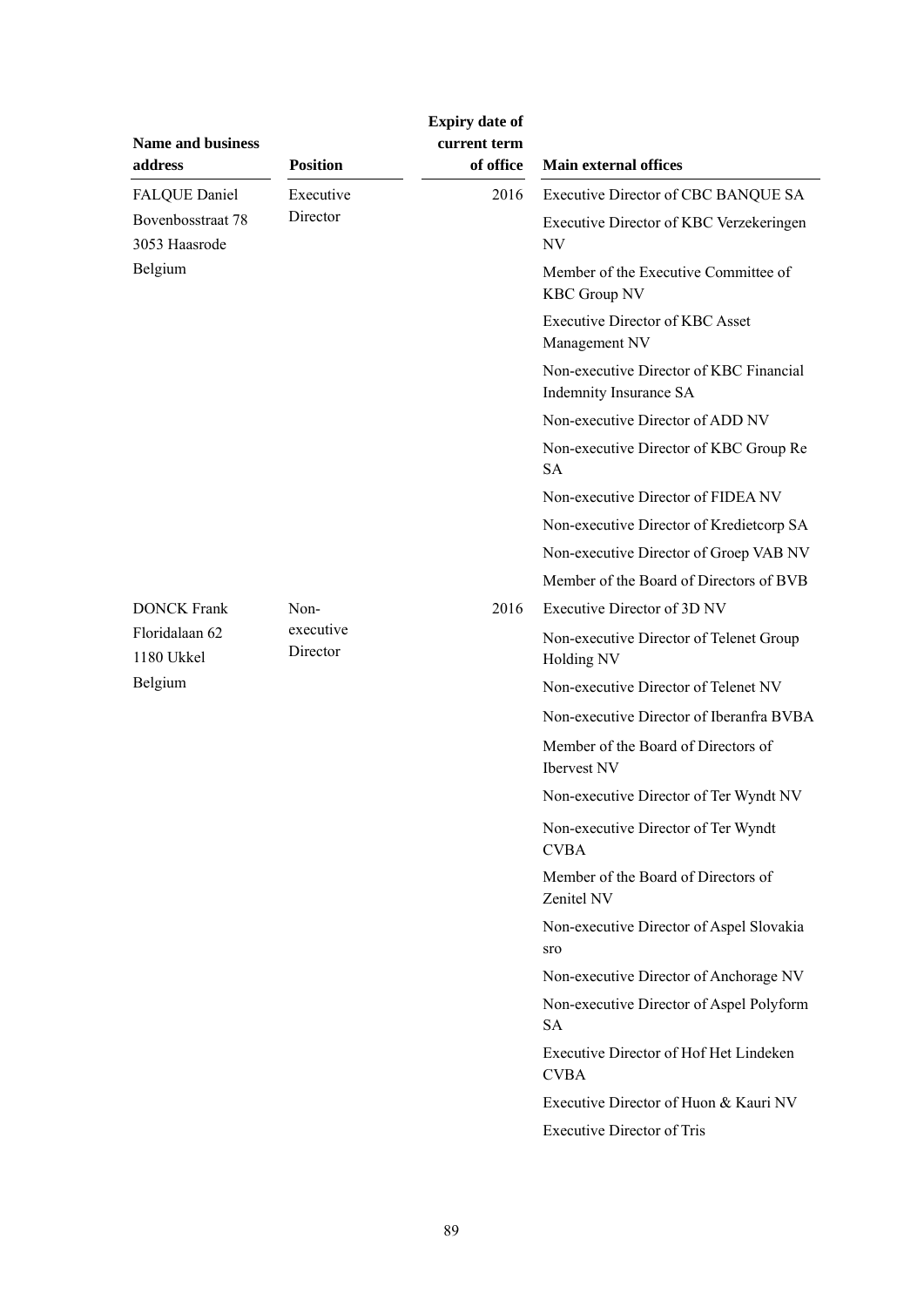|                              |                       | <b>Expiry date of</b>     |                                                                   |
|------------------------------|-----------------------|---------------------------|-------------------------------------------------------------------|
| Name and business<br>address | <b>Position</b>       | current term<br>of office | <b>Main external offices</b>                                      |
| <b>FALQUE Daniel</b>         | Executive             | 2016                      | Executive Director of CBC BANQUE SA                               |
| Bovenbosstraat 78            | Director              |                           | Executive Director of KBC Verzekeringen                           |
| 3053 Haasrode                |                       |                           | NV                                                                |
| Belgium                      |                       |                           | Member of the Executive Committee of<br><b>KBC Group NV</b>       |
|                              |                       |                           | <b>Executive Director of KBC Asset</b><br>Management NV           |
|                              |                       |                           | Non-executive Director of KBC Financial<br>Indemnity Insurance SA |
|                              |                       |                           | Non-executive Director of ADD NV                                  |
|                              |                       |                           | Non-executive Director of KBC Group Re<br><b>SA</b>               |
|                              |                       |                           | Non-executive Director of FIDEA NV                                |
|                              |                       |                           | Non-executive Director of Kredietcorp SA                          |
|                              |                       |                           | Non-executive Director of Groep VAB NV                            |
|                              |                       |                           | Member of the Board of Directors of BVB                           |
| <b>DONCK Frank</b>           | Non-                  | 2016                      | Executive Director of 3D NV                                       |
| Floridalaan 62<br>1180 Ukkel | executive<br>Director |                           | Non-executive Director of Telenet Group<br>Holding NV             |
| Belgium                      |                       |                           | Non-executive Director of Telenet NV                              |
|                              |                       |                           | Non-executive Director of Iberanfra BVBA                          |
|                              |                       |                           | Member of the Board of Directors of<br>Ibervest NV                |
|                              |                       |                           | Non-executive Director of Ter Wyndt NV                            |
|                              |                       |                           | Non-executive Director of Ter Wyndt<br><b>CVBA</b>                |
|                              |                       |                           | Member of the Board of Directors of<br>Zenitel NV                 |
|                              |                       |                           | Non-executive Director of Aspel Slovakia<br>sro                   |
|                              |                       |                           | Non-executive Director of Anchorage NV                            |
|                              |                       |                           | Non-executive Director of Aspel Polyform<br><b>SA</b>             |
|                              |                       |                           | <b>Executive Director of Hof Het Lindeken</b><br><b>CVBA</b>      |
|                              |                       |                           | Executive Director of Huon & Kauri NV                             |
|                              |                       |                           | <b>Executive Director of Tris</b>                                 |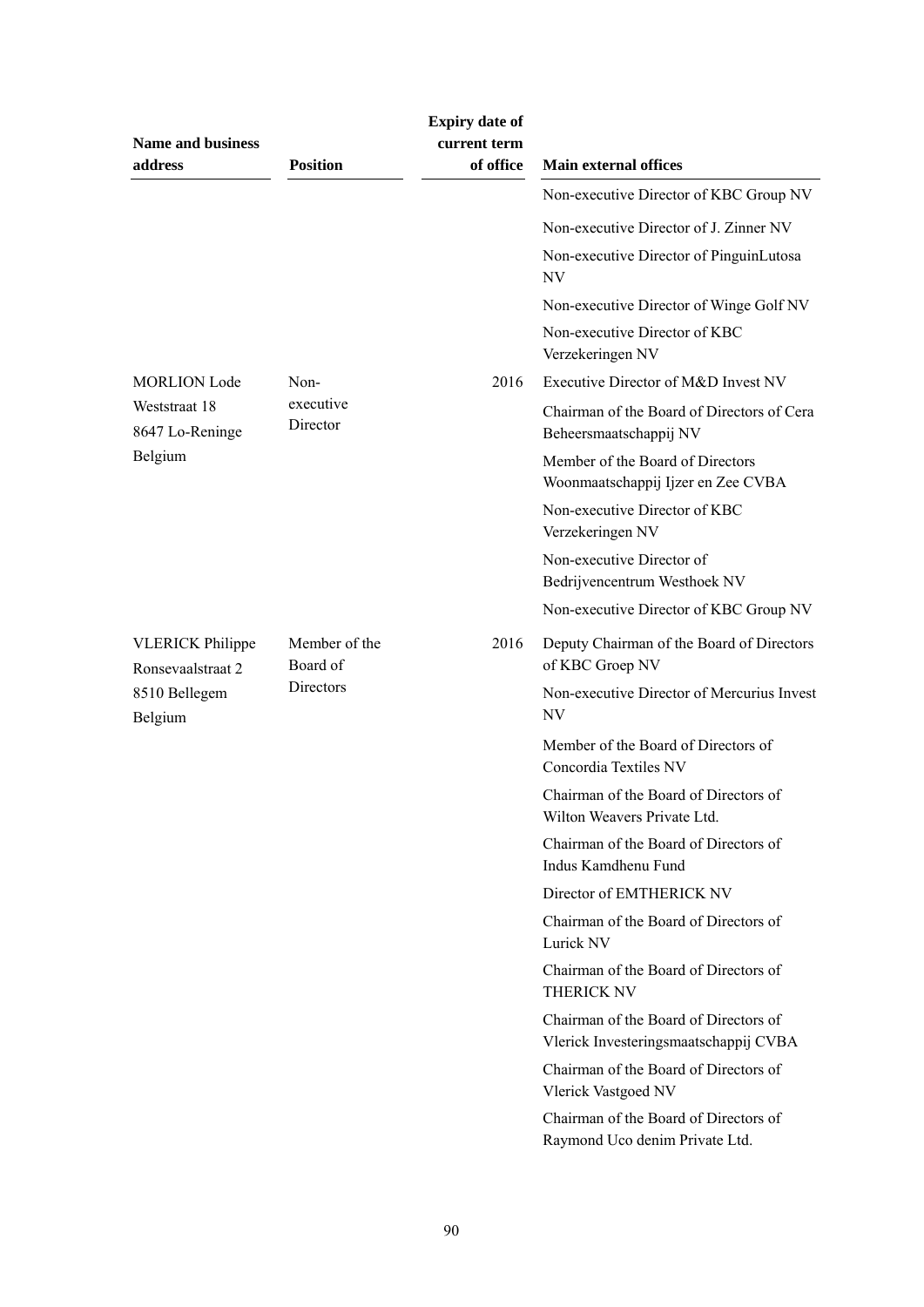| <b>Name and business</b><br>address          | <b>Position</b>           | <b>Expiry date of</b><br>current term<br>of office | <b>Main external offices</b>                                                   |
|----------------------------------------------|---------------------------|----------------------------------------------------|--------------------------------------------------------------------------------|
|                                              |                           |                                                    | Non-executive Director of KBC Group NV                                         |
|                                              |                           |                                                    | Non-executive Director of J. Zinner NV                                         |
|                                              |                           |                                                    | Non-executive Director of PinguinLutosa<br>NV.                                 |
|                                              |                           |                                                    | Non-executive Director of Winge Golf NV                                        |
|                                              |                           |                                                    | Non-executive Director of KBC<br>Verzekeringen NV                              |
| <b>MORLION</b> Lode                          | Non-                      | 2016                                               | Executive Director of M&D Invest NV                                            |
| Weststraat 18<br>8647 Lo-Reninge             | executive<br>Director     |                                                    | Chairman of the Board of Directors of Cera<br>Beheersmaatschappij NV           |
| Belgium                                      |                           |                                                    | Member of the Board of Directors<br>Woonmaatschappij Ijzer en Zee CVBA         |
|                                              |                           |                                                    | Non-executive Director of KBC<br>Verzekeringen NV                              |
|                                              |                           |                                                    | Non-executive Director of<br>Bedrijvencentrum Westhoek NV                      |
|                                              |                           |                                                    | Non-executive Director of KBC Group NV                                         |
| <b>VLERICK Philippe</b><br>Ronsevaalstraat 2 | Member of the<br>Board of | 2016                                               | Deputy Chairman of the Board of Directors<br>of KBC Groep NV                   |
| 8510 Bellegem<br>Belgium                     | Directors                 |                                                    | Non-executive Director of Mercurius Invest<br>NV                               |
|                                              |                           |                                                    | Member of the Board of Directors of<br>Concordia Textiles NV                   |
|                                              |                           |                                                    | Chairman of the Board of Directors of<br>Wilton Weavers Private Ltd.           |
|                                              |                           |                                                    | Chairman of the Board of Directors of<br>Indus Kamdhenu Fund                   |
|                                              |                           |                                                    | Director of EMTHERICK NV                                                       |
|                                              |                           |                                                    | Chairman of the Board of Directors of<br>Lurick NV                             |
|                                              |                           |                                                    | Chairman of the Board of Directors of<br>THERICK NV                            |
|                                              |                           |                                                    | Chairman of the Board of Directors of<br>Vlerick Investeringsmaatschappij CVBA |
|                                              |                           |                                                    | Chairman of the Board of Directors of<br>Vlerick Vastgoed NV                   |
|                                              |                           |                                                    | Chairman of the Board of Directors of<br>Raymond Uco denim Private Ltd.        |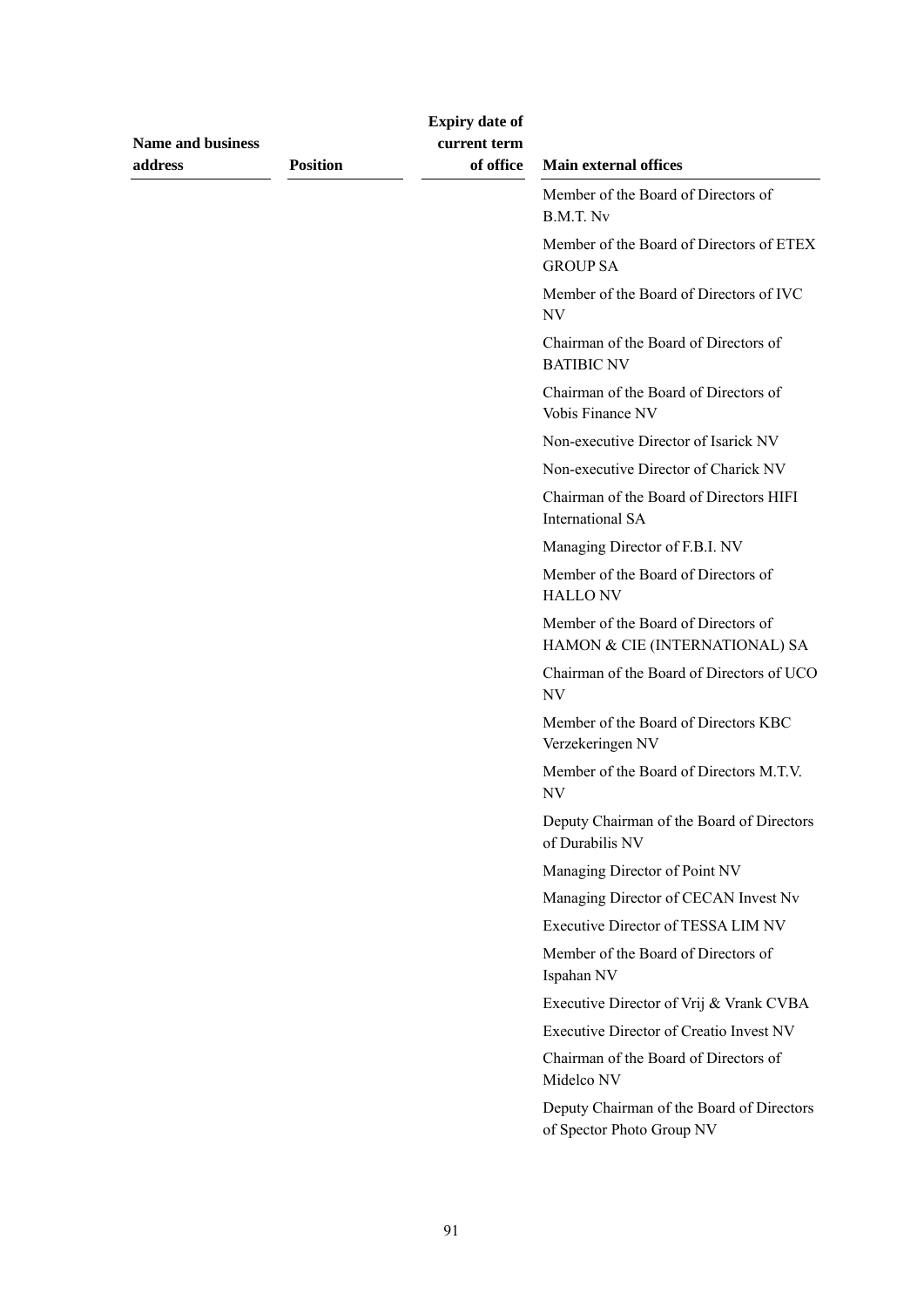| <b>Name and business</b><br>address | <b>Position</b> | <b>Expiry date of</b><br>current term<br>of office | <b>Main external offices</b>                                           |
|-------------------------------------|-----------------|----------------------------------------------------|------------------------------------------------------------------------|
|                                     |                 |                                                    | Member of the Board of Directors of<br>B.M.T. Nv                       |
|                                     |                 |                                                    | Member of the Board of Directors of ETEX<br><b>GROUP SA</b>            |
|                                     |                 |                                                    | Member of the Board of Directors of IVC<br>$\ensuremath{\text{NV}}$    |
|                                     |                 |                                                    | Chairman of the Board of Directors of<br><b>BATIBIC NV</b>             |
|                                     |                 |                                                    | Chairman of the Board of Directors of<br>Vobis Finance NV              |
|                                     |                 |                                                    | Non-executive Director of Isarick NV                                   |
|                                     |                 |                                                    | Non-executive Director of Charick NV                                   |
|                                     |                 |                                                    | Chairman of the Board of Directors HIFI<br>International SA            |
|                                     |                 |                                                    | Managing Director of F.B.I. NV                                         |
|                                     |                 |                                                    | Member of the Board of Directors of<br><b>HALLONV</b>                  |
|                                     |                 |                                                    | Member of the Board of Directors of<br>HAMON & CIE (INTERNATIONAL) SA  |
|                                     |                 |                                                    | Chairman of the Board of Directors of UCO<br>NV                        |
|                                     |                 |                                                    | Member of the Board of Directors KBC<br>Verzekeringen NV               |
|                                     |                 |                                                    | Member of the Board of Directors M.T.V.<br>NV                          |
|                                     |                 |                                                    | Deputy Chairman of the Board of Directors<br>of Durabilis NV           |
|                                     |                 |                                                    | Managing Director of Point NV                                          |
|                                     |                 |                                                    | Managing Director of CECAN Invest Nv                                   |
|                                     |                 |                                                    | Executive Director of TESSA LIM NV                                     |
|                                     |                 |                                                    | Member of the Board of Directors of<br>Ispahan NV                      |
|                                     |                 |                                                    | Executive Director of Vrij & Vrank CVBA                                |
|                                     |                 |                                                    | <b>Executive Director of Creatio Invest NV</b>                         |
|                                     |                 |                                                    | Chairman of the Board of Directors of<br>Midelco NV                    |
|                                     |                 |                                                    | Deputy Chairman of the Board of Directors<br>of Spector Photo Group NV |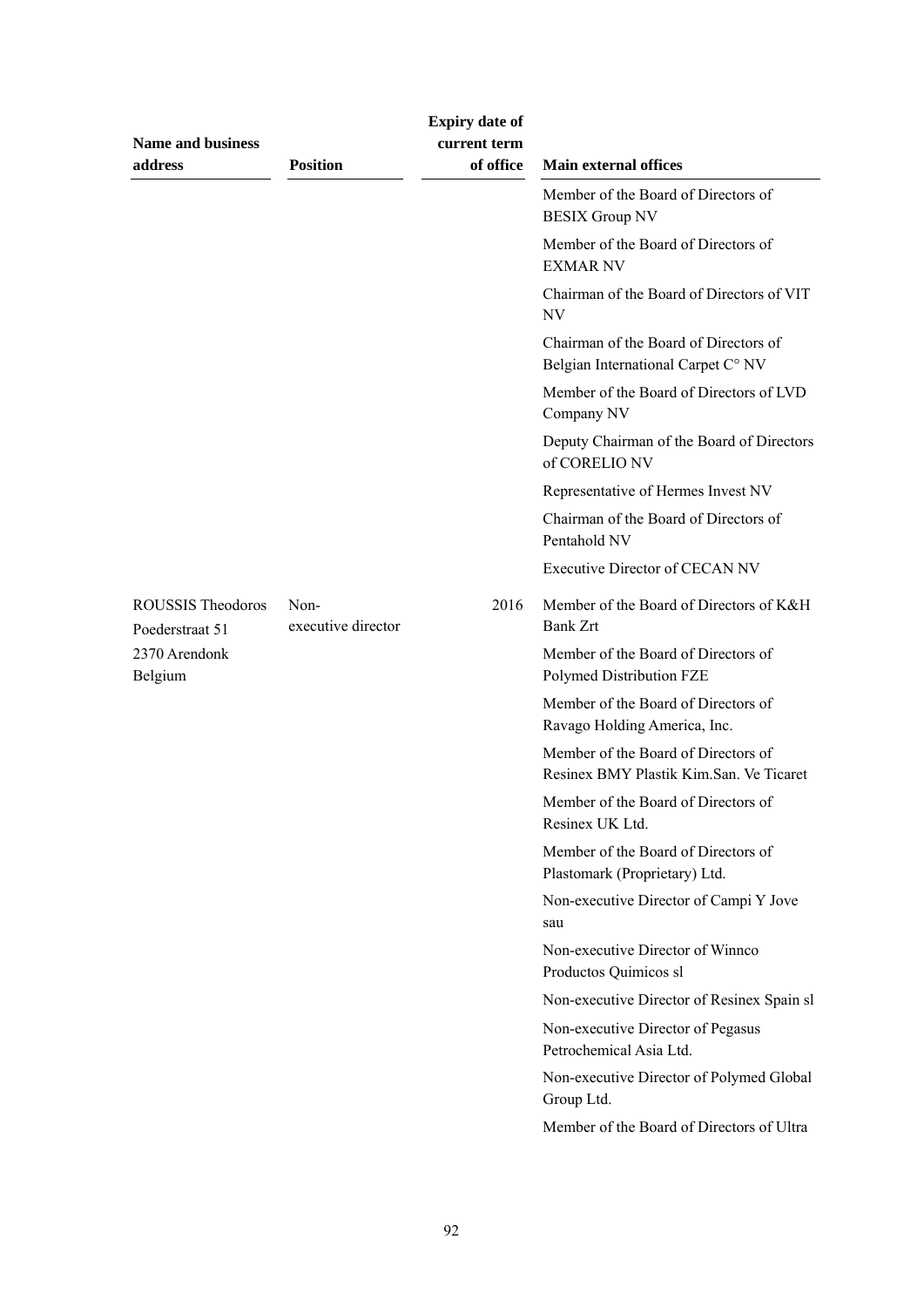| <b>Name and business</b><br>address  | <b>Position</b>            | <b>Expiry date of</b><br>current term<br>of office | <b>Main external offices</b>                                                   |
|--------------------------------------|----------------------------|----------------------------------------------------|--------------------------------------------------------------------------------|
|                                      |                            |                                                    | Member of the Board of Directors of<br><b>BESIX Group NV</b>                   |
|                                      |                            |                                                    | Member of the Board of Directors of<br><b>EXMAR NV</b>                         |
|                                      |                            |                                                    | Chairman of the Board of Directors of VIT<br><b>NV</b>                         |
|                                      |                            |                                                    | Chairman of the Board of Directors of<br>Belgian International Carpet C° NV    |
|                                      |                            |                                                    | Member of the Board of Directors of LVD<br>Company NV                          |
|                                      |                            |                                                    | Deputy Chairman of the Board of Directors<br>of CORELIO NV                     |
|                                      |                            |                                                    | Representative of Hermes Invest NV                                             |
|                                      |                            |                                                    | Chairman of the Board of Directors of<br>Pentahold NV                          |
|                                      |                            |                                                    | <b>Executive Director of CECAN NV</b>                                          |
| ROUSSIS Theodoros<br>Poederstraat 51 | Non-<br>executive director | 2016                                               | Member of the Board of Directors of K&H<br><b>Bank Zrt</b>                     |
| 2370 Arendonk<br>Belgium             |                            |                                                    | Member of the Board of Directors of<br>Polymed Distribution FZE                |
|                                      |                            |                                                    | Member of the Board of Directors of<br>Ravago Holding America, Inc.            |
|                                      |                            |                                                    | Member of the Board of Directors of<br>Resinex BMY Plastik Kim.San. Ve Ticaret |
|                                      |                            |                                                    | Member of the Board of Directors of<br>Resinex UK Ltd.                         |
|                                      |                            |                                                    | Member of the Board of Directors of<br>Plastomark (Proprietary) Ltd.           |
|                                      |                            |                                                    | Non-executive Director of Campi Y Jove<br>sau                                  |
|                                      |                            |                                                    | Non-executive Director of Winnco<br>Productos Quimicos sl                      |
|                                      |                            |                                                    | Non-executive Director of Resinex Spain sl                                     |
|                                      |                            |                                                    | Non-executive Director of Pegasus<br>Petrochemical Asia Ltd.                   |
|                                      |                            |                                                    | Non-executive Director of Polymed Global<br>Group Ltd.                         |
|                                      |                            |                                                    | Member of the Board of Directors of Ultra                                      |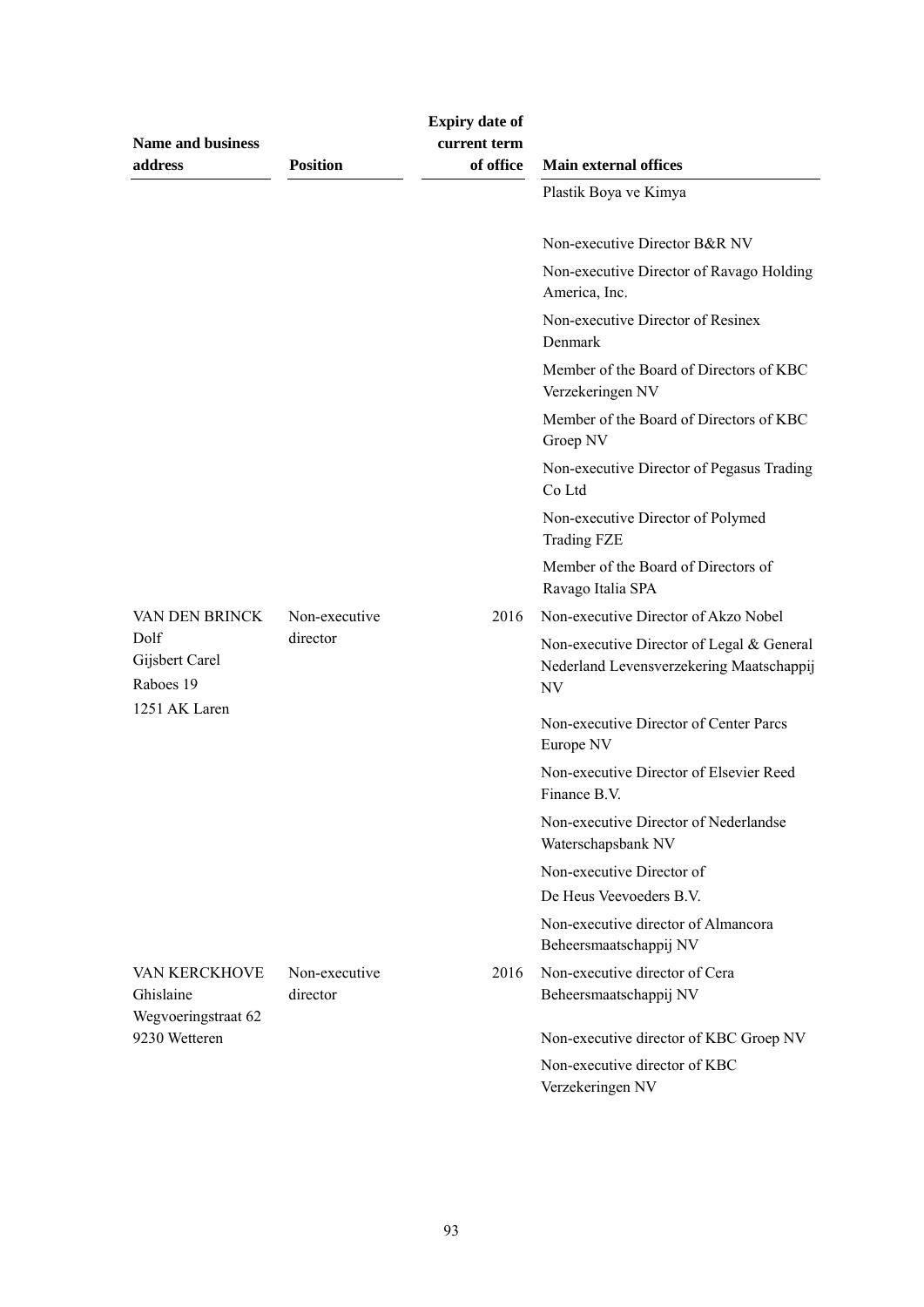| <b>Name and business</b><br>address  | <b>Position</b>           | <b>Expiry date of</b><br>current term<br>of office | <b>Main external offices</b>                                                                |
|--------------------------------------|---------------------------|----------------------------------------------------|---------------------------------------------------------------------------------------------|
|                                      |                           |                                                    | Plastik Boya ve Kimya                                                                       |
|                                      |                           |                                                    | Non-executive Director B&R NV                                                               |
|                                      |                           |                                                    | Non-executive Director of Ravago Holding<br>America, Inc.                                   |
|                                      |                           |                                                    | Non-executive Director of Resinex<br>Denmark                                                |
|                                      |                           |                                                    | Member of the Board of Directors of KBC<br>Verzekeringen NV                                 |
|                                      |                           |                                                    | Member of the Board of Directors of KBC<br>Groep NV                                         |
|                                      |                           |                                                    | Non-executive Director of Pegasus Trading<br>Co Ltd                                         |
|                                      |                           |                                                    | Non-executive Director of Polymed<br><b>Trading FZE</b>                                     |
|                                      |                           |                                                    | Member of the Board of Directors of<br>Ravago Italia SPA                                    |
| VAN DEN BRINCK                       | Non-executive             | 2016                                               | Non-executive Director of Akzo Nobel                                                        |
| Dolf<br>Gijsbert Carel<br>Raboes 19  | director                  |                                                    | Non-executive Director of Legal & General<br>Nederland Levensverzekering Maatschappij<br>NV |
| 1251 AK Laren                        |                           |                                                    | Non-executive Director of Center Parcs<br>Europe NV                                         |
|                                      |                           |                                                    | Non-executive Director of Elsevier Reed<br>Finance B.V.                                     |
|                                      |                           |                                                    | Non-executive Director of Nederlandse<br>Waterschapsbank NV                                 |
|                                      |                           |                                                    | Non-executive Director of                                                                   |
|                                      |                           |                                                    | De Heus Veevoeders B.V.                                                                     |
|                                      |                           |                                                    | Non-executive director of Almancora<br>Beheersmaatschappij NV                               |
| <b>VAN KERCKHOVE</b><br>Ghislaine    | Non-executive<br>director | 2016                                               | Non-executive director of Cera<br>Beheersmaatschappij NV                                    |
| Wegvoeringstraat 62<br>9230 Wetteren |                           |                                                    | Non-executive director of KBC Groep NV                                                      |
|                                      |                           |                                                    | Non-executive director of KBC<br>Verzekeringen NV                                           |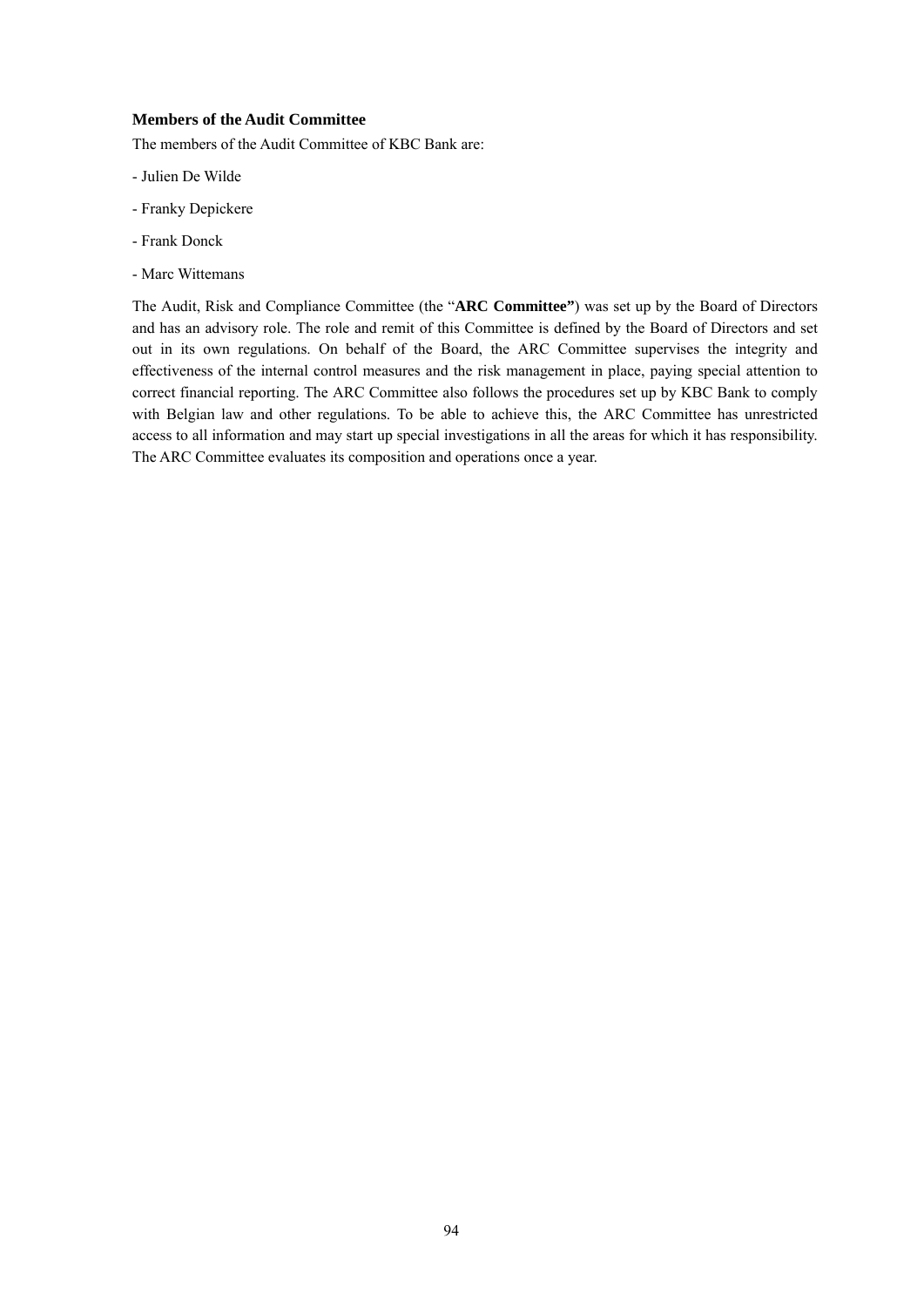# **Members of the Audit Committee**

The members of the Audit Committee of KBC Bank are:

- Julien De Wilde
- Franky Depickere
- Frank Donck
- Marc Wittemans

The Audit, Risk and Compliance Committee (the "**ARC Committee"**) was set up by the Board of Directors and has an advisory role. The role and remit of this Committee is defined by the Board of Directors and set out in its own regulations. On behalf of the Board, the ARC Committee supervises the integrity and effectiveness of the internal control measures and the risk management in place, paying special attention to correct financial reporting. The ARC Committee also follows the procedures set up by KBC Bank to comply with Belgian law and other regulations. To be able to achieve this, the ARC Committee has unrestricted access to all information and may start up special investigations in all the areas for which it has responsibility. The ARC Committee evaluates its composition and operations once a year.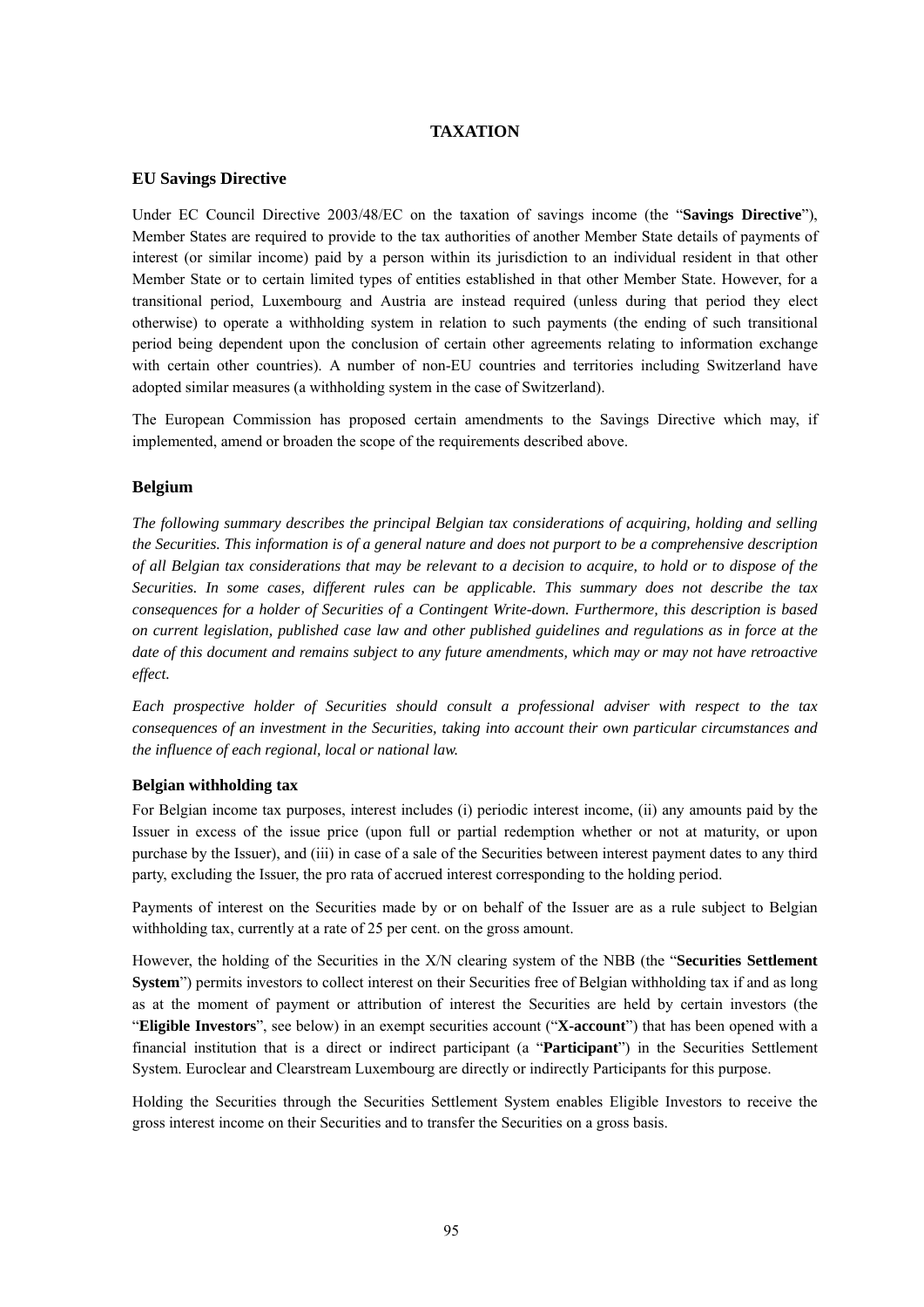# **TAXATION**

### **EU Savings Directive**

Under EC Council Directive 2003/48/EC on the taxation of savings income (the "**Savings Directive**"), Member States are required to provide to the tax authorities of another Member State details of payments of interest (or similar income) paid by a person within its jurisdiction to an individual resident in that other Member State or to certain limited types of entities established in that other Member State. However, for a transitional period, Luxembourg and Austria are instead required (unless during that period they elect otherwise) to operate a withholding system in relation to such payments (the ending of such transitional period being dependent upon the conclusion of certain other agreements relating to information exchange with certain other countries). A number of non-EU countries and territories including Switzerland have adopted similar measures (a withholding system in the case of Switzerland).

The European Commission has proposed certain amendments to the Savings Directive which may, if implemented, amend or broaden the scope of the requirements described above.

#### **Belgium**

*The following summary describes the principal Belgian tax considerations of acquiring, holding and selling the Securities. This information is of a general nature and does not purport to be a comprehensive description of all Belgian tax considerations that may be relevant to a decision to acquire, to hold or to dispose of the Securities. In some cases, different rules can be applicable. This summary does not describe the tax consequences for a holder of Securities of a Contingent Write-down. Furthermore, this description is based on current legislation, published case law and other published guidelines and regulations as in force at the*  date of this document and remains subject to any future amendments, which may or may not have retroactive *effect.* 

*Each prospective holder of Securities should consult a professional adviser with respect to the tax consequences of an investment in the Securities, taking into account their own particular circumstances and the influence of each regional, local or national law.* 

#### **Belgian withholding tax**

For Belgian income tax purposes, interest includes (i) periodic interest income, (ii) any amounts paid by the Issuer in excess of the issue price (upon full or partial redemption whether or not at maturity, or upon purchase by the Issuer), and (iii) in case of a sale of the Securities between interest payment dates to any third party, excluding the Issuer, the pro rata of accrued interest corresponding to the holding period.

Payments of interest on the Securities made by or on behalf of the Issuer are as a rule subject to Belgian withholding tax, currently at a rate of 25 per cent. on the gross amount.

However, the holding of the Securities in the X/N clearing system of the NBB (the "**Securities Settlement System**") permits investors to collect interest on their Securities free of Belgian withholding tax if and as long as at the moment of payment or attribution of interest the Securities are held by certain investors (the "**Eligible Investors**", see below) in an exempt securities account ("**X-account**") that has been opened with a financial institution that is a direct or indirect participant (a "**Participant**") in the Securities Settlement System. Euroclear and Clearstream Luxembourg are directly or indirectly Participants for this purpose.

Holding the Securities through the Securities Settlement System enables Eligible Investors to receive the gross interest income on their Securities and to transfer the Securities on a gross basis.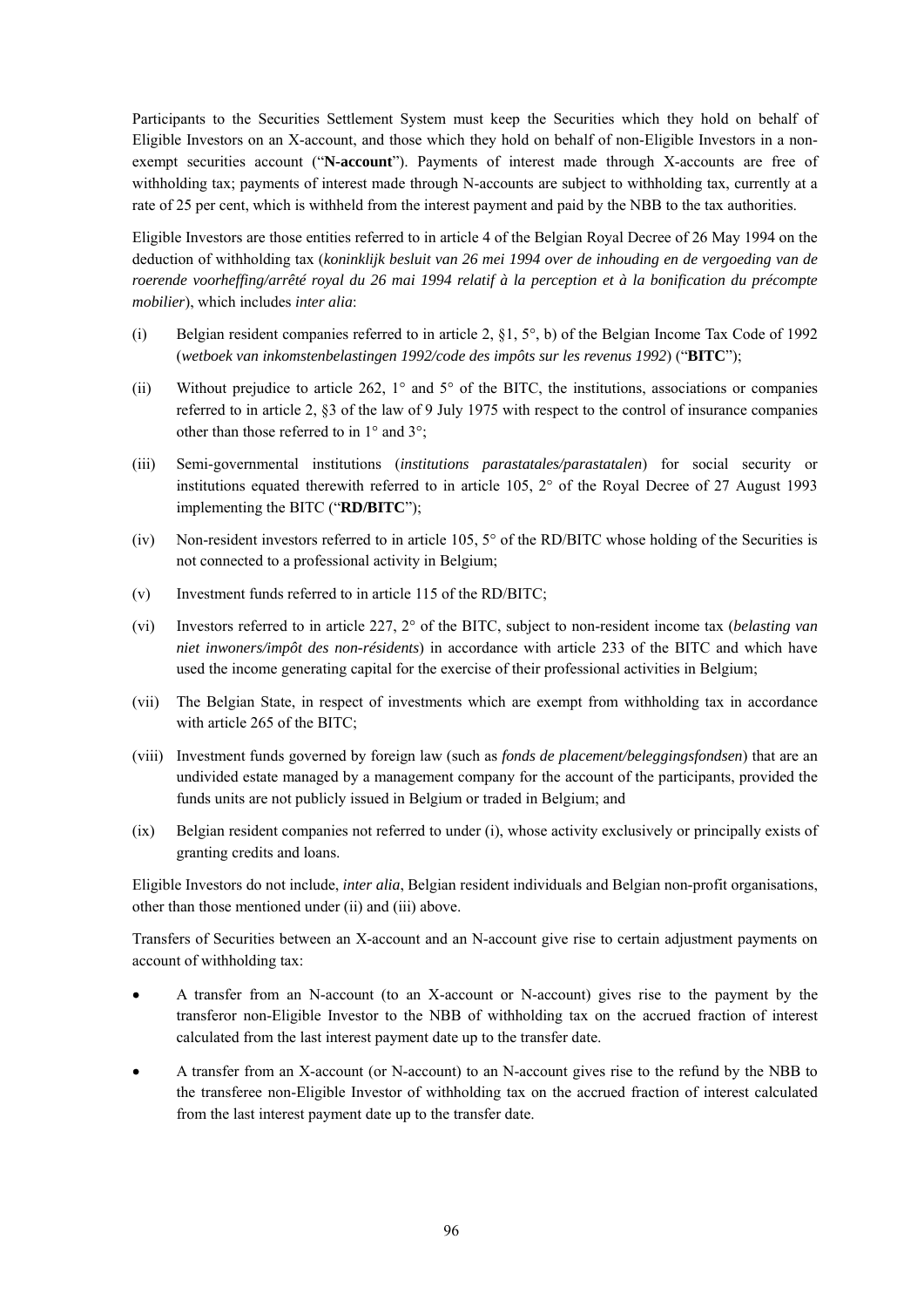Participants to the Securities Settlement System must keep the Securities which they hold on behalf of Eligible Investors on an X-account, and those which they hold on behalf of non-Eligible Investors in a nonexempt securities account ("**N-account**"). Payments of interest made through X-accounts are free of withholding tax; payments of interest made through N-accounts are subject to withholding tax, currently at a rate of 25 per cent, which is withheld from the interest payment and paid by the NBB to the tax authorities.

Eligible Investors are those entities referred to in article 4 of the Belgian Royal Decree of 26 May 1994 on the deduction of withholding tax (*koninklijk besluit van 26 mei 1994 over de inhouding en de vergoeding van de roerende voorheffing/arrêté royal du 26 mai 1994 relatif à la perception et à la bonification du précompte mobilier*), which includes *inter alia*:

- (i) Belgian resident companies referred to in article 2,  $\S$ 1,  $5^{\circ}$ , b) of the Belgian Income Tax Code of 1992 (*wetboek van inkomstenbelastingen 1992/code des impôts sur les revenus 1992*) ("**BITC**");
- (ii) Without prejudice to article 262, 1° and 5° of the BITC, the institutions, associations or companies referred to in article 2, §3 of the law of 9 July 1975 with respect to the control of insurance companies other than those referred to in 1° and 3°;
- (iii) Semi-governmental institutions (*institutions parastatales/parastatalen*) for social security or institutions equated therewith referred to in article 105, 2° of the Royal Decree of 27 August 1993 implementing the BITC ("**RD/BITC**");
- (iv) Non-resident investors referred to in article 105, 5° of the RD/BITC whose holding of the Securities is not connected to a professional activity in Belgium;
- (v) Investment funds referred to in article 115 of the RD/BITC;
- (vi) Investors referred to in article 227, 2° of the BITC, subject to non-resident income tax (*belasting van niet inwoners/impôt des non-résidents*) in accordance with article 233 of the BITC and which have used the income generating capital for the exercise of their professional activities in Belgium;
- (vii) The Belgian State, in respect of investments which are exempt from withholding tax in accordance with article 265 of the BITC;
- (viii) Investment funds governed by foreign law (such as *fonds de placement/beleggingsfondsen*) that are an undivided estate managed by a management company for the account of the participants, provided the funds units are not publicly issued in Belgium or traded in Belgium; and
- (ix) Belgian resident companies not referred to under (i), whose activity exclusively or principally exists of granting credits and loans.

Eligible Investors do not include, *inter alia*, Belgian resident individuals and Belgian non-profit organisations, other than those mentioned under (ii) and (iii) above.

Transfers of Securities between an X-account and an N-account give rise to certain adjustment payments on account of withholding tax:

- A transfer from an N-account (to an X-account or N-account) gives rise to the payment by the transferor non-Eligible Investor to the NBB of withholding tax on the accrued fraction of interest calculated from the last interest payment date up to the transfer date.
- A transfer from an X-account (or N-account) to an N-account gives rise to the refund by the NBB to the transferee non-Eligible Investor of withholding tax on the accrued fraction of interest calculated from the last interest payment date up to the transfer date.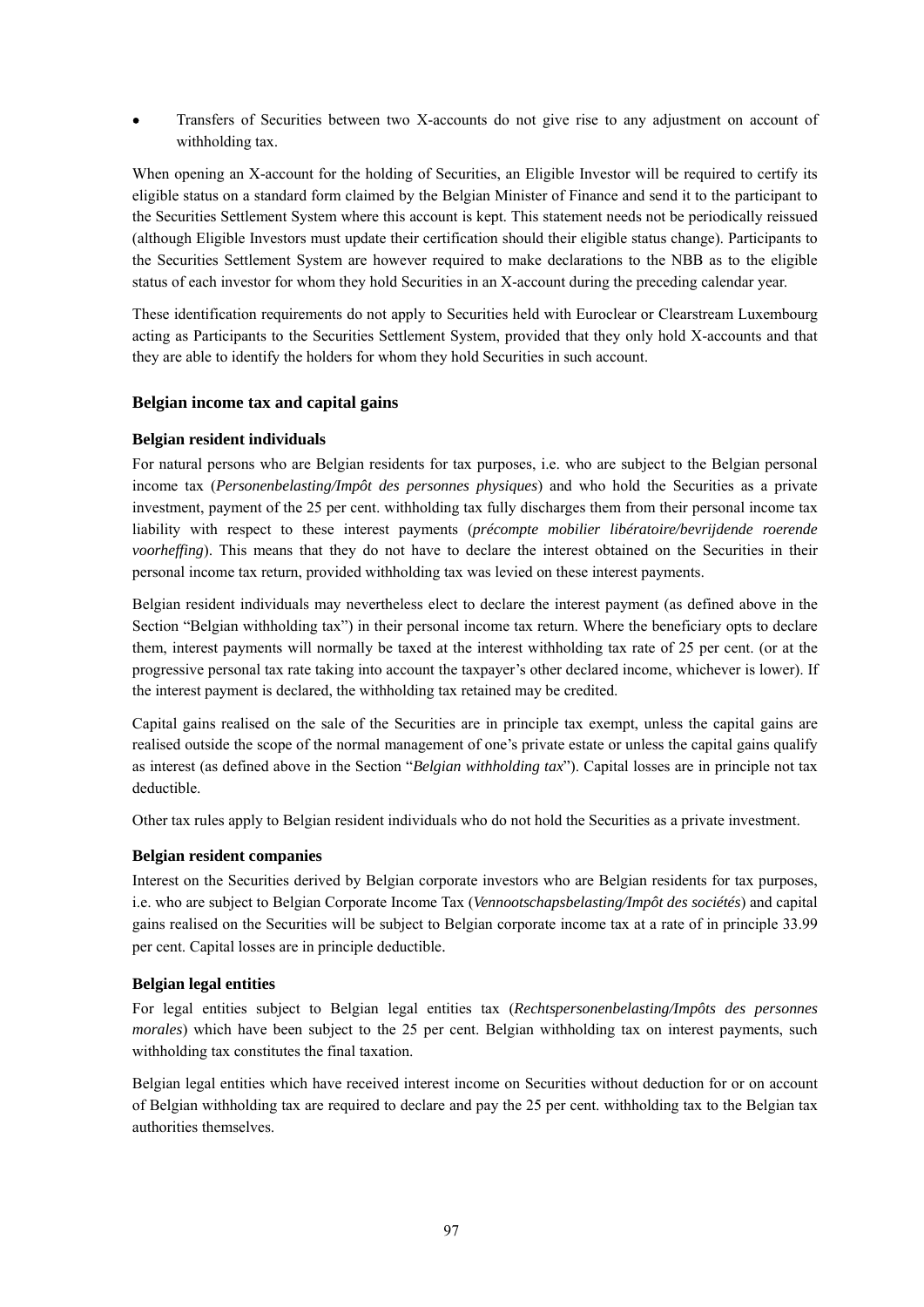Transfers of Securities between two X-accounts do not give rise to any adjustment on account of withholding tax.

When opening an X-account for the holding of Securities, an Eligible Investor will be required to certify its eligible status on a standard form claimed by the Belgian Minister of Finance and send it to the participant to the Securities Settlement System where this account is kept. This statement needs not be periodically reissued (although Eligible Investors must update their certification should their eligible status change). Participants to the Securities Settlement System are however required to make declarations to the NBB as to the eligible status of each investor for whom they hold Securities in an X-account during the preceding calendar year.

These identification requirements do not apply to Securities held with Euroclear or Clearstream Luxembourg acting as Participants to the Securities Settlement System, provided that they only hold X-accounts and that they are able to identify the holders for whom they hold Securities in such account.

# **Belgian income tax and capital gains**

### **Belgian resident individuals**

For natural persons who are Belgian residents for tax purposes, i.e. who are subject to the Belgian personal income tax (*Personenbelasting/Impôt des personnes physiques*) and who hold the Securities as a private investment, payment of the 25 per cent. withholding tax fully discharges them from their personal income tax liability with respect to these interest payments (*précompte mobilier libératoire/bevrijdende roerende voorheffing*). This means that they do not have to declare the interest obtained on the Securities in their personal income tax return, provided withholding tax was levied on these interest payments.

Belgian resident individuals may nevertheless elect to declare the interest payment (as defined above in the Section "Belgian withholding tax") in their personal income tax return. Where the beneficiary opts to declare them, interest payments will normally be taxed at the interest withholding tax rate of 25 per cent. (or at the progressive personal tax rate taking into account the taxpayer's other declared income, whichever is lower). If the interest payment is declared, the withholding tax retained may be credited.

Capital gains realised on the sale of the Securities are in principle tax exempt, unless the capital gains are realised outside the scope of the normal management of one's private estate or unless the capital gains qualify as interest (as defined above in the Section "*Belgian withholding tax*"). Capital losses are in principle not tax deductible.

Other tax rules apply to Belgian resident individuals who do not hold the Securities as a private investment.

# **Belgian resident companies**

Interest on the Securities derived by Belgian corporate investors who are Belgian residents for tax purposes, i.e. who are subject to Belgian Corporate Income Tax (*Vennootschapsbelasting/Impôt des sociétés*) and capital gains realised on the Securities will be subject to Belgian corporate income tax at a rate of in principle 33.99 per cent. Capital losses are in principle deductible.

### **Belgian legal entities**

For legal entities subject to Belgian legal entities tax (*Rechtspersonenbelasting/Impôts des personnes morales*) which have been subject to the 25 per cent. Belgian withholding tax on interest payments, such withholding tax constitutes the final taxation.

Belgian legal entities which have received interest income on Securities without deduction for or on account of Belgian withholding tax are required to declare and pay the 25 per cent. withholding tax to the Belgian tax authorities themselves.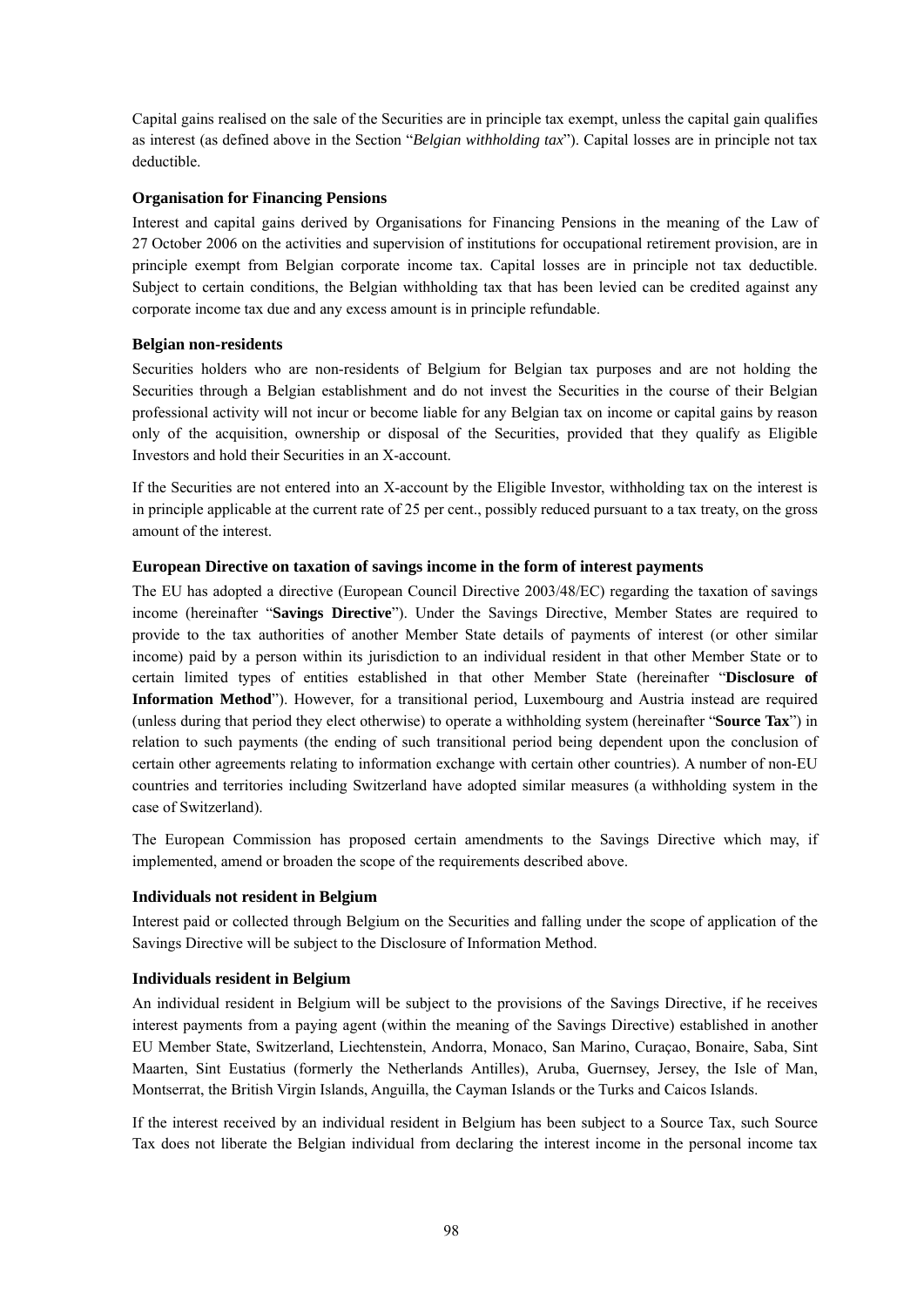Capital gains realised on the sale of the Securities are in principle tax exempt, unless the capital gain qualifies as interest (as defined above in the Section "*Belgian withholding tax*"). Capital losses are in principle not tax deductible.

# **Organisation for Financing Pensions**

Interest and capital gains derived by Organisations for Financing Pensions in the meaning of the Law of 27 October 2006 on the activities and supervision of institutions for occupational retirement provision, are in principle exempt from Belgian corporate income tax. Capital losses are in principle not tax deductible. Subject to certain conditions, the Belgian withholding tax that has been levied can be credited against any corporate income tax due and any excess amount is in principle refundable.

### **Belgian non-residents**

Securities holders who are non-residents of Belgium for Belgian tax purposes and are not holding the Securities through a Belgian establishment and do not invest the Securities in the course of their Belgian professional activity will not incur or become liable for any Belgian tax on income or capital gains by reason only of the acquisition, ownership or disposal of the Securities, provided that they qualify as Eligible Investors and hold their Securities in an X-account.

If the Securities are not entered into an X-account by the Eligible Investor, withholding tax on the interest is in principle applicable at the current rate of 25 per cent., possibly reduced pursuant to a tax treaty, on the gross amount of the interest.

### **European Directive on taxation of savings income in the form of interest payments**

The EU has adopted a directive (European Council Directive 2003/48/EC) regarding the taxation of savings income (hereinafter "**Savings Directive**"). Under the Savings Directive, Member States are required to provide to the tax authorities of another Member State details of payments of interest (or other similar income) paid by a person within its jurisdiction to an individual resident in that other Member State or to certain limited types of entities established in that other Member State (hereinafter "**Disclosure of Information Method**"). However, for a transitional period, Luxembourg and Austria instead are required (unless during that period they elect otherwise) to operate a withholding system (hereinafter "**Source Tax**") in relation to such payments (the ending of such transitional period being dependent upon the conclusion of certain other agreements relating to information exchange with certain other countries). A number of non-EU countries and territories including Switzerland have adopted similar measures (a withholding system in the case of Switzerland).

The European Commission has proposed certain amendments to the Savings Directive which may, if implemented, amend or broaden the scope of the requirements described above.

### **Individuals not resident in Belgium**

Interest paid or collected through Belgium on the Securities and falling under the scope of application of the Savings Directive will be subject to the Disclosure of Information Method.

### **Individuals resident in Belgium**

An individual resident in Belgium will be subject to the provisions of the Savings Directive, if he receives interest payments from a paying agent (within the meaning of the Savings Directive) established in another EU Member State, Switzerland, Liechtenstein, Andorra, Monaco, San Marino, Curaçao, Bonaire, Saba, Sint Maarten, Sint Eustatius (formerly the Netherlands Antilles), Aruba, Guernsey, Jersey, the Isle of Man, Montserrat, the British Virgin Islands, Anguilla, the Cayman Islands or the Turks and Caicos Islands.

If the interest received by an individual resident in Belgium has been subject to a Source Tax, such Source Tax does not liberate the Belgian individual from declaring the interest income in the personal income tax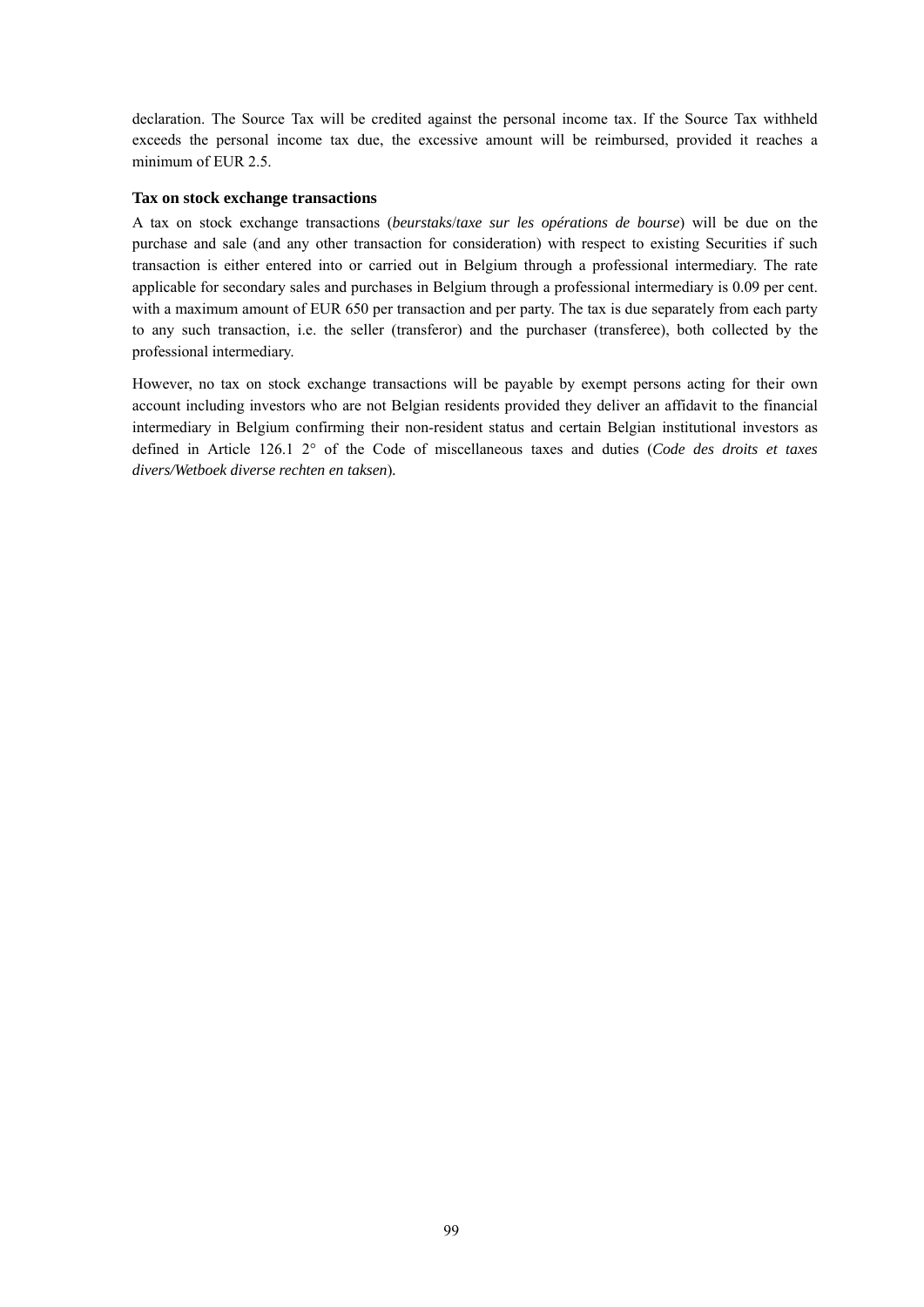declaration. The Source Tax will be credited against the personal income tax. If the Source Tax withheld exceeds the personal income tax due, the excessive amount will be reimbursed, provided it reaches a minimum of EUR 2.5.

### **Tax on stock exchange transactions**

A tax on stock exchange transactions (*beurstaks*/*taxe sur les opérations de bourse*) will be due on the purchase and sale (and any other transaction for consideration) with respect to existing Securities if such transaction is either entered into or carried out in Belgium through a professional intermediary. The rate applicable for secondary sales and purchases in Belgium through a professional intermediary is 0.09 per cent. with a maximum amount of EUR 650 per transaction and per party. The tax is due separately from each party to any such transaction, i.e. the seller (transferor) and the purchaser (transferee), both collected by the professional intermediary.

However, no tax on stock exchange transactions will be payable by exempt persons acting for their own account including investors who are not Belgian residents provided they deliver an affidavit to the financial intermediary in Belgium confirming their non-resident status and certain Belgian institutional investors as defined in Article 126.1 2° of the Code of miscellaneous taxes and duties (*Code des droits et taxes divers/Wetboek diverse rechten en taksen*)*.*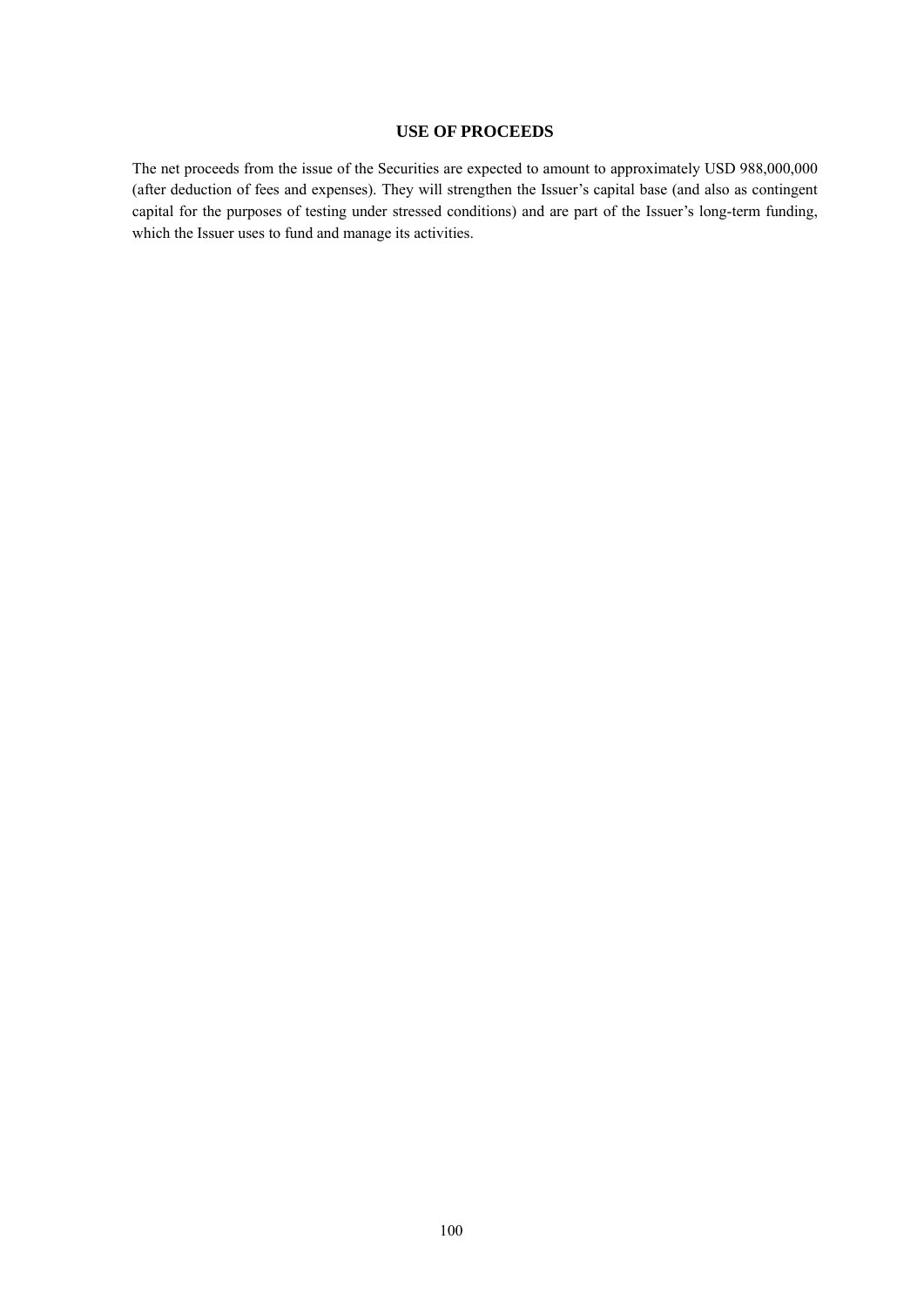# **USE OF PROCEEDS**

The net proceeds from the issue of the Securities are expected to amount to approximately USD 988,000,000 (after deduction of fees and expenses). They will strengthen the Issuer's capital base (and also as contingent capital for the purposes of testing under stressed conditions) and are part of the Issuer's long-term funding, which the Issuer uses to fund and manage its activities.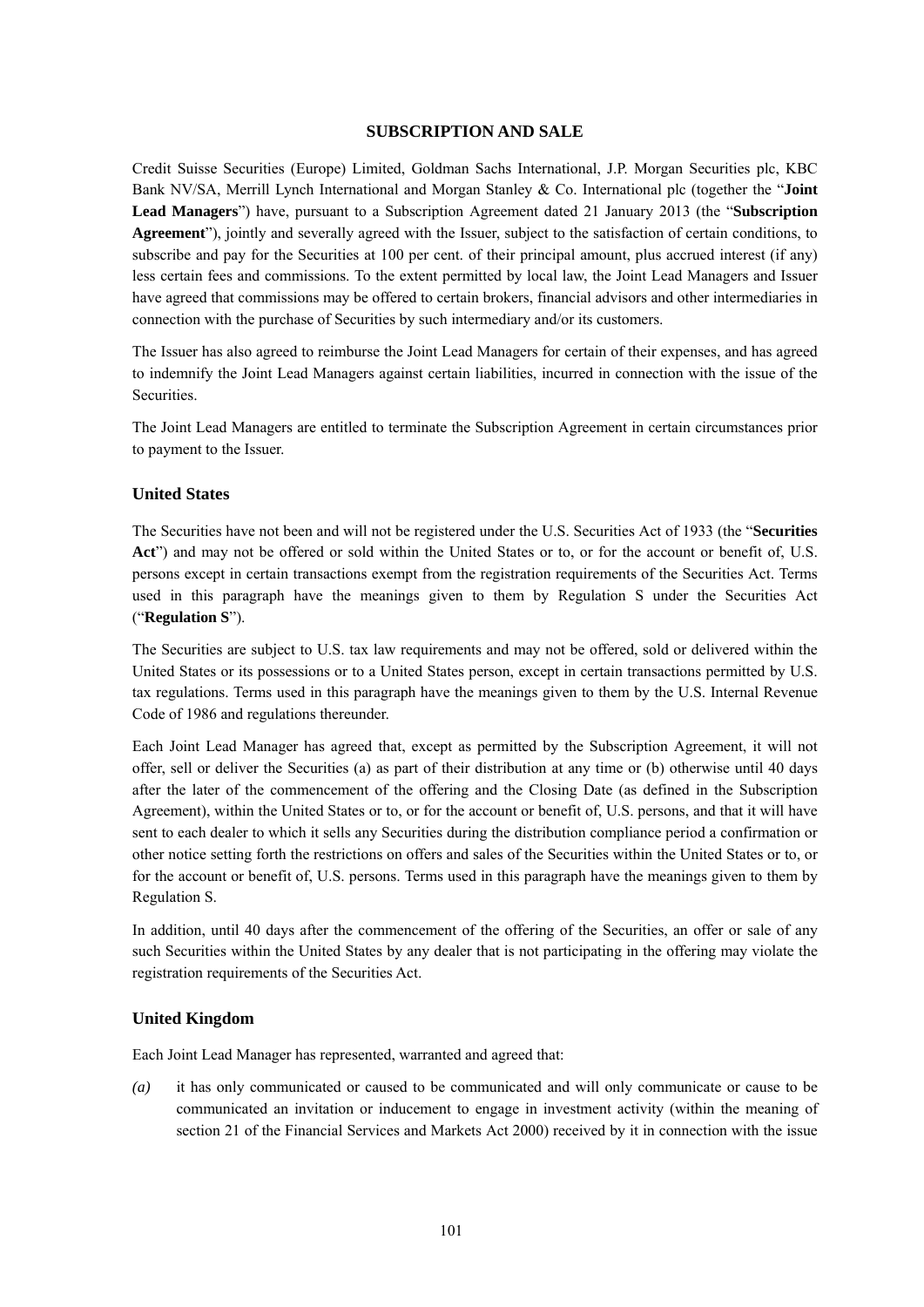# **SUBSCRIPTION AND SALE**

Credit Suisse Securities (Europe) Limited, Goldman Sachs International, J.P. Morgan Securities plc, KBC Bank NV/SA, Merrill Lynch International and Morgan Stanley & Co. International plc (together the "**Joint Lead Managers**") have, pursuant to a Subscription Agreement dated 21 January 2013 (the "**Subscription Agreement**"), jointly and severally agreed with the Issuer, subject to the satisfaction of certain conditions, to subscribe and pay for the Securities at 100 per cent. of their principal amount, plus accrued interest (if any) less certain fees and commissions. To the extent permitted by local law, the Joint Lead Managers and Issuer have agreed that commissions may be offered to certain brokers, financial advisors and other intermediaries in connection with the purchase of Securities by such intermediary and/or its customers.

The Issuer has also agreed to reimburse the Joint Lead Managers for certain of their expenses, and has agreed to indemnify the Joint Lead Managers against certain liabilities, incurred in connection with the issue of the Securities.

The Joint Lead Managers are entitled to terminate the Subscription Agreement in certain circumstances prior to payment to the Issuer.

#### **United States**

The Securities have not been and will not be registered under the U.S. Securities Act of 1933 (the "**Securities Act**") and may not be offered or sold within the United States or to, or for the account or benefit of, U.S. persons except in certain transactions exempt from the registration requirements of the Securities Act. Terms used in this paragraph have the meanings given to them by Regulation S under the Securities Act ("**Regulation S**").

The Securities are subject to U.S. tax law requirements and may not be offered, sold or delivered within the United States or its possessions or to a United States person, except in certain transactions permitted by U.S. tax regulations. Terms used in this paragraph have the meanings given to them by the U.S. Internal Revenue Code of 1986 and regulations thereunder.

Each Joint Lead Manager has agreed that, except as permitted by the Subscription Agreement, it will not offer, sell or deliver the Securities (a) as part of their distribution at any time or (b) otherwise until 40 days after the later of the commencement of the offering and the Closing Date (as defined in the Subscription Agreement), within the United States or to, or for the account or benefit of, U.S. persons, and that it will have sent to each dealer to which it sells any Securities during the distribution compliance period a confirmation or other notice setting forth the restrictions on offers and sales of the Securities within the United States or to, or for the account or benefit of, U.S. persons. Terms used in this paragraph have the meanings given to them by Regulation S.

In addition, until 40 days after the commencement of the offering of the Securities, an offer or sale of any such Securities within the United States by any dealer that is not participating in the offering may violate the registration requirements of the Securities Act.

### **United Kingdom**

Each Joint Lead Manager has represented, warranted and agreed that:

*(a)* it has only communicated or caused to be communicated and will only communicate or cause to be communicated an invitation or inducement to engage in investment activity (within the meaning of section 21 of the Financial Services and Markets Act 2000) received by it in connection with the issue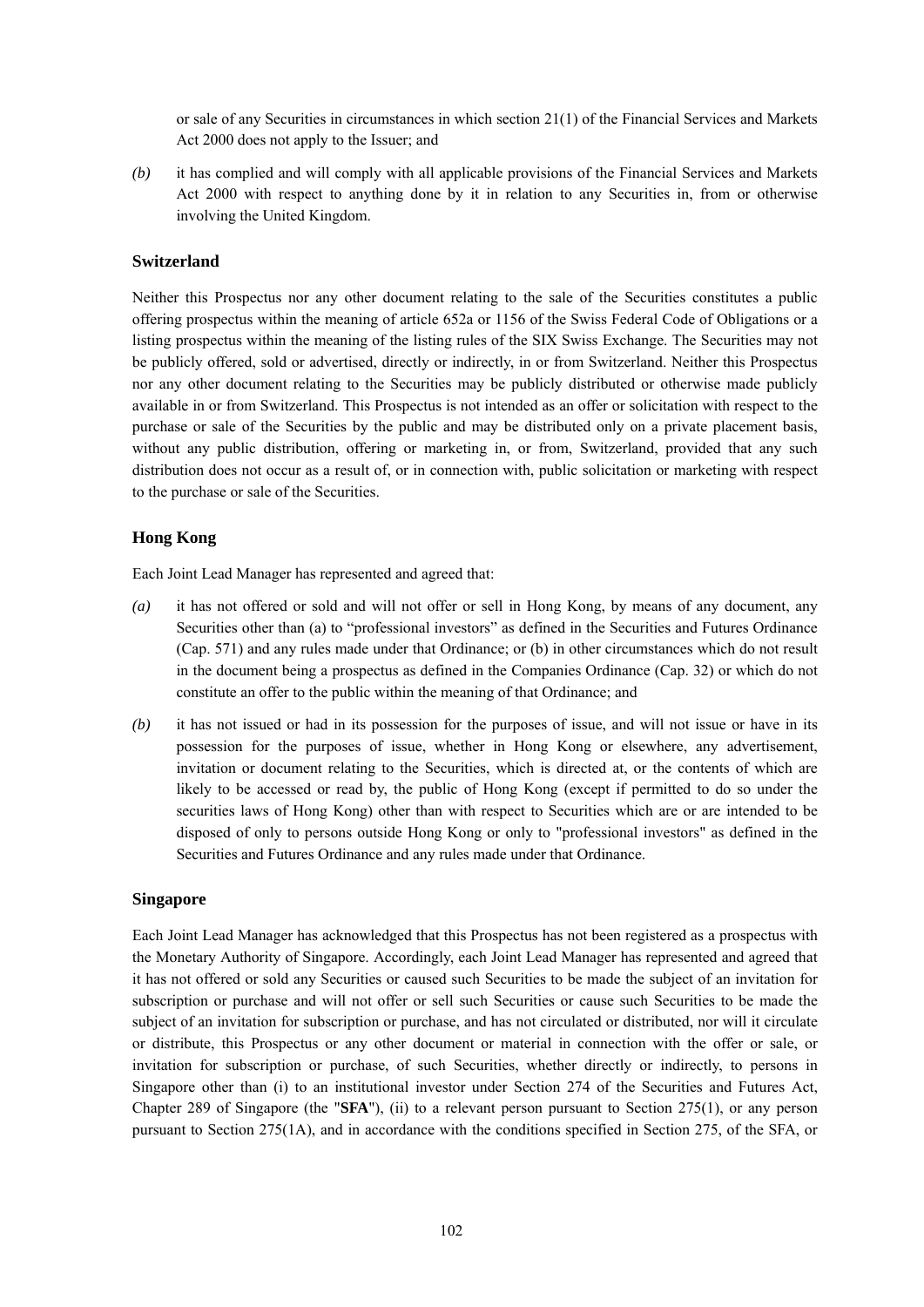or sale of any Securities in circumstances in which section 21(1) of the Financial Services and Markets Act 2000 does not apply to the Issuer; and

*(b)* it has complied and will comply with all applicable provisions of the Financial Services and Markets Act 2000 with respect to anything done by it in relation to any Securities in, from or otherwise involving the United Kingdom.

# **Switzerland**

Neither this Prospectus nor any other document relating to the sale of the Securities constitutes a public offering prospectus within the meaning of article 652a or 1156 of the Swiss Federal Code of Obligations or a listing prospectus within the meaning of the listing rules of the SIX Swiss Exchange. The Securities may not be publicly offered, sold or advertised, directly or indirectly, in or from Switzerland. Neither this Prospectus nor any other document relating to the Securities may be publicly distributed or otherwise made publicly available in or from Switzerland. This Prospectus is not intended as an offer or solicitation with respect to the purchase or sale of the Securities by the public and may be distributed only on a private placement basis, without any public distribution, offering or marketing in, or from, Switzerland, provided that any such distribution does not occur as a result of, or in connection with, public solicitation or marketing with respect to the purchase or sale of the Securities.

### **Hong Kong**

Each Joint Lead Manager has represented and agreed that:

- *(a)* it has not offered or sold and will not offer or sell in Hong Kong, by means of any document, any Securities other than (a) to "professional investors" as defined in the Securities and Futures Ordinance (Cap. 571) and any rules made under that Ordinance; or (b) in other circumstances which do not result in the document being a prospectus as defined in the Companies Ordinance (Cap. 32) or which do not constitute an offer to the public within the meaning of that Ordinance; and
- *(b)* it has not issued or had in its possession for the purposes of issue, and will not issue or have in its possession for the purposes of issue, whether in Hong Kong or elsewhere, any advertisement, invitation or document relating to the Securities, which is directed at, or the contents of which are likely to be accessed or read by, the public of Hong Kong (except if permitted to do so under the securities laws of Hong Kong) other than with respect to Securities which are or are intended to be disposed of only to persons outside Hong Kong or only to "professional investors" as defined in the Securities and Futures Ordinance and any rules made under that Ordinance.

### **Singapore**

Each Joint Lead Manager has acknowledged that this Prospectus has not been registered as a prospectus with the Monetary Authority of Singapore. Accordingly, each Joint Lead Manager has represented and agreed that it has not offered or sold any Securities or caused such Securities to be made the subject of an invitation for subscription or purchase and will not offer or sell such Securities or cause such Securities to be made the subject of an invitation for subscription or purchase, and has not circulated or distributed, nor will it circulate or distribute, this Prospectus or any other document or material in connection with the offer or sale, or invitation for subscription or purchase, of such Securities, whether directly or indirectly, to persons in Singapore other than (i) to an institutional investor under Section 274 of the Securities and Futures Act, Chapter 289 of Singapore (the "**SFA**"), (ii) to a relevant person pursuant to Section 275(1), or any person pursuant to Section 275(1A), and in accordance with the conditions specified in Section 275, of the SFA, or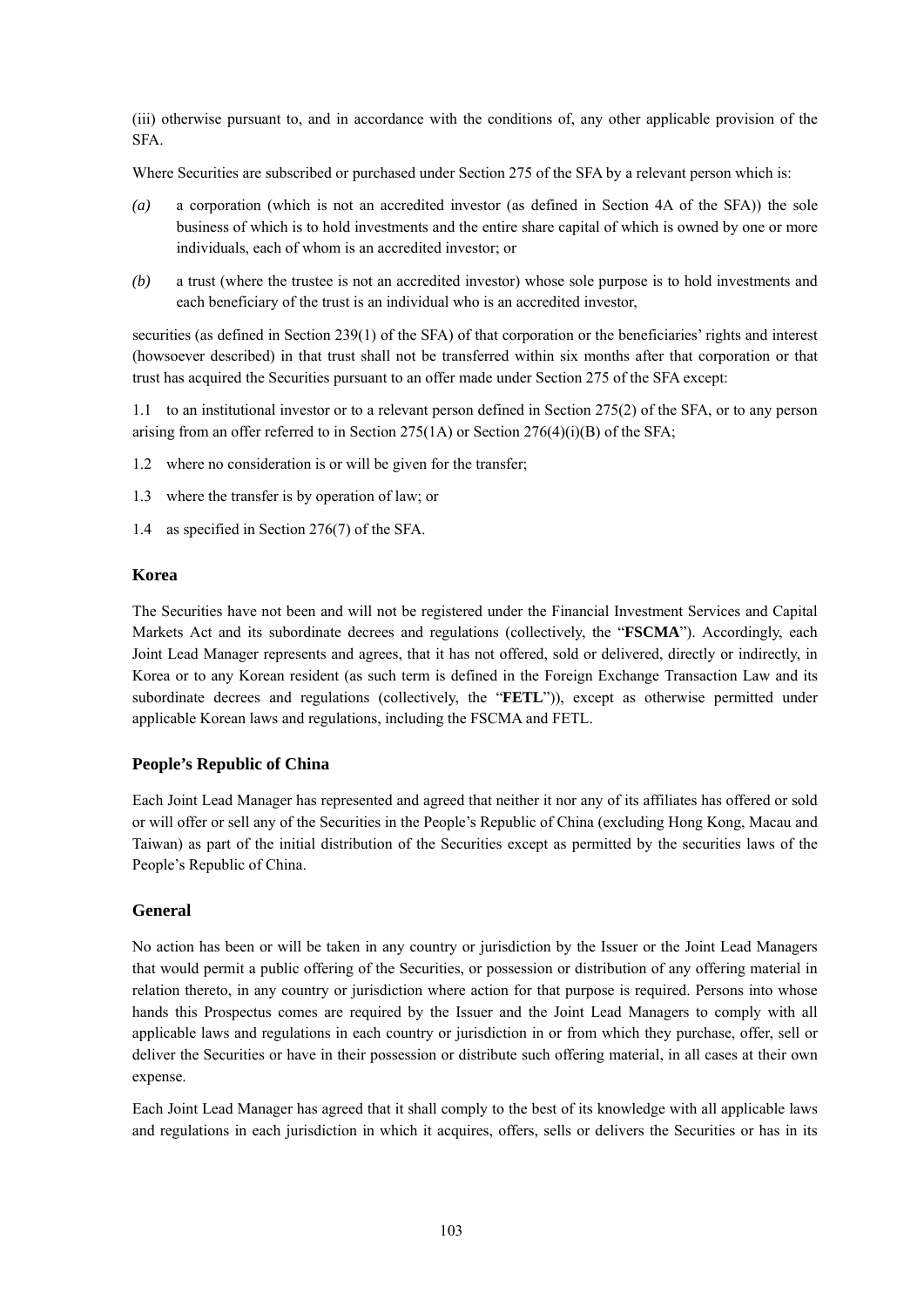(iii) otherwise pursuant to, and in accordance with the conditions of, any other applicable provision of the SFA.

Where Securities are subscribed or purchased under Section 275 of the SFA by a relevant person which is:

- *(a)* a corporation (which is not an accredited investor (as defined in Section 4A of the SFA)) the sole business of which is to hold investments and the entire share capital of which is owned by one or more individuals, each of whom is an accredited investor; or
- *(b)* a trust (where the trustee is not an accredited investor) whose sole purpose is to hold investments and each beneficiary of the trust is an individual who is an accredited investor,

securities (as defined in Section 239(1) of the SFA) of that corporation or the beneficiaries' rights and interest (howsoever described) in that trust shall not be transferred within six months after that corporation or that trust has acquired the Securities pursuant to an offer made under Section 275 of the SFA except:

1.1 to an institutional investor or to a relevant person defined in Section 275(2) of the SFA, or to any person arising from an offer referred to in Section 275(1A) or Section  $276(4)(i)(B)$  of the SFA;

- 1.2 where no consideration is or will be given for the transfer;
- 1.3 where the transfer is by operation of law; or
- 1.4 as specified in Section 276(7) of the SFA.

### **Korea**

The Securities have not been and will not be registered under the Financial Investment Services and Capital Markets Act and its subordinate decrees and regulations (collectively, the "**FSCMA**"). Accordingly, each Joint Lead Manager represents and agrees, that it has not offered, sold or delivered, directly or indirectly, in Korea or to any Korean resident (as such term is defined in the Foreign Exchange Transaction Law and its subordinate decrees and regulations (collectively, the "**FETL**")), except as otherwise permitted under applicable Korean laws and regulations, including the FSCMA and FETL.

# **People's Republic of China**

Each Joint Lead Manager has represented and agreed that neither it nor any of its affiliates has offered or sold or will offer or sell any of the Securities in the People's Republic of China (excluding Hong Kong, Macau and Taiwan) as part of the initial distribution of the Securities except as permitted by the securities laws of the People's Republic of China.

# **General**

No action has been or will be taken in any country or jurisdiction by the Issuer or the Joint Lead Managers that would permit a public offering of the Securities, or possession or distribution of any offering material in relation thereto, in any country or jurisdiction where action for that purpose is required. Persons into whose hands this Prospectus comes are required by the Issuer and the Joint Lead Managers to comply with all applicable laws and regulations in each country or jurisdiction in or from which they purchase, offer, sell or deliver the Securities or have in their possession or distribute such offering material, in all cases at their own expense.

Each Joint Lead Manager has agreed that it shall comply to the best of its knowledge with all applicable laws and regulations in each jurisdiction in which it acquires, offers, sells or delivers the Securities or has in its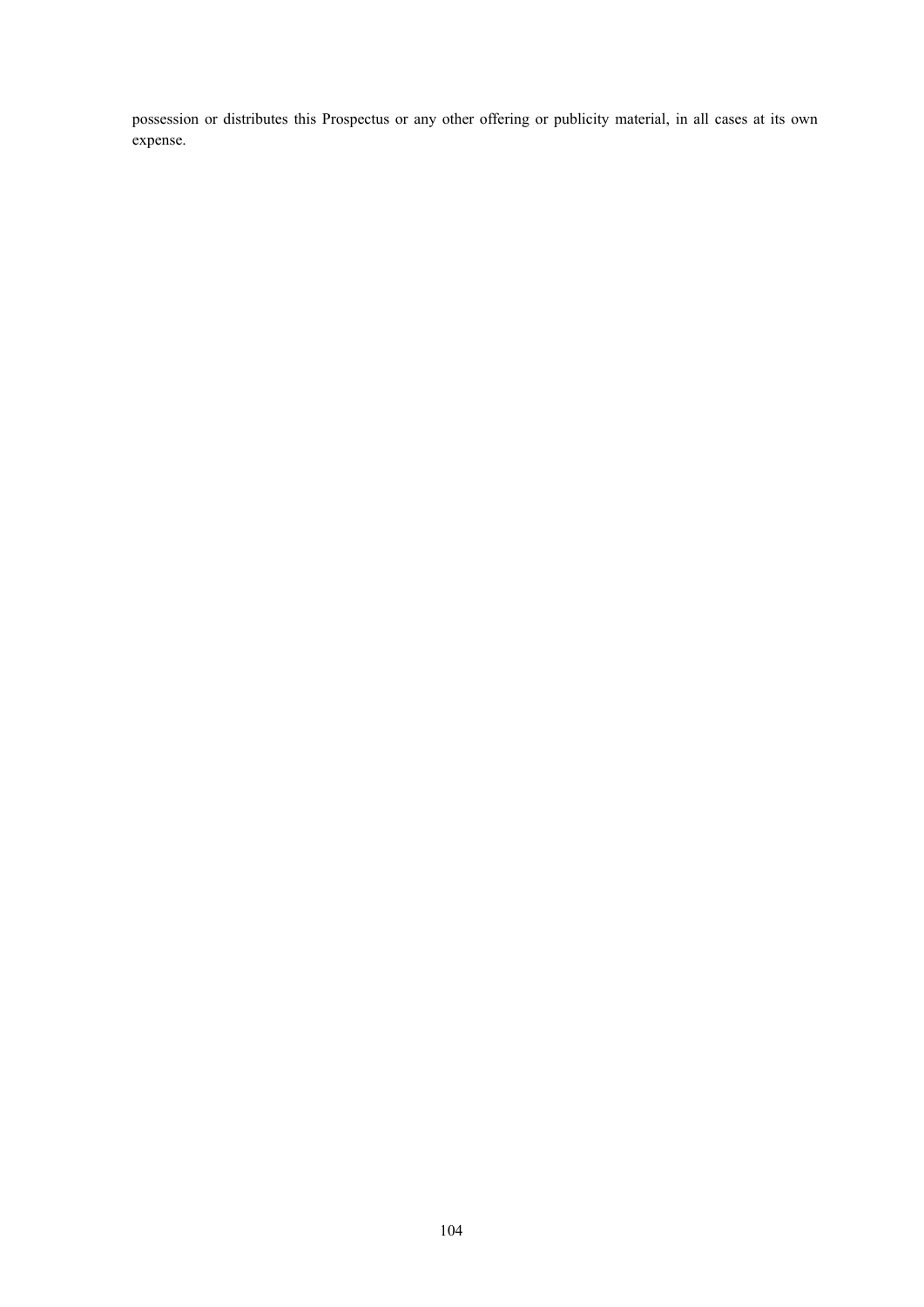possession or distributes this Prospectus or any other offering or publicity material, in all cases at its own expense.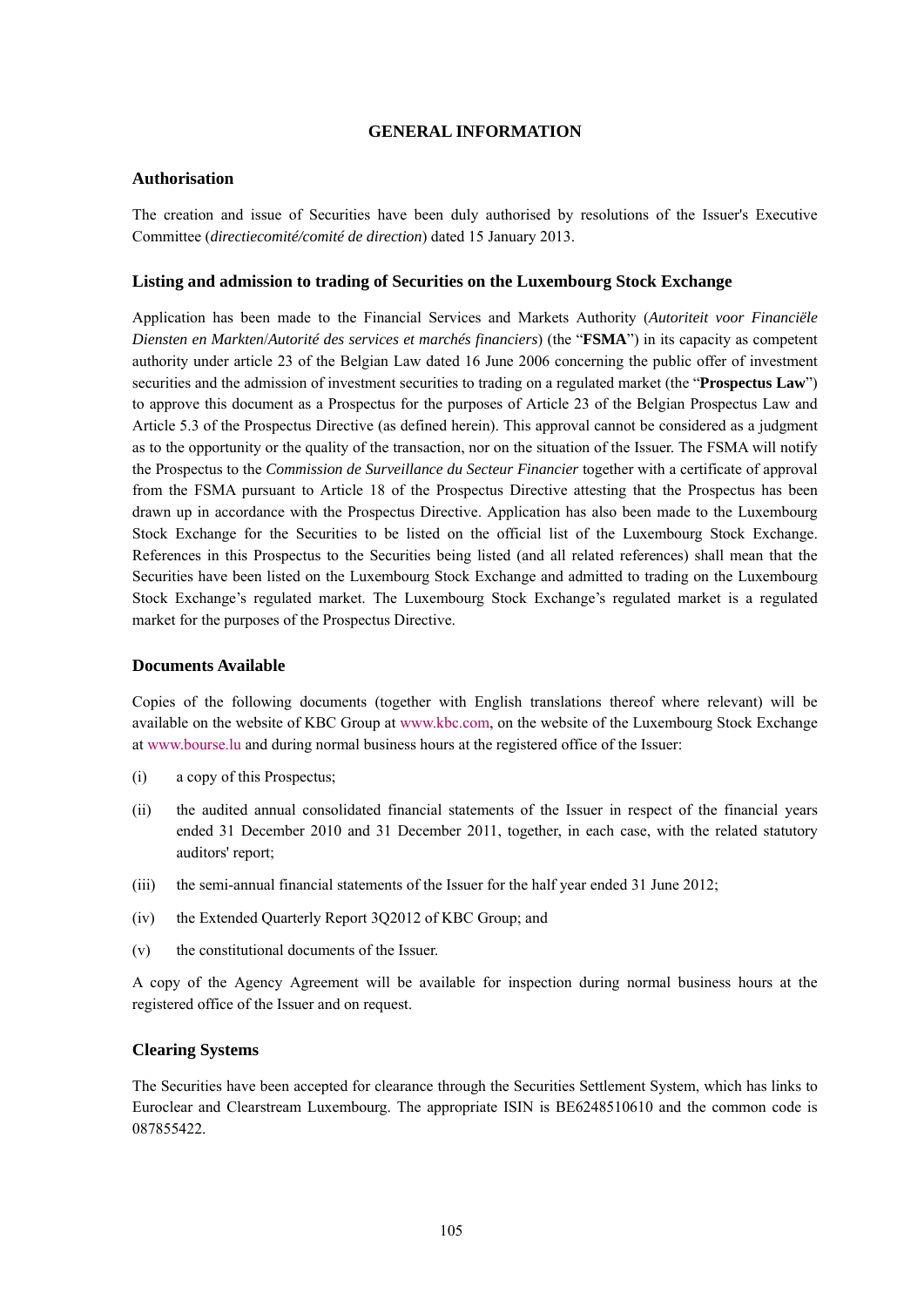# **GENERAL INFORMATION**

### **Authorisation**

The creation and issue of Securities have been duly authorised by resolutions of the Issuer's Executive Committee (*directiecomité/comité de direction*) dated 15 January 2013.

### **Listing and admission to trading of Securities on the Luxembourg Stock Exchange**

Application has been made to the Financial Services and Markets Authority (*Autoriteit voor Financiële Diensten en Markten*/*Autorité des services et marchés financiers*) (the "**FSMA**") in its capacity as competent authority under article 23 of the Belgian Law dated 16 June 2006 concerning the public offer of investment securities and the admission of investment securities to trading on a regulated market (the "**Prospectus Law**") to approve this document as a Prospectus for the purposes of Article 23 of the Belgian Prospectus Law and Article 5.3 of the Prospectus Directive (as defined herein). This approval cannot be considered as a judgment as to the opportunity or the quality of the transaction, nor on the situation of the Issuer. The FSMA will notify the Prospectus to the *Commission de Surveillance du Secteur Financier* together with a certificate of approval from the FSMA pursuant to Article 18 of the Prospectus Directive attesting that the Prospectus has been drawn up in accordance with the Prospectus Directive. Application has also been made to the Luxembourg Stock Exchange for the Securities to be listed on the official list of the Luxembourg Stock Exchange. References in this Prospectus to the Securities being listed (and all related references) shall mean that the Securities have been listed on the Luxembourg Stock Exchange and admitted to trading on the Luxembourg Stock Exchange's regulated market. The Luxembourg Stock Exchange's regulated market is a regulated market for the purposes of the Prospectus Directive.

### **Documents Available**

Copies of the following documents (together with English translations thereof where relevant) will be available on the website of KBC Group at www.kbc.com, on the website of the Luxembourg Stock Exchange at www.bourse.lu and during normal business hours at the registered office of the Issuer:

- (i) a copy of this Prospectus;
- (ii) the audited annual consolidated financial statements of the Issuer in respect of the financial years ended 31 December 2010 and 31 December 2011, together, in each case, with the related statutory auditors' report;
- (iii) the semi-annual financial statements of the Issuer for the half year ended 31 June 2012;
- (iv) the Extended Quarterly Report 3Q2012 of KBC Group; and
- (v) the constitutional documents of the Issuer.

A copy of the Agency Agreement will be available for inspection during normal business hours at the registered office of the Issuer and on request.

### **Clearing Systems**

The Securities have been accepted for clearance through the Securities Settlement System, which has links to Euroclear and Clearstream Luxembourg. The appropriate ISIN is BE6248510610 and the common code is 087855422.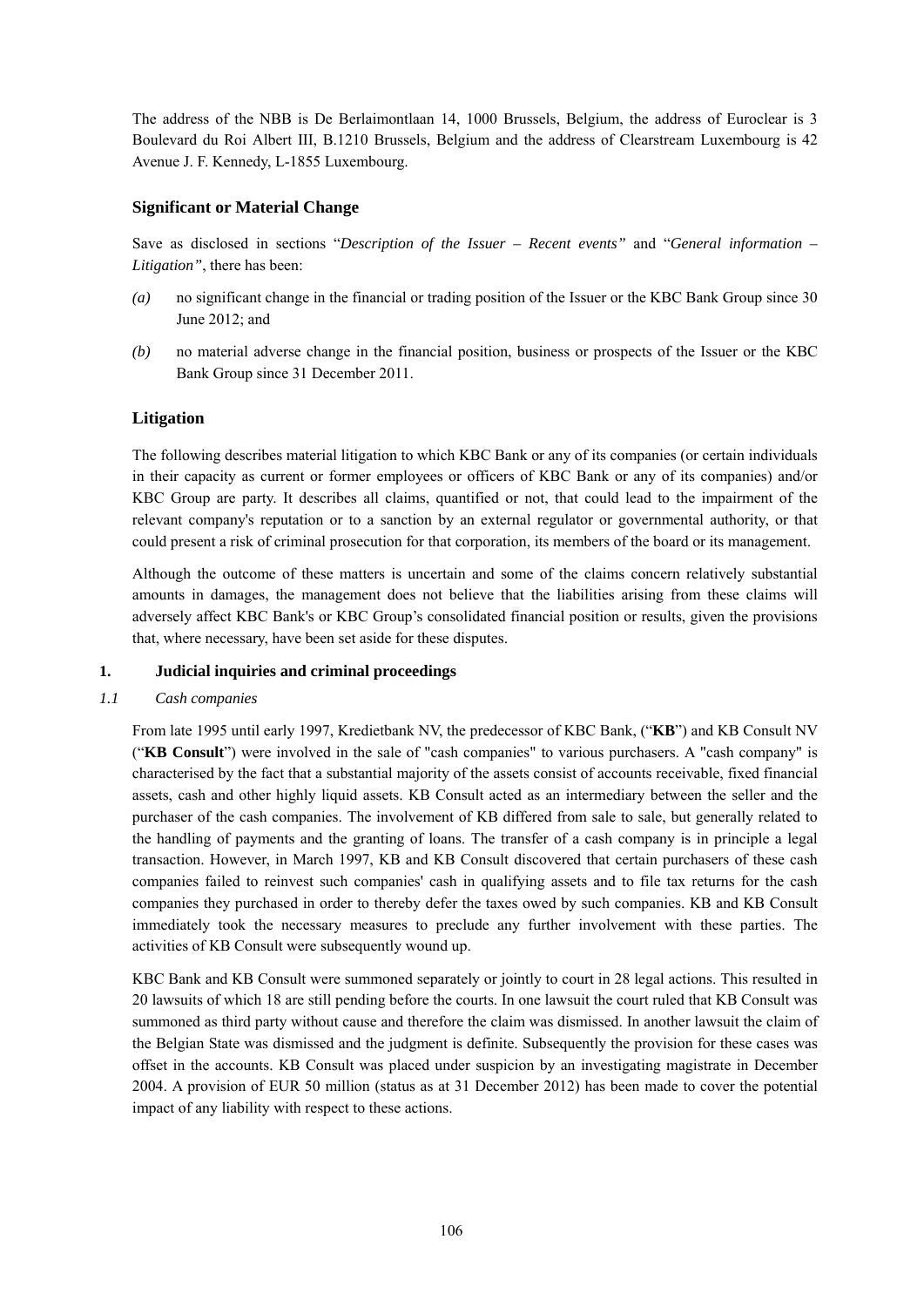The address of the NBB is De Berlaimontlaan 14, 1000 Brussels, Belgium, the address of Euroclear is 3 Boulevard du Roi Albert III, B.1210 Brussels, Belgium and the address of Clearstream Luxembourg is 42 Avenue J. F. Kennedy, L-1855 Luxembourg.

# **Significant or Material Change**

Save as disclosed in sections "*Description of the Issuer – Recent events"* and "*General information – Litigation"*, there has been:

- *(a)* no significant change in the financial or trading position of the Issuer or the KBC Bank Group since 30 June 2012; and
- *(b)* no material adverse change in the financial position, business or prospects of the Issuer or the KBC Bank Group since 31 December 2011.

### **Litigation**

The following describes material litigation to which KBC Bank or any of its companies (or certain individuals in their capacity as current or former employees or officers of KBC Bank or any of its companies) and/or KBC Group are party. It describes all claims, quantified or not, that could lead to the impairment of the relevant company's reputation or to a sanction by an external regulator or governmental authority, or that could present a risk of criminal prosecution for that corporation, its members of the board or its management.

Although the outcome of these matters is uncertain and some of the claims concern relatively substantial amounts in damages, the management does not believe that the liabilities arising from these claims will adversely affect KBC Bank's or KBC Group's consolidated financial position or results, given the provisions that, where necessary, have been set aside for these disputes.

### **1. Judicial inquiries and criminal proceedings**

### *1.1 Cash companies*

From late 1995 until early 1997, Kredietbank NV, the predecessor of KBC Bank, ("**KB**") and KB Consult NV ("**KB Consult**") were involved in the sale of "cash companies" to various purchasers. A "cash company" is characterised by the fact that a substantial majority of the assets consist of accounts receivable, fixed financial assets, cash and other highly liquid assets. KB Consult acted as an intermediary between the seller and the purchaser of the cash companies. The involvement of KB differed from sale to sale, but generally related to the handling of payments and the granting of loans. The transfer of a cash company is in principle a legal transaction. However, in March 1997, KB and KB Consult discovered that certain purchasers of these cash companies failed to reinvest such companies' cash in qualifying assets and to file tax returns for the cash companies they purchased in order to thereby defer the taxes owed by such companies. KB and KB Consult immediately took the necessary measures to preclude any further involvement with these parties. The activities of KB Consult were subsequently wound up.

KBC Bank and KB Consult were summoned separately or jointly to court in 28 legal actions. This resulted in 20 lawsuits of which 18 are still pending before the courts. In one lawsuit the court ruled that KB Consult was summoned as third party without cause and therefore the claim was dismissed. In another lawsuit the claim of the Belgian State was dismissed and the judgment is definite. Subsequently the provision for these cases was offset in the accounts. KB Consult was placed under suspicion by an investigating magistrate in December 2004. A provision of EUR 50 million (status as at 31 December 2012) has been made to cover the potential impact of any liability with respect to these actions.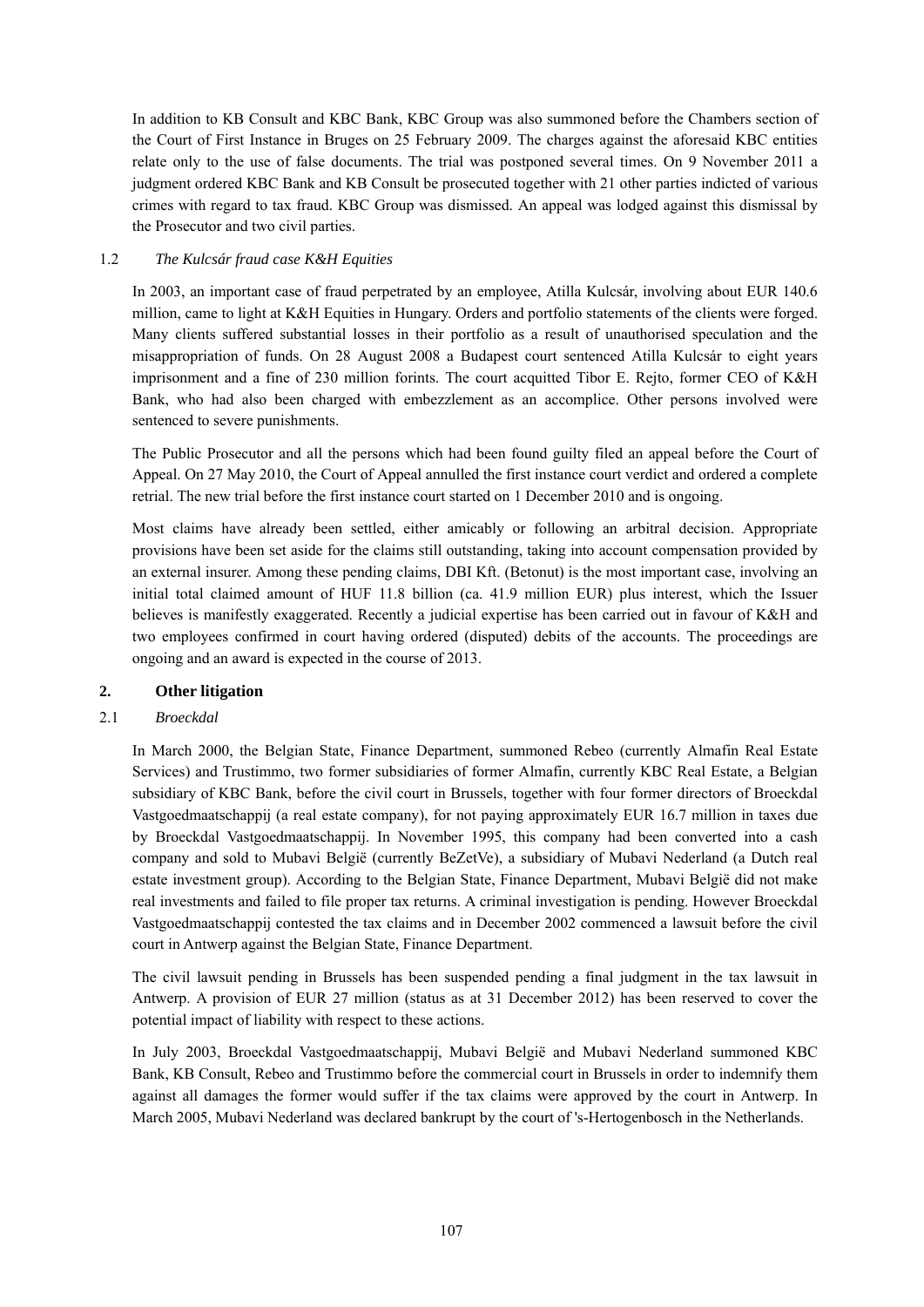In addition to KB Consult and KBC Bank, KBC Group was also summoned before the Chambers section of the Court of First Instance in Bruges on 25 February 2009. The charges against the aforesaid KBC entities relate only to the use of false documents. The trial was postponed several times. On 9 November 2011 a judgment ordered KBC Bank and KB Consult be prosecuted together with 21 other parties indicted of various crimes with regard to tax fraud. KBC Group was dismissed. An appeal was lodged against this dismissal by the Prosecutor and two civil parties.

# 1.2 *The Kulcsár fraud case K&H Equities*

In 2003, an important case of fraud perpetrated by an employee, Atilla Kulcsár, involving about EUR 140.6 million, came to light at K&H Equities in Hungary. Orders and portfolio statements of the clients were forged. Many clients suffered substantial losses in their portfolio as a result of unauthorised speculation and the misappropriation of funds. On 28 August 2008 a Budapest court sentenced Atilla Kulcsár to eight years imprisonment and a fine of 230 million forints. The court acquitted Tibor E. Rejto, former CEO of K&H Bank, who had also been charged with embezzlement as an accomplice. Other persons involved were sentenced to severe punishments.

The Public Prosecutor and all the persons which had been found guilty filed an appeal before the Court of Appeal. On 27 May 2010, the Court of Appeal annulled the first instance court verdict and ordered a complete retrial. The new trial before the first instance court started on 1 December 2010 and is ongoing.

Most claims have already been settled, either amicably or following an arbitral decision. Appropriate provisions have been set aside for the claims still outstanding, taking into account compensation provided by an external insurer. Among these pending claims, DBI Kft. (Betonut) is the most important case, involving an initial total claimed amount of HUF 11.8 billion (ca. 41.9 million EUR) plus interest, which the Issuer believes is manifestly exaggerated. Recently a judicial expertise has been carried out in favour of K&H and two employees confirmed in court having ordered (disputed) debits of the accounts. The proceedings are ongoing and an award is expected in the course of 2013.

### **2. Other litigation**

### 2.1 *Broeckdal*

In March 2000, the Belgian State, Finance Department, summoned Rebeo (currently Almafin Real Estate Services) and Trustimmo, two former subsidiaries of former Almafin, currently KBC Real Estate, a Belgian subsidiary of KBC Bank, before the civil court in Brussels, together with four former directors of Broeckdal Vastgoedmaatschappij (a real estate company), for not paying approximately EUR 16.7 million in taxes due by Broeckdal Vastgoedmaatschappij. In November 1995, this company had been converted into a cash company and sold to Mubavi België (currently BeZetVe), a subsidiary of Mubavi Nederland (a Dutch real estate investment group). According to the Belgian State, Finance Department, Mubavi België did not make real investments and failed to file proper tax returns. A criminal investigation is pending. However Broeckdal Vastgoedmaatschappij contested the tax claims and in December 2002 commenced a lawsuit before the civil court in Antwerp against the Belgian State, Finance Department.

The civil lawsuit pending in Brussels has been suspended pending a final judgment in the tax lawsuit in Antwerp. A provision of EUR 27 million (status as at 31 December 2012) has been reserved to cover the potential impact of liability with respect to these actions.

In July 2003, Broeckdal Vastgoedmaatschappij, Mubavi België and Mubavi Nederland summoned KBC Bank, KB Consult, Rebeo and Trustimmo before the commercial court in Brussels in order to indemnify them against all damages the former would suffer if the tax claims were approved by the court in Antwerp. In March 2005, Mubavi Nederland was declared bankrupt by the court of 's-Hertogenbosch in the Netherlands.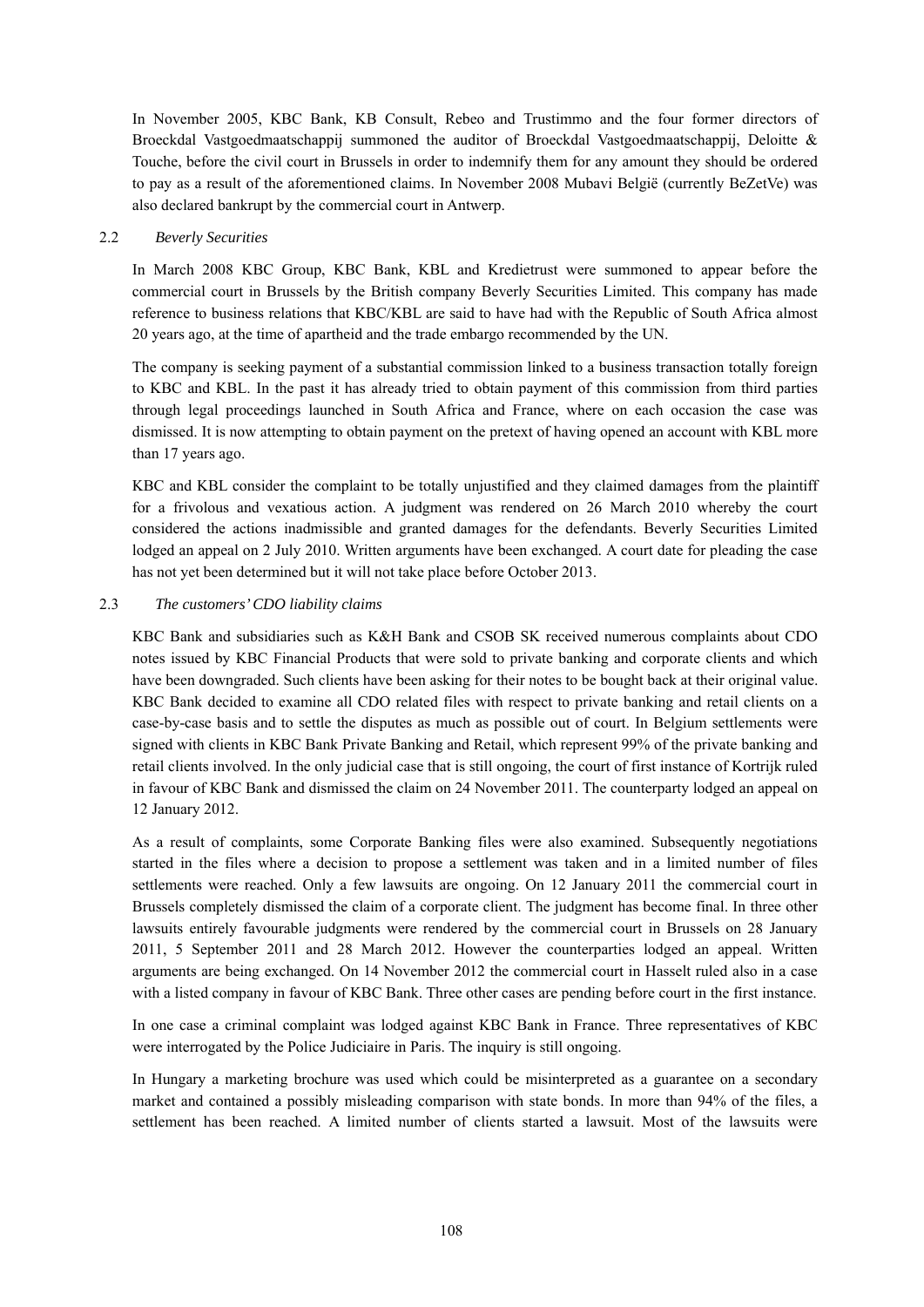In November 2005, KBC Bank, KB Consult, Rebeo and Trustimmo and the four former directors of Broeckdal Vastgoedmaatschappij summoned the auditor of Broeckdal Vastgoedmaatschappij, Deloitte & Touche, before the civil court in Brussels in order to indemnify them for any amount they should be ordered to pay as a result of the aforementioned claims. In November 2008 Mubavi België (currently BeZetVe) was also declared bankrupt by the commercial court in Antwerp.

### 2.2 *Beverly Securities*

In March 2008 KBC Group, KBC Bank, KBL and Kredietrust were summoned to appear before the commercial court in Brussels by the British company Beverly Securities Limited. This company has made reference to business relations that KBC/KBL are said to have had with the Republic of South Africa almost 20 years ago, at the time of apartheid and the trade embargo recommended by the UN.

The company is seeking payment of a substantial commission linked to a business transaction totally foreign to KBC and KBL. In the past it has already tried to obtain payment of this commission from third parties through legal proceedings launched in South Africa and France, where on each occasion the case was dismissed. It is now attempting to obtain payment on the pretext of having opened an account with KBL more than 17 years ago.

KBC and KBL consider the complaint to be totally unjustified and they claimed damages from the plaintiff for a frivolous and vexatious action. A judgment was rendered on 26 March 2010 whereby the court considered the actions inadmissible and granted damages for the defendants. Beverly Securities Limited lodged an appeal on 2 July 2010. Written arguments have been exchanged. A court date for pleading the case has not yet been determined but it will not take place before October 2013.

### 2.3 *The customers' CDO liability claims*

KBC Bank and subsidiaries such as K&H Bank and CSOB SK received numerous complaints about CDO notes issued by KBC Financial Products that were sold to private banking and corporate clients and which have been downgraded. Such clients have been asking for their notes to be bought back at their original value. KBC Bank decided to examine all CDO related files with respect to private banking and retail clients on a case-by-case basis and to settle the disputes as much as possible out of court. In Belgium settlements were signed with clients in KBC Bank Private Banking and Retail, which represent 99% of the private banking and retail clients involved. In the only judicial case that is still ongoing, the court of first instance of Kortrijk ruled in favour of KBC Bank and dismissed the claim on 24 November 2011. The counterparty lodged an appeal on 12 January 2012.

As a result of complaints, some Corporate Banking files were also examined. Subsequently negotiations started in the files where a decision to propose a settlement was taken and in a limited number of files settlements were reached. Only a few lawsuits are ongoing. On 12 January 2011 the commercial court in Brussels completely dismissed the claim of a corporate client. The judgment has become final. In three other lawsuits entirely favourable judgments were rendered by the commercial court in Brussels on 28 January 2011, 5 September 2011 and 28 March 2012. However the counterparties lodged an appeal. Written arguments are being exchanged. On 14 November 2012 the commercial court in Hasselt ruled also in a case with a listed company in favour of KBC Bank. Three other cases are pending before court in the first instance.

In one case a criminal complaint was lodged against KBC Bank in France. Three representatives of KBC were interrogated by the Police Judiciaire in Paris. The inquiry is still ongoing.

In Hungary a marketing brochure was used which could be misinterpreted as a guarantee on a secondary market and contained a possibly misleading comparison with state bonds. In more than 94% of the files, a settlement has been reached. A limited number of clients started a lawsuit. Most of the lawsuits were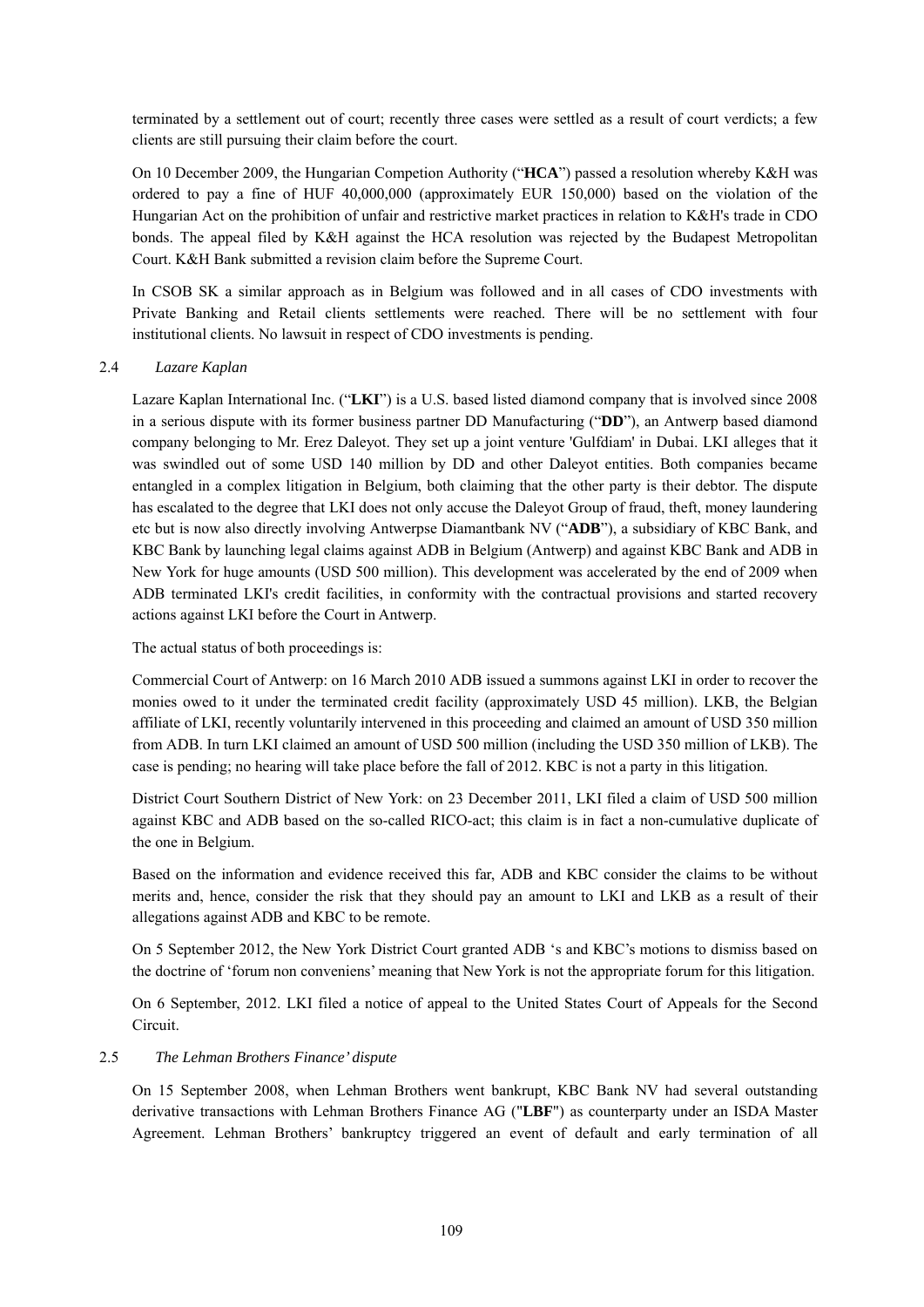terminated by a settlement out of court; recently three cases were settled as a result of court verdicts; a few clients are still pursuing their claim before the court.

On 10 December 2009, the Hungarian Competion Authority ("**HCA**") passed a resolution whereby K&H was ordered to pay a fine of HUF 40,000,000 (approximately EUR 150,000) based on the violation of the Hungarian Act on the prohibition of unfair and restrictive market practices in relation to K&H's trade in CDO bonds. The appeal filed by K&H against the HCA resolution was rejected by the Budapest Metropolitan Court. K&H Bank submitted a revision claim before the Supreme Court.

In CSOB SK a similar approach as in Belgium was followed and in all cases of CDO investments with Private Banking and Retail clients settlements were reached. There will be no settlement with four institutional clients. No lawsuit in respect of CDO investments is pending.

### 2.4 *Lazare Kaplan*

Lazare Kaplan International Inc. ("**LKI**") is a U.S. based listed diamond company that is involved since 2008 in a serious dispute with its former business partner DD Manufacturing ("**DD**"), an Antwerp based diamond company belonging to Mr. Erez Daleyot. They set up a joint venture 'Gulfdiam' in Dubai. LKI alleges that it was swindled out of some USD 140 million by DD and other Daleyot entities. Both companies became entangled in a complex litigation in Belgium, both claiming that the other party is their debtor. The dispute has escalated to the degree that LKI does not only accuse the Daleyot Group of fraud, theft, money laundering etc but is now also directly involving Antwerpse Diamantbank NV ("**ADB**"), a subsidiary of KBC Bank, and KBC Bank by launching legal claims against ADB in Belgium (Antwerp) and against KBC Bank and ADB in New York for huge amounts (USD 500 million). This development was accelerated by the end of 2009 when ADB terminated LKI's credit facilities, in conformity with the contractual provisions and started recovery actions against LKI before the Court in Antwerp.

The actual status of both proceedings is:

Commercial Court of Antwerp: on 16 March 2010 ADB issued a summons against LKI in order to recover the monies owed to it under the terminated credit facility (approximately USD 45 million). LKB, the Belgian affiliate of LKI, recently voluntarily intervened in this proceeding and claimed an amount of USD 350 million from ADB. In turn LKI claimed an amount of USD 500 million (including the USD 350 million of LKB). The case is pending; no hearing will take place before the fall of 2012. KBC is not a party in this litigation.

District Court Southern District of New York: on 23 December 2011, LKI filed a claim of USD 500 million against KBC and ADB based on the so-called RICO-act; this claim is in fact a non-cumulative duplicate of the one in Belgium.

Based on the information and evidence received this far, ADB and KBC consider the claims to be without merits and, hence, consider the risk that they should pay an amount to LKI and LKB as a result of their allegations against ADB and KBC to be remote.

On 5 September 2012, the New York District Court granted ADB 's and KBC's motions to dismiss based on the doctrine of 'forum non conveniens' meaning that New York is not the appropriate forum for this litigation.

On 6 September, 2012. LKI filed a notice of appeal to the United States Court of Appeals for the Second Circuit.

### 2.5 *The Lehman Brothers Finance' dispute*

On 15 September 2008, when Lehman Brothers went bankrupt, KBC Bank NV had several outstanding derivative transactions with Lehman Brothers Finance AG ("**LBF**") as counterparty under an ISDA Master Agreement. Lehman Brothers' bankruptcy triggered an event of default and early termination of all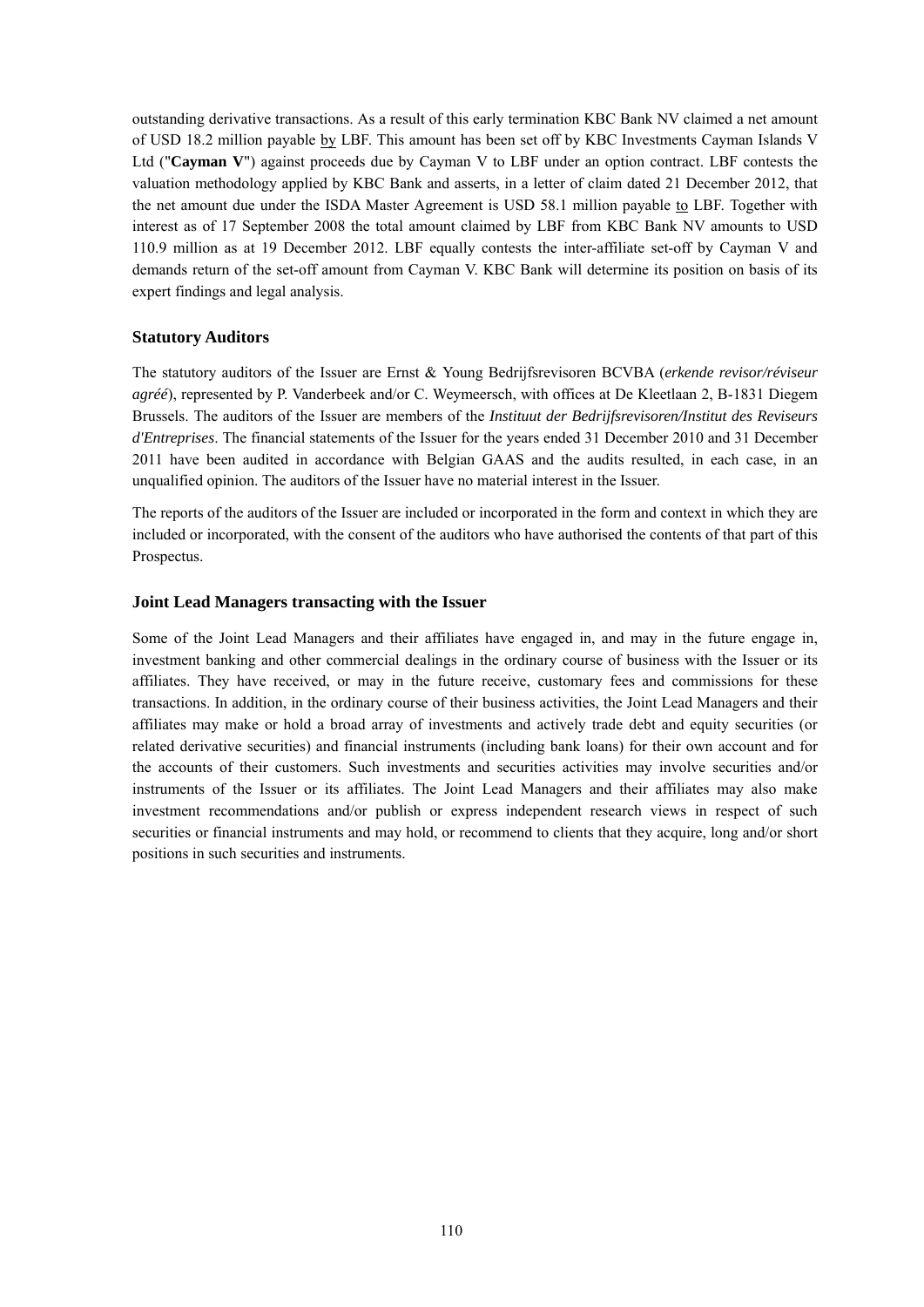outstanding derivative transactions. As a result of this early termination KBC Bank NV claimed a net amount of USD 18.2 million payable by LBF. This amount has been set off by KBC Investments Cayman Islands V Ltd ("**Cayman V**") against proceeds due by Cayman V to LBF under an option contract. LBF contests the valuation methodology applied by KBC Bank and asserts, in a letter of claim dated 21 December 2012, that the net amount due under the ISDA Master Agreement is USD 58.1 million payable to LBF. Together with interest as of 17 September 2008 the total amount claimed by LBF from KBC Bank NV amounts to USD 110.9 million as at 19 December 2012. LBF equally contests the inter-affiliate set-off by Cayman V and demands return of the set-off amount from Cayman V. KBC Bank will determine its position on basis of its expert findings and legal analysis.

### **Statutory Auditors**

The statutory auditors of the Issuer are Ernst & Young Bedrijfsrevisoren BCVBA (*erkende revisor/réviseur agréé*), represented by P. Vanderbeek and/or C. Weymeersch, with offices at De Kleetlaan 2, B-1831 Diegem Brussels. The auditors of the Issuer are members of the *Instituut der Bedrijfsrevisoren/Institut des Reviseurs d'Entreprises*. The financial statements of the Issuer for the years ended 31 December 2010 and 31 December 2011 have been audited in accordance with Belgian GAAS and the audits resulted, in each case, in an unqualified opinion. The auditors of the Issuer have no material interest in the Issuer.

The reports of the auditors of the Issuer are included or incorporated in the form and context in which they are included or incorporated, with the consent of the auditors who have authorised the contents of that part of this Prospectus.

### **Joint Lead Managers transacting with the Issuer**

Some of the Joint Lead Managers and their affiliates have engaged in, and may in the future engage in, investment banking and other commercial dealings in the ordinary course of business with the Issuer or its affiliates. They have received, or may in the future receive, customary fees and commissions for these transactions. In addition, in the ordinary course of their business activities, the Joint Lead Managers and their affiliates may make or hold a broad array of investments and actively trade debt and equity securities (or related derivative securities) and financial instruments (including bank loans) for their own account and for the accounts of their customers. Such investments and securities activities may involve securities and/or instruments of the Issuer or its affiliates. The Joint Lead Managers and their affiliates may also make investment recommendations and/or publish or express independent research views in respect of such securities or financial instruments and may hold, or recommend to clients that they acquire, long and/or short positions in such securities and instruments.